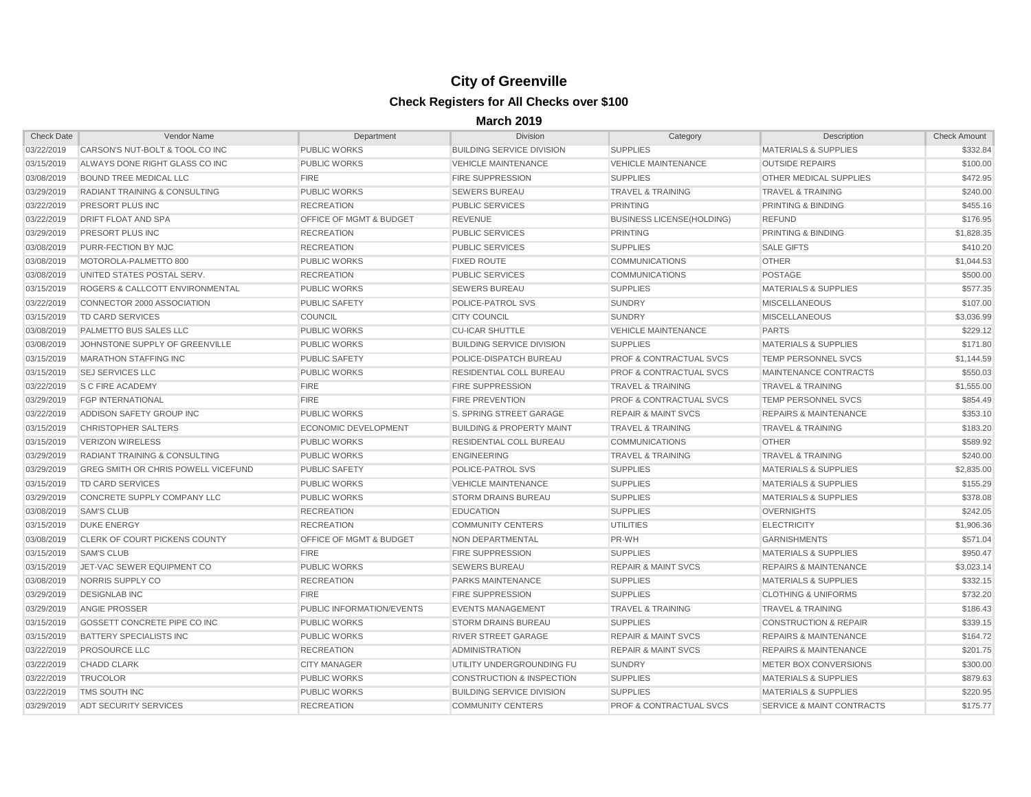| <b>Check Date</b> | Vendor Name                                | Department                         | <b>Division</b>                      | Category                           | <b>Description</b>               | <b>Check Amount</b> |
|-------------------|--------------------------------------------|------------------------------------|--------------------------------------|------------------------------------|----------------------------------|---------------------|
| 03/22/2019        | CARSON'S NUT-BOLT & TOOL CO INC            | <b>PUBLIC WORKS</b>                | <b>BUILDING SERVICE DIVISION</b>     | <b>SUPPLIES</b>                    | <b>MATERIALS &amp; SUPPLIES</b>  | \$332.84            |
| 03/15/2019        | ALWAYS DONE RIGHT GLASS CO INC             | <b>PUBLIC WORKS</b>                | <b>VEHICLE MAINTENANCE</b>           | <b>VEHICLE MAINTENANCE</b>         | <b>OUTSIDE REPAIRS</b>           | \$100.00            |
| 03/08/2019        | <b>BOUND TREE MEDICAL LLC</b>              | <b>FIRE</b>                        | <b>FIRE SUPPRESSION</b>              | <b>SUPPLIES</b>                    | <b>OTHER MEDICAL SUPPLIES</b>    | \$472.95            |
| 03/29/2019        | <b>RADIANT TRAINING &amp; CONSULTING</b>   | <b>PUBLIC WORKS</b>                | <b>SEWERS BUREAU</b>                 | <b>TRAVEL &amp; TRAINING</b>       | <b>TRAVEL &amp; TRAINING</b>     | \$240.00            |
| 03/22/2019        | PRESORT PLUS INC                           | <b>RECREATION</b>                  | <b>PUBLIC SERVICES</b>               | <b>PRINTING</b>                    | PRINTING & BINDING               | \$455.16            |
| 03/22/2019        | <b>DRIFT FLOAT AND SPA</b>                 | <b>OFFICE OF MGMT &amp; BUDGET</b> | <b>REVENUE</b>                       | <b>BUSINESS LICENSE(HOLDING)</b>   | <b>REFUND</b>                    | \$176.95            |
| 03/29/2019        | <b>PRESORT PLUS INC</b>                    | <b>RECREATION</b>                  | <b>PUBLIC SERVICES</b>               | <b>PRINTING</b>                    | <b>PRINTING &amp; BINDING</b>    | \$1,828.35          |
| 03/08/2019        | PURR-FECTION BY MJC                        | <b>RECREATION</b>                  | <b>PUBLIC SERVICES</b>               | <b>SUPPLIES</b>                    | <b>SALE GIFTS</b>                | \$410.20            |
| 03/08/2019        | MOTOROLA-PALMETTO 800                      | <b>PUBLIC WORKS</b>                | <b>FIXED ROUTE</b>                   | <b>COMMUNICATIONS</b>              | <b>OTHER</b>                     | \$1,044.53          |
| 03/08/2019        | UNITED STATES POSTAL SERV.                 | <b>RECREATION</b>                  | <b>PUBLIC SERVICES</b>               | <b>COMMUNICATIONS</b>              | <b>POSTAGE</b>                   | \$500.00            |
| 03/15/2019        | ROGERS & CALLCOTT ENVIRONMENTAL            | <b>PUBLIC WORKS</b>                | <b>SEWERS BUREAU</b>                 | <b>SUPPLIES</b>                    | <b>MATERIALS &amp; SUPPLIES</b>  | \$577.35            |
| 03/22/2019        | CONNECTOR 2000 ASSOCIATION                 | <b>PUBLIC SAFETY</b>               | <b>POLICE-PATROL SVS</b>             | <b>SUNDRY</b>                      | <b>MISCELLANEOUS</b>             | \$107.00            |
| 03/15/2019        | <b>TD CARD SERVICES</b>                    | <b>COUNCIL</b>                     | <b>CITY COUNCIL</b>                  | <b>SUNDRY</b>                      | <b>MISCELLANEOUS</b>             | \$3,036.99          |
| 03/08/2019        | <b>PALMETTO BUS SALES LLC</b>              | <b>PUBLIC WORKS</b>                | <b>CU-ICAR SHUTTLE</b>               | <b>VEHICLE MAINTENANCE</b>         | <b>PARTS</b>                     | \$229.12            |
| 03/08/2019        | JOHNSTONE SUPPLY OF GREENVILLE             | <b>PUBLIC WORKS</b>                | <b>BUILDING SERVICE DIVISION</b>     | <b>SUPPLIES</b>                    | <b>MATERIALS &amp; SUPPLIES</b>  | \$171.80            |
| 03/15/2019        | <b>MARATHON STAFFING INC</b>               | <b>PUBLIC SAFETY</b>               | POLICE-DISPATCH BUREAU               | <b>PROF &amp; CONTRACTUAL SVCS</b> | <b>TEMP PERSONNEL SVCS</b>       | \$1,144.59          |
| 03/15/2019        | <b>SEJ SERVICES LLC</b>                    | <b>PUBLIC WORKS</b>                | <b>RESIDENTIAL COLL BUREAU</b>       | <b>PROF &amp; CONTRACTUAL SVCS</b> | MAINTENANCE CONTRACTS            | \$550.03            |
| 03/22/2019        | <b>S C FIRE ACADEMY</b>                    | <b>FIRE</b>                        | <b>FIRE SUPPRESSION</b>              | <b>TRAVEL &amp; TRAINING</b>       | <b>TRAVEL &amp; TRAINING</b>     | \$1,555.00          |
| 03/29/2019        | <b>FGP INTERNATIONAL</b>                   | <b>FIRE</b>                        | <b>FIRE PREVENTION</b>               | <b>PROF &amp; CONTRACTUAL SVCS</b> | <b>TEMP PERSONNEL SVCS</b>       | \$854.49            |
| 03/22/2019        | ADDISON SAFETY GROUP INC                   | <b>PUBLIC WORKS</b>                | S. SPRING STREET GARAGE              | <b>REPAIR &amp; MAINT SVCS</b>     | <b>REPAIRS &amp; MAINTENANCE</b> | \$353.10            |
| 03/15/2019        | <b>CHRISTOPHER SALTERS</b>                 | ECONOMIC DEVELOPMENT               | <b>BUILDING &amp; PROPERTY MAINT</b> | <b>TRAVEL &amp; TRAINING</b>       | <b>TRAVEL &amp; TRAINING</b>     | \$183.20            |
| 03/15/2019        | <b>VERIZON WIRELESS</b>                    | <b>PUBLIC WORKS</b>                | RESIDENTIAL COLL BUREAU              | <b>COMMUNICATIONS</b>              | <b>OTHER</b>                     | \$589.92            |
| 03/29/2019        | <b>RADIANT TRAINING &amp; CONSULTING</b>   | <b>PUBLIC WORKS</b>                | <b>ENGINEERING</b>                   | <b>TRAVEL &amp; TRAINING</b>       | <b>TRAVEL &amp; TRAINING</b>     | \$240.00            |
| 03/29/2019        | <b>GREG SMITH OR CHRIS POWELL VICEFUND</b> | <b>PUBLIC SAFETY</b>               | <b>POLICE-PATROL SVS</b>             | <b>SUPPLIES</b>                    | <b>MATERIALS &amp; SUPPLIES</b>  | \$2,835.00          |
| 03/15/2019        | TD CARD SERVICES                           | <b>PUBLIC WORKS</b>                | <b>VEHICLE MAINTENANCE</b>           | <b>SUPPLIES</b>                    | <b>MATERIALS &amp; SUPPLIES</b>  | \$155.29            |
| 03/29/2019        | CONCRETE SUPPLY COMPANY LLC                | <b>PUBLIC WORKS</b>                | <b>STORM DRAINS BUREAU</b>           | <b>SUPPLIES</b>                    | <b>MATERIALS &amp; SUPPLIES</b>  | \$378.08            |
| 03/08/2019        | <b>SAM'S CLUB</b>                          | <b>RECREATION</b>                  | <b>EDUCATION</b>                     | <b>SUPPLIES</b>                    | <b>OVERNIGHTS</b>                | \$242.05            |
| 03/15/2019        | <b>DUKE ENERGY</b>                         | <b>RECREATION</b>                  | <b>COMMUNITY CENTERS</b>             | <b>UTILITIES</b>                   | <b>ELECTRICITY</b>               | \$1,906.36          |
| 03/08/2019        | <b>CLERK OF COURT PICKENS COUNTY</b>       | <b>OFFICE OF MGMT &amp; BUDGET</b> | NON DEPARTMENTAL                     | PR-WH                              | <b>GARNISHMENTS</b>              | \$571.04            |
| 03/15/2019        | <b>SAM'S CLUB</b>                          | <b>FIRE</b>                        | <b>FIRE SUPPRESSION</b>              | <b>SUPPLIES</b>                    | <b>MATERIALS &amp; SUPPLIES</b>  | \$950.47            |
| 03/15/2019        | JET-VAC SEWER EQUIPMENT CO                 | <b>PUBLIC WORKS</b>                | <b>SEWERS BUREAU</b>                 | <b>REPAIR &amp; MAINT SVCS</b>     | <b>REPAIRS &amp; MAINTENANCE</b> | \$3,023.14          |
| 03/08/2019        | NORRIS SUPPLY CO                           | <b>RECREATION</b>                  | <b>PARKS MAINTENANCE</b>             | <b>SUPPLIES</b>                    | <b>MATERIALS &amp; SUPPLIES</b>  | \$332.15            |
| 03/29/2019        | <b>DESIGNLAB INC</b>                       | <b>FIRE</b>                        | <b>FIRE SUPPRESSION</b>              | <b>SUPPLIES</b>                    | <b>CLOTHING &amp; UNIFORMS</b>   | \$732.20            |
| 03/29/2019        | <b>ANGIE PROSSER</b>                       | PUBLIC INFORMATION/EVENTS          | <b>EVENTS MANAGEMENT</b>             | <b>TRAVEL &amp; TRAINING</b>       | <b>TRAVEL &amp; TRAINING</b>     | \$186.43            |
| 03/15/2019        | GOSSETT CONCRETE PIPE CO INC               | <b>PUBLIC WORKS</b>                | <b>STORM DRAINS BUREAU</b>           | <b>SUPPLIES</b>                    | <b>CONSTRUCTION &amp; REPAIR</b> | \$339.15            |
| 03/15/2019        | BATTERY SPECIALISTS INC                    | <b>PUBLIC WORKS</b>                | <b>RIVER STREET GARAGE</b>           | <b>REPAIR &amp; MAINT SVCS</b>     | <b>REPAIRS &amp; MAINTENANCE</b> | \$164.72            |
| 03/22/2019        | PROSOURCE LLC                              | <b>RECREATION</b>                  | ADMINISTRATION                       | <b>REPAIR &amp; MAINT SVCS</b>     | <b>REPAIRS &amp; MAINTENANCE</b> | \$201.75            |
| 03/22/2019        | <b>CHADD CLARK</b>                         | <b>CITY MANAGER</b>                | UTILITY UNDERGROUNDING FU            | <b>SUNDRY</b>                      | METER BOX CONVERSIONS            | \$300.00            |
| 03/22/2019        | <b>TRUCOLOR</b>                            | <b>PUBLIC WORKS</b>                | CONSTRUCTION & INSPECTION            | <b>SUPPLIES</b>                    | <b>MATERIALS &amp; SUPPLIES</b>  | \$879.63            |
| 03/22/2019        | <b>TMS SOUTH INC</b>                       | <b>PUBLIC WORKS</b>                | <b>BUILDING SERVICE DIVISION</b>     | <b>SUPPLIES</b>                    | <b>MATERIALS &amp; SUPPLIES</b>  | \$220.95            |
| 03/29/2019        | <b>ADT SECURITY SERVICES</b>               | <b>RECREATION</b>                  | <b>COMMUNITY CENTERS</b>             | PROF & CONTRACTUAL SVCS            | SERVICE & MAINT CONTRACTS        | \$175.77            |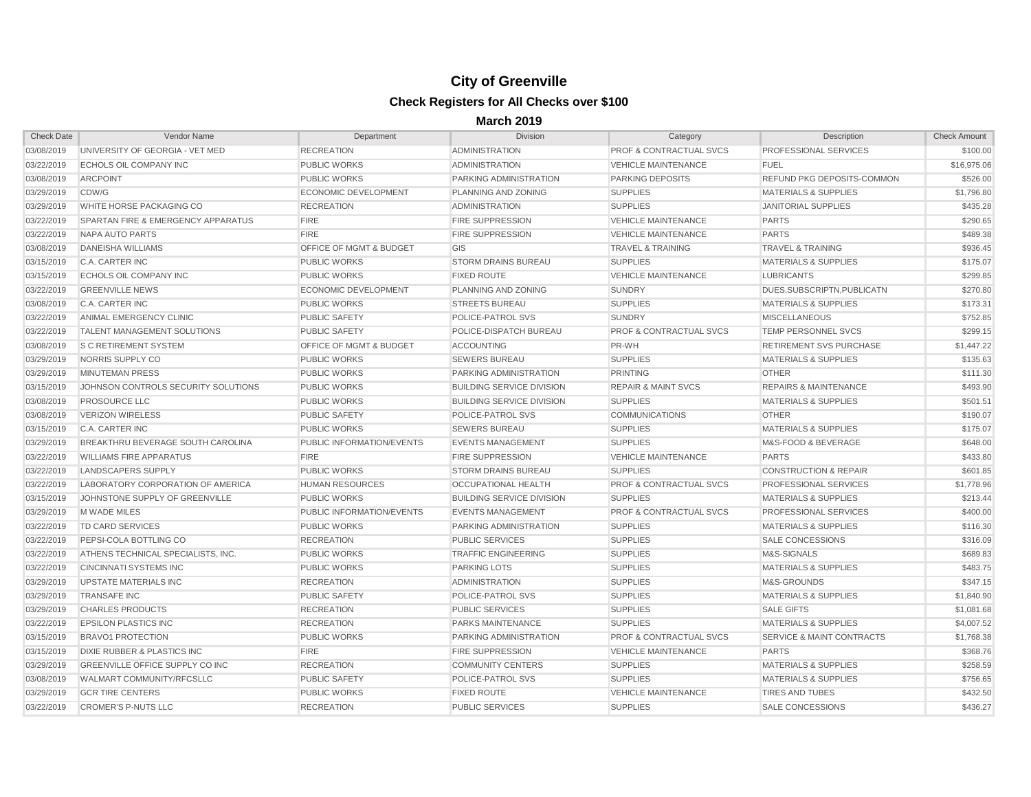| <b>Check Date</b> | Vendor Name                                   | Department                         | <b>Division</b>                  | Category                           | Description                        | Check Amount |
|-------------------|-----------------------------------------------|------------------------------------|----------------------------------|------------------------------------|------------------------------------|--------------|
| 03/08/2019        | UNIVERSITY OF GEORGIA - VET MED               | <b>RECREATION</b>                  | <b>ADMINISTRATION</b>            | <b>PROF &amp; CONTRACTUAL SVCS</b> | <b>PROFESSIONAL SERVICES</b>       | \$100.00     |
| 03/22/2019        | <b>ECHOLS OIL COMPANY INC</b>                 | <b>PUBLIC WORKS</b>                | <b>ADMINISTRATION</b>            | <b>VEHICLE MAINTENANCE</b>         | <b>FUEL</b>                        | \$16,975.06  |
| 03/08/2019        | <b>ARCPOINT</b>                               | <b>PUBLIC WORKS</b>                | PARKING ADMINISTRATION           | <b>PARKING DEPOSITS</b>            | <b>REFUND PKG DEPOSITS-COMMON</b>  | \$526.00     |
| 03/29/2019        | CDW/G                                         | ECONOMIC DEVELOPMENT               | PLANNING AND ZONING              | <b>SUPPLIES</b>                    | <b>MATERIALS &amp; SUPPLIES</b>    | \$1,796.80   |
| 03/29/2019        | <b>WHITE HORSE PACKAGING CO</b>               | <b>RECREATION</b>                  | <b>ADMINISTRATION</b>            | <b>SUPPLIES</b>                    | <b>JANITORIAL SUPPLIES</b>         | \$435.28     |
| 03/22/2019        | <b>SPARTAN FIRE &amp; EMERGENCY APPARATUS</b> | <b>FIRE</b>                        | <b>FIRE SUPPRESSION</b>          | <b>VEHICLE MAINTENANCE</b>         | <b>PARTS</b>                       | \$290.65     |
| 03/22/2019        | NAPA AUTO PARTS                               | <b>FIRE</b>                        | <b>FIRE SUPPRESSION</b>          | <b>VEHICLE MAINTENANCE</b>         | <b>PARTS</b>                       | \$489.38     |
| 03/08/2019        | DANEISHA WILLIAMS                             | <b>OFFICE OF MGMT &amp; BUDGET</b> | GIS                              | <b>TRAVEL &amp; TRAINING</b>       | <b>TRAVEL &amp; TRAINING</b>       | \$936.45     |
| 03/15/2019        | <b>C.A. CARTER INC</b>                        | <b>PUBLIC WORKS</b>                | <b>STORM DRAINS BUREAU</b>       | <b>SUPPLIES</b>                    | <b>MATERIALS &amp; SUPPLIES</b>    | \$175.07     |
| 03/15/2019        | <b>ECHOLS OIL COMPANY INC</b>                 | <b>PUBLIC WORKS</b>                | <b>FIXED ROUTE</b>               | <b>VEHICLE MAINTENANCE</b>         | <b>LUBRICANTS</b>                  | \$299.85     |
| 03/22/2019        | <b>GREENVILLE NEWS</b>                        | ECONOMIC DEVELOPMENT               | PLANNING AND ZONING              | <b>SUNDRY</b>                      | DUES.SUBSCRIPTN.PUBLICATN          | \$270.80     |
| 03/08/2019        | C.A. CARTER INC                               | <b>PUBLIC WORKS</b>                | <b>STREETS BUREAU</b>            | <b>SUPPLIES</b>                    | <b>MATERIALS &amp; SUPPLIES</b>    | \$173.31     |
| 03/22/2019        | ANIMAL EMERGENCY CLINIC                       | <b>PUBLIC SAFETY</b>               | POLICE-PATROL SVS                | <b>SUNDRY</b>                      | <b>MISCELLANEOUS</b>               | \$752.85     |
| 03/22/2019        | <b>TALENT MANAGEMENT SOLUTIONS</b>            | <b>PUBLIC SAFETY</b>               | POLICE-DISPATCH BUREAU           | <b>PROF &amp; CONTRACTUAL SVCS</b> | <b>TEMP PERSONNEL SVCS</b>         | \$299.15     |
| 03/08/2019        | <b>S C RETIREMENT SYSTEM</b>                  | <b>OFFICE OF MGMT &amp; BUDGET</b> | <b>ACCOUNTING</b>                | PR-WH                              | <b>RETIREMENT SVS PURCHASE</b>     | \$1,447.22   |
| 03/29/2019        | NORRIS SUPPLY CO                              | <b>PUBLIC WORKS</b>                | <b>SEWERS BUREAU</b>             | <b>SUPPLIES</b>                    | <b>MATERIALS &amp; SUPPLIES</b>    | \$135.63     |
| 03/29/2019        | <b>MINUTEMAN PRESS</b>                        | <b>PUBLIC WORKS</b>                | <b>PARKING ADMINISTRATION</b>    | <b>PRINTING</b>                    | <b>OTHER</b>                       | \$111.30     |
| 03/15/2019        | JOHNSON CONTROLS SECURITY SOLUTIONS           | <b>PUBLIC WORKS</b>                | <b>BUILDING SERVICE DIVISION</b> | <b>REPAIR &amp; MAINT SVCS</b>     | <b>REPAIRS &amp; MAINTENANCE</b>   | \$493.90     |
| 03/08/2019        | <b>PROSOURCE LLC</b>                          | <b>PUBLIC WORKS</b>                | <b>BUILDING SERVICE DIVISION</b> | <b>SUPPLIES</b>                    | <b>MATERIALS &amp; SUPPLIES</b>    | \$501.51     |
| 03/08/2019        | <b>VERIZON WIRELESS</b>                       | <b>PUBLIC SAFETY</b>               | POLICE-PATROL SVS                | <b>COMMUNICATIONS</b>              | <b>OTHER</b>                       | \$190.07     |
| 03/15/2019        | C.A. CARTER INC                               | <b>PUBLIC WORKS</b>                | <b>SEWERS BUREAU</b>             | <b>SUPPLIES</b>                    | <b>MATERIALS &amp; SUPPLIES</b>    | \$175.07     |
| 03/29/2019        | BREAKTHRU BEVERAGE SOUTH CAROLINA             | <b>PUBLIC INFORMATION/EVENTS</b>   | <b>EVENTS MANAGEMENT</b>         | <b>SUPPLIES</b>                    | <b>M&amp;S-FOOD &amp; BEVERAGE</b> | \$648.00     |
| 03/22/2019        | <b>WILLIAMS FIRE APPARATUS</b>                | <b>FIRE</b>                        | <b>FIRE SUPPRESSION</b>          | <b>VEHICLE MAINTENANCE</b>         | <b>PARTS</b>                       | \$433.80     |
| 03/22/2019        | LANDSCAPERS SUPPLY                            | <b>PUBLIC WORKS</b>                | <b>STORM DRAINS BUREAU</b>       | <b>SUPPLIES</b>                    | <b>CONSTRUCTION &amp; REPAIR</b>   | \$601.85     |
| 03/22/2019        | LABORATORY CORPORATION OF AMERICA             | <b>HUMAN RESOURCES</b>             | OCCUPATIONAL HEALTH              | <b>PROF &amp; CONTRACTUAL SVCS</b> | <b>PROFESSIONAL SERVICES</b>       | \$1,778.96   |
| 03/15/2019        | JOHNSTONE SUPPLY OF GREENVILLE                | <b>PUBLIC WORKS</b>                | <b>BUILDING SERVICE DIVISION</b> | <b>SUPPLIES</b>                    | <b>MATERIALS &amp; SUPPLIES</b>    | \$213.44     |
| 03/29/2019        | M WADE MILES                                  | <b>PUBLIC INFORMATION/EVENTS</b>   | <b>EVENTS MANAGEMENT</b>         | <b>PROF &amp; CONTRACTUAL SVCS</b> | <b>PROFESSIONAL SERVICES</b>       | \$400.00     |
| 03/22/2019        | <b>TD CARD SERVICES</b>                       | <b>PUBLIC WORKS</b>                | PARKING ADMINISTRATION           | <b>SUPPLIES</b>                    | <b>MATERIALS &amp; SUPPLIES</b>    | \$116.30     |
| 03/22/2019        | PEPSI-COLA BOTTLING CO                        | <b>RECREATION</b>                  | <b>PUBLIC SERVICES</b>           | <b>SUPPLIES</b>                    | <b>SALE CONCESSIONS</b>            | \$316.09     |
| 03/22/2019        | ATHENS TECHNICAL SPECIALISTS. INC.            | <b>PUBLIC WORKS</b>                | <b>TRAFFIC ENGINEERING</b>       | <b>SUPPLIES</b>                    | M&S-SIGNALS                        | \$689.83     |
| 03/22/2019        | <b>CINCINNATI SYSTEMS INC</b>                 | <b>PUBLIC WORKS</b>                | <b>PARKING LOTS</b>              | <b>SUPPLIES</b>                    | <b>MATERIALS &amp; SUPPLIES</b>    | \$483.75     |
| 03/29/2019        | <b>UPSTATE MATERIALS INC</b>                  | <b>RECREATION</b>                  | <b>ADMINISTRATION</b>            | <b>SUPPLIES</b>                    | M&S-GROUNDS                        | \$347.15     |
| 03/29/2019        | <b>TRANSAFE INC</b>                           | PUBLIC SAFETY                      | POLICE-PATROL SVS                | <b>SUPPLIES</b>                    | <b>MATERIALS &amp; SUPPLIES</b>    | \$1,840.90   |
| 03/29/2019        | <b>CHARLES PRODUCTS</b>                       | <b>RECREATION</b>                  | <b>PUBLIC SERVICES</b>           | <b>SUPPLIES</b>                    | <b>SALE GIFTS</b>                  | \$1,081.68   |
| 03/22/2019        | <b>EPSILON PLASTICS INC</b>                   | <b>RECREATION</b>                  | <b>PARKS MAINTENANCE</b>         | <b>SUPPLIES</b>                    | <b>MATERIALS &amp; SUPPLIES</b>    | \$4,007.52   |
| 03/15/2019        | BRAVO1 PROTECTION                             | <b>PUBLIC WORKS</b>                | <b>PARKING ADMINISTRATION</b>    | <b>PROF &amp; CONTRACTUAL SVCS</b> | SERVICE & MAINT CONTRACTS          | \$1,768.38   |
| 03/15/2019        | DIXIE RUBBER & PLASTICS INC                   | <b>FIRE</b>                        | <b>FIRE SUPPRESSION</b>          | <b>VEHICLE MAINTENANCE</b>         | <b>PARTS</b>                       | \$368.76     |
| 03/29/2019        | GREENVILLE OFFICE SUPPLY CO INC               | <b>RECREATION</b>                  | <b>COMMUNITY CENTERS</b>         | <b>SUPPLIES</b>                    | <b>MATERIALS &amp; SUPPLIES</b>    | \$258.59     |
| 03/08/2019        | <b>WALMART COMMUNITY/RFCSLLC</b>              | PUBLIC SAFETY                      | POLICE-PATROL SVS                | <b>SUPPLIES</b>                    | <b>MATERIALS &amp; SUPPLIES</b>    | \$756.65     |
| 03/29/2019        | <b>GCR TIRE CENTERS</b>                       | <b>PUBLIC WORKS</b>                | <b>FIXED ROUTE</b>               | <b>VEHICLE MAINTENANCE</b>         | <b>TIRES AND TUBES</b>             | \$432.50     |
| 03/22/2019        | <b>CROMER'S P-NUTS LLC</b>                    | <b>RECREATION</b>                  | <b>PUBLIC SERVICES</b>           | <b>SUPPLIES</b>                    | <b>SALE CONCESSIONS</b>            | \$436.27     |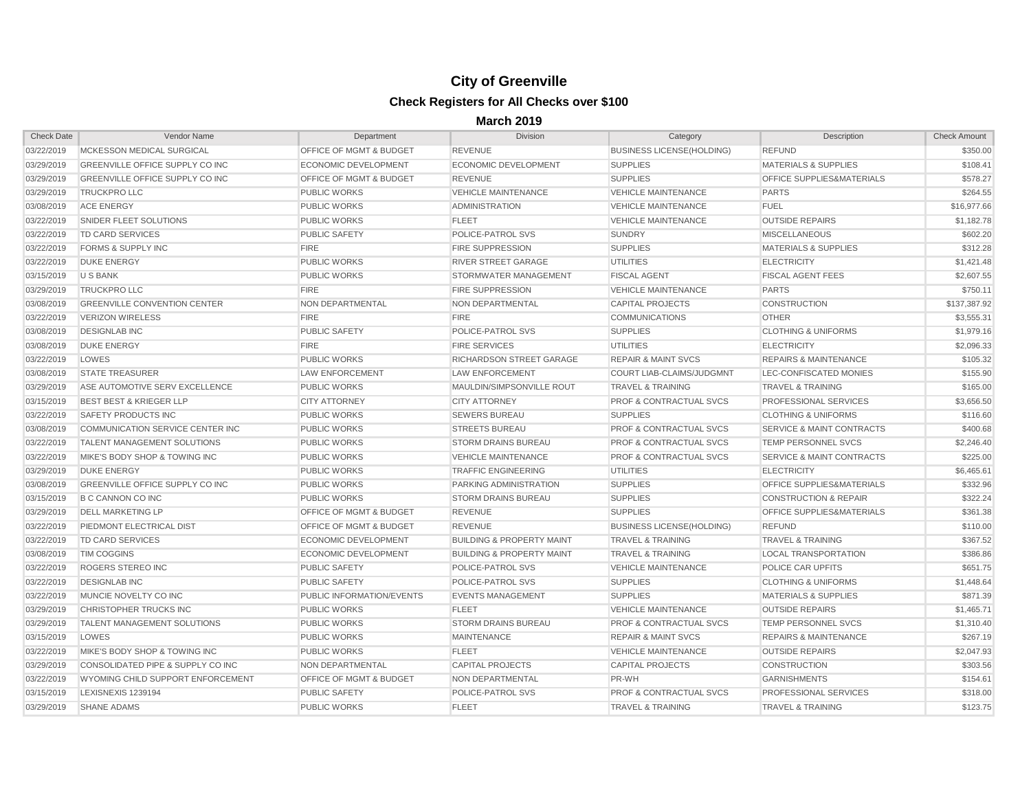| <b>Check Date</b> | Vendor Name                            | Department                         | <b>Division</b>                      | Category                           | Description                          | <b>Check Amount</b> |
|-------------------|----------------------------------------|------------------------------------|--------------------------------------|------------------------------------|--------------------------------------|---------------------|
| 03/22/2019        | MCKESSON MEDICAL SURGICAL              | <b>OFFICE OF MGMT &amp; BUDGET</b> | <b>REVENUE</b>                       | <b>BUSINESS LICENSE(HOLDING)</b>   | <b>REFUND</b>                        | \$350.00            |
| 03/29/2019        | <b>GREENVILLE OFFICE SUPPLY CO INC</b> | <b>ECONOMIC DEVELOPMENT</b>        | <b>ECONOMIC DEVELOPMENT</b>          | <b>SUPPLIES</b>                    | <b>MATERIALS &amp; SUPPLIES</b>      | \$108.41            |
| 03/29/2019        | GREENVILLE OFFICE SUPPLY CO INC        | <b>OFFICE OF MGMT &amp; BUDGET</b> | <b>REVENUE</b>                       | <b>SUPPLIES</b>                    | <b>OFFICE SUPPLIES&amp;MATERIALS</b> | \$578.27            |
| 03/29/2019        | <b>TRUCKPRO LLC</b>                    | <b>PUBLIC WORKS</b>                | <b>VEHICLE MAINTENANCE</b>           | <b>VEHICLE MAINTENANCE</b>         | <b>PARTS</b>                         | \$264.55            |
| 03/08/2019        | <b>ACE ENERGY</b>                      | <b>PUBLIC WORKS</b>                | <b>ADMINISTRATION</b>                | <b>VEHICLE MAINTENANCE</b>         | <b>FUEL</b>                          | \$16,977.66         |
| 03/22/2019        | <b>SNIDER FLEET SOLUTIONS</b>          | <b>PUBLIC WORKS</b>                | <b>FLEET</b>                         | <b>VEHICLE MAINTENANCE</b>         | <b>OUTSIDE REPAIRS</b>               | \$1,182.78          |
| 03/22/2019        | TD CARD SERVICES                       | <b>PUBLIC SAFETY</b>               | POLICE-PATROL SVS                    | <b>SUNDRY</b>                      | <b>MISCELLANEOUS</b>                 | \$602.20            |
| 03/22/2019        | <b>FORMS &amp; SUPPLY INC</b>          | <b>FIRE</b>                        | <b>FIRE SUPPRESSION</b>              | <b>SUPPLIES</b>                    | <b>MATERIALS &amp; SUPPLIES</b>      | \$312.28            |
| 03/22/2019        | <b>DUKE ENERGY</b>                     | <b>PUBLIC WORKS</b>                | <b>RIVER STREET GARAGE</b>           | <b>UTILITIES</b>                   | <b>ELECTRICITY</b>                   | \$1,421.48          |
| 03/15/2019        | U S BANK                               | <b>PUBLIC WORKS</b>                | STORMWATER MANAGEMENT                | <b>FISCAL AGENT</b>                | <b>FISCAL AGENT FEES</b>             | \$2,607.55          |
| 03/29/2019        | <b>TRUCKPRO LLC</b>                    | <b>FIRE</b>                        | <b>FIRE SUPPRESSION</b>              | <b>VEHICLE MAINTENANCE</b>         | <b>PARTS</b>                         | \$750.11            |
| 03/08/2019        | <b>GREENVILLE CONVENTION CENTER</b>    | <b>NON DEPARTMENTAL</b>            | NON DEPARTMENTAL                     | <b>CAPITAL PROJECTS</b>            | <b>CONSTRUCTION</b>                  | \$137,387.92        |
| 03/22/2019        | VERIZON WIRELESS                       | <b>FIRE</b>                        | <b>FIRE</b>                          | <b>COMMUNICATIONS</b>              | <b>OTHER</b>                         | \$3,555.31          |
| 03/08/2019        | <b>DESIGNLAB INC</b>                   | PUBLIC SAFETY                      | POLICE-PATROL SVS                    | <b>SUPPLIES</b>                    | <b>CLOTHING &amp; UNIFORMS</b>       | \$1,979.16          |
| 03/08/2019        | <b>DUKE ENERGY</b>                     | <b>FIRE</b>                        | <b>FIRE SERVICES</b>                 | <b>UTILITIES</b>                   | <b>ELECTRICITY</b>                   | \$2,096.33          |
| 03/22/2019        | LOWES                                  | <b>PUBLIC WORKS</b>                | RICHARDSON STREET GARAGE             | <b>REPAIR &amp; MAINT SVCS</b>     | <b>REPAIRS &amp; MAINTENANCE</b>     | \$105.32            |
| 03/08/2019        | <b>STATE TREASURER</b>                 | <b>LAW ENFORCEMENT</b>             | <b>LAW ENFORCEMENT</b>               | COURT LIAB-CLAIMS/JUDGMNT          | LEC-CONFISCATED MONIES               | \$155.90            |
| 03/29/2019        | ASE AUTOMOTIVE SERV EXCELLENCE         | <b>PUBLIC WORKS</b>                | MAULDIN/SIMPSONVILLE ROUT            | <b>TRAVEL &amp; TRAINING</b>       | <b>TRAVEL &amp; TRAINING</b>         | \$165.00            |
| 03/15/2019        | <b>BEST BEST &amp; KRIEGER LLP</b>     | <b>CITY ATTORNEY</b>               | <b>CITY ATTORNEY</b>                 | <b>PROF &amp; CONTRACTUAL SVCS</b> | <b>PROFESSIONAL SERVICES</b>         | \$3,656.50          |
| 03/22/2019        | <b>SAFETY PRODUCTS INC</b>             | <b>PUBLIC WORKS</b>                | <b>SEWERS BUREAU</b>                 | <b>SUPPLIES</b>                    | <b>CLOTHING &amp; UNIFORMS</b>       | \$116.60            |
| 03/08/2019        | COMMUNICATION SERVICE CENTER INC       | <b>PUBLIC WORKS</b>                | <b>STREETS BUREAU</b>                | <b>PROF &amp; CONTRACTUAL SVCS</b> | <b>SERVICE &amp; MAINT CONTRACTS</b> | \$400.68            |
| 03/22/2019        | <b>TALENT MANAGEMENT SOLUTIONS</b>     | <b>PUBLIC WORKS</b>                | <b>STORM DRAINS BUREAU</b>           | <b>PROF &amp; CONTRACTUAL SVCS</b> | <b>TEMP PERSONNEL SVCS</b>           | \$2,246.40          |
| 03/22/2019        | MIKE'S BODY SHOP & TOWING INC          | <b>PUBLIC WORKS</b>                | <b>VEHICLE MAINTENANCE</b>           | <b>PROF &amp; CONTRACTUAL SVCS</b> | SERVICE & MAINT CONTRACTS            | \$225.00            |
| 03/29/2019        | <b>DUKE ENERGY</b>                     | <b>PUBLIC WORKS</b>                | <b>TRAFFIC ENGINEERING</b>           | <b>UTILITIES</b>                   | <b>ELECTRICITY</b>                   | \$6,465.61          |
| 03/08/2019        | <b>GREENVILLE OFFICE SUPPLY CO INC</b> | <b>PUBLIC WORKS</b>                | <b>PARKING ADMINISTRATION</b>        | <b>SUPPLIES</b>                    | OFFICE SUPPLIES&MATERIALS            | \$332.96            |
| 03/15/2019        | <b>B C CANNON CO INC</b>               | <b>PUBLIC WORKS</b>                | <b>STORM DRAINS BUREAU</b>           | <b>SUPPLIES</b>                    | <b>CONSTRUCTION &amp; REPAIR</b>     | \$322.24            |
| 03/29/2019        | <b>DELL MARKETING LP</b>               | <b>OFFICE OF MGMT &amp; BUDGET</b> | <b>REVENUE</b>                       | <b>SUPPLIES</b>                    | <b>OFFICE SUPPLIES&amp;MATERIALS</b> | \$361.38            |
| 03/22/2019        | <b>PIEDMONT ELECTRICAL DIST</b>        | <b>OFFICE OF MGMT &amp; BUDGET</b> | <b>REVENUE</b>                       | <b>BUSINESS LICENSE(HOLDING)</b>   | <b>REFUND</b>                        | \$110.00            |
| 03/22/2019        | TD CARD SERVICES                       | <b>ECONOMIC DEVELOPMENT</b>        | <b>BUILDING &amp; PROPERTY MAINT</b> | <b>TRAVEL &amp; TRAINING</b>       | <b>TRAVEL &amp; TRAINING</b>         | \$367.52            |
| 03/08/2019        | <b>TIM COGGINS</b>                     | <b>ECONOMIC DEVELOPMENT</b>        | <b>BUILDING &amp; PROPERTY MAINT</b> | <b>TRAVEL &amp; TRAINING</b>       | <b>LOCAL TRANSPORTATION</b>          | \$386.86            |
| 03/22/2019        | <b>ROGERS STEREO INC</b>               | <b>PUBLIC SAFETY</b>               | <b>POLICE-PATROL SVS</b>             | <b>VEHICLE MAINTENANCE</b>         | <b>POLICE CAR UPFITS</b>             | \$651.75            |
| 03/22/2019        | <b>DESIGNLAB INC</b>                   | PUBLIC SAFETY                      | POLICE-PATROL SVS                    | <b>SUPPLIES</b>                    | <b>CLOTHING &amp; UNIFORMS</b>       | \$1,448.64          |
| 03/22/2019        | MUNCIE NOVELTY CO INC                  | PUBLIC INFORMATION/EVENTS          | <b>EVENTS MANAGEMENT</b>             | <b>SUPPLIES</b>                    | <b>MATERIALS &amp; SUPPLIES</b>      | \$871.39            |
| 03/29/2019        | CHRISTOPHER TRUCKS INC                 | <b>PUBLIC WORKS</b>                | <b>FLEET</b>                         | <b>VEHICLE MAINTENANCE</b>         | <b>OUTSIDE REPAIRS</b>               | \$1,465.71          |
| 03/29/2019        | TALENT MANAGEMENT SOLUTIONS            | <b>PUBLIC WORKS</b>                | <b>STORM DRAINS BUREAU</b>           | <b>PROF &amp; CONTRACTUAL SVCS</b> | <b>TEMP PERSONNEL SVCS</b>           | \$1,310.40          |
| 03/15/2019        | LOWES                                  | <b>PUBLIC WORKS</b>                | <b>MAINTENANCE</b>                   | <b>REPAIR &amp; MAINT SVCS</b>     | <b>REPAIRS &amp; MAINTENANCE</b>     | \$267.19            |
| 03/22/2019        | MIKE'S BODY SHOP & TOWING INC          | <b>PUBLIC WORKS</b>                | <b>FLEET</b>                         | <b>VEHICLE MAINTENANCE</b>         | <b>OUTSIDE REPAIRS</b>               | \$2,047.93          |
| 03/29/2019        | CONSOLIDATED PIPE & SUPPLY CO INC      | NON DEPARTMENTAL                   | <b>CAPITAL PROJECTS</b>              | CAPITAL PROJECTS                   | <b>CONSTRUCTION</b>                  | \$303.56            |
| 03/22/2019        | WYOMING CHILD SUPPORT ENFORCEMENT      | <b>OFFICE OF MGMT &amp; BUDGET</b> | NON DEPARTMENTAL                     | PR-WH                              | <b>GARNISHMENTS</b>                  | \$154.61            |
| 03/15/2019        | LEXISNEXIS 1239194                     | <b>PUBLIC SAFETY</b>               | POLICE-PATROL SVS                    | <b>PROF &amp; CONTRACTUAL SVCS</b> | <b>PROFESSIONAL SERVICES</b>         | \$318.00            |
| 03/29/2019        | <b>SHANE ADAMS</b>                     | <b>PUBLIC WORKS</b>                | <b>FLEET</b>                         | <b>TRAVEL &amp; TRAINING</b>       | <b>TRAVEL &amp; TRAINING</b>         | \$123.75            |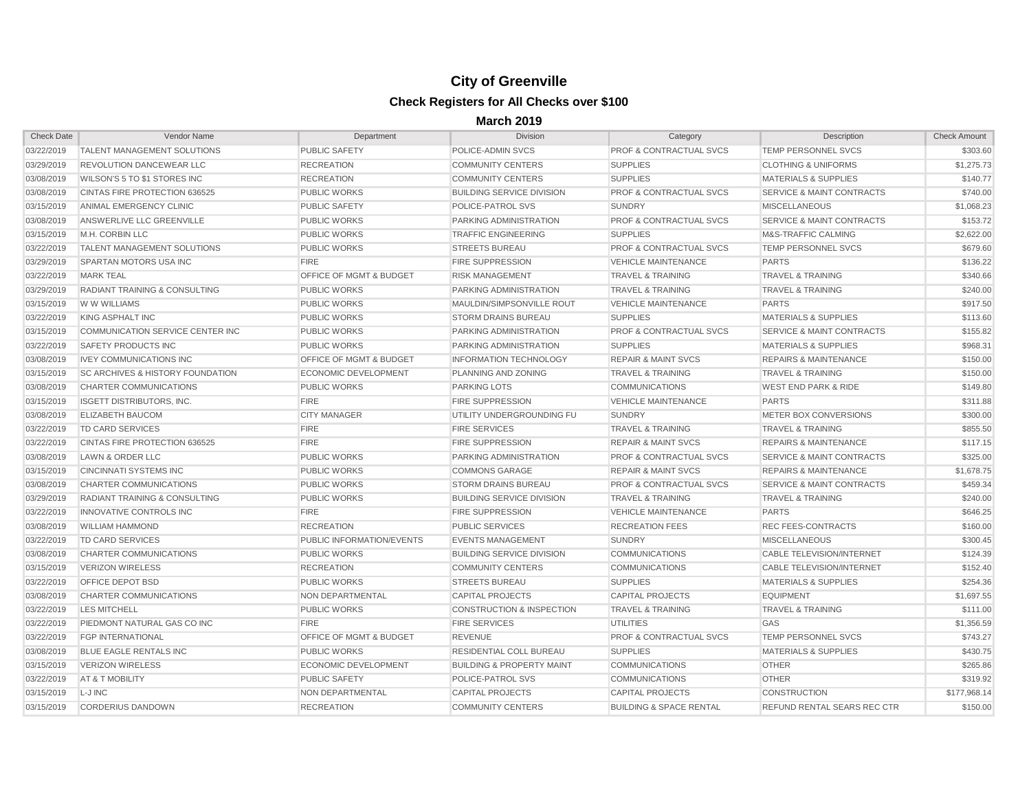| <b>Check Date</b> | Vendor Name                                 | Department                         | <b>Division</b>                      | Category                           | Description                          | Check Amount |
|-------------------|---------------------------------------------|------------------------------------|--------------------------------------|------------------------------------|--------------------------------------|--------------|
| 03/22/2019        | <b>TALENT MANAGEMENT SOLUTIONS</b>          | <b>PUBLIC SAFETY</b>               | POLICE-ADMIN SVCS                    | <b>PROF &amp; CONTRACTUAL SVCS</b> | TEMP PERSONNEL SVCS                  | \$303.60     |
| 03/29/2019        | <b>REVOLUTION DANCEWEAR LLC</b>             | <b>RECREATION</b>                  | <b>COMMUNITY CENTERS</b>             | <b>SUPPLIES</b>                    | <b>CLOTHING &amp; UNIFORMS</b>       | \$1,275.73   |
| 03/08/2019        | <b>WILSON'S 5 TO \$1 STORES INC</b>         | <b>RECREATION</b>                  | <b>COMMUNITY CENTERS</b>             | <b>SUPPLIES</b>                    | <b>MATERIALS &amp; SUPPLIES</b>      | \$140.77     |
| 03/08/2019        | <b>CINTAS FIRE PROTECTION 636525</b>        | <b>PUBLIC WORKS</b>                | <b>BUILDING SERVICE DIVISION</b>     | <b>PROF &amp; CONTRACTUAL SVCS</b> | <b>SERVICE &amp; MAINT CONTRACTS</b> | \$740.00     |
| 03/15/2019        | ANIMAL EMERGENCY CLINIC                     | <b>PUBLIC SAFETY</b>               | POLICE-PATROL SVS                    | <b>SUNDRY</b>                      | <b>MISCELLANEOUS</b>                 | \$1,068.23   |
| 03/08/2019        | ANSWERLIVE LLC GREENVILLE                   | <b>PUBLIC WORKS</b>                | PARKING ADMINISTRATION               | <b>PROF &amp; CONTRACTUAL SVCS</b> | <b>SERVICE &amp; MAINT CONTRACTS</b> | \$153.72     |
| 03/15/2019        | M.H. CORBIN LLC                             | <b>PUBLIC WORKS</b>                | <b>TRAFFIC ENGINEERING</b>           | <b>SUPPLIES</b>                    | <b>M&amp;S-TRAFFIC CALMING</b>       | \$2,622.00   |
| 03/22/2019        | <b>TALENT MANAGEMENT SOLUTIONS</b>          | <b>PUBLIC WORKS</b>                | <b>STREETS BUREAU</b>                | <b>PROF &amp; CONTRACTUAL SVCS</b> | <b>TEMP PERSONNEL SVCS</b>           | \$679.60     |
| 03/29/2019        | <b>SPARTAN MOTORS USA INC</b>               | <b>FIRE</b>                        | <b>FIRE SUPPRESSION</b>              | <b>VEHICLE MAINTENANCE</b>         | <b>PARTS</b>                         | \$136.22     |
| 03/22/2019        | <b>MARK TEAL</b>                            | <b>OFFICE OF MGMT &amp; BUDGET</b> | <b>RISK MANAGEMENT</b>               | <b>TRAVEL &amp; TRAINING</b>       | <b>TRAVEL &amp; TRAINING</b>         | \$340.66     |
| 03/29/2019        | <b>RADIANT TRAINING &amp; CONSULTING</b>    | <b>PUBLIC WORKS</b>                | PARKING ADMINISTRATION               | <b>TRAVEL &amp; TRAINING</b>       | <b>TRAVEL &amp; TRAINING</b>         | \$240.00     |
| 03/15/2019        | <b>WWWILLIAMS</b>                           | <b>PUBLIC WORKS</b>                | MAULDIN/SIMPSONVILLE ROUT            | <b>VEHICLE MAINTENANCE</b>         | <b>PARTS</b>                         | \$917.50     |
| 03/22/2019        | KING ASPHALT INC                            | <b>PUBLIC WORKS</b>                | <b>STORM DRAINS BUREAU</b>           | <b>SUPPLIES</b>                    | <b>MATERIALS &amp; SUPPLIES</b>      | \$113.60     |
| 03/15/2019        | COMMUNICATION SERVICE CENTER INC            | <b>PUBLIC WORKS</b>                | <b>PARKING ADMINISTRATION</b>        | <b>PROF &amp; CONTRACTUAL SVCS</b> | <b>SERVICE &amp; MAINT CONTRACTS</b> | \$155.82     |
| 03/22/2019        | SAFETY PRODUCTS INC                         | <b>PUBLIC WORKS</b>                | <b>PARKING ADMINISTRATION</b>        | <b>SUPPLIES</b>                    | <b>MATERIALS &amp; SUPPLIES</b>      | \$968.31     |
| 03/08/2019        | <b>IVEY COMMUNICATIONS INC</b>              | <b>OFFICE OF MGMT &amp; BUDGET</b> | <b>INFORMATION TECHNOLOGY</b>        | <b>REPAIR &amp; MAINT SVCS</b>     | <b>REPAIRS &amp; MAINTENANCE</b>     | \$150.00     |
| 03/15/2019        | <b>SC ARCHIVES &amp; HISTORY FOUNDATION</b> | <b>ECONOMIC DEVELOPMENT</b>        | PLANNING AND ZONING                  | <b>TRAVEL &amp; TRAINING</b>       | TRAVEL & TRAINING                    | \$150.00     |
| 03/08/2019        | <b>CHARTER COMMUNICATIONS</b>               | <b>PUBLIC WORKS</b>                | <b>PARKING LOTS</b>                  | <b>COMMUNICATIONS</b>              | <b>WEST END PARK &amp; RIDE</b>      | \$149.80     |
| 03/15/2019        | <b>ISGETT DISTRIBUTORS, INC.</b>            | <b>FIRE</b>                        | <b>FIRE SUPPRESSION</b>              | <b>VEHICLE MAINTENANCE</b>         | <b>PARTS</b>                         | \$311.88     |
| 03/08/2019        | <b>ELIZABETH BAUCOM</b>                     | <b>CITY MANAGER</b>                | UTILITY UNDERGROUNDING FU            | <b>SUNDRY</b>                      | METER BOX CONVERSIONS                | \$300.00     |
| 03/22/2019        | <b>TD CARD SERVICES</b>                     | <b>FIRE</b>                        | <b>FIRE SERVICES</b>                 | <b>TRAVEL &amp; TRAINING</b>       | <b>TRAVEL &amp; TRAINING</b>         | \$855.50     |
| 03/22/2019        | <b>CINTAS FIRE PROTECTION 636525</b>        | <b>FIRE</b>                        | <b>FIRE SUPPRESSION</b>              | <b>REPAIR &amp; MAINT SVCS</b>     | <b>REPAIRS &amp; MAINTENANCE</b>     | \$117.15     |
| 03/08/2019        | LAWN & ORDER LLC                            | <b>PUBLIC WORKS</b>                | <b>PARKING ADMINISTRATION</b>        | <b>PROF &amp; CONTRACTUAL SVCS</b> | <b>SERVICE &amp; MAINT CONTRACTS</b> | \$325.00     |
| 03/15/2019        | <b>CINCINNATI SYSTEMS INC</b>               | <b>PUBLIC WORKS</b>                | <b>COMMONS GARAGE</b>                | <b>REPAIR &amp; MAINT SVCS</b>     | <b>REPAIRS &amp; MAINTENANCE</b>     | \$1,678.75   |
| 03/08/2019        | <b>CHARTER COMMUNICATIONS</b>               | <b>PUBLIC WORKS</b>                | <b>STORM DRAINS BUREAU</b>           | <b>PROF &amp; CONTRACTUAL SVCS</b> | <b>SERVICE &amp; MAINT CONTRACTS</b> | \$459.34     |
| 03/29/2019        | <b>RADIANT TRAINING &amp; CONSULTING</b>    | <b>PUBLIC WORKS</b>                | <b>BUILDING SERVICE DIVISION</b>     | <b>TRAVEL &amp; TRAINING</b>       | <b>TRAVEL &amp; TRAINING</b>         | \$240.00     |
| 03/22/2019        | INNOVATIVE CONTROLS INC                     | <b>FIRE</b>                        | <b>FIRE SUPPRESSION</b>              | <b>VEHICLE MAINTENANCE</b>         | <b>PARTS</b>                         | \$646.25     |
| 03/08/2019        | <b>WILLIAM HAMMOND</b>                      | <b>RECREATION</b>                  | <b>PUBLIC SERVICES</b>               | <b>RECREATION FEES</b>             | <b>REC FEES-CONTRACTS</b>            | \$160.00     |
| 03/22/2019        | TD CARD SERVICES                            | <b>PUBLIC INFORMATION/EVENTS</b>   | <b>EVENTS MANAGEMENT</b>             | <b>SUNDRY</b>                      | <b>MISCELLANEOUS</b>                 | \$300.45     |
| 03/08/2019        | <b>CHARTER COMMUNICATIONS</b>               | <b>PUBLIC WORKS</b>                | <b>BUILDING SERVICE DIVISION</b>     | <b>COMMUNICATIONS</b>              | <b>CABLE TELEVISION/INTERNET</b>     | \$124.39     |
| 03/15/2019        | <b>VERIZON WIRELESS</b>                     | <b>RECREATION</b>                  | <b>COMMUNITY CENTERS</b>             | <b>COMMUNICATIONS</b>              | <b>CABLE TELEVISION/INTERNET</b>     | \$152.40     |
| 03/22/2019        | <b>OFFICE DEPOT BSD</b>                     | <b>PUBLIC WORKS</b>                | <b>STREETS BUREAU</b>                | <b>SUPPLIES</b>                    | <b>MATERIALS &amp; SUPPLIES</b>      | \$254.36     |
| 03/08/2019        | <b>CHARTER COMMUNICATIONS</b>               | <b>NON DEPARTMENTAL</b>            | <b>CAPITAL PROJECTS</b>              | <b>CAPITAL PROJECTS</b>            | <b>EQUIPMENT</b>                     | \$1,697.55   |
| 03/22/2019        | LES MITCHELL                                | <b>PUBLIC WORKS</b>                | <b>CONSTRUCTION &amp; INSPECTION</b> | <b>TRAVEL &amp; TRAINING</b>       | <b>TRAVEL &amp; TRAINING</b>         | \$111.00     |
| 03/22/2019        | PIEDMONT NATURAL GAS CO INC                 | <b>FIRE</b>                        | <b>FIRE SERVICES</b>                 | <b>UTILITIES</b>                   | <b>GAS</b>                           | \$1,356.59   |
| 03/22/2019        | <b>FGP INTERNATIONAL</b>                    | <b>OFFICE OF MGMT &amp; BUDGET</b> | <b>REVENUE</b>                       | <b>PROF &amp; CONTRACTUAL SVCS</b> | <b>TEMP PERSONNEL SVCS</b>           | \$743.27     |
| 03/08/2019        | <b>BLUE EAGLE RENTALS INC</b>               | <b>PUBLIC WORKS</b>                | RESIDENTIAL COLL BUREAU              | <b>SUPPLIES</b>                    | <b>MATERIALS &amp; SUPPLIES</b>      | \$430.75     |
| 03/15/2019        | VERIZON WIRELESS                            | ECONOMIC DEVELOPMENT               | <b>BUILDING &amp; PROPERTY MAINT</b> | <b>COMMUNICATIONS</b>              | <b>OTHER</b>                         | \$265.86     |
| 03/22/2019        | AT & T MOBILITY                             | <b>PUBLIC SAFETY</b>               | POLICE-PATROL SVS                    | <b>COMMUNICATIONS</b>              | <b>OTHER</b>                         | \$319.92     |
| 03/15/2019        | L-J INC                                     | NON DEPARTMENTAL                   | CAPITAL PROJECTS                     | <b>CAPITAL PROJECTS</b>            | <b>CONSTRUCTION</b>                  | \$177,968.14 |
| 03/15/2019        | <b>CORDERIUS DANDOWN</b>                    | <b>RECREATION</b>                  | <b>COMMUNITY CENTERS</b>             | <b>BUILDING &amp; SPACE RENTAL</b> | REFUND RENTAL SEARS REC CTR          | \$150.00     |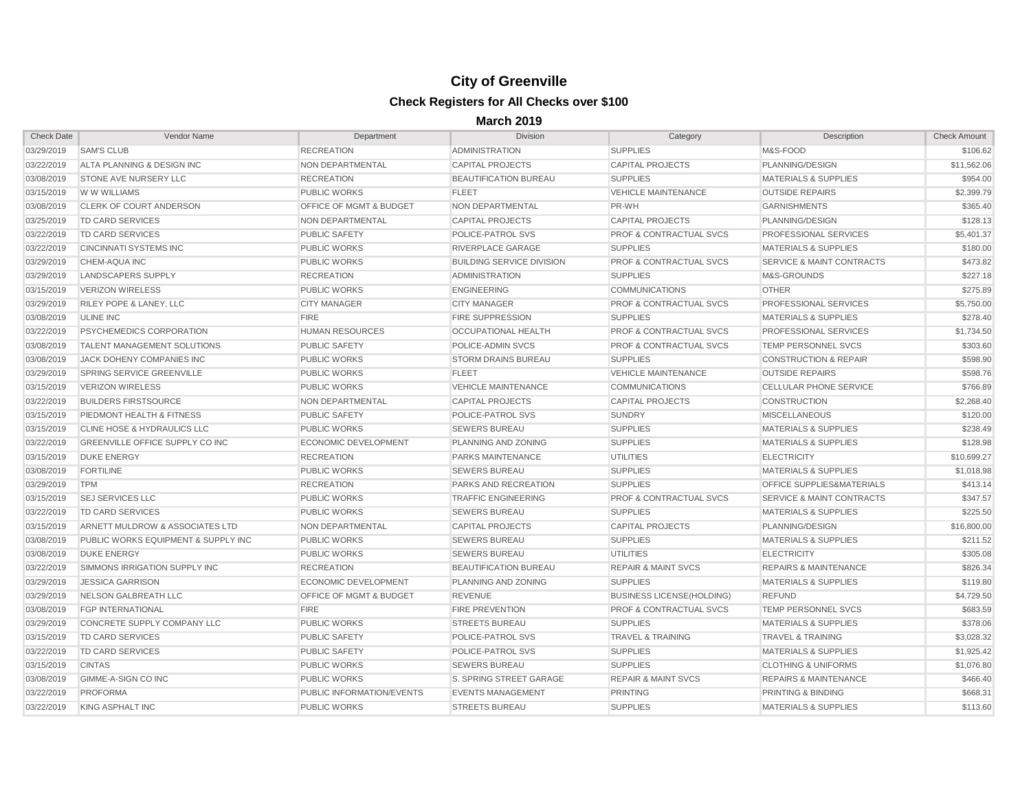| <b>Check Date</b> | <b>Vendor Name</b>                     | Department                         | <b>Division</b>                  | Category                           | Description                          | <b>Check Amount</b> |
|-------------------|----------------------------------------|------------------------------------|----------------------------------|------------------------------------|--------------------------------------|---------------------|
| 03/29/2019        | <b>SAM'S CLUB</b>                      | <b>RECREATION</b>                  | <b>ADMINISTRATION</b>            | <b>SUPPLIES</b>                    | M&S-FOOD                             | \$106.62            |
| 03/22/2019        | ALTA PLANNING & DESIGN INC             | NON DEPARTMENTAL                   | <b>CAPITAL PROJECTS</b>          | <b>CAPITAL PROJECTS</b>            | PLANNING/DESIGN                      | \$11,562.06         |
| 03/08/2019        | <b>STONE AVE NURSERY LLC</b>           | <b>RECREATION</b>                  | <b>BEAUTIFICATION BUREAU</b>     | <b>SUPPLIES</b>                    | <b>MATERIALS &amp; SUPPLIES</b>      | \$954.00            |
| 03/15/2019        | <b>IW W WILLIAMS</b>                   | <b>PUBLIC WORKS</b>                | <b>FLEET</b>                     | <b>VEHICLE MAINTENANCE</b>         | <b>OUTSIDE REPAIRS</b>               | \$2,399.79          |
| 03/08/2019        | <b>CLERK OF COURT ANDERSON</b>         | <b>OFFICE OF MGMT &amp; BUDGET</b> | <b>NON DEPARTMENTAL</b>          | PR-WH                              | <b>GARNISHMENTS</b>                  | \$365.40            |
| 03/25/2019        | TD CARD SERVICES                       | NON DEPARTMENTAL                   | <b>CAPITAL PROJECTS</b>          | <b>CAPITAL PROJECTS</b>            | PLANNING/DESIGN                      | \$128.13            |
| 03/22/2019        | <b>TD CARD SERVICES</b>                | <b>PUBLIC SAFETY</b>               | <b>POLICE-PATROL SVS</b>         | <b>PROF &amp; CONTRACTUAL SVCS</b> | <b>PROFESSIONAL SERVICES</b>         | \$5,401.37          |
| 03/22/2019        | CINCINNATI SYSTEMS INC                 | <b>PUBLIC WORKS</b>                | <b>RIVERPLACE GARAGE</b>         | <b>SUPPLIES</b>                    | <b>MATERIALS &amp; SUPPLIES</b>      | \$180.00            |
| 03/29/2019        | CHEM-AQUA INC                          | <b>PUBLIC WORKS</b>                | <b>BUILDING SERVICE DIVISION</b> | <b>PROF &amp; CONTRACTUAL SVCS</b> | <b>SERVICE &amp; MAINT CONTRACTS</b> | \$473.82            |
| 03/29/2019        | LANDSCAPERS SUPPLY                     | <b>RECREATION</b>                  | <b>ADMINISTRATION</b>            | <b>SUPPLIES</b>                    | M&S-GROUNDS                          | \$227.18            |
| 03/15/2019        | <b>VERIZON WIRELESS</b>                | <b>PUBLIC WORKS</b>                | <b>ENGINEERING</b>               | <b>COMMUNICATIONS</b>              | <b>OTHER</b>                         | \$275.89            |
| 03/29/2019        | <b>RILEY POPE &amp; LANEY, LLC</b>     | <b>CITY MANAGER</b>                | <b>CITY MANAGER</b>              | <b>PROF &amp; CONTRACTUAL SVCS</b> | <b>PROFESSIONAL SERVICES</b>         | \$5,750.00          |
| 03/08/2019        | <b>ULINE INC</b>                       | <b>FIRE</b>                        | <b>FIRE SUPPRESSION</b>          | <b>SUPPLIES</b>                    | <b>MATERIALS &amp; SUPPLIES</b>      | \$278.40            |
| 03/22/2019        | PSYCHEMEDICS CORPORATION               | <b>HUMAN RESOURCES</b>             | OCCUPATIONAL HEALTH              | <b>PROF &amp; CONTRACTUAL SVCS</b> | <b>PROFESSIONAL SERVICES</b>         | \$1,734.50          |
| 03/08/2019        | <b>TALENT MANAGEMENT SOLUTIONS</b>     | <b>PUBLIC SAFETY</b>               | <b>POLICE-ADMIN SVCS</b>         | <b>PROF &amp; CONTRACTUAL SVCS</b> | <b>TEMP PERSONNEL SVCS</b>           | \$303.60            |
| 03/08/2019        | <b>JACK DOHENY COMPANIES INC</b>       | <b>PUBLIC WORKS</b>                | <b>STORM DRAINS BUREAU</b>       | <b>SUPPLIES</b>                    | <b>CONSTRUCTION &amp; REPAIR</b>     | \$598.90            |
| 03/29/2019        | <b>SPRING SERVICE GREENVILLE</b>       | <b>PUBLIC WORKS</b>                | <b>FLEET</b>                     | <b>VEHICLE MAINTENANCE</b>         | <b>OUTSIDE REPAIRS</b>               | \$598.76            |
| 03/15/2019        | <b>VERIZON WIRELESS</b>                | <b>PUBLIC WORKS</b>                | <b>VEHICLE MAINTENANCE</b>       | <b>COMMUNICATIONS</b>              | <b>CELLULAR PHONE SERVICE</b>        | \$766.89            |
| 03/22/2019        | <b>BUILDERS FIRSTSOURCE</b>            | NON DEPARTMENTAL                   | <b>CAPITAL PROJECTS</b>          | <b>CAPITAL PROJECTS</b>            | <b>CONSTRUCTION</b>                  | \$2,268.40          |
| 03/15/2019        | <b>PIEDMONT HEALTH &amp; FITNESS</b>   | <b>PUBLIC SAFETY</b>               | <b>POLICE-PATROL SVS</b>         | <b>SUNDRY</b>                      | <b>MISCELLANEOUS</b>                 | \$120.00            |
| 03/15/2019        | CLINE HOSE & HYDRAULICS LLC            | <b>PUBLIC WORKS</b>                | <b>SEWERS BUREAU</b>             | <b>SUPPLIES</b>                    | <b>MATERIALS &amp; SUPPLIES</b>      | \$238.49            |
| 03/22/2019        | <b>GREENVILLE OFFICE SUPPLY CO INC</b> | <b>ECONOMIC DEVELOPMENT</b>        | PLANNING AND ZONING              | <b>SUPPLIES</b>                    | <b>MATERIALS &amp; SUPPLIES</b>      | \$128.98            |
| 03/15/2019        | <b>DUKE ENERGY</b>                     | <b>RECREATION</b>                  | <b>PARKS MAINTENANCE</b>         | <b>UTILITIES</b>                   | <b>ELECTRICITY</b>                   | \$10,699.27         |
| 03/08/2019        | <b>FORTILINE</b>                       | <b>PUBLIC WORKS</b>                | <b>SEWERS BUREAU</b>             | <b>SUPPLIES</b>                    | <b>MATERIALS &amp; SUPPLIES</b>      | \$1,018.98          |
| 03/29/2019        | <b>TPM</b>                             | <b>RECREATION</b>                  | <b>PARKS AND RECREATION</b>      | <b>SUPPLIES</b>                    | <b>OFFICE SUPPLIES&amp;MATERIALS</b> | \$413.14            |
| 03/15/2019        | <b>SEJ SERVICES LLC</b>                | <b>PUBLIC WORKS</b>                | <b>TRAFFIC ENGINEERING</b>       | <b>PROF &amp; CONTRACTUAL SVCS</b> | <b>SERVICE &amp; MAINT CONTRACTS</b> | \$347.57            |
| 03/22/2019        | TD CARD SERVICES                       | <b>PUBLIC WORKS</b>                | <b>SEWERS BUREAU</b>             | <b>SUPPLIES</b>                    | <b>MATERIALS &amp; SUPPLIES</b>      | \$225.50            |
| 03/15/2019        | ARNETT MULDROW & ASSOCIATES LTD        | NON DEPARTMENTAL                   | <b>CAPITAL PROJECTS</b>          | <b>CAPITAL PROJECTS</b>            | PLANNING/DESIGN                      | \$16,800.00         |
| 03/08/2019        | PUBLIC WORKS EQUIPMENT & SUPPLY INC    | <b>PUBLIC WORKS</b>                | <b>SEWERS BUREAU</b>             | <b>SUPPLIES</b>                    | <b>MATERIALS &amp; SUPPLIES</b>      | \$211.52            |
| 03/08/2019        | <b>DUKE ENERGY</b>                     | <b>PUBLIC WORKS</b>                | <b>SEWERS BUREAU</b>             | <b>UTILITIES</b>                   | <b>ELECTRICITY</b>                   | \$305.08            |
| 03/22/2019        | SIMMONS IRRIGATION SUPPLY INC          | <b>RECREATION</b>                  | <b>BEAUTIFICATION BUREAU</b>     | <b>REPAIR &amp; MAINT SVCS</b>     | <b>REPAIRS &amp; MAINTENANCE</b>     | \$826.34            |
| 03/29/2019        | <b>JESSICA GARRISON</b>                | <b>ECONOMIC DEVELOPMENT</b>        | PLANNING AND ZONING              | <b>SUPPLIES</b>                    | <b>MATERIALS &amp; SUPPLIES</b>      | \$119.80            |
| 03/29/2019        | NELSON GALBREATH LLC                   | <b>OFFICE OF MGMT &amp; BUDGET</b> | <b>REVENUE</b>                   | <b>BUSINESS LICENSE(HOLDING)</b>   | <b>REFUND</b>                        | \$4,729.50          |
| 03/08/2019        | <b>FGP INTERNATIONAL</b>               | <b>FIRE</b>                        | <b>FIRE PREVENTION</b>           | <b>PROF &amp; CONTRACTUAL SVCS</b> | TEMP PERSONNEL SVCS                  | \$683.59            |
| 03/29/2019        | CONCRETE SUPPLY COMPANY LLC            | <b>PUBLIC WORKS</b>                | <b>STREETS BUREAU</b>            | <b>SUPPLIES</b>                    | <b>MATERIALS &amp; SUPPLIES</b>      | \$378.06            |
| 03/15/2019        | TD CARD SERVICES                       | <b>PUBLIC SAFETY</b>               | <b>POLICE-PATROL SVS</b>         | <b>TRAVEL &amp; TRAINING</b>       | <b>TRAVEL &amp; TRAINING</b>         | \$3,028.32          |
| 03/22/2019        | TD CARD SERVICES                       | <b>PUBLIC SAFETY</b>               | <b>POLICE-PATROL SVS</b>         | <b>SUPPLIES</b>                    | <b>MATERIALS &amp; SUPPLIES</b>      | \$1,925.42          |
| 03/15/2019        | <b>CINTAS</b>                          | <b>PUBLIC WORKS</b>                | <b>SEWERS BUREAU</b>             | <b>SUPPLIES</b>                    | <b>CLOTHING &amp; UNIFORMS</b>       | \$1,076.80          |
| 03/08/2019        | GIMME-A-SIGN CO INC                    | <b>PUBLIC WORKS</b>                | S. SPRING STREET GARAGE          | <b>REPAIR &amp; MAINT SVCS</b>     | <b>REPAIRS &amp; MAINTENANCE</b>     | \$466.40            |
| 03/22/2019        | <b>PROFORMA</b>                        | <b>PUBLIC INFORMATION/EVENTS</b>   | <b>EVENTS MANAGEMENT</b>         | <b>PRINTING</b>                    | PRINTING & BINDING                   | \$668.31            |
| 03/22/2019        | KING ASPHALT INC                       | <b>PUBLIC WORKS</b>                | <b>STREETS BUREAU</b>            | <b>SUPPLIES</b>                    | <b>MATERIALS &amp; SUPPLIES</b>      | \$113.60            |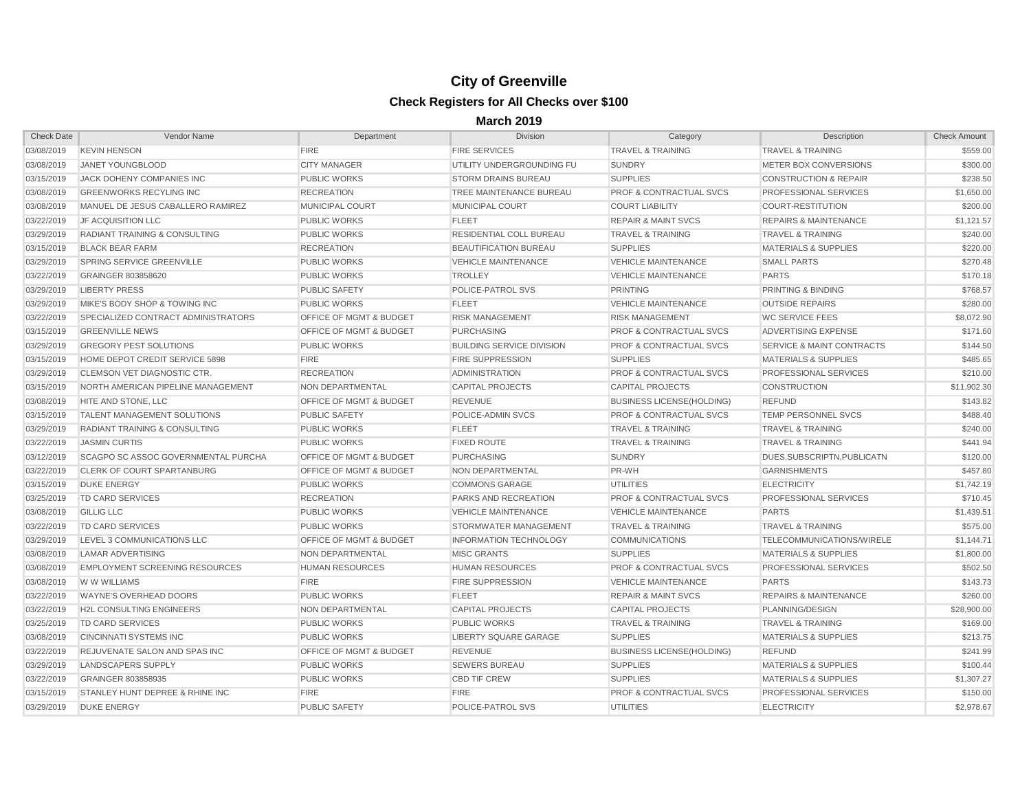| <b>Check Date</b> | Vendor Name                                | Department                         | <b>Division</b>                  | Category                           | Description                          | Check Amount |
|-------------------|--------------------------------------------|------------------------------------|----------------------------------|------------------------------------|--------------------------------------|--------------|
| 03/08/2019        | <b>KEVIN HENSON</b>                        | <b>FIRE</b>                        | <b>FIRE SERVICES</b>             | <b>TRAVEL &amp; TRAINING</b>       | <b>TRAVEL &amp; TRAINING</b>         | \$559.00     |
| 03/08/2019        | JANET YOUNGBLOOD                           | <b>CITY MANAGER</b>                | UTILITY UNDERGROUNDING FU        | <b>SUNDRY</b>                      | METER BOX CONVERSIONS                | \$300.00     |
| 03/15/2019        | <b>JACK DOHENY COMPANIES INC</b>           | <b>PUBLIC WORKS</b>                | <b>STORM DRAINS BUREAU</b>       | <b>SUPPLIES</b>                    | CONSTRUCTION & REPAIR                | \$238.50     |
| 03/08/2019        | <b>GREENWORKS RECYLING INC</b>             | <b>RECREATION</b>                  | TREE MAINTENANCE BUREAU          | <b>PROF &amp; CONTRACTUAL SVCS</b> | <b>PROFESSIONAL SERVICES</b>         | \$1,650.00   |
| 03/08/2019        | MANUEL DE JESUS CABALLERO RAMIREZ          | <b>MUNICIPAL COURT</b>             | MUNICIPAL COURT                  | <b>COURT LIABILITY</b>             | COURT-RESTITUTION                    | \$200.00     |
| 03/22/2019        | <b>JF ACQUISITION LLC</b>                  | <b>PUBLIC WORKS</b>                | <b>FLEET</b>                     | <b>REPAIR &amp; MAINT SVCS</b>     | <b>REPAIRS &amp; MAINTENANCE</b>     | \$1,121.57   |
| 03/29/2019        | <b>RADIANT TRAINING &amp; CONSULTING</b>   | <b>PUBLIC WORKS</b>                | RESIDENTIAL COLL BUREAU          | <b>TRAVEL &amp; TRAINING</b>       | <b>TRAVEL &amp; TRAINING</b>         | \$240.00     |
| 03/15/2019        | <b>BLACK BEAR FARM</b>                     | <b>RECREATION</b>                  | <b>BEAUTIFICATION BUREAU</b>     | <b>SUPPLIES</b>                    | <b>MATERIALS &amp; SUPPLIES</b>      | \$220.00     |
| 03/29/2019        | <b>SPRING SERVICE GREENVILLE</b>           | <b>PUBLIC WORKS</b>                | <b>VEHICLE MAINTENANCE</b>       | <b>VEHICLE MAINTENANCE</b>         | <b>SMALL PARTS</b>                   | \$270.48     |
| 03/22/2019        | GRAINGER 803858620                         | <b>PUBLIC WORKS</b>                | <b>TROLLEY</b>                   | <b>VEHICLE MAINTENANCE</b>         | <b>PARTS</b>                         | \$170.18     |
| 03/29/2019        | LIBERTY PRESS                              | <b>PUBLIC SAFETY</b>               | <b>POLICE-PATROL SVS</b>         | <b>PRINTING</b>                    | <b>PRINTING &amp; BINDING</b>        | \$768.57     |
| 03/29/2019        | MIKE'S BODY SHOP & TOWING INC              | <b>PUBLIC WORKS</b>                | <b>FLEET</b>                     | <b>VEHICLE MAINTENANCE</b>         | <b>OUTSIDE REPAIRS</b>               | \$280.00     |
| 03/22/2019        | SPECIALIZED CONTRACT ADMINISTRATORS        | <b>OFFICE OF MGMT &amp; BUDGET</b> | <b>RISK MANAGEMENT</b>           | <b>RISK MANAGEMENT</b>             | <b>WC SERVICE FEES</b>               | \$8,072.90   |
| 03/15/2019        | <b>GREENVILLE NEWS</b>                     | <b>OFFICE OF MGMT &amp; BUDGET</b> | <b>PURCHASING</b>                | <b>PROF &amp; CONTRACTUAL SVCS</b> | <b>ADVERTISING EXPENSE</b>           | \$171.60     |
| 03/29/2019        | <b>GREGORY PEST SOLUTIONS</b>              | <b>PUBLIC WORKS</b>                | <b>BUILDING SERVICE DIVISION</b> | <b>PROF &amp; CONTRACTUAL SVCS</b> | <b>SERVICE &amp; MAINT CONTRACTS</b> | \$144.50     |
| 03/15/2019        | HOME DEPOT CREDIT SERVICE 5898             | <b>FIRE</b>                        | <b>FIRE SUPPRESSION</b>          | <b>SUPPLIES</b>                    | <b>MATERIALS &amp; SUPPLIES</b>      | \$485.65     |
| 03/29/2019        | <b>CLEMSON VET DIAGNOSTIC CTR.</b>         | <b>RECREATION</b>                  | <b>ADMINISTRATION</b>            | <b>PROF &amp; CONTRACTUAL SVCS</b> | <b>PROFESSIONAL SERVICES</b>         | \$210.00     |
| 03/15/2019        | NORTH AMERICAN PIPELINE MANAGEMENT         | NON DEPARTMENTAL                   | <b>CAPITAL PROJECTS</b>          | <b>CAPITAL PROJECTS</b>            | <b>CONSTRUCTION</b>                  | \$11,902.30  |
| 03/08/2019        | HITE AND STONE, LLC                        | <b>OFFICE OF MGMT &amp; BUDGET</b> | <b>REVENUE</b>                   | <b>BUSINESS LICENSE(HOLDING)</b>   | <b>REFUND</b>                        | \$143.82     |
| 03/15/2019        | <b>TALENT MANAGEMENT SOLUTIONS</b>         | <b>PUBLIC SAFETY</b>               | POLICE-ADMIN SVCS                | <b>PROF &amp; CONTRACTUAL SVCS</b> | <b>TEMP PERSONNEL SVCS</b>           | \$488.40     |
| 03/29/2019        | <b>RADIANT TRAINING &amp; CONSULTING</b>   | <b>PUBLIC WORKS</b>                | <b>FLEET</b>                     | <b>TRAVEL &amp; TRAINING</b>       | <b>TRAVEL &amp; TRAINING</b>         | \$240.00     |
| 03/22/2019        | <b>JASMIN CURTIS</b>                       | <b>PUBLIC WORKS</b>                | <b>FIXED ROUTE</b>               | <b>TRAVEL &amp; TRAINING</b>       | <b>TRAVEL &amp; TRAINING</b>         | \$441.94     |
| 03/12/2019        | <b>SCAGPO SC ASSOC GOVERNMENTAL PURCHA</b> | <b>OFFICE OF MGMT &amp; BUDGET</b> | <b>PURCHASING</b>                | <b>SUNDRY</b>                      | DUES, SUBSCRIPTN, PUBLICATN          | \$120.00     |
| 03/22/2019        | <b>CLERK OF COURT SPARTANBURG</b>          | <b>OFFICE OF MGMT &amp; BUDGET</b> | NON DEPARTMENTAL                 | PR-WH                              | <b>GARNISHMENTS</b>                  | \$457.80     |
| 03/15/2019        | <b>DUKE ENERGY</b>                         | <b>PUBLIC WORKS</b>                | <b>COMMONS GARAGE</b>            | <b>UTILITIES</b>                   | <b>ELECTRICITY</b>                   | \$1,742.19   |
| 03/25/2019        | <b>TD CARD SERVICES</b>                    | <b>RECREATION</b>                  | <b>PARKS AND RECREATION</b>      | <b>PROF &amp; CONTRACTUAL SVCS</b> | <b>PROFESSIONAL SERVICES</b>         | \$710.45     |
| 03/08/2019        | <b>GILLIG LLC</b>                          | <b>PUBLIC WORKS</b>                | <b>VEHICLE MAINTENANCE</b>       | <b>VEHICLE MAINTENANCE</b>         | <b>PARTS</b>                         | \$1,439.51   |
| 03/22/2019        | <b>TD CARD SERVICES</b>                    | <b>PUBLIC WORKS</b>                | STORMWATER MANAGEMENT            | <b>TRAVEL &amp; TRAINING</b>       | <b>TRAVEL &amp; TRAINING</b>         | \$575.00     |
| 03/29/2019        | LEVEL 3 COMMUNICATIONS LLC                 | <b>OFFICE OF MGMT &amp; BUDGET</b> | <b>INFORMATION TECHNOLOGY</b>    | <b>COMMUNICATIONS</b>              | <b>TELECOMMUNICATIONS/WIRELE</b>     | \$1,144.71   |
| 03/08/2019        | <b>LAMAR ADVERTISING</b>                   | NON DEPARTMENTAL                   | <b>MISC GRANTS</b>               | <b>SUPPLIES</b>                    | <b>MATERIALS &amp; SUPPLIES</b>      | \$1,800.00   |
| 03/08/2019        | EMPLOYMENT SCREENING RESOURCES             | <b>HUMAN RESOURCES</b>             | <b>HUMAN RESOURCES</b>           | <b>PROF &amp; CONTRACTUAL SVCS</b> | <b>PROFESSIONAL SERVICES</b>         | \$502.50     |
|                   | 03/08/2019 W W WILLIAMS                    | <b>FIRE</b>                        | <b>FIRE SUPPRESSION</b>          | <b>VEHICLE MAINTENANCE</b>         | <b>PARTS</b>                         | \$143.73     |
| 03/22/2019        | WAYNE'S OVERHEAD DOORS                     | <b>PUBLIC WORKS</b>                | <b>FLEET</b>                     | <b>REPAIR &amp; MAINT SVCS</b>     | <b>REPAIRS &amp; MAINTENANCE</b>     | \$260.00     |
| 03/22/2019        | <b>H2L CONSULTING ENGINEERS</b>            | NON DEPARTMENTAL                   | <b>CAPITAL PROJECTS</b>          | <b>CAPITAL PROJECTS</b>            | PLANNING/DESIGN                      | \$28,900.00  |
| 03/25/2019        | TD CARD SERVICES                           | <b>PUBLIC WORKS</b>                | <b>PUBLIC WORKS</b>              | <b>TRAVEL &amp; TRAINING</b>       | <b>TRAVEL &amp; TRAINING</b>         | \$169.00     |
| 03/08/2019        | CINCINNATI SYSTEMS INC                     | <b>PUBLIC WORKS</b>                | LIBERTY SQUARE GARAGE            | <b>SUPPLIES</b>                    | <b>MATERIALS &amp; SUPPLIES</b>      | \$213.75     |
| 03/22/2019        | <b>REJUVENATE SALON AND SPAS INC</b>       | OFFICE OF MGMT & BUDGET            | <b>REVENUE</b>                   | <b>BUSINESS LICENSE (HOLDING)</b>  | REFUND                               | \$241.99     |
| 03/29/2019        | LANDSCAPERS SUPPLY                         | <b>PUBLIC WORKS</b>                | <b>SEWERS BUREAU</b>             | <b>SUPPLIES</b>                    | <b>MATERIALS &amp; SUPPLIES</b>      | \$100.44     |
| 03/22/2019        | GRAINGER 803858935                         | <b>PUBLIC WORKS</b>                | <b>CBD TIF CREW</b>              | <b>SUPPLIES</b>                    | <b>MATERIALS &amp; SUPPLIES</b>      | \$1,307.27   |
| 03/15/2019        | <b>STANLEY HUNT DEPREE &amp; RHINE INC</b> | <b>FIRE</b>                        | <b>FIRE</b>                      | <b>PROF &amp; CONTRACTUAL SVCS</b> | <b>PROFESSIONAL SERVICES</b>         | \$150.00     |
| 03/29/2019        | <b>DUKE ENERGY</b>                         | <b>PUBLIC SAFETY</b>               | POLICE-PATROL SVS                | UTILITIES                          | <b>ELECTRICITY</b>                   | \$2,978.67   |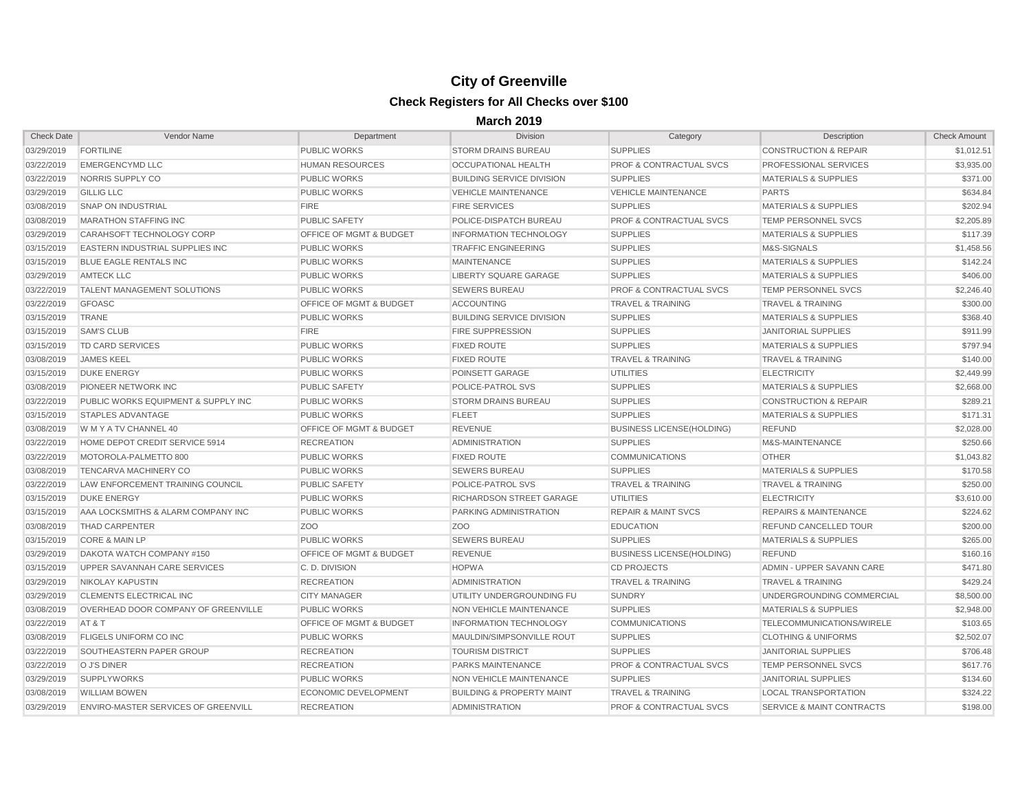| <b>Check Date</b> | Vendor Name                                | Department                         | Division                             | Category                           | Description                      | <b>Check Amount</b> |
|-------------------|--------------------------------------------|------------------------------------|--------------------------------------|------------------------------------|----------------------------------|---------------------|
| 03/29/2019        | <b>FORTILINE</b>                           | <b>PUBLIC WORKS</b>                | <b>STORM DRAINS BUREAU</b>           | <b>SUPPLIES</b>                    | <b>CONSTRUCTION &amp; REPAIR</b> | \$1,012.51          |
| 03/22/2019        | <b>EMERGENCYMD LLC</b>                     | <b>HUMAN RESOURCES</b>             | OCCUPATIONAL HEALTH                  | <b>PROF &amp; CONTRACTUAL SVCS</b> | <b>PROFESSIONAL SERVICES</b>     | \$3,935.00          |
| 03/22/2019        | NORRIS SUPPLY CO                           | <b>PUBLIC WORKS</b>                | <b>BUILDING SERVICE DIVISION</b>     | <b>SUPPLIES</b>                    | <b>MATERIALS &amp; SUPPLIES</b>  | \$371.00            |
| 03/29/2019        | <b>GILLIG LLC</b>                          | <b>PUBLIC WORKS</b>                | <b>VEHICLE MAINTENANCE</b>           | <b>VEHICLE MAINTENANCE</b>         | <b>PARTS</b>                     | \$634.84            |
| 03/08/2019        | <b>SNAP ON INDUSTRIAL</b>                  | <b>FIRE</b>                        | <b>FIRE SERVICES</b>                 | <b>SUPPLIES</b>                    | <b>MATERIALS &amp; SUPPLIES</b>  | \$202.94            |
| 03/08/2019        | <b>MARATHON STAFFING INC</b>               | <b>PUBLIC SAFETY</b>               | POLICE-DISPATCH BUREAU               | <b>PROF &amp; CONTRACTUAL SVCS</b> | <b>TEMP PERSONNEL SVCS</b>       | \$2,205.89          |
| 03/29/2019        | CARAHSOFT TECHNOLOGY CORP                  | <b>OFFICE OF MGMT &amp; BUDGET</b> | <b>INFORMATION TECHNOLOGY</b>        | <b>SUPPLIES</b>                    | <b>MATERIALS &amp; SUPPLIES</b>  | \$117.39            |
| 03/15/2019        | <b>EASTERN INDUSTRIAL SUPPLIES INC.</b>    | <b>PUBLIC WORKS</b>                | <b>TRAFFIC ENGINEERING</b>           | <b>SUPPLIES</b>                    | M&S-SIGNALS                      | \$1,458.56          |
| 03/15/2019        | <b>BLUE EAGLE RENTALS INC</b>              | <b>PUBLIC WORKS</b>                | <b>MAINTENANCE</b>                   | <b>SUPPLIES</b>                    | <b>MATERIALS &amp; SUPPLIES</b>  | \$142.24            |
| 03/29/2019        | <b>AMTECK LLC</b>                          | <b>PUBLIC WORKS</b>                | LIBERTY SQUARE GARAGE                | <b>SUPPLIES</b>                    | <b>MATERIALS &amp; SUPPLIES</b>  | \$406.00            |
| 03/22/2019        | <b>TALENT MANAGEMENT SOLUTIONS</b>         | <b>PUBLIC WORKS</b>                | <b>SEWERS BUREAU</b>                 | <b>PROF &amp; CONTRACTUAL SVCS</b> | TEMP PERSONNEL SVCS              | \$2,246.40          |
| 03/22/2019        | <b>GFOASC</b>                              | <b>OFFICE OF MGMT &amp; BUDGET</b> | <b>ACCOUNTING</b>                    | <b>TRAVEL &amp; TRAINING</b>       | <b>TRAVEL &amp; TRAINING</b>     | \$300.00            |
| 03/15/2019        | <b>TRANE</b>                               | <b>PUBLIC WORKS</b>                | <b>BUILDING SERVICE DIVISION</b>     | <b>SUPPLIES</b>                    | <b>MATERIALS &amp; SUPPLIES</b>  | \$368.40            |
| 03/15/2019        | <b>SAM'S CLUB</b>                          | <b>FIRE</b>                        | <b>FIRE SUPPRESSION</b>              | <b>SUPPLIES</b>                    | <b>JANITORIAL SUPPLIES</b>       | \$911.99            |
| 03/15/2019        | TD CARD SERVICES                           | <b>PUBLIC WORKS</b>                | <b>FIXED ROUTE</b>                   | <b>SUPPLIES</b>                    | <b>MATERIALS &amp; SUPPLIES</b>  | \$797.94            |
| 03/08/2019        | <b>JAMES KEEL</b>                          | <b>PUBLIC WORKS</b>                | <b>FIXED ROUTE</b>                   | <b>TRAVEL &amp; TRAINING</b>       | <b>TRAVEL &amp; TRAINING</b>     | \$140.00            |
| 03/15/2019        | <b>DUKE ENERGY</b>                         | <b>PUBLIC WORKS</b>                | POINSETT GARAGE                      | <b>UTILITIES</b>                   | <b>ELECTRICITY</b>               | \$2,449.99          |
| 03/08/2019        | PIONEER NETWORK INC                        | <b>PUBLIC SAFETY</b>               | POLICE-PATROL SVS                    | <b>SUPPLIES</b>                    | <b>MATERIALS &amp; SUPPLIES</b>  | \$2,668.00          |
| 03/22/2019        | PUBLIC WORKS EQUIPMENT & SUPPLY INC        | <b>PUBLIC WORKS</b>                | <b>STORM DRAINS BUREAU</b>           | <b>SUPPLIES</b>                    | <b>CONSTRUCTION &amp; REPAIR</b> | \$289.21            |
| 03/15/2019        | <b>STAPLES ADVANTAGE</b>                   | <b>PUBLIC WORKS</b>                | <b>FLEET</b>                         | <b>SUPPLIES</b>                    | <b>MATERIALS &amp; SUPPLIES</b>  | \$171.31            |
| 03/08/2019        | W M Y A TV CHANNEL 40                      | OFFICE OF MGMT & BUDGET            | <b>REVENUE</b>                       | <b>BUSINESS LICENSE(HOLDING)</b>   | <b>REFUND</b>                    | \$2,028.00          |
| 03/22/2019        | HOME DEPOT CREDIT SERVICE 5914             | <b>RECREATION</b>                  | <b>ADMINISTRATION</b>                | <b>SUPPLIES</b>                    | M&S-MAINTENANCE                  | \$250.66            |
| 03/22/2019        | MOTOROLA-PALMETTO 800                      | <b>PUBLIC WORKS</b>                | <b>FIXED ROUTE</b>                   | <b>COMMUNICATIONS</b>              | <b>OTHER</b>                     | \$1,043.82          |
| 03/08/2019        | TENCARVA MACHINERY CO                      | <b>PUBLIC WORKS</b>                | <b>SEWERS BUREAU</b>                 | <b>SUPPLIES</b>                    | <b>MATERIALS &amp; SUPPLIES</b>  | \$170.58            |
| 03/22/2019        | LAW ENFORCEMENT TRAINING COUNCIL           | <b>PUBLIC SAFETY</b>               | <b>POLICE-PATROL SVS</b>             | <b>TRAVEL &amp; TRAINING</b>       | <b>TRAVEL &amp; TRAINING</b>     | \$250.00            |
| 03/15/2019        | <b>DUKE ENERGY</b>                         | <b>PUBLIC WORKS</b>                | RICHARDSON STREET GARAGE             | <b>UTILITIES</b>                   | <b>ELECTRICITY</b>               | \$3,610.00          |
| 03/15/2019        | AAA LOCKSMITHS & ALARM COMPANY INC         | <b>PUBLIC WORKS</b>                | <b>PARKING ADMINISTRATION</b>        | <b>REPAIR &amp; MAINT SVCS</b>     | <b>REPAIRS &amp; MAINTENANCE</b> | \$224.62            |
| 03/08/2019        | <b>THAD CARPENTER</b>                      | Z <sub>O</sub> O                   | Z <sub>OO</sub>                      | <b>EDUCATION</b>                   | REFUND CANCELLED TOUR            | \$200.00            |
| 03/15/2019        | <b>CORE &amp; MAIN LP</b>                  | <b>PUBLIC WORKS</b>                | <b>SEWERS BUREAU</b>                 | <b>SUPPLIES</b>                    | <b>MATERIALS &amp; SUPPLIES</b>  | \$265.00            |
| 03/29/2019        | DAKOTA WATCH COMPANY #150                  | <b>OFFICE OF MGMT &amp; BUDGET</b> | <b>REVENUE</b>                       | <b>BUSINESS LICENSE(HOLDING)</b>   | <b>REFUND</b>                    | \$160.16            |
| 03/15/2019        | UPPER SAVANNAH CARE SERVICES               | C.D. DIVISION                      | <b>HOPWA</b>                         | <b>CD PROJECTS</b>                 | ADMIN - UPPER SAVANN CARE        | \$471.80            |
|                   | 03/29/2019 NIKOLAY KAPUSTIN                | <b>RECREATION</b>                  | <b>ADMINISTRATION</b>                | <b>TRAVEL &amp; TRAINING</b>       | <b>TRAVEL &amp; TRAINING</b>     | \$429.24            |
| 03/29/2019        | <b>CLEMENTS ELECTRICAL INC</b>             | <b>CITY MANAGER</b>                | UTILITY UNDERGROUNDING FU            | <b>SUNDRY</b>                      | UNDERGROUNDING COMMERCIAL        | \$8,500.00          |
| 03/08/2019        | <b>OVERHEAD DOOR COMPANY OF GREENVILLE</b> | <b>PUBLIC WORKS</b>                | NON VEHICLE MAINTENANCE              | <b>SUPPLIES</b>                    | <b>MATERIALS &amp; SUPPLIES</b>  | \$2,948.00          |
| 03/22/2019        | AT & T                                     | <b>OFFICE OF MGMT &amp; BUDGET</b> | <b>INFORMATION TECHNOLOGY</b>        | <b>COMMUNICATIONS</b>              | TELECOMMUNICATIONS/WIRELE        | \$103.65            |
| 03/08/2019        | <b>FLIGELS UNIFORM CO INC</b>              | <b>PUBLIC WORKS</b>                | MAULDIN/SIMPSONVILLE ROUT            | <b>SUPPLIES</b>                    | <b>CLOTHING &amp; UNIFORMS</b>   | \$2,502.07          |
| 03/22/2019        | SOUTHEASTERN PAPER GROUP                   | <b>RECREATION</b>                  | <b>TOURISM DISTRICT</b>              | <b>SUPPLIES</b>                    | JANITORIAL SUPPLIES              | \$706.48            |
| 03/22/2019        | O J'S DINER                                | <b>RECREATION</b>                  | <b>PARKS MAINTENANCE</b>             | <b>PROF &amp; CONTRACTUAL SVCS</b> | <b>TEMP PERSONNEL SVCS</b>       | \$617.76            |
| 03/29/2019        | <b>SUPPLYWORKS</b>                         | <b>PUBLIC WORKS</b>                | NON VEHICLE MAINTENANCE              | <b>SUPPLIES</b>                    | JANITORIAL SUPPLIES              | \$134.60            |
| 03/08/2019        | <b>WILLIAM BOWEN</b>                       | <b>ECONOMIC DEVELOPMENT</b>        | <b>BUILDING &amp; PROPERTY MAINT</b> | <b>TRAVEL &amp; TRAINING</b>       | LOCAL TRANSPORTATION             | \$324.22            |
| 03/29/2019        | <b>ENVIRO-MASTER SERVICES OF GREENVILL</b> | <b>RECREATION</b>                  | <b>ADMINISTRATION</b>                | <b>PROF &amp; CONTRACTUAL SVCS</b> | SERVICE & MAINT CONTRACTS        | \$198.00            |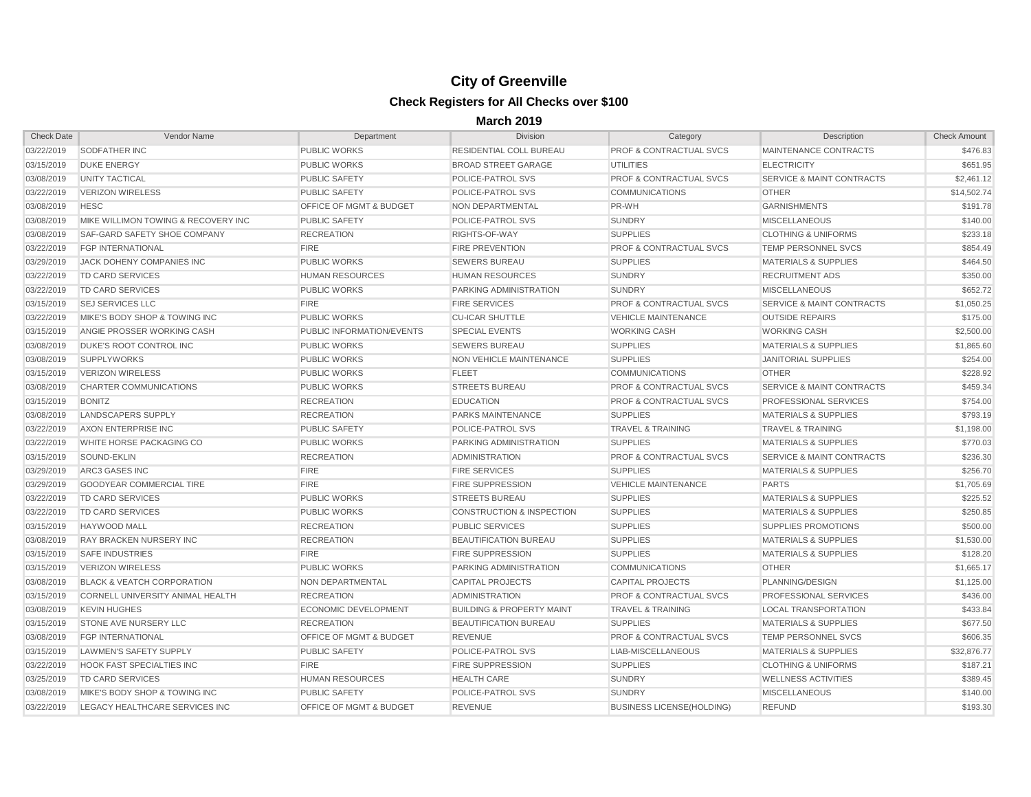| <b>Check Date</b> | Vendor Name                           | Department                         | Division                             | Category                           | Description                          | <b>Check Amount</b> |
|-------------------|---------------------------------------|------------------------------------|--------------------------------------|------------------------------------|--------------------------------------|---------------------|
| 03/22/2019        | <b>SODFATHER INC</b>                  | <b>PUBLIC WORKS</b>                | <b>RESIDENTIAL COLL BUREAU</b>       | <b>PROF &amp; CONTRACTUAL SVCS</b> | MAINTENANCE CONTRACTS                | \$476.83            |
| 03/15/2019        | <b>DUKE ENERGY</b>                    | <b>PUBLIC WORKS</b>                | <b>BROAD STREET GARAGE</b>           | UTILITIES                          | <b>ELECTRICITY</b>                   | \$651.95            |
| 03/08/2019        | UNITY TACTICAL                        | <b>PUBLIC SAFETY</b>               | POLICE-PATROL SVS                    | <b>PROF &amp; CONTRACTUAL SVCS</b> | <b>SERVICE &amp; MAINT CONTRACTS</b> | \$2,461.12          |
| 03/22/2019        | <b>VERIZON WIRELESS</b>               | <b>PUBLIC SAFETY</b>               | <b>POLICE-PATROL SVS</b>             | <b>COMMUNICATIONS</b>              | <b>OTHER</b>                         | \$14,502.74         |
| 03/08/2019        | <b>HESC</b>                           | <b>OFFICE OF MGMT &amp; BUDGET</b> | <b>NON DEPARTMENTAL</b>              | PR-WH                              | <b>GARNISHMENTS</b>                  | \$191.78            |
| 03/08/2019        | MIKE WILLIMON TOWING & RECOVERY INC   | <b>PUBLIC SAFETY</b>               | POLICE-PATROL SVS                    | <b>SUNDRY</b>                      | <b>MISCELLANEOUS</b>                 | \$140.00            |
| 03/08/2019        | SAF-GARD SAFETY SHOE COMPANY          | <b>RECREATION</b>                  | RIGHTS-OF-WAY                        | <b>SUPPLIES</b>                    | <b>CLOTHING &amp; UNIFORMS</b>       | \$233.18            |
| 03/22/2019        | <b>FGP INTERNATIONAL</b>              | <b>FIRE</b>                        | <b>FIRE PREVENTION</b>               | <b>PROF &amp; CONTRACTUAL SVCS</b> | <b>TEMP PERSONNEL SVCS</b>           | \$854.49            |
| 03/29/2019        | <b>JACK DOHENY COMPANIES INC</b>      | <b>PUBLIC WORKS</b>                | <b>SEWERS BUREAU</b>                 | <b>SUPPLIES</b>                    | <b>MATERIALS &amp; SUPPLIES</b>      | \$464.50            |
| 03/22/2019        | TD CARD SERVICES                      | <b>HUMAN RESOURCES</b>             | <b>HUMAN RESOURCES</b>               | <b>SUNDRY</b>                      | <b>RECRUITMENT ADS</b>               | \$350.00            |
| 03/22/2019        | <b>TD CARD SERVICES</b>               | <b>PUBLIC WORKS</b>                | <b>PARKING ADMINISTRATION</b>        | <b>SUNDRY</b>                      | <b>MISCELLANEOUS</b>                 | \$652.72            |
| 03/15/2019        | <b>SEJ SERVICES LLC</b>               | <b>FIRE</b>                        | <b>FIRE SERVICES</b>                 | <b>PROF &amp; CONTRACTUAL SVCS</b> | <b>SERVICE &amp; MAINT CONTRACTS</b> | \$1,050.25          |
| 03/22/2019        | MIKE'S BODY SHOP & TOWING INC         | <b>PUBLIC WORKS</b>                | <b>CU-ICAR SHUTTLE</b>               | <b>VEHICLE MAINTENANCE</b>         | <b>OUTSIDE REPAIRS</b>               | \$175.00            |
| 03/15/2019        | ANGIE PROSSER WORKING CASH            | PUBLIC INFORMATION/EVENTS          | <b>SPECIAL EVENTS</b>                | <b>WORKING CASH</b>                | <b>WORKING CASH</b>                  | \$2,500.00          |
| 03/08/2019        | <b>DUKE'S ROOT CONTROL INC</b>        | <b>PUBLIC WORKS</b>                | <b>SEWERS BUREAU</b>                 | <b>SUPPLIES</b>                    | <b>MATERIALS &amp; SUPPLIES</b>      | \$1,865.60          |
| 03/08/2019        | <b>SUPPLYWORKS</b>                    | <b>PUBLIC WORKS</b>                | NON VEHICLE MAINTENANCE              | <b>SUPPLIES</b>                    | JANITORIAL SUPPLIES                  | \$254.00            |
| 03/15/2019        | <b>VERIZON WIRELESS</b>               | <b>PUBLIC WORKS</b>                | <b>FLEET</b>                         | <b>COMMUNICATIONS</b>              | <b>OTHER</b>                         | \$228.92            |
| 03/08/2019        | <b>CHARTER COMMUNICATIONS</b>         | <b>PUBLIC WORKS</b>                | <b>STREETS BUREAU</b>                | <b>PROF &amp; CONTRACTUAL SVCS</b> | <b>SERVICE &amp; MAINT CONTRACTS</b> | \$459.34            |
| 03/15/2019        | <b>BONITZ</b>                         | <b>RECREATION</b>                  | <b>EDUCATION</b>                     | <b>PROF &amp; CONTRACTUAL SVCS</b> | PROFESSIONAL SERVICES                | \$754.00            |
| 03/08/2019        | LANDSCAPERS SUPPLY                    | <b>RECREATION</b>                  | <b>PARKS MAINTENANCE</b>             | <b>SUPPLIES</b>                    | <b>MATERIALS &amp; SUPPLIES</b>      | \$793.19            |
| 03/22/2019        | AXON ENTERPRISE INC                   | <b>PUBLIC SAFETY</b>               | <b>POLICE-PATROL SVS</b>             | <b>TRAVEL &amp; TRAINING</b>       | <b>TRAVEL &amp; TRAINING</b>         | \$1,198.00          |
| 03/22/2019        | WHITE HORSE PACKAGING CO              | <b>PUBLIC WORKS</b>                | PARKING ADMINISTRATION               | <b>SUPPLIES</b>                    | <b>MATERIALS &amp; SUPPLIES</b>      | \$770.03            |
| 03/15/2019        | SOUND-EKLIN                           | <b>RECREATION</b>                  | <b>ADMINISTRATION</b>                | <b>PROF &amp; CONTRACTUAL SVCS</b> | <b>SERVICE &amp; MAINT CONTRACTS</b> | \$236.30            |
| 03/29/2019        | ARC3 GASES INC                        | <b>FIRE</b>                        | <b>FIRE SERVICES</b>                 | <b>SUPPLIES</b>                    | <b>MATERIALS &amp; SUPPLIES</b>      | \$256.70            |
| 03/29/2019        | <b>GOODYEAR COMMERCIAL TIRE</b>       | <b>FIRE</b>                        | <b>FIRE SUPPRESSION</b>              | <b>VEHICLE MAINTENANCE</b>         | <b>PARTS</b>                         | \$1,705.69          |
| 03/22/2019        | <b>TD CARD SERVICES</b>               | <b>PUBLIC WORKS</b>                | <b>STREETS BUREAU</b>                | <b>SUPPLIES</b>                    | <b>MATERIALS &amp; SUPPLIES</b>      | \$225.52            |
| 03/22/2019        | TD CARD SERVICES                      | <b>PUBLIC WORKS</b>                | <b>CONSTRUCTION &amp; INSPECTION</b> | <b>SUPPLIES</b>                    | <b>MATERIALS &amp; SUPPLIES</b>      | \$250.85            |
| 03/15/2019        | <b>HAYWOOD MALL</b>                   | <b>RECREATION</b>                  | <b>PUBLIC SERVICES</b>               | <b>SUPPLIES</b>                    | <b>SUPPLIES PROMOTIONS</b>           | \$500.00            |
| 03/08/2019        | <b>RAY BRACKEN NURSERY INC</b>        | <b>RECREATION</b>                  | <b>BEAUTIFICATION BUREAU</b>         | <b>SUPPLIES</b>                    | <b>MATERIALS &amp; SUPPLIES</b>      | \$1,530.00          |
| 03/15/2019        | <b>SAFE INDUSTRIES</b>                | <b>FIRE</b>                        | <b>FIRE SUPPRESSION</b>              | <b>SUPPLIES</b>                    | <b>MATERIALS &amp; SUPPLIES</b>      | \$128.20            |
| 03/15/2019        | VERIZON WIRELESS                      | <b>PUBLIC WORKS</b>                | PARKING ADMINISTRATION               | <b>COMMUNICATIONS</b>              | <b>OTHER</b>                         | \$1,665.17          |
|                   | 03/08/2019 BLACK & VEATCH CORPORATION | NON DEPARTMENTAL                   | CAPITAL PROJECTS                     | CAPITAL PROJECTS                   | PLANNING/DESIGN                      | \$1,125.00          |
| 03/15/2019        | CORNELL UNIVERSITY ANIMAL HEALTH      | RECREATION                         | <b>ADMINISTRATION</b>                | <b>PROF &amp; CONTRACTUAL SVCS</b> | <b>PROFESSIONAL SERVICES</b>         | \$436.00            |
| 03/08/2019        | <b>KEVIN HUGHES</b>                   | ECONOMIC DEVELOPMENT               | <b>BUILDING &amp; PROPERTY MAINT</b> | <b>TRAVEL &amp; TRAINING</b>       | <b>LOCAL TRANSPORTATION</b>          | \$433.84            |
| 03/15/2019        | <b>STONE AVE NURSERY LLC</b>          | <b>RECREATION</b>                  | <b>BEAUTIFICATION BUREAU</b>         | <b>SUPPLIES</b>                    | <b>MATERIALS &amp; SUPPLIES</b>      | \$677.50            |
| 03/08/2019        | <b>FGP INTERNATIONAL</b>              | <b>OFFICE OF MGMT &amp; BUDGET</b> | <b>REVENUE</b>                       | <b>PROF &amp; CONTRACTUAL SVCS</b> | <b>TEMP PERSONNEL SVCS</b>           | \$606.35            |
| 03/15/2019        | LAWMEN'S SAFETY SUPPLY                | PUBLIC SAFETY                      | POLICE-PATROL SVS                    | LIAB-MISCELLANEOUS                 | <b>MATERIALS &amp; SUPPLIES</b>      | \$32,876.77         |
| 03/22/2019        | <b>HOOK FAST SPECIALTIES INC</b>      | <b>FIRE</b>                        | <b>FIRE SUPPRESSION</b>              | <b>SUPPLIES</b>                    | <b>CLOTHING &amp; UNIFORMS</b>       | \$187.21            |
| 03/25/2019        | TD CARD SERVICES                      | <b>HUMAN RESOURCES</b>             | <b>HEALTH CARE</b>                   | <b>SUNDRY</b>                      | <b>WELLNESS ACTIVITIES</b>           | \$389.45            |
| 03/08/2019        | MIKE'S BODY SHOP & TOWING INC         | PUBLIC SAFETY                      | <b>POLICE-PATROL SVS</b>             | <b>SUNDRY</b>                      | <b>MISCELLANEOUS</b>                 | \$140.00            |
| 03/22/2019        | LEGACY HEALTHCARE SERVICES INC        | <b>OFFICE OF MGMT &amp; BUDGET</b> | <b>REVENUE</b>                       | <b>BUSINESS LICENSE(HOLDING)</b>   | <b>REFUND</b>                        | \$193.30            |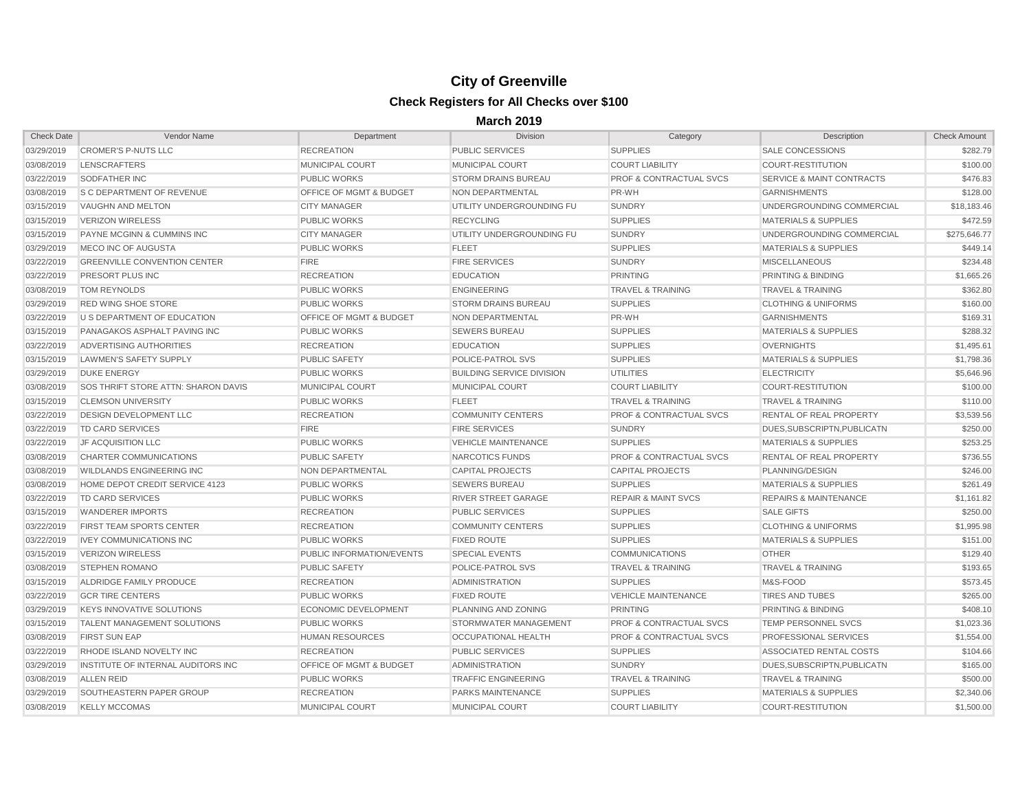| <b>Check Date</b> | <b>Vendor Name</b>                         | Department                         | <b>Division</b>                  | Category                           | Description                          | <b>Check Amount</b> |
|-------------------|--------------------------------------------|------------------------------------|----------------------------------|------------------------------------|--------------------------------------|---------------------|
| 03/29/2019        | <b>CROMER'S P-NUTS LLC</b>                 | <b>RECREATION</b>                  | <b>PUBLIC SERVICES</b>           | <b>SUPPLIES</b>                    | <b>SALE CONCESSIONS</b>              | \$282.79            |
| 03/08/2019        | <b>LENSCRAFTERS</b>                        | <b>MUNICIPAL COURT</b>             | <b>MUNICIPAL COURT</b>           | <b>COURT LIABILITY</b>             | <b>COURT-RESTITUTION</b>             | \$100.00            |
| 03/22/2019        | <b>SODFATHER INC</b>                       | <b>PUBLIC WORKS</b>                | <b>STORM DRAINS BUREAU</b>       | <b>PROF &amp; CONTRACTUAL SVCS</b> | <b>SERVICE &amp; MAINT CONTRACTS</b> | \$476.83            |
| 03/08/2019        | <b>S C DEPARTMENT OF REVENUE</b>           | <b>OFFICE OF MGMT &amp; BUDGET</b> | NON DEPARTMENTAL                 | PR-WH                              | <b>GARNISHMENTS</b>                  | \$128.00            |
| 03/15/2019        | VAUGHN AND MELTON                          | <b>CITY MANAGER</b>                | UTILITY UNDERGROUNDING FU        | <b>SUNDRY</b>                      | UNDERGROUNDING COMMERCIAL            | \$18,183.46         |
| 03/15/2019        | <b>VERIZON WIRELESS</b>                    | <b>PUBLIC WORKS</b>                | <b>RECYCLING</b>                 | <b>SUPPLIES</b>                    | <b>MATERIALS &amp; SUPPLIES</b>      | \$472.59            |
| 03/15/2019        | PAYNE MCGINN & CUMMINS INC                 | <b>CITY MANAGER</b>                | UTILITY UNDERGROUNDING FU        | <b>SUNDRY</b>                      | UNDERGROUNDING COMMERCIAL            | \$275,646.77        |
| 03/29/2019        | <b>MECO INC OF AUGUSTA</b>                 | <b>PUBLIC WORKS</b>                | <b>FLEET</b>                     | <b>SUPPLIES</b>                    | <b>MATERIALS &amp; SUPPLIES</b>      | \$449.14            |
| 03/22/2019        | <b>GREENVILLE CONVENTION CENTER</b>        | <b>FIRE</b>                        | <b>FIRE SERVICES</b>             | <b>SUNDRY</b>                      | <b>MISCELLANEOUS</b>                 | \$234.48            |
| 03/22/2019        | PRESORT PLUS INC                           | <b>RECREATION</b>                  | <b>EDUCATION</b>                 | <b>PRINTING</b>                    | <b>PRINTING &amp; BINDING</b>        | \$1,665.26          |
| 03/08/2019        | <b>TOM REYNOLDS</b>                        | <b>PUBLIC WORKS</b>                | <b>ENGINEERING</b>               | <b>TRAVEL &amp; TRAINING</b>       | <b>TRAVEL &amp; TRAINING</b>         | \$362.80            |
| 03/29/2019        | <b>RED WING SHOE STORE</b>                 | <b>PUBLIC WORKS</b>                | <b>STORM DRAINS BUREAU</b>       | <b>SUPPLIES</b>                    | <b>CLOTHING &amp; UNIFORMS</b>       | \$160.00            |
| 03/22/2019        | U S DEPARTMENT OF EDUCATION                | <b>OFFICE OF MGMT &amp; BUDGET</b> | NON DEPARTMENTAL                 | PR-WH                              | <b>GARNISHMENTS</b>                  | \$169.31            |
| 03/15/2019        | PANAGAKOS ASPHALT PAVING INC               | <b>PUBLIC WORKS</b>                | <b>SEWERS BUREAU</b>             | <b>SUPPLIES</b>                    | <b>MATERIALS &amp; SUPPLIES</b>      | \$288.32            |
| 03/22/2019        | <b>ADVERTISING AUTHORITIES</b>             | <b>RECREATION</b>                  | <b>EDUCATION</b>                 | <b>SUPPLIES</b>                    | <b>OVERNIGHTS</b>                    | \$1,495.61          |
| 03/15/2019        | LAWMEN'S SAFETY SUPPLY                     | <b>PUBLIC SAFETY</b>               | POLICE-PATROL SVS                | <b>SUPPLIES</b>                    | <b>MATERIALS &amp; SUPPLIES</b>      | \$1,798.36          |
| 03/29/2019        | <b>DUKE ENERGY</b>                         | <b>PUBLIC WORKS</b>                | <b>BUILDING SERVICE DIVISION</b> | <b>UTILITIES</b>                   | <b>ELECTRICITY</b>                   | \$5,646.96          |
| 03/08/2019        | <b>SOS THRIFT STORE ATTN: SHARON DAVIS</b> | <b>MUNICIPAL COURT</b>             | <b>MUNICIPAL COURT</b>           | <b>COURT LIABILITY</b>             | COURT-RESTITUTION                    | \$100.00            |
| 03/15/2019        | <b>CLEMSON UNIVERSITY</b>                  | <b>PUBLIC WORKS</b>                | <b>FLEET</b>                     | <b>TRAVEL &amp; TRAINING</b>       | <b>TRAVEL &amp; TRAINING</b>         | \$110.00            |
| 03/22/2019        | <b>DESIGN DEVELOPMENT LLC</b>              | <b>RECREATION</b>                  | <b>COMMUNITY CENTERS</b>         | <b>PROF &amp; CONTRACTUAL SVCS</b> | <b>RENTAL OF REAL PROPERTY</b>       | \$3,539.56          |
| 03/22/2019        | TD CARD SERVICES                           | <b>FIRE</b>                        | <b>FIRE SERVICES</b>             | <b>SUNDRY</b>                      | DUES, SUBSCRIPTN, PUBLICATN          | \$250.00            |
| 03/22/2019        | <b>JF ACQUISITION LLC</b>                  | <b>PUBLIC WORKS</b>                | <b>VEHICLE MAINTENANCE</b>       | <b>SUPPLIES</b>                    | <b>MATERIALS &amp; SUPPLIES</b>      | \$253.25            |
| 03/08/2019        | <b>CHARTER COMMUNICATIONS</b>              | <b>PUBLIC SAFETY</b>               | NARCOTICS FUNDS                  | <b>PROF &amp; CONTRACTUAL SVCS</b> | <b>RENTAL OF REAL PROPERTY</b>       | \$736.55            |
| 03/08/2019        | <b>WILDLANDS ENGINEERING INC</b>           | NON DEPARTMENTAL                   | <b>CAPITAL PROJECTS</b>          | <b>CAPITAL PROJECTS</b>            | PLANNING/DESIGN                      | \$246.00            |
| 03/08/2019        | HOME DEPOT CREDIT SERVICE 4123             | <b>PUBLIC WORKS</b>                | <b>SEWERS BUREAU</b>             | <b>SUPPLIES</b>                    | <b>MATERIALS &amp; SUPPLIES</b>      | \$261.49            |
| 03/22/2019        | TD CARD SERVICES                           | <b>PUBLIC WORKS</b>                | <b>RIVER STREET GARAGE</b>       | <b>REPAIR &amp; MAINT SVCS</b>     | <b>REPAIRS &amp; MAINTENANCE</b>     | \$1,161.82          |
| 03/15/2019        | <b>WANDERER IMPORTS</b>                    | <b>RECREATION</b>                  | <b>PUBLIC SERVICES</b>           | <b>SUPPLIES</b>                    | <b>SALE GIFTS</b>                    | \$250.00            |
| 03/22/2019        | <b>FIRST TEAM SPORTS CENTER</b>            | <b>RECREATION</b>                  | <b>COMMUNITY CENTERS</b>         | <b>SUPPLIES</b>                    | <b>CLOTHING &amp; UNIFORMS</b>       | \$1,995.98          |
| 03/22/2019        | <b>IVEY COMMUNICATIONS INC</b>             | <b>PUBLIC WORKS</b>                | <b>FIXED ROUTE</b>               | <b>SUPPLIES</b>                    | <b>MATERIALS &amp; SUPPLIES</b>      | \$151.00            |
| 03/15/2019        | VERIZON WIRELESS                           | PUBLIC INFORMATION/EVENTS          | <b>SPECIAL EVENTS</b>            | <b>COMMUNICATIONS</b>              | <b>OTHER</b>                         | \$129.40            |
| 03/08/2019        | <b>STEPHEN ROMANO</b>                      | <b>PUBLIC SAFETY</b>               | POLICE-PATROL SVS                | <b>TRAVEL &amp; TRAINING</b>       | <b>TRAVEL &amp; TRAINING</b>         | \$193.65            |
|                   | 03/15/2019 ALDRIDGE FAMILY PRODUCE         | <b>RECREATION</b>                  | <b>ADMINISTRATION</b>            | <b>SUPPLIES</b>                    | M&S-FOOD                             | \$573.45            |
| 03/22/2019        | <b>GCR TIRE CENTERS</b>                    | <b>PUBLIC WORKS</b>                | <b>FIXED ROUTE</b>               | <b>VEHICLE MAINTENANCE</b>         | <b>TIRES AND TUBES</b>               | \$265.00            |
| 03/29/2019        | <b>KEYS INNOVATIVE SOLUTIONS</b>           | ECONOMIC DEVELOPMENT               | PLANNING AND ZONING              | <b>PRINTING</b>                    | <b>PRINTING &amp; BINDING</b>        | \$408.10            |
| 03/15/2019        | <b>TALENT MANAGEMENT SOLUTIONS</b>         | <b>PUBLIC WORKS</b>                | STORMWATER MANAGEMENT            | <b>PROF &amp; CONTRACTUAL SVCS</b> | <b>TEMP PERSONNEL SVCS</b>           | \$1,023.36          |
| 03/08/2019        | <b>FIRST SUN EAP</b>                       | <b>HUMAN RESOURCES</b>             | OCCUPATIONAL HEALTH              | <b>PROF &amp; CONTRACTUAL SVCS</b> | <b>PROFESSIONAL SERVICES</b>         | \$1,554.00          |
| 03/22/2019        | <b>RHODE ISLAND NOVELTY INC</b>            | <b>RECREATION</b>                  | <b>PUBLIC SERVICES</b>           | <b>SUPPLIES</b>                    | ASSOCIATED RENTAL COSTS              | \$104.66            |
| 03/29/2019        | INSTITUTE OF INTERNAL AUDITORS INC         | OFFICE OF MGMT & BUDGET            | ADMINISTRATION                   | <b>SUNDRY</b>                      | DUES, SUBSCRIPTN, PUBLICATN          | \$165.00            |
| 03/08/2019        | <b>ALLEN REID</b>                          | <b>PUBLIC WORKS</b>                | <b>TRAFFIC ENGINEERING</b>       | <b>TRAVEL &amp; TRAINING</b>       | <b>TRAVEL &amp; TRAINING</b>         | \$500.00            |
| 03/29/2019        | SOUTHEASTERN PAPER GROUP                   | <b>RECREATION</b>                  | <b>PARKS MAINTENANCE</b>         | <b>SUPPLIES</b>                    | <b>MATERIALS &amp; SUPPLIES</b>      | \$2,340.06          |
| 03/08/2019        | KELLY MCCOMAS                              | <b>MUNICIPAL COURT</b>             | MUNICIPAL COURT                  | <b>COURT LIABILITY</b>             | COURT-RESTITUTION                    | \$1,500.00          |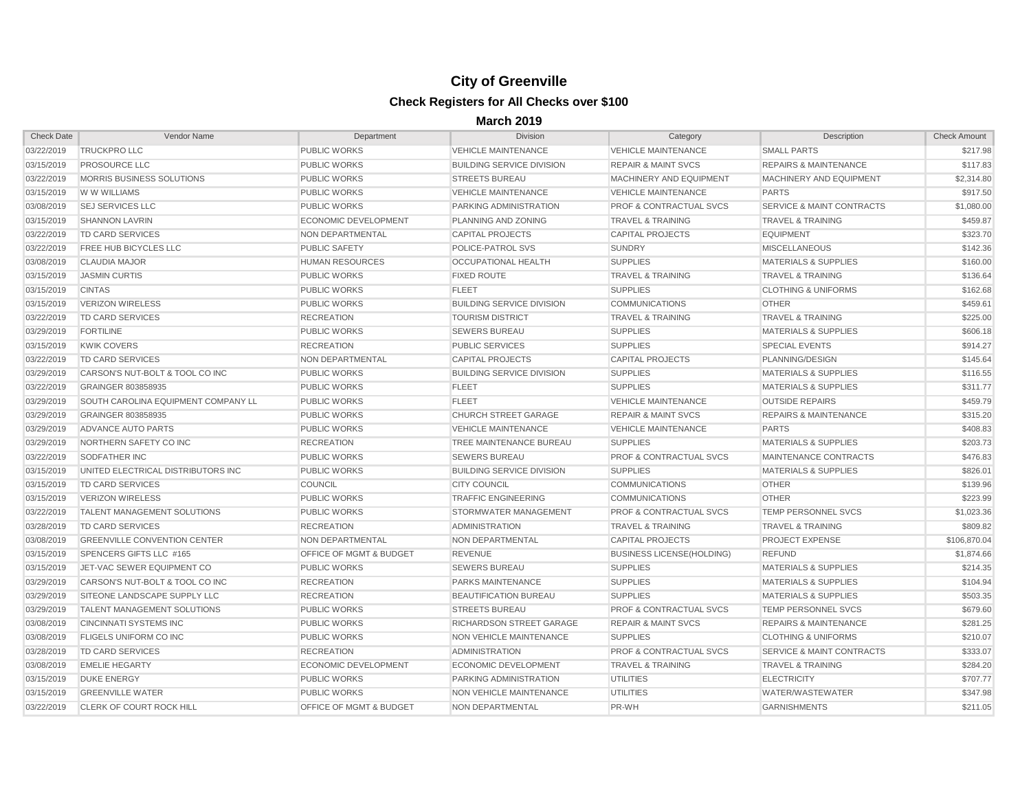| <b>Check Date</b> | Vendor Name                         | Department                         | Division                         | Category                           | Description                          | <b>Check Amount</b> |
|-------------------|-------------------------------------|------------------------------------|----------------------------------|------------------------------------|--------------------------------------|---------------------|
| 03/22/2019        | <b>TRUCKPRO LLC</b>                 | <b>PUBLIC WORKS</b>                | <b>VEHICLE MAINTENANCE</b>       | <b>VEHICLE MAINTENANCE</b>         | <b>SMALL PARTS</b>                   | \$217.98            |
| 03/15/2019        | <b>PROSOURCE LLC</b>                | <b>PUBLIC WORKS</b>                | <b>BUILDING SERVICE DIVISION</b> | <b>REPAIR &amp; MAINT SVCS</b>     | <b>REPAIRS &amp; MAINTENANCE</b>     | \$117.83            |
| 03/22/2019        | <b>MORRIS BUSINESS SOLUTIONS</b>    | <b>PUBLIC WORKS</b>                | <b>STREETS BUREAU</b>            | MACHINERY AND EQUIPMENT            | MACHINERY AND EQUIPMENT              | \$2,314.80          |
| 03/15/2019        | W W WILLIAMS                        | <b>PUBLIC WORKS</b>                | <b>VEHICLE MAINTENANCE</b>       | <b>VEHICLE MAINTENANCE</b>         | <b>PARTS</b>                         | \$917.50            |
| 03/08/2019        | <b>SEJ SERVICES LLC</b>             | <b>PUBLIC WORKS</b>                | <b>PARKING ADMINISTRATION</b>    | <b>PROF &amp; CONTRACTUAL SVCS</b> | <b>SERVICE &amp; MAINT CONTRACTS</b> | \$1,080.00          |
| 03/15/2019        | <b>SHANNON LAVRIN</b>               | <b>ECONOMIC DEVELOPMENT</b>        | <b>PLANNING AND ZONING</b>       | <b>TRAVEL &amp; TRAINING</b>       | <b>TRAVEL &amp; TRAINING</b>         | \$459.87            |
| 03/22/2019        | <b>TD CARD SERVICES</b>             | NON DEPARTMENTAL                   | <b>CAPITAL PROJECTS</b>          | <b>CAPITAL PROJECTS</b>            | <b>EQUIPMENT</b>                     | \$323.70            |
| 03/22/2019        | <b>FREE HUB BICYCLES LLC</b>        | <b>PUBLIC SAFETY</b>               | POLICE-PATROL SVS                | <b>SUNDRY</b>                      | <b>MISCELLANEOUS</b>                 | \$142.36            |
| 03/08/2019        | <b>CLAUDIA MAJOR</b>                | <b>HUMAN RESOURCES</b>             | OCCUPATIONAL HEALTH              | <b>SUPPLIES</b>                    | <b>MATERIALS &amp; SUPPLIES</b>      | \$160.00            |
| 03/15/2019        | <b>JASMIN CURTIS</b>                | <b>PUBLIC WORKS</b>                | <b>FIXED ROUTE</b>               | <b>TRAVEL &amp; TRAINING</b>       | <b>TRAVEL &amp; TRAINING</b>         | \$136.64            |
| 03/15/2019        | <b>CINTAS</b>                       | <b>PUBLIC WORKS</b>                | <b>FLEET</b>                     | <b>SUPPLIES</b>                    | <b>CLOTHING &amp; UNIFORMS</b>       | \$162.68            |
| 03/15/2019        | <b>VERIZON WIRELESS</b>             | <b>PUBLIC WORKS</b>                | <b>BUILDING SERVICE DIVISION</b> | <b>COMMUNICATIONS</b>              | <b>OTHER</b>                         | \$459.61            |
| 03/22/2019        | TD CARD SERVICES                    | <b>RECREATION</b>                  | <b>TOURISM DISTRICT</b>          | <b>TRAVEL &amp; TRAINING</b>       | <b>TRAVEL &amp; TRAINING</b>         | \$225.00            |
| 03/29/2019        | <b>FORTILINE</b>                    | <b>PUBLIC WORKS</b>                | <b>SEWERS BUREAU</b>             | <b>SUPPLIES</b>                    | <b>MATERIALS &amp; SUPPLIES</b>      | \$606.18            |
| 03/15/2019        | <b>KWIK COVERS</b>                  | <b>RECREATION</b>                  | <b>PUBLIC SERVICES</b>           | <b>SUPPLIES</b>                    | <b>SPECIAL EVENTS</b>                | \$914.27            |
| 03/22/2019        | TD CARD SERVICES                    | NON DEPARTMENTAL                   | CAPITAL PROJECTS                 | <b>CAPITAL PROJECTS</b>            | PLANNING/DESIGN                      | \$145.64            |
| 03/29/2019        | CARSON'S NUT-BOLT & TOOL CO INC     | <b>PUBLIC WORKS</b>                | <b>BUILDING SERVICE DIVISION</b> | <b>SUPPLIES</b>                    | <b>MATERIALS &amp; SUPPLIES</b>      | \$116.55            |
| 03/22/2019        | GRAINGER 803858935                  | <b>PUBLIC WORKS</b>                | <b>FLEET</b>                     | <b>SUPPLIES</b>                    | <b>MATERIALS &amp; SUPPLIES</b>      | \$311.77            |
| 03/29/2019        | SOUTH CAROLINA EQUIPMENT COMPANY LL | <b>PUBLIC WORKS</b>                | <b>FLEET</b>                     | <b>VEHICLE MAINTENANCE</b>         | <b>OUTSIDE REPAIRS</b>               | \$459.79            |
| 03/29/2019        | <b>GRAINGER 803858935</b>           | <b>PUBLIC WORKS</b>                | <b>CHURCH STREET GARAGE</b>      | <b>REPAIR &amp; MAINT SVCS</b>     | <b>REPAIRS &amp; MAINTENANCE</b>     | \$315.20            |
| 03/29/2019        | ADVANCE AUTO PARTS                  | <b>PUBLIC WORKS</b>                | <b>VEHICLE MAINTENANCE</b>       | <b>VEHICLE MAINTENANCE</b>         | <b>PARTS</b>                         | \$408.83            |
| 03/29/2019        | NORTHERN SAFETY CO INC              | <b>RECREATION</b>                  | TREE MAINTENANCE BUREAU          | <b>SUPPLIES</b>                    | <b>MATERIALS &amp; SUPPLIES</b>      | \$203.73            |
| 03/22/2019        | <b>SODFATHER INC</b>                | <b>PUBLIC WORKS</b>                | <b>SEWERS BUREAU</b>             | <b>PROF &amp; CONTRACTUAL SVCS</b> | MAINTENANCE CONTRACTS                | \$476.83            |
| 03/15/2019        | UNITED ELECTRICAL DISTRIBUTORS INC  | <b>PUBLIC WORKS</b>                | <b>BUILDING SERVICE DIVISION</b> | <b>SUPPLIES</b>                    | <b>MATERIALS &amp; SUPPLIES</b>      | \$826.01            |
| 03/15/2019        | <b>TD CARD SERVICES</b>             | <b>COUNCIL</b>                     | <b>CITY COUNCIL</b>              | <b>COMMUNICATIONS</b>              | <b>OTHER</b>                         | \$139.96            |
| 03/15/2019        | <b>VERIZON WIRELESS</b>             | <b>PUBLIC WORKS</b>                | <b>TRAFFIC ENGINEERING</b>       | <b>COMMUNICATIONS</b>              | <b>OTHER</b>                         | \$223.99            |
| 03/22/2019        | <b>TALENT MANAGEMENT SOLUTIONS</b>  | <b>PUBLIC WORKS</b>                | STORMWATER MANAGEMENT            | <b>PROF &amp; CONTRACTUAL SVCS</b> | <b>TEMP PERSONNEL SVCS</b>           | \$1,023.36          |
| 03/28/2019        | <b>TD CARD SERVICES</b>             | <b>RECREATION</b>                  | <b>ADMINISTRATION</b>            | <b>TRAVEL &amp; TRAINING</b>       | <b>TRAVEL &amp; TRAINING</b>         | \$809.82            |
| 03/08/2019        | <b>GREENVILLE CONVENTION CENTER</b> | NON DEPARTMENTAL                   | NON DEPARTMENTAL                 | <b>CAPITAL PROJECTS</b>            | <b>PROJECT EXPENSE</b>               | \$106,870.04        |
| 03/15/2019        | SPENCERS GIFTS LLC #165             | <b>OFFICE OF MGMT &amp; BUDGET</b> | REVENUE                          | <b>BUSINESS LICENSE(HOLDING)</b>   | <b>REFUND</b>                        | \$1,874.66          |
| 03/15/2019        | JET-VAC SEWER EQUIPMENT CO          | <b>PUBLIC WORKS</b>                | <b>SEWERS BUREAU</b>             | <b>SUPPLIES</b>                    | <b>MATERIALS &amp; SUPPLIES</b>      | \$214.35            |
| 03/29/2019        | CARSON'S NUT-BOLT & TOOL CO INC     | <b>RECREATION</b>                  | <b>PARKS MAINTENANCE</b>         | <b>SUPPLIES</b>                    | MATERIALS & SUPPLIES                 | \$104.94            |
| 03/29/2019        | SITEONE LANDSCAPE SUPPLY LLC        | <b>RECREATION</b>                  | <b>BEAUTIFICATION BUREAU</b>     | <b>SUPPLIES</b>                    | <b>MATERIALS &amp; SUPPLIES</b>      | \$503.35            |
| 03/29/2019        | <b>TALENT MANAGEMENT SOLUTIONS</b>  | <b>PUBLIC WORKS</b>                | <b>STREETS BUREAU</b>            | <b>PROF &amp; CONTRACTUAL SVCS</b> | <b>TEMP PERSONNEL SVCS</b>           | \$679.60            |
| 03/08/2019        | <b>CINCINNATI SYSTEMS INC</b>       | <b>PUBLIC WORKS</b>                | RICHARDSON STREET GARAGE         | <b>REPAIR &amp; MAINT SVCS</b>     | <b>REPAIRS &amp; MAINTENANCE</b>     | \$281.25            |
| 03/08/2019        | <b>FLIGELS UNIFORM CO INC</b>       | <b>PUBLIC WORKS</b>                | NON VEHICLE MAINTENANCE          | <b>SUPPLIES</b>                    | <b>CLOTHING &amp; UNIFORMS</b>       | \$210.07            |
| 03/28/2019        | <b>TD CARD SERVICES</b>             | <b>RECREATION</b>                  | ADMINISTRATION                   | <b>PROF &amp; CONTRACTUAL SVCS</b> | <b>SERVICE &amp; MAINT CONTRACTS</b> | \$333.07            |
| 03/08/2019        | <b>EMELIE HEGARTY</b>               | <b>ECONOMIC DEVELOPMENT</b>        | <b>ECONOMIC DEVELOPMENT</b>      | <b>TRAVEL &amp; TRAINING</b>       | <b>TRAVEL &amp; TRAINING</b>         | \$284.20            |
| 03/15/2019        | <b>DUKE ENERGY</b>                  | <b>PUBLIC WORKS</b>                | <b>PARKING ADMINISTRATION</b>    | <b>UTILITIES</b>                   | <b>ELECTRICITY</b>                   | \$707.77            |
| 03/15/2019        | <b>GREENVILLE WATER</b>             | <b>PUBLIC WORKS</b>                | NON VEHICLE MAINTENANCE          | <b>UTILITIES</b>                   | WATER/WASTEWATER                     | \$347.98            |
| 03/22/2019        | <b>CLERK OF COURT ROCK HILL</b>     | <b>OFFICE OF MGMT &amp; BUDGET</b> | NON DEPARTMENTAL                 | PR-WH                              | <b>GARNISHMENTS</b>                  | \$211.05            |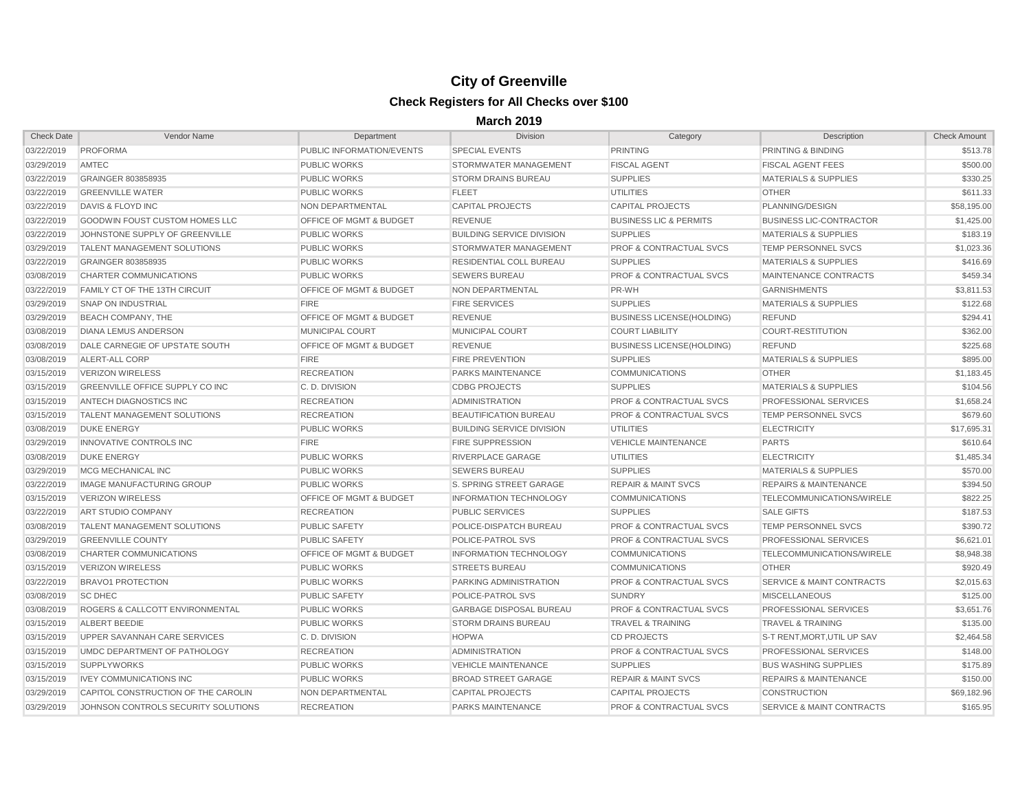| <b>Check Date</b> | Vendor Name                                | Department                         | <b>Division</b>                  | Category                           | <b>Description</b>                   | <b>Check Amount</b> |
|-------------------|--------------------------------------------|------------------------------------|----------------------------------|------------------------------------|--------------------------------------|---------------------|
| 03/22/2019        | <b>PROFORMA</b>                            | PUBLIC INFORMATION/EVENTS          | <b>SPECIAL EVENTS</b>            | <b>PRINTING</b>                    | PRINTING & BINDING                   | \$513.78            |
| 03/29/2019        | <b>AMTEC</b>                               | <b>PUBLIC WORKS</b>                | <b>STORMWATER MANAGEMENT</b>     | <b>FISCAL AGENT</b>                | <b>FISCAL AGENT FEES</b>             | \$500.00            |
| 03/22/2019        | <b>GRAINGER 803858935</b>                  | <b>PUBLIC WORKS</b>                | <b>STORM DRAINS BUREAU</b>       | <b>SUPPLIES</b>                    | <b>MATERIALS &amp; SUPPLIES</b>      | \$330.25            |
| 03/22/2019        | <b>GREENVILLE WATER</b>                    | <b>PUBLIC WORKS</b>                | <b>FLEET</b>                     | <b>UTILITIES</b>                   | <b>OTHER</b>                         | \$611.33            |
| 03/22/2019        | DAVIS & FLOYD INC                          | NON DEPARTMENTAL                   | <b>CAPITAL PROJECTS</b>          | <b>CAPITAL PROJECTS</b>            | PLANNING/DESIGN                      | \$58,195.00         |
| 03/22/2019        | <b>GOODWIN FOUST CUSTOM HOMES LLC</b>      | <b>OFFICE OF MGMT &amp; BUDGET</b> | <b>REVENUE</b>                   | <b>BUSINESS LIC &amp; PERMITS</b>  | <b>BUSINESS LIC-CONTRACTOR</b>       | \$1,425.00          |
| 03/22/2019        | JOHNSTONE SUPPLY OF GREENVILLE             | <b>PUBLIC WORKS</b>                | <b>BUILDING SERVICE DIVISION</b> | <b>SUPPLIES</b>                    | <b>MATERIALS &amp; SUPPLIES</b>      | \$183.19            |
| 03/29/2019        | <b>TALENT MANAGEMENT SOLUTIONS</b>         | <b>PUBLIC WORKS</b>                | STORMWATER MANAGEMENT            | <b>PROF &amp; CONTRACTUAL SVCS</b> | <b>TEMP PERSONNEL SVCS</b>           | \$1,023.36          |
| 03/22/2019        | <b>GRAINGER 803858935</b>                  | <b>PUBLIC WORKS</b>                | <b>RESIDENTIAL COLL BUREAU</b>   | <b>SUPPLIES</b>                    | <b>MATERIALS &amp; SUPPLIES</b>      | \$416.69            |
| 03/08/2019        | CHARTER COMMUNICATIONS                     | <b>PUBLIC WORKS</b>                | <b>SEWERS BUREAU</b>             | <b>PROF &amp; CONTRACTUAL SVCS</b> | MAINTENANCE CONTRACTS                | \$459.34            |
| 03/22/2019        | <b>FAMILY CT OF THE 13TH CIRCUIT</b>       | <b>OFFICE OF MGMT &amp; BUDGET</b> | <b>NON DEPARTMENTAL</b>          | PR-WH                              | <b>GARNISHMENTS</b>                  | \$3,811.53          |
| 03/29/2019        | <b>SNAP ON INDUSTRIAL</b>                  | <b>FIRE</b>                        | <b>FIRE SERVICES</b>             | <b>SUPPLIES</b>                    | <b>MATERIALS &amp; SUPPLIES</b>      | \$122.68            |
| 03/29/2019        | <b>BEACH COMPANY, THE</b>                  | <b>OFFICE OF MGMT &amp; BUDGET</b> | <b>REVENUE</b>                   | <b>BUSINESS LICENSE(HOLDING)</b>   | <b>REFUND</b>                        | \$294.41            |
| 03/08/2019        | DIANA LEMUS ANDERSON                       | <b>MUNICIPAL COURT</b>             | <b>MUNICIPAL COURT</b>           | <b>COURT LIABILITY</b>             | COURT-RESTITUTION                    | \$362.00            |
| 03/08/2019        | DALE CARNEGIE OF UPSTATE SOUTH             | <b>OFFICE OF MGMT &amp; BUDGET</b> | <b>REVENUE</b>                   | <b>BUSINESS LICENSE(HOLDING)</b>   | <b>REFUND</b>                        | \$225.68            |
| 03/08/2019        | ALERT-ALL CORP                             | <b>FIRE</b>                        | <b>FIRE PREVENTION</b>           | <b>SUPPLIES</b>                    | <b>MATERIALS &amp; SUPPLIES</b>      | \$895.00            |
| 03/15/2019        | <b>VERIZON WIRELESS</b>                    | <b>RECREATION</b>                  | <b>PARKS MAINTENANCE</b>         | <b>COMMUNICATIONS</b>              | <b>OTHER</b>                         | \$1,183.45          |
| 03/15/2019        | <b>GREENVILLE OFFICE SUPPLY CO INC</b>     | C.D. DIVISION                      | <b>CDBG PROJECTS</b>             | <b>SUPPLIES</b>                    | <b>MATERIALS &amp; SUPPLIES</b>      | \$104.56            |
| 03/15/2019        | ANTECH DIAGNOSTICS INC                     | <b>RECREATION</b>                  | <b>ADMINISTRATION</b>            | <b>PROF &amp; CONTRACTUAL SVCS</b> | <b>PROFESSIONAL SERVICES</b>         | \$1,658.24          |
| 03/15/2019        | <b>TALENT MANAGEMENT SOLUTIONS</b>         | <b>RECREATION</b>                  | <b>BEAUTIFICATION BUREAU</b>     | <b>PROF &amp; CONTRACTUAL SVCS</b> | TEMP PERSONNEL SVCS                  | \$679.60            |
| 03/08/2019        | <b>DUKE ENERGY</b>                         | <b>PUBLIC WORKS</b>                | <b>BUILDING SERVICE DIVISION</b> | <b>UTILITIES</b>                   | <b>ELECTRICITY</b>                   | \$17,695.31         |
| 03/29/2019        | INNOVATIVE CONTROLS INC                    | <b>FIRE</b>                        | <b>FIRE SUPPRESSION</b>          | <b>VEHICLE MAINTENANCE</b>         | <b>PARTS</b>                         | \$610.64            |
| 03/08/2019        | <b>DUKE ENERGY</b>                         | <b>PUBLIC WORKS</b>                | RIVERPLACE GARAGE                | <b>UTILITIES</b>                   | <b>ELECTRICITY</b>                   | \$1,485.34          |
| 03/29/2019        | <b>MCG MECHANICAL INC</b>                  | <b>PUBLIC WORKS</b>                | <b>SEWERS BUREAU</b>             | <b>SUPPLIES</b>                    | <b>MATERIALS &amp; SUPPLIES</b>      | \$570.00            |
| 03/22/2019        | <b>IMAGE MANUFACTURING GROUP</b>           | <b>PUBLIC WORKS</b>                | S. SPRING STREET GARAGE          | <b>REPAIR &amp; MAINT SVCS</b>     | <b>REPAIRS &amp; MAINTENANCE</b>     | \$394.50            |
| 03/15/2019        | <b>VERIZON WIRELESS</b>                    | <b>OFFICE OF MGMT &amp; BUDGET</b> | <b>INFORMATION TECHNOLOGY</b>    | <b>COMMUNICATIONS</b>              | TELECOMMUNICATIONS/WIRELE            | \$822.25            |
| 03/22/2019        | <b>ART STUDIO COMPANY</b>                  | <b>RECREATION</b>                  | <b>PUBLIC SERVICES</b>           | <b>SUPPLIES</b>                    | <b>SALE GIFTS</b>                    | \$187.53            |
| 03/08/2019        | <b>TALENT MANAGEMENT SOLUTIONS</b>         | <b>PUBLIC SAFETY</b>               | POLICE-DISPATCH BUREAU           | <b>PROF &amp; CONTRACTUAL SVCS</b> | <b>TEMP PERSONNEL SVCS</b>           | \$390.72            |
| 03/29/2019        | <b>GREENVILLE COUNTY</b>                   | <b>PUBLIC SAFETY</b>               | <b>POLICE-PATROL SVS</b>         | <b>PROF &amp; CONTRACTUAL SVCS</b> | <b>PROFESSIONAL SERVICES</b>         | \$6,621.01          |
| 03/08/2019        | <b>CHARTER COMMUNICATIONS</b>              | <b>OFFICE OF MGMT &amp; BUDGET</b> | <b>INFORMATION TECHNOLOGY</b>    | <b>COMMUNICATIONS</b>              | <b>TELECOMMUNICATIONS/WIRELE</b>     | \$8,948.38          |
| 03/15/2019        | <b>VERIZON WIRELESS</b>                    | <b>PUBLIC WORKS</b>                | <b>STREETS BUREAU</b>            | <b>COMMUNICATIONS</b>              | <b>OTHER</b>                         | \$920.49            |
| 03/22/2019        | <b>BRAVO1 PROTECTION</b>                   | PUBLIC WORKS                       | PARKING ADMINISTRATION           | PROF & CONTRACTUAL SVCS            | SERVICE & MAINT CONTRACTS            | \$2,015.63          |
| 03/08/2019        | <b>SC DHEC</b>                             | <b>PUBLIC SAFETY</b>               | POLICE-PATROL SVS                | <b>SUNDRY</b>                      | <b>MISCELLANEOUS</b>                 | \$125.00            |
| 03/08/2019        | <b>ROGERS &amp; CALLCOTT ENVIRONMENTAL</b> | <b>PUBLIC WORKS</b>                | <b>GARBAGE DISPOSAL BUREAU</b>   | <b>PROF &amp; CONTRACTUAL SVCS</b> | <b>PROFESSIONAL SERVICES</b>         | \$3,651.76          |
| 03/15/2019        | ALBERT BEEDIE                              | <b>PUBLIC WORKS</b>                | <b>STORM DRAINS BUREAU</b>       | <b>TRAVEL &amp; TRAINING</b>       | <b>TRAVEL &amp; TRAINING</b>         | \$135.00            |
| 03/15/2019        | UPPER SAVANNAH CARE SERVICES               | C.D. DIVISION                      | <b>HOPWA</b>                     | <b>CD PROJECTS</b>                 | S-T RENT.MORT.UTIL UP SAV            | \$2,464.58          |
| 03/15/2019        | UMDC DEPARTMENT OF PATHOLOGY               | <b>RECREATION</b>                  | <b>ADMINISTRATION</b>            | <b>PROF &amp; CONTRACTUAL SVCS</b> | <b>PROFESSIONAL SERVICES</b>         | \$148.00            |
| 03/15/2019        | <b>SUPPLYWORKS</b>                         | <b>PUBLIC WORKS</b>                | <b>VEHICLE MAINTENANCE</b>       | <b>SUPPLIES</b>                    | <b>BUS WASHING SUPPLIES</b>          | \$175.89            |
| 03/15/2019        | <b>IVEY COMMUNICATIONS INC</b>             | <b>PUBLIC WORKS</b>                | <b>BROAD STREET GARAGE</b>       | <b>REPAIR &amp; MAINT SVCS</b>     | <b>REPAIRS &amp; MAINTENANCE</b>     | \$150.00            |
| 03/29/2019        | CAPITOL CONSTRUCTION OF THE CAROLIN        | NON DEPARTMENTAL                   | CAPITAL PROJECTS                 | CAPITAL PROJECTS                   | <b>CONSTRUCTION</b>                  | \$69,182.96         |
| 03/29/2019        | JOHNSON CONTROLS SECURITY SOLUTIONS        | <b>RECREATION</b>                  | <b>PARKS MAINTENANCE</b>         | <b>PROF &amp; CONTRACTUAL SVCS</b> | <b>SERVICE &amp; MAINT CONTRACTS</b> | \$165.95            |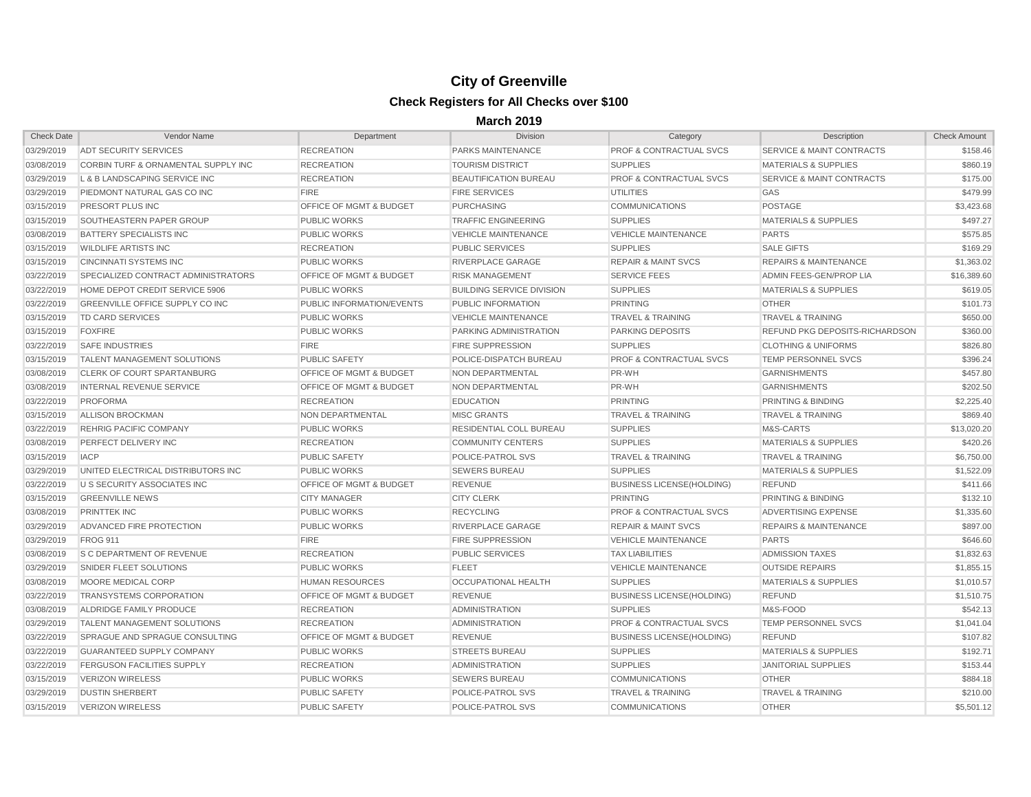| <b>Check Date</b> | Vendor Name                                | Department                         | <b>Division</b>                  | Category                           | Description                          | <b>Check Amount</b> |
|-------------------|--------------------------------------------|------------------------------------|----------------------------------|------------------------------------|--------------------------------------|---------------------|
| 03/29/2019        | <b>ADT SECURITY SERVICES</b>               | <b>RECREATION</b>                  | <b>PARKS MAINTENANCE</b>         | <b>PROF &amp; CONTRACTUAL SVCS</b> | <b>SERVICE &amp; MAINT CONTRACTS</b> | \$158.46            |
| 03/08/2019        | CORBIN TURF & ORNAMENTAL SUPPLY INC        | <b>RECREATION</b>                  | <b>TOURISM DISTRICT</b>          | <b>SUPPLIES</b>                    | <b>MATERIALS &amp; SUPPLIES</b>      | \$860.19            |
| 03/29/2019        | L & B LANDSCAPING SERVICE INC              | <b>RECREATION</b>                  | <b>BEAUTIFICATION BUREAU</b>     | <b>PROF &amp; CONTRACTUAL SVCS</b> | <b>SERVICE &amp; MAINT CONTRACTS</b> | \$175.00            |
| 03/29/2019        | PIEDMONT NATURAL GAS CO INC                | <b>FIRE</b>                        | <b>FIRE SERVICES</b>             | <b>UTILITIES</b>                   | GAS                                  | \$479.99            |
| 03/15/2019        | <b>PRESORT PLUS INC</b>                    | <b>OFFICE OF MGMT &amp; BUDGET</b> | <b>PURCHASING</b>                | <b>COMMUNICATIONS</b>              | <b>POSTAGE</b>                       | \$3,423.68          |
| 03/15/2019        | <b>SOUTHEASTERN PAPER GROUP</b>            | <b>PUBLIC WORKS</b>                | <b>TRAFFIC ENGINEERING</b>       | <b>SUPPLIES</b>                    | <b>MATERIALS &amp; SUPPLIES</b>      | \$497.27            |
| 03/08/2019        | <b>BATTERY SPECIALISTS INC</b>             | <b>PUBLIC WORKS</b>                | <b>VEHICLE MAINTENANCE</b>       | <b>VEHICLE MAINTENANCE</b>         | <b>PARTS</b>                         | \$575.85            |
| 03/15/2019        | <b>WILDLIFE ARTISTS INC</b>                | <b>RECREATION</b>                  | <b>PUBLIC SERVICES</b>           | <b>SUPPLIES</b>                    | <b>SALE GIFTS</b>                    | \$169.29            |
| 03/15/2019        | <b>CINCINNATI SYSTEMS INC</b>              | <b>PUBLIC WORKS</b>                | RIVERPLACE GARAGE                | <b>REPAIR &amp; MAINT SVCS</b>     | <b>REPAIRS &amp; MAINTENANCE</b>     | \$1,363.02          |
| 03/22/2019        | <b>SPECIALIZED CONTRACT ADMINISTRATORS</b> | <b>OFFICE OF MGMT &amp; BUDGET</b> | <b>RISK MANAGEMENT</b>           | <b>SERVICE FEES</b>                | ADMIN FEES-GEN/PROP LIA              | \$16,389.60         |
| 03/22/2019        | HOME DEPOT CREDIT SERVICE 5906             | <b>PUBLIC WORKS</b>                | <b>BUILDING SERVICE DIVISION</b> | <b>SUPPLIES</b>                    | <b>MATERIALS &amp; SUPPLIES</b>      | \$619.05            |
| 03/22/2019        | GREENVILLE OFFICE SUPPLY CO INC            | <b>PUBLIC INFORMATION/EVENTS</b>   | <b>PUBLIC INFORMATION</b>        | <b>PRINTING</b>                    | <b>OTHER</b>                         | \$101.73            |
| 03/15/2019        | <b>TD CARD SERVICES</b>                    | <b>PUBLIC WORKS</b>                | <b>VEHICLE MAINTENANCE</b>       | <b>TRAVEL &amp; TRAINING</b>       | <b>TRAVEL &amp; TRAINING</b>         | \$650.00            |
| 03/15/2019        | <b>FOXFIRE</b>                             | <b>PUBLIC WORKS</b>                | PARKING ADMINISTRATION           | <b>PARKING DEPOSITS</b>            | REFUND PKG DEPOSITS-RICHARDSON       | \$360.00            |
| 03/22/2019        | <b>SAFE INDUSTRIES</b>                     | <b>FIRE</b>                        | <b>FIRE SUPPRESSION</b>          | <b>SUPPLIES</b>                    | <b>CLOTHING &amp; UNIFORMS</b>       | \$826.80            |
| 03/15/2019        | <b>TALENT MANAGEMENT SOLUTIONS</b>         | <b>PUBLIC SAFETY</b>               | POLICE-DISPATCH BUREAU           | <b>PROF &amp; CONTRACTUAL SVCS</b> | <b>TEMP PERSONNEL SVCS</b>           | \$396.24            |
| 03/08/2019        | <b>CLERK OF COURT SPARTANBURG</b>          | <b>OFFICE OF MGMT &amp; BUDGET</b> | <b>NON DEPARTMENTAL</b>          | PR-WH                              | <b>GARNISHMENTS</b>                  | \$457.80            |
| 03/08/2019        | <b>INTERNAL REVENUE SERVICE</b>            | <b>OFFICE OF MGMT &amp; BUDGET</b> | <b>NON DEPARTMENTAL</b>          | PR-WH                              | <b>GARNISHMENTS</b>                  | \$202.50            |
| 03/22/2019        | <b>PROFORMA</b>                            | <b>RECREATION</b>                  | <b>EDUCATION</b>                 | <b>PRINTING</b>                    | PRINTING & BINDING                   | \$2,225.40          |
| 03/15/2019        | <b>ALLISON BROCKMAN</b>                    | NON DEPARTMENTAL                   | <b>MISC GRANTS</b>               | <b>TRAVEL &amp; TRAINING</b>       | <b>TRAVEL &amp; TRAINING</b>         | \$869.40            |
| 03/22/2019        | <b>REHRIG PACIFIC COMPANY</b>              | <b>PUBLIC WORKS</b>                | <b>RESIDENTIAL COLL BUREAU</b>   | <b>SUPPLIES</b>                    | M&S-CARTS                            | \$13,020.20         |
| 03/08/2019        | PERFECT DELIVERY INC                       | <b>RECREATION</b>                  | <b>COMMUNITY CENTERS</b>         | <b>SUPPLIES</b>                    | <b>MATERIALS &amp; SUPPLIES</b>      | \$420.26            |
| 03/15/2019        | <b>IACP</b>                                | <b>PUBLIC SAFETY</b>               | <b>POLICE-PATROL SVS</b>         | <b>TRAVEL &amp; TRAINING</b>       | <b>TRAVEL &amp; TRAINING</b>         | \$6,750.00          |
| 03/29/2019        | UNITED ELECTRICAL DISTRIBUTORS INC         | <b>PUBLIC WORKS</b>                | <b>SEWERS BUREAU</b>             | <b>SUPPLIES</b>                    | <b>MATERIALS &amp; SUPPLIES</b>      | \$1,522.09          |
| 03/22/2019        | U S SECURITY ASSOCIATES INC                | <b>OFFICE OF MGMT &amp; BUDGET</b> | <b>REVENUE</b>                   | <b>BUSINESS LICENSE(HOLDING)</b>   | <b>REFUND</b>                        | \$411.66            |
| 03/15/2019        | <b>GREENVILLE NEWS</b>                     | <b>CITY MANAGER</b>                | <b>CITY CLERK</b>                | <b>PRINTING</b>                    | PRINTING & BINDING                   | \$132.10            |
| 03/08/2019        | <b>PRINTTEK INC</b>                        | <b>PUBLIC WORKS</b>                | <b>RECYCLING</b>                 | <b>PROF &amp; CONTRACTUAL SVCS</b> | ADVERTISING EXPENSE                  | \$1,335.60          |
| 03/29/2019        | ADVANCED FIRE PROTECTION                   | <b>PUBLIC WORKS</b>                | RIVERPLACE GARAGE                | <b>REPAIR &amp; MAINT SVCS</b>     | <b>REPAIRS &amp; MAINTENANCE</b>     | \$897.00            |
| 03/29/2019        | <b>FROG 911</b>                            | <b>FIRE</b>                        | <b>FIRE SUPPRESSION</b>          | <b>VEHICLE MAINTENANCE</b>         | <b>PARTS</b>                         | \$646.60            |
| 03/08/2019        | <b>S C DEPARTMENT OF REVENUE</b>           | <b>RECREATION</b>                  | <b>PUBLIC SERVICES</b>           | <b>TAX LIABILITIES</b>             | <b>ADMISSION TAXES</b>               | \$1,832.63          |
| 03/29/2019        | <b>SNIDER FLEET SOLUTIONS</b>              | <b>PUBLIC WORKS</b>                | <b>FLEET</b>                     | <b>VEHICLE MAINTENANCE</b>         | <b>OUTSIDE REPAIRS</b>               | \$1,855.15          |
| 03/08/2019        | MOORE MEDICAL CORP                         | <b>HUMAN RESOURCES</b>             | <b>OCCUPATIONAL HEALTH</b>       | <b>SUPPLIES</b>                    | <b>MATERIALS &amp; SUPPLIES</b>      | \$1,010.57          |
| 03/22/2019        | TRANSYSTEMS CORPORATION                    | <b>OFFICE OF MGMT &amp; BUDGET</b> | <b>REVENUE</b>                   | <b>BUSINESS LICENSE(HOLDING)</b>   | <b>REFUND</b>                        | \$1,510.75          |
| 03/08/2019        | ALDRIDGE FAMILY PRODUCE                    | <b>RECREATION</b>                  | <b>ADMINISTRATION</b>            | <b>SUPPLIES</b>                    | M&S-FOOD                             | \$542.13            |
| 03/29/2019        | TALENT MANAGEMENT SOLUTIONS                | <b>RECREATION</b>                  | ADMINISTRATION                   | <b>PROF &amp; CONTRACTUAL SVCS</b> | <b>TEMP PERSONNEL SVCS</b>           | \$1,041.04          |
| 03/22/2019        | SPRAGUE AND SPRAGUE CONSULTING             | <b>OFFICE OF MGMT &amp; BUDGET</b> | <b>REVENUE</b>                   | <b>BUSINESS LICENSE(HOLDING)</b>   | <b>REFUND</b>                        | \$107.82            |
| 03/22/2019        | <b>GUARANTEED SUPPLY COMPANY</b>           | <b>PUBLIC WORKS</b>                | <b>STREETS BUREAU</b>            | <b>SUPPLIES</b>                    | <b>MATERIALS &amp; SUPPLIES</b>      | \$192.71            |
| 03/22/2019        | <b>FERGUSON FACILITIES SUPPLY</b>          | <b>RECREATION</b>                  | <b>ADMINISTRATION</b>            | <b>SUPPLIES</b>                    | JANITORIAL SUPPLIES                  | \$153.44            |
| 03/15/2019        | <b>VERIZON WIRELESS</b>                    | <b>PUBLIC WORKS</b>                | <b>SEWERS BUREAU</b>             | <b>COMMUNICATIONS</b>              | <b>OTHER</b>                         | \$884.18            |
| 03/29/2019        | <b>DUSTIN SHERBERT</b>                     | <b>PUBLIC SAFETY</b>               | POLICE-PATROL SVS                | <b>TRAVEL &amp; TRAINING</b>       | <b>TRAVEL &amp; TRAINING</b>         | \$210.00            |
| 03/15/2019        | <b>VERIZON WIRELESS</b>                    | <b>PUBLIC SAFETY</b>               | <b>POLICE-PATROL SVS</b>         | <b>COMMUNICATIONS</b>              | <b>OTHER</b>                         | \$5,501.12          |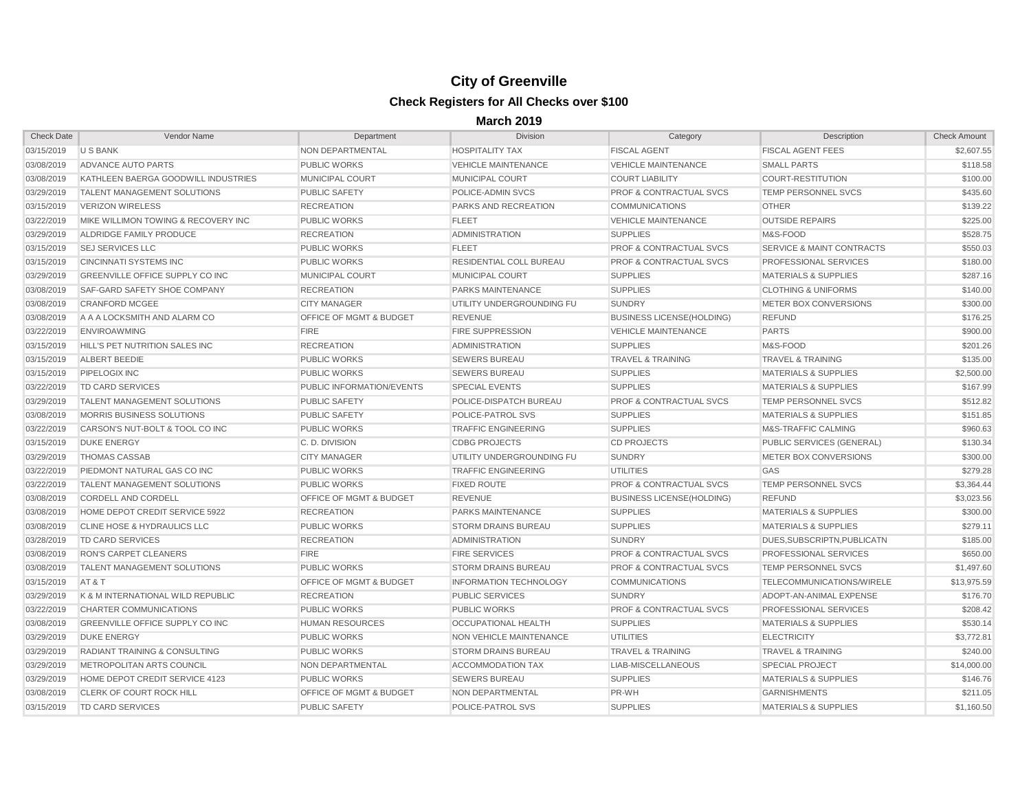| <b>Check Date</b> | Vendor Name                                   | Department                         | <b>Division</b>               | Category                           | Description                          | Check Amount |
|-------------------|-----------------------------------------------|------------------------------------|-------------------------------|------------------------------------|--------------------------------------|--------------|
| 03/15/2019        | U S BANK                                      | <b>NON DEPARTMENTAL</b>            | <b>HOSPITALITY TAX</b>        | <b>FISCAL AGENT</b>                | <b>FISCAL AGENT FEES</b>             | \$2,607.55   |
| 03/08/2019        | ADVANCE AUTO PARTS                            | <b>PUBLIC WORKS</b>                | <b>VEHICLE MAINTENANCE</b>    | <b>VEHICLE MAINTENANCE</b>         | <b>SMALL PARTS</b>                   | \$118.58     |
| 03/08/2019        | KATHLEEN BAERGA GOODWILL INDUSTRIES           | <b>MUNICIPAL COURT</b>             | <b>MUNICIPAL COURT</b>        | <b>COURT LIABILITY</b>             | COURT-RESTITUTION                    | \$100.00     |
| 03/29/2019        | <b>TALENT MANAGEMENT SOLUTIONS</b>            | <b>PUBLIC SAFETY</b>               | POLICE-ADMIN SVCS             | <b>PROF &amp; CONTRACTUAL SVCS</b> | <b>TEMP PERSONNEL SVCS</b>           | \$435.60     |
| 03/15/2019        | <b>VERIZON WIRELESS</b>                       | <b>RECREATION</b>                  | PARKS AND RECREATION          | <b>COMMUNICATIONS</b>              | <b>OTHER</b>                         | \$139.22     |
| 03/22/2019        | MIKE WILLIMON TOWING & RECOVERY INC           | <b>PUBLIC WORKS</b>                | <b>FLEET</b>                  | <b>VEHICLE MAINTENANCE</b>         | <b>OUTSIDE REPAIRS</b>               | \$225.00     |
| 03/29/2019        | ALDRIDGE FAMILY PRODUCE                       | <b>RECREATION</b>                  | <b>ADMINISTRATION</b>         | <b>SUPPLIES</b>                    | M&S-FOOD                             | \$528.75     |
| 03/15/2019        | <b>SEJ SERVICES LLC</b>                       | <b>PUBLIC WORKS</b>                | <b>FLEET</b>                  | <b>PROF &amp; CONTRACTUAL SVCS</b> | <b>SERVICE &amp; MAINT CONTRACTS</b> | \$550.03     |
| 03/15/2019        | <b>CINCINNATI SYSTEMS INC</b>                 | <b>PUBLIC WORKS</b>                | RESIDENTIAL COLL BUREAU       | <b>PROF &amp; CONTRACTUAL SVCS</b> | <b>PROFESSIONAL SERVICES</b>         | \$180.00     |
| 03/29/2019        | <b>GREENVILLE OFFICE SUPPLY CO INC.</b>       | <b>MUNICIPAL COURT</b>             | MUNICIPAL COURT               | <b>SUPPLIES</b>                    | <b>MATERIALS &amp; SUPPLIES</b>      | \$287.16     |
| 03/08/2019        | SAF-GARD SAFETY SHOE COMPANY                  | <b>RECREATION</b>                  | <b>PARKS MAINTENANCE</b>      | <b>SUPPLIES</b>                    | <b>CLOTHING &amp; UNIFORMS</b>       | \$140.00     |
| 03/08/2019        | <b>CRANFORD MCGEE</b>                         | <b>CITY MANAGER</b>                | UTILITY UNDERGROUNDING FU     | <b>SUNDRY</b>                      | METER BOX CONVERSIONS                | \$300.00     |
| 03/08/2019        | A A A LOCKSMITH AND ALARM CO                  | <b>OFFICE OF MGMT &amp; BUDGET</b> | <b>REVENUE</b>                | <b>BUSINESS LICENSE (HOLDING)</b>  | <b>REFUND</b>                        | \$176.25     |
| 03/22/2019        | <b>ENVIROAWMING</b>                           | <b>FIRE</b>                        | <b>FIRE SUPPRESSION</b>       | <b>VEHICLE MAINTENANCE</b>         | <b>PARTS</b>                         | \$900.00     |
| 03/15/2019        | <b>HILL'S PET NUTRITION SALES INC</b>         | <b>RECREATION</b>                  | <b>ADMINISTRATION</b>         | <b>SUPPLIES</b>                    | M&S-FOOD                             | \$201.26     |
| 03/15/2019        | ALBERT BEEDIE                                 | <b>PUBLIC WORKS</b>                | <b>SEWERS BUREAU</b>          | <b>TRAVEL &amp; TRAINING</b>       | <b>TRAVEL &amp; TRAINING</b>         | \$135.00     |
| 03/15/2019        | <b>PIPELOGIX INC</b>                          | <b>PUBLIC WORKS</b>                | <b>SEWERS BUREAU</b>          | <b>SUPPLIES</b>                    | <b>MATERIALS &amp; SUPPLIES</b>      | \$2,500.00   |
| 03/22/2019        | TD CARD SERVICES                              | PUBLIC INFORMATION/EVENTS          | <b>SPECIAL EVENTS</b>         | <b>SUPPLIES</b>                    | <b>MATERIALS &amp; SUPPLIES</b>      | \$167.99     |
| 03/29/2019        | <b>TALENT MANAGEMENT SOLUTIONS</b>            | <b>PUBLIC SAFETY</b>               | POLICE-DISPATCH BUREAU        | <b>PROF &amp; CONTRACTUAL SVCS</b> | <b>TEMP PERSONNEL SVCS</b>           | \$512.82     |
| 03/08/2019        | <b>MORRIS BUSINESS SOLUTIONS</b>              | <b>PUBLIC SAFETY</b>               | POLICE-PATROL SVS             | <b>SUPPLIES</b>                    | <b>MATERIALS &amp; SUPPLIES</b>      | \$151.85     |
| 03/22/2019        | CARSON'S NUT-BOLT & TOOL CO INC               | <b>PUBLIC WORKS</b>                | <b>TRAFFIC ENGINEERING</b>    | <b>SUPPLIES</b>                    | <b>M&amp;S-TRAFFIC CALMING</b>       | \$960.63     |
| 03/15/2019        | <b>DUKE ENERGY</b>                            | C.D. DIVISION                      | <b>CDBG PROJECTS</b>          | <b>CD PROJECTS</b>                 | PUBLIC SERVICES (GENERAL)            | \$130.34     |
| 03/29/2019        | <b>THOMAS CASSAB</b>                          | <b>CITY MANAGER</b>                | UTILITY UNDERGROUNDING FU     | <b>SUNDRY</b>                      | METER BOX CONVERSIONS                | \$300.00     |
| 03/22/2019        | PIEDMONT NATURAL GAS CO INC                   | <b>PUBLIC WORKS</b>                | <b>TRAFFIC ENGINEERING</b>    | <b>UTILITIES</b>                   | <b>GAS</b>                           | \$279.28     |
| 03/22/2019        | <b>TALENT MANAGEMENT SOLUTIONS</b>            | <b>PUBLIC WORKS</b>                | <b>FIXED ROUTE</b>            | <b>PROF &amp; CONTRACTUAL SVCS</b> | <b>TEMP PERSONNEL SVCS</b>           | \$3,364.44   |
| 03/08/2019        | <b>CORDELL AND CORDELL</b>                    | <b>OFFICE OF MGMT &amp; BUDGET</b> | <b>REVENUE</b>                | <b>BUSINESS LICENSE(HOLDING)</b>   | <b>REFUND</b>                        | \$3,023.56   |
| 03/08/2019        | <b>HOME DEPOT CREDIT SERVICE 5922</b>         | <b>RECREATION</b>                  | <b>PARKS MAINTENANCE</b>      | <b>SUPPLIES</b>                    | <b>MATERIALS &amp; SUPPLIES</b>      | \$300.00     |
| 03/08/2019        | <b>CLINE HOSE &amp; HYDRAULICS LLC</b>        | <b>PUBLIC WORKS</b>                | <b>STORM DRAINS BUREAU</b>    | <b>SUPPLIES</b>                    | <b>MATERIALS &amp; SUPPLIES</b>      | \$279.11     |
| 03/28/2019        | TD CARD SERVICES                              | <b>RECREATION</b>                  | <b>ADMINISTRATION</b>         | <b>SUNDRY</b>                      | DUES.SUBSCRIPTN.PUBLICATN            | \$185.00     |
| 03/08/2019        | <b>RON'S CARPET CLEANERS</b>                  | <b>FIRE</b>                        | <b>FIRE SERVICES</b>          | <b>PROF &amp; CONTRACTUAL SVCS</b> | <b>PROFESSIONAL SERVICES</b>         | \$650.00     |
| 03/08/2019        | <b>TALENT MANAGEMENT SOLUTIONS</b>            | PUBLIC WORKS                       | <b>STORM DRAINS BUREAU</b>    | <b>PROF &amp; CONTRACTUAL SVCS</b> | <b>TEMP PERSONNEL SVCS</b>           | \$1,497.60   |
| 03/15/2019 AT & T |                                               | <b>OFFICE OF MGMT &amp; BUDGET</b> | <b>INFORMATION TECHNOLOGY</b> | <b>COMMUNICATIONS</b>              | TELECOMMUNICATIONS/WIRELE            | \$13,975.59  |
| 03/29/2019        | <b>IK &amp; M INTERNATIONAL WILD REPUBLIC</b> | <b>RECREATION</b>                  | <b>PUBLIC SERVICES</b>        | <b>SUNDRY</b>                      | ADOPT-AN-ANIMAL EXPENSE              | \$176.70     |
| 03/22/2019        | <b>CHARTER COMMUNICATIONS</b>                 | <b>PUBLIC WORKS</b>                | <b>PUBLIC WORKS</b>           | <b>PROF &amp; CONTRACTUAL SVCS</b> | <b>PROFESSIONAL SERVICES</b>         | \$208.42     |
| 03/08/2019        | GREENVILLE OFFICE SUPPLY CO INC               | <b>HUMAN RESOURCES</b>             | OCCUPATIONAL HEALTH           | <b>SUPPLIES</b>                    | <b>MATERIALS &amp; SUPPLIES</b>      | \$530.14     |
| 03/29/2019        | <b>DUKE ENERGY</b>                            | <b>PUBLIC WORKS</b>                | NON VEHICLE MAINTENANCE       | <b>UTILITIES</b>                   | <b>ELECTRICITY</b>                   | \$3,772.81   |
| 03/29/2019        | <b>RADIANT TRAINING &amp; CONSULTING</b>      | <b>PUBLIC WORKS</b>                | <b>STORM DRAINS BUREAU</b>    | <b>TRAVEL &amp; TRAINING</b>       | <b>TRAVEL &amp; TRAINING</b>         | \$240.00     |
| 03/29/2019        | <b>IMETROPOLITAN ARTS COUNCIL</b>             | NON DEPARTMENTAL                   | <b>ACCOMMODATION TAX</b>      | LIAB-MISCELLANEOUS                 | <b>SPECIAL PROJECT</b>               | \$14,000.00  |
| 03/29/2019        | <b>HOME DEPOT CREDIT SERVICE 4123</b>         | <b>PUBLIC WORKS</b>                | <b>SEWERS BUREAU</b>          | <b>SUPPLIES</b>                    | <b>MATERIALS &amp; SUPPLIES</b>      | \$146.76     |
| 03/08/2019        | <b>ICLERK OF COURT ROCK HILL</b>              | <b>OFFICE OF MGMT &amp; BUDGET</b> | <b>NON DEPARTMENTAL</b>       | PR-WH                              | <b>GARNISHMENTS</b>                  | \$211.05     |
| 03/15/2019        | TD CARD SERVICES                              | <b>PUBLIC SAFETY</b>               | POLICE-PATROL SVS             | <b>SUPPLIES</b>                    | <b>MATERIALS &amp; SUPPLIES</b>      | \$1,160.50   |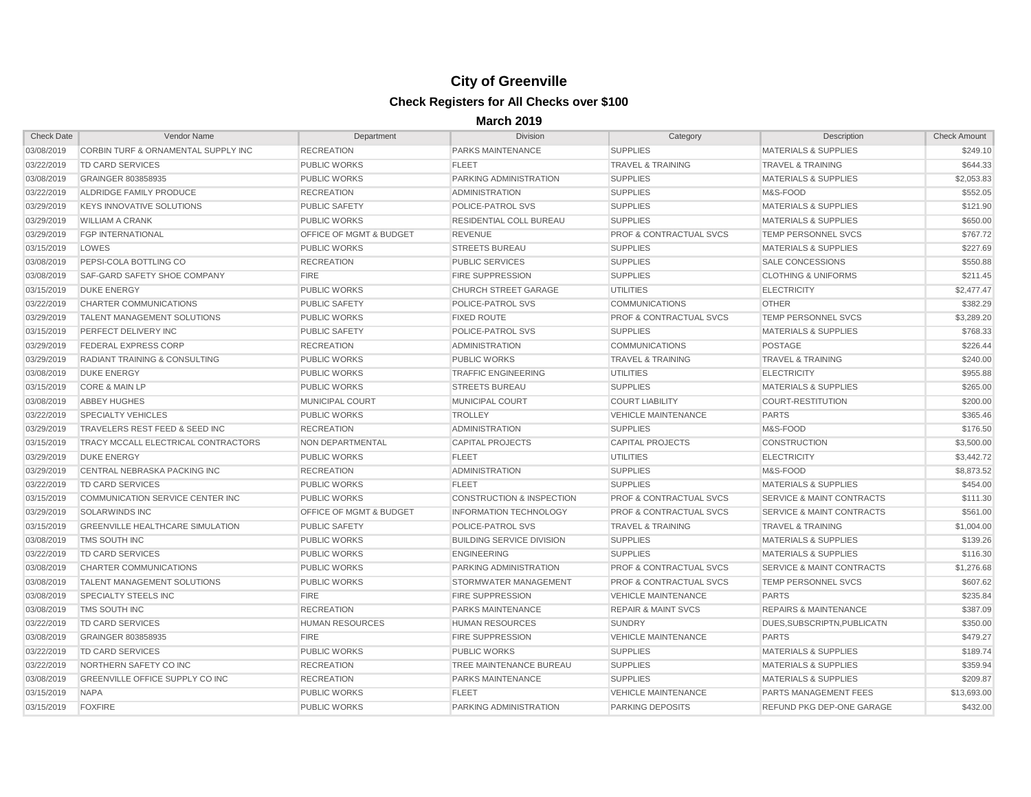| <b>Check Date</b> | Vendor Name                               | Department                         | Division                             | Category                           | Description                          | <b>Check Amount</b> |
|-------------------|-------------------------------------------|------------------------------------|--------------------------------------|------------------------------------|--------------------------------------|---------------------|
| 03/08/2019        | CORBIN TURF & ORNAMENTAL SUPPLY INC       | <b>RECREATION</b>                  | <b>PARKS MAINTENANCE</b>             | <b>SUPPLIES</b>                    | <b>MATERIALS &amp; SUPPLIES</b>      | \$249.10            |
| 03/22/2019        | TD CARD SERVICES                          | <b>PUBLIC WORKS</b>                | <b>FLEET</b>                         | <b>TRAVEL &amp; TRAINING</b>       | <b>TRAVEL &amp; TRAINING</b>         | \$644.33            |
| 03/08/2019        | <b>GRAINGER 803858935</b>                 | <b>PUBLIC WORKS</b>                | <b>PARKING ADMINISTRATION</b>        | <b>SUPPLIES</b>                    | <b>MATERIALS &amp; SUPPLIES</b>      | \$2,053.83          |
| 03/22/2019        | ALDRIDGE FAMILY PRODUCE                   | <b>RECREATION</b>                  | ADMINISTRATION                       | <b>SUPPLIES</b>                    | M&S-FOOD                             | \$552.05            |
| 03/29/2019        | <b>KEYS INNOVATIVE SOLUTIONS</b>          | <b>PUBLIC SAFETY</b>               | POLICE-PATROL SVS                    | <b>SUPPLIES</b>                    | <b>MATERIALS &amp; SUPPLIES</b>      | \$121.90            |
| 03/29/2019        | <b>WILLIAM A CRANK</b>                    | <b>PUBLIC WORKS</b>                | <b>RESIDENTIAL COLL BUREAU</b>       | <b>SUPPLIES</b>                    | <b>MATERIALS &amp; SUPPLIES</b>      | \$650.00            |
| 03/29/2019        | <b>FGP INTERNATIONAL</b>                  | <b>OFFICE OF MGMT &amp; BUDGET</b> | <b>REVENUE</b>                       | <b>PROF &amp; CONTRACTUAL SVCS</b> | <b>TEMP PERSONNEL SVCS</b>           | \$767.72            |
| 03/15/2019        | LOWES                                     | <b>PUBLIC WORKS</b>                | <b>STREETS BUREAU</b>                | <b>SUPPLIES</b>                    | <b>MATERIALS &amp; SUPPLIES</b>      | \$227.69            |
| 03/08/2019        | <b>PEPSI-COLA BOTTLING CO</b>             | <b>RECREATION</b>                  | <b>PUBLIC SERVICES</b>               | <b>SUPPLIES</b>                    | SALE CONCESSIONS                     | \$550.88            |
| 03/08/2019        | <b>SAF-GARD SAFETY SHOE COMPANY</b>       | <b>FIRE</b>                        | <b>FIRE SUPPRESSION</b>              | <b>SUPPLIES</b>                    | <b>CLOTHING &amp; UNIFORMS</b>       | \$211.45            |
| 03/15/2019        | <b>DUKE ENERGY</b>                        | <b>PUBLIC WORKS</b>                | <b>CHURCH STREET GARAGE</b>          | <b>UTILITIES</b>                   | <b>ELECTRICITY</b>                   | \$2,477.47          |
| 03/22/2019        | <b>CHARTER COMMUNICATIONS</b>             | <b>PUBLIC SAFETY</b>               | POLICE-PATROL SVS                    | <b>COMMUNICATIONS</b>              | <b>OTHER</b>                         | \$382.29            |
| 03/29/2019        | <b>TALENT MANAGEMENT SOLUTIONS</b>        | <b>PUBLIC WORKS</b>                | <b>FIXED ROUTE</b>                   | <b>PROF &amp; CONTRACTUAL SVCS</b> | <b>TEMP PERSONNEL SVCS</b>           | \$3,289.20          |
| 03/15/2019        | PERFECT DELIVERY INC                      | <b>PUBLIC SAFETY</b>               | <b>POLICE-PATROL SVS</b>             | <b>SUPPLIES</b>                    | <b>MATERIALS &amp; SUPPLIES</b>      | \$768.33            |
| 03/29/2019        | <b>FEDERAL EXPRESS CORP</b>               | <b>RECREATION</b>                  | <b>ADMINISTRATION</b>                | <b>COMMUNICATIONS</b>              | <b>POSTAGE</b>                       | \$226.44            |
| 03/29/2019        | <b>RADIANT TRAINING &amp; CONSULTING</b>  | <b>PUBLIC WORKS</b>                | <b>PUBLIC WORKS</b>                  | <b>TRAVEL &amp; TRAINING</b>       | <b>TRAVEL &amp; TRAINING</b>         | \$240.00            |
| 03/08/2019        | <b>DUKE ENERGY</b>                        | <b>PUBLIC WORKS</b>                | <b>TRAFFIC ENGINEERING</b>           | <b>UTILITIES</b>                   | <b>ELECTRICITY</b>                   | \$955.88            |
| 03/15/2019        | <b>CORE &amp; MAIN LP</b>                 | <b>PUBLIC WORKS</b>                | <b>STREETS BUREAU</b>                | <b>SUPPLIES</b>                    | <b>MATERIALS &amp; SUPPLIES</b>      | \$265.00            |
| 03/08/2019        | <b>ABBEY HUGHES</b>                       | <b>MUNICIPAL COURT</b>             | MUNICIPAL COURT                      | <b>COURT LIABILITY</b>             | <b>COURT-RESTITUTION</b>             | \$200.00            |
| 03/22/2019        | <b>SPECIALTY VEHICLES</b>                 | <b>PUBLIC WORKS</b>                | <b>TROLLEY</b>                       | <b>VEHICLE MAINTENANCE</b>         | <b>PARTS</b>                         | \$365.46            |
| 03/29/2019        | TRAVELERS REST FEED & SEED INC            | <b>RECREATION</b>                  | <b>ADMINISTRATION</b>                | <b>SUPPLIES</b>                    | M&S-FOOD                             | \$176.50            |
| 03/15/2019        | TRACY MCCALL ELECTRICAL CONTRACTORS       | <b>NON DEPARTMENTAL</b>            | <b>CAPITAL PROJECTS</b>              | <b>CAPITAL PROJECTS</b>            | <b>CONSTRUCTION</b>                  | \$3,500.00          |
| 03/29/2019        | <b>DUKE ENERGY</b>                        | <b>PUBLIC WORKS</b>                | <b>FLEET</b>                         | <b>UTILITIES</b>                   | <b>ELECTRICITY</b>                   | \$3,442.72          |
| 03/29/2019        | CENTRAL NEBRASKA PACKING INC              | <b>RECREATION</b>                  | ADMINISTRATION                       | <b>SUPPLIES</b>                    | M&S-FOOD                             | \$8,873.52          |
| 03/22/2019        | TD CARD SERVICES                          | <b>PUBLIC WORKS</b>                | <b>FLEET</b>                         | <b>SUPPLIES</b>                    | <b>MATERIALS &amp; SUPPLIES</b>      | \$454.00            |
| 03/15/2019        | COMMUNICATION SERVICE CENTER INC          | <b>PUBLIC WORKS</b>                | <b>CONSTRUCTION &amp; INSPECTION</b> | <b>PROF &amp; CONTRACTUAL SVCS</b> | <b>SERVICE &amp; MAINT CONTRACTS</b> | \$111.30            |
| 03/29/2019        | <b>SOLARWINDS INC</b>                     | <b>OFFICE OF MGMT &amp; BUDGET</b> | <b>INFORMATION TECHNOLOGY</b>        | <b>PROF &amp; CONTRACTUAL SVCS</b> | <b>SERVICE &amp; MAINT CONTRACTS</b> | \$561.00            |
| 03/15/2019        | <b>GREENVILLE HEALTHCARE SIMULATION</b>   | <b>PUBLIC SAFETY</b>               | POLICE-PATROL SVS                    | <b>TRAVEL &amp; TRAINING</b>       | <b>TRAVEL &amp; TRAINING</b>         | \$1,004.00          |
| 03/08/2019        | TMS SOUTH INC                             | <b>PUBLIC WORKS</b>                | <b>BUILDING SERVICE DIVISION</b>     | <b>SUPPLIES</b>                    | <b>MATERIALS &amp; SUPPLIES</b>      | \$139.26            |
| 03/22/2019        | <b>TD CARD SERVICES</b>                   | <b>PUBLIC WORKS</b>                | <b>ENGINEERING</b>                   | <b>SUPPLIES</b>                    | <b>MATERIALS &amp; SUPPLIES</b>      | \$116.30            |
| 03/08/2019        | <b>CHARTER COMMUNICATIONS</b>             | <b>PUBLIC WORKS</b>                | PARKING ADMINISTRATION               | <b>PROF &amp; CONTRACTUAL SVCS</b> | <b>SERVICE &amp; MAINT CONTRACTS</b> | \$1,276.68          |
|                   | 03/08/2019    TALENT MANAGEMENT SOLUTIONS | <b>PUBLIC WORKS</b>                | STORMWATER MANAGEMENT                | <b>PROF &amp; CONTRACTUAL SVCS</b> | TEMP PERSONNEL SVCS                  | \$607.62            |
| 03/08/2019        | <b>SPECIALTY STEELS INC</b>               | <b>FIRE</b>                        | <b>FIRE SUPPRESSION</b>              | <b>VEHICLE MAINTENANCE</b>         | <b>PARTS</b>                         | \$235.84            |
| 03/08/2019        | TMS SOUTH INC                             | <b>RECREATION</b>                  | <b>PARKS MAINTENANCE</b>             | <b>REPAIR &amp; MAINT SVCS</b>     | <b>REPAIRS &amp; MAINTENANCE</b>     | \$387.09            |
| 03/22/2019        | TD CARD SERVICES                          | <b>HUMAN RESOURCES</b>             | <b>HUMAN RESOURCES</b>               | <b>SUNDRY</b>                      | DUES, SUBSCRIPTN, PUBLICATN          | \$350.00            |
| 03/08/2019        | <b>GRAINGER 803858935</b>                 | <b>FIRE</b>                        | <b>FIRE SUPPRESSION</b>              | <b>VEHICLE MAINTENANCE</b>         | <b>PARTS</b>                         | \$479.27            |
| 03/22/2019        | <b>TD CARD SERVICES</b>                   | <b>PUBLIC WORKS</b>                | <b>PUBLIC WORKS</b>                  | <b>SUPPLIES</b>                    | <b>MATERIALS &amp; SUPPLIES</b>      | \$189.74            |
| 03/22/2019        | NORTHERN SAFETY CO INC                    | <b>RECREATION</b>                  | TREE MAINTENANCE BUREAU              | <b>SUPPLIES</b>                    | <b>MATERIALS &amp; SUPPLIES</b>      | \$359.94            |
| 03/08/2019        | <b>GREENVILLE OFFICE SUPPLY CO INC</b>    | <b>RECREATION</b>                  | <b>PARKS MAINTENANCE</b>             | <b>SUPPLIES</b>                    | <b>MATERIALS &amp; SUPPLIES</b>      | \$209.87            |
| 03/15/2019        | <b>NAPA</b>                               | <b>PUBLIC WORKS</b>                | <b>FLEET</b>                         | <b>VEHICLE MAINTENANCE</b>         | PARTS MANAGEMENT FEES                | \$13,693.00         |
| 03/15/2019        | <b>FOXFIRE</b>                            | <b>PUBLIC WORKS</b>                | PARKING ADMINISTRATION               | <b>PARKING DEPOSITS</b>            | REFUND PKG DEP-ONE GARAGE            | \$432.00            |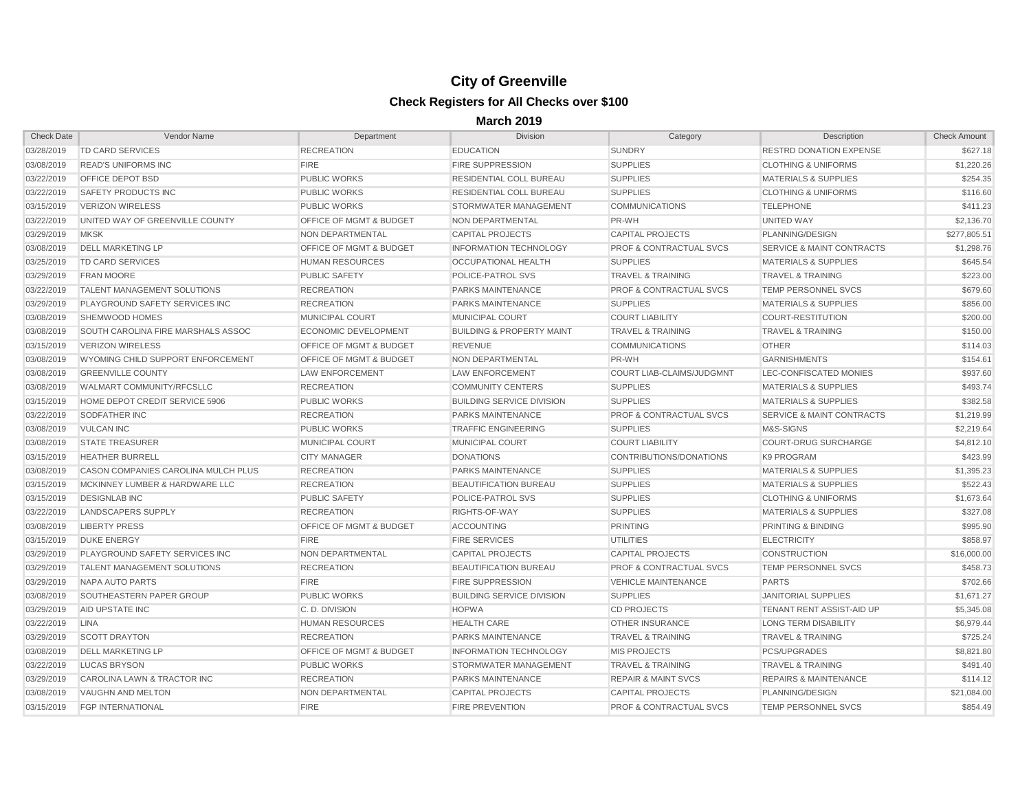| <b>Check Date</b> | Vendor Name                           | Department                         | <b>Division</b>                      | Category                           | Description                          | <b>Check Amount</b> |
|-------------------|---------------------------------------|------------------------------------|--------------------------------------|------------------------------------|--------------------------------------|---------------------|
| 03/28/2019        | <b>TD CARD SERVICES</b>               | <b>RECREATION</b>                  | <b>EDUCATION</b>                     | <b>SUNDRY</b>                      | <b>RESTRD DONATION EXPENSE</b>       | \$627.18            |
| 03/08/2019        | <b>READ'S UNIFORMS INC</b>            | <b>FIRE</b>                        | <b>FIRE SUPPRESSION</b>              | <b>SUPPLIES</b>                    | <b>CLOTHING &amp; UNIFORMS</b>       | \$1,220.26          |
| 03/22/2019        | OFFICE DEPOT BSD                      | <b>PUBLIC WORKS</b>                | <b>RESIDENTIAL COLL BUREAU</b>       | <b>SUPPLIES</b>                    | <b>MATERIALS &amp; SUPPLIES</b>      | \$254.35            |
| 03/22/2019        | SAFETY PRODUCTS INC                   | <b>PUBLIC WORKS</b>                | RESIDENTIAL COLL BUREAU              | <b>SUPPLIES</b>                    | <b>CLOTHING &amp; UNIFORMS</b>       | \$116.60            |
| 03/15/2019        | <b>VERIZON WIRELESS</b>               | <b>PUBLIC WORKS</b>                | STORMWATER MANAGEMENT                | <b>COMMUNICATIONS</b>              | <b>TELEPHONE</b>                     | \$411.23            |
| 03/22/2019        | UNITED WAY OF GREENVILLE COUNTY       | <b>OFFICE OF MGMT &amp; BUDGET</b> | NON DEPARTMENTAL                     | PR-WH                              | UNITED WAY                           | \$2,136.70          |
| 03/29/2019        | <b>MKSK</b>                           | NON DEPARTMENTAL                   | <b>CAPITAL PROJECTS</b>              | <b>CAPITAL PROJECTS</b>            | PLANNING/DESIGN                      | \$277,805.51        |
| 03/08/2019        | <b>DELL MARKETING LP</b>              | <b>OFFICE OF MGMT &amp; BUDGET</b> | <b>INFORMATION TECHNOLOGY</b>        | <b>PROF &amp; CONTRACTUAL SVCS</b> | <b>SERVICE &amp; MAINT CONTRACTS</b> | \$1,298.76          |
| 03/25/2019        | <b>TD CARD SERVICES</b>               | <b>HUMAN RESOURCES</b>             | OCCUPATIONAL HEALTH                  | <b>SUPPLIES</b>                    | <b>MATERIALS &amp; SUPPLIES</b>      | \$645.54            |
| 03/29/2019        | <b>FRAN MOORE</b>                     | <b>PUBLIC SAFETY</b>               | <b>POLICE-PATROL SVS</b>             | <b>TRAVEL &amp; TRAINING</b>       | <b>TRAVEL &amp; TRAINING</b>         | \$223.00            |
| 03/22/2019        | <b>TALENT MANAGEMENT SOLUTIONS</b>    | <b>RECREATION</b>                  | <b>PARKS MAINTENANCE</b>             | <b>PROF &amp; CONTRACTUAL SVCS</b> | <b>TEMP PERSONNEL SVCS</b>           | \$679.60            |
| 03/29/2019        | <b>PLAYGROUND SAFETY SERVICES INC</b> | <b>RECREATION</b>                  | <b>PARKS MAINTENANCE</b>             | <b>SUPPLIES</b>                    | <b>MATERIALS &amp; SUPPLIES</b>      | \$856.00            |
| 03/08/2019        | SHEMWOOD HOMES                        | MUNICIPAL COURT                    | MUNICIPAL COURT                      | <b>COURT LIABILITY</b>             | <b>COURT-RESTITUTION</b>             | \$200.00            |
| 03/08/2019        | SOUTH CAROLINA FIRE MARSHALS ASSOC    | <b>ECONOMIC DEVELOPMENT</b>        | <b>BUILDING &amp; PROPERTY MAINT</b> | <b>TRAVEL &amp; TRAINING</b>       | <b>TRAVEL &amp; TRAINING</b>         | \$150.00            |
| 03/15/2019        | <b>VERIZON WIRELESS</b>               | <b>OFFICE OF MGMT &amp; BUDGET</b> | <b>REVENUE</b>                       | <b>COMMUNICATIONS</b>              | <b>OTHER</b>                         | \$114.03            |
| 03/08/2019        | WYOMING CHILD SUPPORT ENFORCEMENT     | <b>OFFICE OF MGMT &amp; BUDGET</b> | NON DEPARTMENTAL                     | PR-WH                              | <b>GARNISHMENTS</b>                  | \$154.61            |
| 03/08/2019        | <b>GREENVILLE COUNTY</b>              | <b>LAW ENFORCEMENT</b>             | <b>LAW ENFORCEMENT</b>               | <b>COURT LIAB-CLAIMS/JUDGMNT</b>   | LEC-CONFISCATED MONIES               | \$937.60            |
| 03/08/2019        | WALMART COMMUNITY/RFCSLLC             | <b>RECREATION</b>                  | <b>COMMUNITY CENTERS</b>             | <b>SUPPLIES</b>                    | <b>MATERIALS &amp; SUPPLIES</b>      | \$493.74            |
| 03/15/2019        | HOME DEPOT CREDIT SERVICE 5906        | <b>PUBLIC WORKS</b>                | <b>BUILDING SERVICE DIVISION</b>     | <b>SUPPLIES</b>                    | <b>MATERIALS &amp; SUPPLIES</b>      | \$382.58            |
| 03/22/2019        | <b>SODFATHER INC</b>                  | <b>RECREATION</b>                  | <b>PARKS MAINTENANCE</b>             | <b>PROF &amp; CONTRACTUAL SVCS</b> | <b>SERVICE &amp; MAINT CONTRACTS</b> | \$1,219.99          |
| 03/08/2019        | VULCAN INC                            | <b>PUBLIC WORKS</b>                | <b>TRAFFIC ENGINEERING</b>           | <b>SUPPLIES</b>                    | M&S-SIGNS                            | \$2,219.64          |
| 03/08/2019        | <b>STATE TREASURER</b>                | <b>MUNICIPAL COURT</b>             | MUNICIPAL COURT                      | <b>COURT LIABILITY</b>             | <b>COURT-DRUG SURCHARGE</b>          | \$4,812.10          |
| 03/15/2019        | <b>HEATHER BURRELL</b>                | <b>CITY MANAGER</b>                | <b>DONATIONS</b>                     | CONTRIBUTIONS/DONATIONS            | K9 PROGRAM                           | \$423.99            |
| 03/08/2019        | CASON COMPANIES CAROLINA MULCH PLUS   | <b>RECREATION</b>                  | <b>PARKS MAINTENANCE</b>             | <b>SUPPLIES</b>                    | <b>MATERIALS &amp; SUPPLIES</b>      | \$1,395.23          |
| 03/15/2019        | MCKINNEY LUMBER & HARDWARE LLC        | <b>RECREATION</b>                  | <b>BEAUTIFICATION BUREAU</b>         | <b>SUPPLIES</b>                    | <b>MATERIALS &amp; SUPPLIES</b>      | \$522.43            |
| 03/15/2019        | <b>DESIGNLAB INC</b>                  | <b>PUBLIC SAFETY</b>               | <b>POLICE-PATROL SVS</b>             | <b>SUPPLIES</b>                    | <b>CLOTHING &amp; UNIFORMS</b>       | \$1,673.64          |
| 03/22/2019        | LANDSCAPERS SUPPLY                    | <b>RECREATION</b>                  | RIGHTS-OF-WAY                        | <b>SUPPLIES</b>                    | <b>MATERIALS &amp; SUPPLIES</b>      | \$327.08            |
| 03/08/2019        | <b>LIBERTY PRESS</b>                  | <b>OFFICE OF MGMT &amp; BUDGET</b> | <b>ACCOUNTING</b>                    | PRINTING                           | <b>PRINTING &amp; BINDING</b>        | \$995.90            |
| 03/15/2019        | <b>DUKE ENERGY</b>                    | <b>FIRE</b>                        | <b>FIRE SERVICES</b>                 | <b>UTILITIES</b>                   | <b>ELECTRICITY</b>                   | \$858.97            |
| 03/29/2019        | <b>PLAYGROUND SAFETY SERVICES INC</b> | NON DEPARTMENTAL                   | <b>CAPITAL PROJECTS</b>              | <b>CAPITAL PROJECTS</b>            | <b>CONSTRUCTION</b>                  | \$16,000.00         |
| 03/29/2019        | <b>TALENT MANAGEMENT SOLUTIONS</b>    | <b>RECREATION</b>                  | <b>BEAUTIFICATION BUREAU</b>         | <b>PROF &amp; CONTRACTUAL SVCS</b> | <b>TEMP PERSONNEL SVCS</b>           | \$458.73            |
| 03/29/2019        | NAPA AUTO PARTS                       | <b>FIRE</b>                        | <b>FIRE SUPPRESSION</b>              | VEHICLE MAINTENANCE                | <b>PARTS</b>                         | \$702.66            |
| 03/08/2019        | <b>SOUTHEASTERN PAPER GROUP</b>       | <b>PUBLIC WORKS</b>                | <b>BUILDING SERVICE DIVISION</b>     | <b>SUPPLIES</b>                    | <b>JANITORIAL SUPPLIES</b>           | \$1,671.27          |
| 03/29/2019        | <b>AID UPSTATE INC</b>                | C.D. DIVISION                      | <b>HOPWA</b>                         | <b>CD PROJECTS</b>                 | TENANT RENT ASSIST-AID UP            | \$5,345.08          |
| 03/22/2019        | LINA                                  | <b>HUMAN RESOURCES</b>             | <b>HEALTH CARE</b>                   | <b>OTHER INSURANCE</b>             | <b>LONG TERM DISABILITY</b>          | \$6,979.44          |
| 03/29/2019        | <b>SCOTT DRAYTON</b>                  | <b>RECREATION</b>                  | <b>PARKS MAINTENANCE</b>             | <b>TRAVEL &amp; TRAINING</b>       | TRAVEL & TRAINING                    | \$725.24            |
| 03/08/2019        | <b>IDELL MARKETING LP</b>             | <b>OFFICE OF MGMT &amp; BUDGET</b> | <b>INFORMATION TECHNOLOGY</b>        | <b>MIS PROJECTS</b>                | PCS/UPGRADES                         | \$8,821.80          |
| 03/22/2019        | LUCAS BRYSON                          | <b>PUBLIC WORKS</b>                | STORMWATER MANAGEMENT                | <b>TRAVEL &amp; TRAINING</b>       | <b>TRAVEL &amp; TRAINING</b>         | \$491.40            |
| 03/29/2019        | CAROLINA LAWN & TRACTOR INC           | <b>RECREATION</b>                  | <b>PARKS MAINTENANCE</b>             | <b>REPAIR &amp; MAINT SVCS</b>     | <b>REPAIRS &amp; MAINTENANCE</b>     | \$114.12            |
| 03/08/2019        | VAUGHN AND MELTON                     | NON DEPARTMENTAL                   | <b>CAPITAL PROJECTS</b>              | CAPITAL PROJECTS                   | PLANNING/DESIGN                      | \$21,084.00         |
| 03/15/2019        | <b>FGP INTERNATIONAL</b>              | <b>FIRE</b>                        | <b>FIRE PREVENTION</b>               | <b>PROF &amp; CONTRACTUAL SVCS</b> | <b>TEMP PERSONNEL SVCS</b>           | \$854.49            |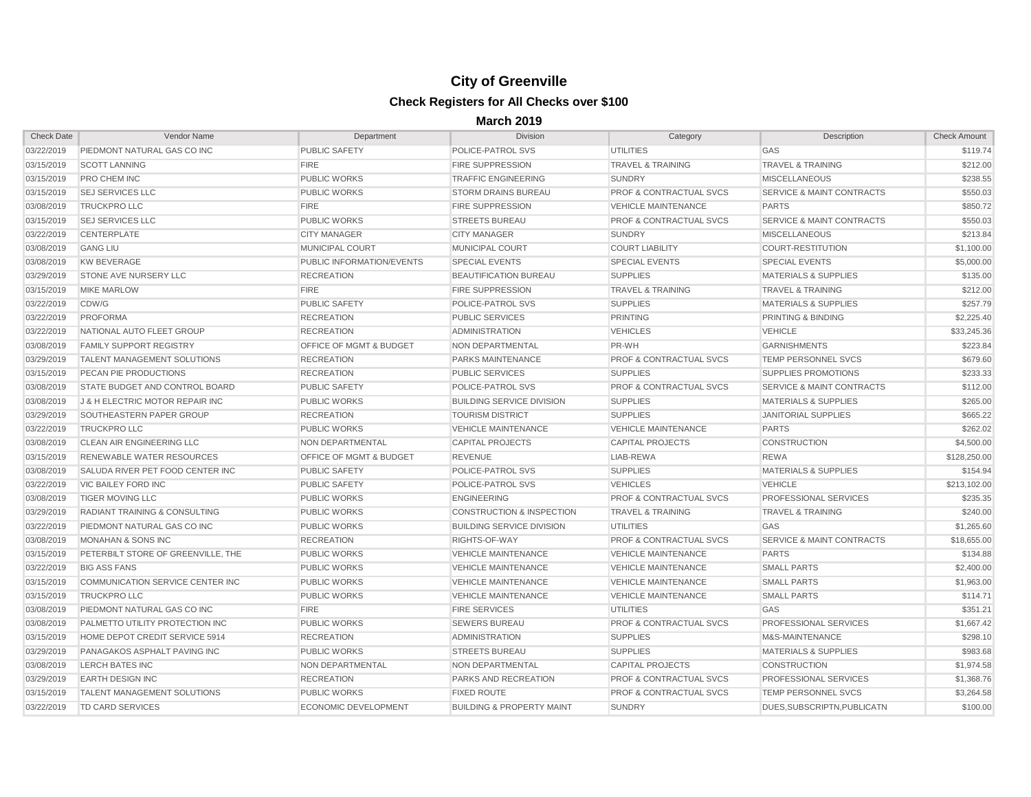| <b>Check Date</b> | Vendor Name                              | Department                         | <b>Division</b>                      | Category                           | Description                          | <b>Check Amount</b> |
|-------------------|------------------------------------------|------------------------------------|--------------------------------------|------------------------------------|--------------------------------------|---------------------|
| 03/22/2019        | PIEDMONT NATURAL GAS CO INC              | <b>PUBLIC SAFETY</b>               | POLICE-PATROL SVS                    | <b>UTILITIES</b>                   | <b>GAS</b>                           | \$119.74            |
| 03/15/2019        | <b>SCOTT LANNING</b>                     | <b>FIRE</b>                        | <b>FIRE SUPPRESSION</b>              | <b>TRAVEL &amp; TRAINING</b>       | <b>TRAVEL &amp; TRAINING</b>         | \$212.00            |
| 03/15/2019        | <b>PRO CHEM INC</b>                      | <b>PUBLIC WORKS</b>                | <b>TRAFFIC ENGINEERING</b>           | <b>SUNDRY</b>                      | <b>MISCELLANEOUS</b>                 | \$238.55            |
| 03/15/2019        | <b>SEJ SERVICES LLC</b>                  | <b>PUBLIC WORKS</b>                | <b>STORM DRAINS BUREAU</b>           | <b>PROF &amp; CONTRACTUAL SVCS</b> | <b>SERVICE &amp; MAINT CONTRACTS</b> | \$550.03            |
| 03/08/2019        | <b>TRUCKPRO LLC</b>                      | <b>FIRE</b>                        | <b>FIRE SUPPRESSION</b>              | <b>VEHICLE MAINTENANCE</b>         | <b>PARTS</b>                         | \$850.72            |
| 03/15/2019        | <b>SEJ SERVICES LLC</b>                  | <b>PUBLIC WORKS</b>                | <b>STREETS BUREAU</b>                | <b>PROF &amp; CONTRACTUAL SVCS</b> | <b>SERVICE &amp; MAINT CONTRACTS</b> | \$550.03            |
| 03/22/2019        | <b>CENTERPLATE</b>                       | <b>CITY MANAGER</b>                | <b>CITY MANAGER</b>                  | <b>SUNDRY</b>                      | <b>MISCELLANEOUS</b>                 | \$213.84            |
| 03/08/2019        | <b>GANG LIU</b>                          | <b>MUNICIPAL COURT</b>             | <b>MUNICIPAL COURT</b>               | <b>COURT LIABILITY</b>             | COURT-RESTITUTION                    | \$1,100.00          |
| 03/08/2019        | KW BEVERAGE                              | <b>PUBLIC INFORMATION/EVENTS</b>   | <b>SPECIAL EVENTS</b>                | <b>SPECIAL EVENTS</b>              | <b>SPECIAL EVENTS</b>                | \$5,000.00          |
| 03/29/2019        | <b>STONE AVE NURSERY LLC</b>             | <b>RECREATION</b>                  | <b>BEAUTIFICATION BUREAU</b>         | <b>SUPPLIES</b>                    | <b>MATERIALS &amp; SUPPLIES</b>      | \$135.00            |
| 03/15/2019        | <b>MIKE MARLOW</b>                       | <b>FIRE</b>                        | <b>FIRE SUPPRESSION</b>              | <b>TRAVEL &amp; TRAINING</b>       | <b>TRAVEL &amp; TRAINING</b>         | \$212.00            |
| 03/22/2019        | CDW/G                                    | <b>PUBLIC SAFETY</b>               | <b>POLICE-PATROL SVS</b>             | <b>SUPPLIES</b>                    | <b>MATERIALS &amp; SUPPLIES</b>      | \$257.79            |
| 03/22/2019        | PROFORMA                                 | <b>RECREATION</b>                  | <b>PUBLIC SERVICES</b>               | <b>PRINTING</b>                    | <b>PRINTING &amp; BINDING</b>        | \$2,225.40          |
| 03/22/2019        | NATIONAL AUTO FLEET GROUP                | <b>RECREATION</b>                  | <b>ADMINISTRATION</b>                | <b>VEHICLES</b>                    | <b>VEHICLE</b>                       | \$33,245.36         |
| 03/08/2019        | <b>FAMILY SUPPORT REGISTRY</b>           | <b>OFFICE OF MGMT &amp; BUDGET</b> | NON DEPARTMENTAL                     | PR-WH                              | <b>GARNISHMENTS</b>                  | \$223.84            |
| 03/29/2019        | <b>TALENT MANAGEMENT SOLUTIONS</b>       | <b>RECREATION</b>                  | <b>PARKS MAINTENANCE</b>             | <b>PROF &amp; CONTRACTUAL SVCS</b> | <b>TEMP PERSONNEL SVCS</b>           | \$679.60            |
| 03/15/2019        | <b>PECAN PIE PRODUCTIONS</b>             | <b>RECREATION</b>                  | <b>PUBLIC SERVICES</b>               | <b>SUPPLIES</b>                    | <b>SUPPLIES PROMOTIONS</b>           | \$233.33            |
| 03/08/2019        | STATE BUDGET AND CONTROL BOARD           | <b>PUBLIC SAFETY</b>               | <b>POLICE-PATROL SVS</b>             | <b>PROF &amp; CONTRACTUAL SVCS</b> | <b>SERVICE &amp; MAINT CONTRACTS</b> | \$112.00            |
| 03/08/2019        | J & H ELECTRIC MOTOR REPAIR INC          | <b>PUBLIC WORKS</b>                | <b>BUILDING SERVICE DIVISION</b>     | <b>SUPPLIES</b>                    | <b>MATERIALS &amp; SUPPLIES</b>      | \$265.00            |
| 03/29/2019        | SOUTHEASTERN PAPER GROUP                 | <b>RECREATION</b>                  | <b>TOURISM DISTRICT</b>              | <b>SUPPLIES</b>                    | <b>JANITORIAL SUPPLIES</b>           | \$665.22            |
| 03/22/2019        | <b>TRUCKPRO LLC</b>                      | <b>PUBLIC WORKS</b>                | <b>VEHICLE MAINTENANCE</b>           | <b>VEHICLE MAINTENANCE</b>         | <b>PARTS</b>                         | \$262.02            |
| 03/08/2019        | CLEAN AIR ENGINEERING LLC                | NON DEPARTMENTAL                   | <b>CAPITAL PROJECTS</b>              | <b>CAPITAL PROJECTS</b>            | <b>CONSTRUCTION</b>                  | \$4,500.00          |
| 03/15/2019        | <b>RENEWABLE WATER RESOURCES</b>         | <b>OFFICE OF MGMT &amp; BUDGET</b> | <b>REVENUE</b>                       | LIAB-REWA                          | <b>REWA</b>                          | \$128,250.00        |
| 03/08/2019        | <b>SALUDA RIVER PET FOOD CENTER INC</b>  | <b>PUBLIC SAFETY</b>               | POLICE-PATROL SVS                    | <b>SUPPLIES</b>                    | <b>MATERIALS &amp; SUPPLIES</b>      | \$154.94            |
| 03/22/2019        | <b>VIC BAILEY FORD INC</b>               | <b>PUBLIC SAFETY</b>               | <b>POLICE-PATROL SVS</b>             | <b>VEHICLES</b>                    | <b>VEHICLE</b>                       | \$213,102.00        |
| 03/08/2019        | <b>TIGER MOVING LLC</b>                  | <b>PUBLIC WORKS</b>                | <b>ENGINEERING</b>                   | <b>PROF &amp; CONTRACTUAL SVCS</b> | <b>PROFESSIONAL SERVICES</b>         | \$235.35            |
| 03/29/2019        | <b>RADIANT TRAINING &amp; CONSULTING</b> | <b>PUBLIC WORKS</b>                | <b>CONSTRUCTION &amp; INSPECTION</b> | <b>TRAVEL &amp; TRAINING</b>       | <b>TRAVEL &amp; TRAINING</b>         | \$240.00            |
| 03/22/2019        | PIEDMONT NATURAL GAS CO INC              | <b>PUBLIC WORKS</b>                | <b>BUILDING SERVICE DIVISION</b>     | <b>UTILITIES</b>                   | <b>GAS</b>                           | \$1,265.60          |
| 03/08/2019        | MONAHAN & SONS INC                       | <b>RECREATION</b>                  | RIGHTS-OF-WAY                        | <b>PROF &amp; CONTRACTUAL SVCS</b> | <b>SERVICE &amp; MAINT CONTRACTS</b> | \$18,655.00         |
| 03/15/2019        | PETERBILT STORE OF GREENVILLE, THE       | <b>PUBLIC WORKS</b>                | <b>VEHICLE MAINTENANCE</b>           | <b>VEHICLE MAINTENANCE</b>         | <b>PARTS</b>                         | \$134.88            |
| 03/22/2019        | <b>BIG ASS FANS</b>                      | <b>PUBLIC WORKS</b>                | <b>VEHICLE MAINTENANCE</b>           | <b>VEHICLE MAINTENANCE</b>         | <b>SMALL PARTS</b>                   | \$2,400.00          |
| 03/15/2019        | COMMUNICATION SERVICE CENTER INC         | PUBLIC WORKS                       | <b>VEHICLE MAINTENANCE</b>           | <b>VEHICLE MAINTENANCE</b>         | <b>SMALL PARTS</b>                   | \$1,963.00          |
| 03/15/2019        | <b>TRUCKPRO LLC</b>                      | <b>PUBLIC WORKS</b>                | <b>VEHICLE MAINTENANCE</b>           | <b>VEHICLE MAINTENANCE</b>         | <b>SMALL PARTS</b>                   | \$114.71            |
| 03/08/2019        | PIEDMONT NATURAL GAS CO INC              | <b>FIRE</b>                        | <b>FIRE SERVICES</b>                 | <b>UTILITIES</b>                   | <b>GAS</b>                           | \$351.21            |
| 03/08/2019        | <b>PALMETTO UTILITY PROTECTION INC</b>   | <b>PUBLIC WORKS</b>                | <b>SEWERS BUREAU</b>                 | <b>PROF &amp; CONTRACTUAL SVCS</b> | <b>PROFESSIONAL SERVICES</b>         | \$1,667.42          |
| 03/15/2019        | HOME DEPOT CREDIT SERVICE 5914           | <b>RECREATION</b>                  | ADMINISTRATION                       | <b>SUPPLIES</b>                    | M&S-MAINTENANCE                      | \$298.10            |
| 03/29/2019        | <b>PANAGAKOS ASPHALT PAVING INC</b>      | <b>PUBLIC WORKS</b>                | <b>STREETS BUREAU</b>                | <b>SUPPLIES</b>                    | <b>MATERIALS &amp; SUPPLIES</b>      | \$983.68            |
| 03/08/2019        | LERCH BATES INC                          | NON DEPARTMENTAL                   | NON DEPARTMENTAL                     | CAPITAL PROJECTS                   | <b>CONSTRUCTION</b>                  | \$1,974.58          |
| 03/29/2019        | <b>EARTH DESIGN INC</b>                  | <b>RECREATION</b>                  | <b>PARKS AND RECREATION</b>          | <b>PROF &amp; CONTRACTUAL SVCS</b> | <b>PROFESSIONAL SERVICES</b>         | \$1,368.76          |
| 03/15/2019        | TALENT MANAGEMENT SOLUTIONS              | <b>PUBLIC WORKS</b>                | <b>FIXED ROUTE</b>                   | <b>PROF &amp; CONTRACTUAL SVCS</b> | <b>TEMP PERSONNEL SVCS</b>           | \$3,264.58          |
| 03/22/2019        | TD CARD SERVICES                         | <b>ECONOMIC DEVELOPMENT</b>        | <b>BUILDING &amp; PROPERTY MAINT</b> | SUNDRY                             | DUES, SUBSCRIPTN, PUBLICATN          | \$100.00            |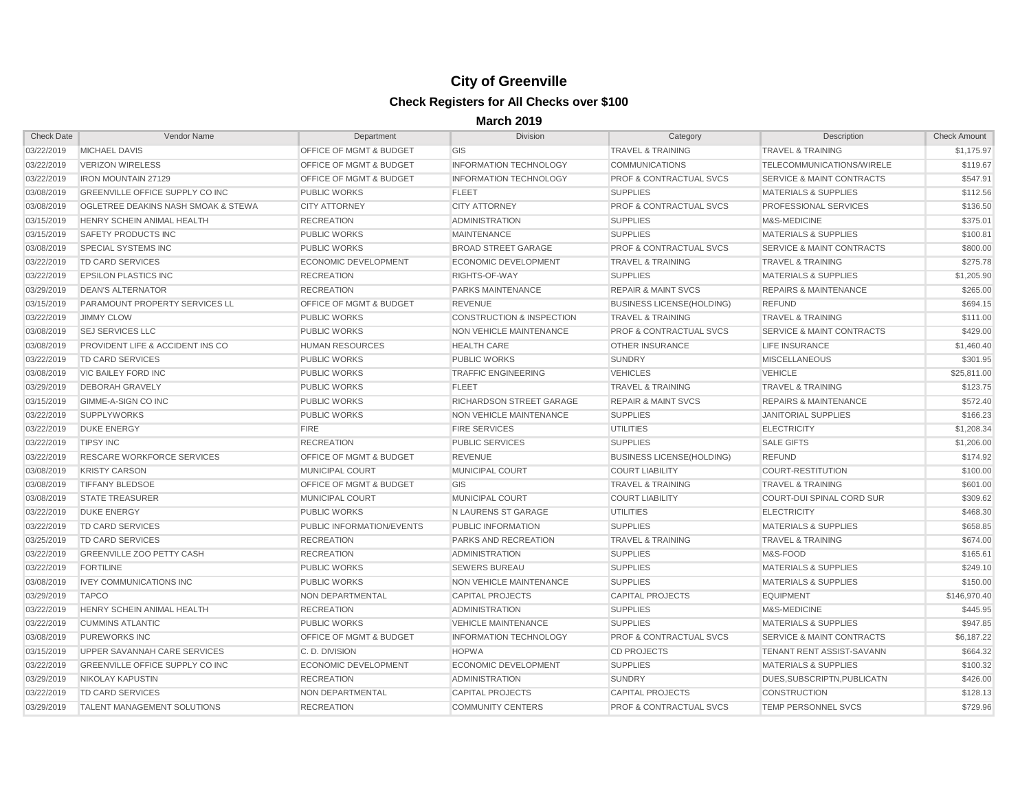| <b>Check Date</b> | Vendor Name                                 | Department                         | Division                             | Category                           | Description                          | Check Amount |
|-------------------|---------------------------------------------|------------------------------------|--------------------------------------|------------------------------------|--------------------------------------|--------------|
| 03/22/2019        | <b>MICHAEL DAVIS</b>                        | OFFICE OF MGMT & BUDGET            | <b>GIS</b>                           | <b>TRAVEL &amp; TRAINING</b>       | <b>TRAVEL &amp; TRAINING</b>         | \$1,175.97   |
| 03/22/2019        | <b>VERIZON WIRELESS</b>                     | <b>OFFICE OF MGMT &amp; BUDGET</b> | <b>INFORMATION TECHNOLOGY</b>        | <b>COMMUNICATIONS</b>              | <b>TELECOMMUNICATIONS/WIRELE</b>     | \$119.67     |
| 03/22/2019        | <b>IRON MOUNTAIN 27129</b>                  | <b>OFFICE OF MGMT &amp; BUDGET</b> | <b>INFORMATION TECHNOLOGY</b>        | <b>PROF &amp; CONTRACTUAL SVCS</b> | <b>SERVICE &amp; MAINT CONTRACTS</b> | \$547.91     |
| 03/08/2019        | <b>GREENVILLE OFFICE SUPPLY CO INC</b>      | <b>PUBLIC WORKS</b>                | <b>FLEET</b>                         | <b>SUPPLIES</b>                    | <b>MATERIALS &amp; SUPPLIES</b>      | \$112.56     |
| 03/08/2019        | OGLETREE DEAKINS NASH SMOAK & STEWA         | <b>CITY ATTORNEY</b>               | <b>CITY ATTORNEY</b>                 | <b>PROF &amp; CONTRACTUAL SVCS</b> | <b>PROFESSIONAL SERVICES</b>         | \$136.50     |
| 03/15/2019        | <b>HENRY SCHEIN ANIMAL HEALTH</b>           | <b>RECREATION</b>                  | <b>ADMINISTRATION</b>                | <b>SUPPLIES</b>                    | <b>M&amp;S-MEDICINE</b>              | \$375.01     |
| 03/15/2019        | <b>SAFETY PRODUCTS INC</b>                  | <b>PUBLIC WORKS</b>                | <b>MAINTENANCE</b>                   | <b>SUPPLIES</b>                    | <b>MATERIALS &amp; SUPPLIES</b>      | \$100.81     |
| 03/08/2019        | <b>SPECIAL SYSTEMS INC</b>                  | <b>PUBLIC WORKS</b>                | <b>BROAD STREET GARAGE</b>           | <b>PROF &amp; CONTRACTUAL SVCS</b> | <b>SERVICE &amp; MAINT CONTRACTS</b> | \$800.00     |
| 03/22/2019        | <b>TD CARD SERVICES</b>                     | <b>ECONOMIC DEVELOPMENT</b>        | <b>ECONOMIC DEVELOPMENT</b>          | <b>TRAVEL &amp; TRAINING</b>       | <b>TRAVEL &amp; TRAINING</b>         | \$275.78     |
| 03/22/2019        | <b>EPSILON PLASTICS INC</b>                 | <b>RECREATION</b>                  | RIGHTS-OF-WAY                        | <b>SUPPLIES</b>                    | <b>MATERIALS &amp; SUPPLIES</b>      | \$1,205.90   |
| 03/29/2019        | <b>DEAN'S ALTERNATOR</b>                    | <b>RECREATION</b>                  | <b>PARKS MAINTENANCE</b>             | <b>REPAIR &amp; MAINT SVCS</b>     | <b>REPAIRS &amp; MAINTENANCE</b>     | \$265.00     |
| 03/15/2019        | <b>PARAMOUNT PROPERTY SERVICES LL</b>       | <b>OFFICE OF MGMT &amp; BUDGET</b> | <b>REVENUE</b>                       | <b>BUSINESS LICENSE(HOLDING)</b>   | <b>REFUND</b>                        | \$694.15     |
| 03/22/2019        | <b>JIMMY CLOW</b>                           | <b>PUBLIC WORKS</b>                | <b>CONSTRUCTION &amp; INSPECTION</b> | <b>TRAVEL &amp; TRAINING</b>       | <b>TRAVEL &amp; TRAINING</b>         | \$111.00     |
| 03/08/2019        | <b>SEJ SERVICES LLC</b>                     | <b>PUBLIC WORKS</b>                | NON VEHICLE MAINTENANCE              | <b>PROF &amp; CONTRACTUAL SVCS</b> | <b>SERVICE &amp; MAINT CONTRACTS</b> | \$429.00     |
| 03/08/2019        | <b>PROVIDENT LIFE &amp; ACCIDENT INS CO</b> | <b>HUMAN RESOURCES</b>             | <b>HEALTH CARE</b>                   | <b>OTHER INSURANCE</b>             | <b>LIFE INSURANCE</b>                | \$1,460.40   |
| 03/22/2019        | <b>TD CARD SERVICES</b>                     | <b>PUBLIC WORKS</b>                | <b>PUBLIC WORKS</b>                  | <b>SUNDRY</b>                      | <b>MISCELLANEOUS</b>                 | \$301.95     |
| 03/08/2019        | <b>VIC BAILEY FORD INC</b>                  | <b>PUBLIC WORKS</b>                | <b>TRAFFIC ENGINEERING</b>           | <b>VEHICLES</b>                    | <b>VEHICLE</b>                       | \$25,811.00  |
| 03/29/2019        | <b>DEBORAH GRAVELY</b>                      | <b>PUBLIC WORKS</b>                | <b>FLEET</b>                         | <b>TRAVEL &amp; TRAINING</b>       | <b>TRAVEL &amp; TRAINING</b>         | \$123.75     |
| 03/15/2019        | GIMME-A-SIGN CO INC                         | <b>PUBLIC WORKS</b>                | RICHARDSON STREET GARAGE             | <b>REPAIR &amp; MAINT SVCS</b>     | <b>REPAIRS &amp; MAINTENANCE</b>     | \$572.40     |
| 03/22/2019        | <b>SUPPLYWORKS</b>                          | <b>PUBLIC WORKS</b>                | NON VEHICLE MAINTENANCE              | <b>SUPPLIES</b>                    | <b>JANITORIAL SUPPLIES</b>           | \$166.23     |
| 03/22/2019        | <b>DUKE ENERGY</b>                          | <b>FIRE</b>                        | <b>FIRE SERVICES</b>                 | <b>UTILITIES</b>                   | <b>ELECTRICITY</b>                   | \$1,208.34   |
| 03/22/2019        | <b>TIPSY INC</b>                            | <b>RECREATION</b>                  | <b>PUBLIC SERVICES</b>               | <b>SUPPLIES</b>                    | <b>SALE GIFTS</b>                    | \$1,206.00   |
| 03/22/2019        | <b>RESCARE WORKFORCE SERVICES</b>           | <b>OFFICE OF MGMT &amp; BUDGET</b> | <b>REVENUE</b>                       | <b>BUSINESS LICENSE(HOLDING)</b>   | <b>REFUND</b>                        | \$174.92     |
| 03/08/2019        | <b>KRISTY CARSON</b>                        | <b>MUNICIPAL COURT</b>             | MUNICIPAL COURT                      | <b>COURT LIABILITY</b>             | COURT-RESTITUTION                    | \$100.00     |
| 03/08/2019        | <b>TIFFANY BLEDSOE</b>                      | <b>OFFICE OF MGMT &amp; BUDGET</b> | GIS                                  | <b>TRAVEL &amp; TRAINING</b>       | <b>TRAVEL &amp; TRAINING</b>         | \$601.00     |
| 03/08/2019        | <b>STATE TREASURER</b>                      | <b>MUNICIPAL COURT</b>             | MUNICIPAL COURT                      | <b>COURT LIABILITY</b>             | COURT-DUI SPINAL CORD SUR            | \$309.62     |
| 03/22/2019        | <b>DUKE ENERGY</b>                          | <b>PUBLIC WORKS</b>                | N LAURENS ST GARAGE                  | <b>UTILITIES</b>                   | <b>ELECTRICITY</b>                   | \$468.30     |
| 03/22/2019        | TD CARD SERVICES                            | PUBLIC INFORMATION/EVENTS          | <b>PUBLIC INFORMATION</b>            | <b>SUPPLIES</b>                    | <b>MATERIALS &amp; SUPPLIES</b>      | \$658.85     |
| 03/25/2019        | TD CARD SERVICES                            | <b>RECREATION</b>                  | <b>PARKS AND RECREATION</b>          | <b>TRAVEL &amp; TRAINING</b>       | <b>TRAVEL &amp; TRAINING</b>         | \$674.00     |
| 03/22/2019        | <b>GREENVILLE ZOO PETTY CASH</b>            | <b>RECREATION</b>                  | <b>ADMINISTRATION</b>                | <b>SUPPLIES</b>                    | M&S-FOOD                             | \$165.61     |
| 03/22/2019        | <b>FORTILINE</b>                            | <b>PUBLIC WORKS</b>                | <b>SEWERS BUREAU</b>                 | <b>SUPPLIES</b>                    | <b>MATERIALS &amp; SUPPLIES</b>      | \$249.10     |
|                   | 03/08/2019    IVEY COMMUNICATIONS INC       | PUBLIC WORKS                       | NON VEHICLE MAINTENANCE              | <b>SUPPLIES</b>                    | <b>MATERIALS &amp; SUPPLIES</b>      | \$150.00     |
| 03/29/2019        | <b>TAPCO</b>                                | NON DEPARTMENTAL                   | <b>CAPITAL PROJECTS</b>              | <b>CAPITAL PROJECTS</b>            | <b>EQUIPMENT</b>                     | \$146,970.40 |
| 03/22/2019        | HENRY SCHEIN ANIMAL HEALTH                  | <b>RECREATION</b>                  | ADMINISTRATION                       | <b>SUPPLIES</b>                    | M&S-MEDICINE                         | \$445.95     |
| 03/22/2019        | <b>CUMMINS ATLANTIC</b>                     | <b>PUBLIC WORKS</b>                | <b>VEHICLE MAINTENANCE</b>           | <b>SUPPLIES</b>                    | <b>MATERIALS &amp; SUPPLIES</b>      | \$947.85     |
| 03/08/2019        | <b>PUREWORKS INC</b>                        | <b>OFFICE OF MGMT &amp; BUDGET</b> | <b>INFORMATION TECHNOLOGY</b>        | <b>PROF &amp; CONTRACTUAL SVCS</b> | <b>SERVICE &amp; MAINT CONTRACTS</b> | \$6,187.22   |
| 03/15/2019        | UPPER SAVANNAH CARE SERVICES                | C.D. DIVISION                      | <b>HOPWA</b>                         | <b>CD PROJECTS</b>                 | TENANT RENT ASSIST-SAVANN            | \$664.32     |
| 03/22/2019        | GREENVILLE OFFICE SUPPLY CO INC             | <b>ECONOMIC DEVELOPMENT</b>        | ECONOMIC DEVELOPMENT                 | <b>SUPPLIES</b>                    | <b>MATERIALS &amp; SUPPLIES</b>      | \$100.32     |
| 03/29/2019        | NIKOLAY KAPUSTIN                            | <b>RECREATION</b>                  | ADMINISTRATION                       | <b>SUNDRY</b>                      | DUES, SUBSCRIPTN, PUBLICATN          | \$426.00     |
| 03/22/2019        | <b>TD CARD SERVICES</b>                     | NON DEPARTMENTAL                   | <b>CAPITAL PROJECTS</b>              | <b>CAPITAL PROJECTS</b>            | <b>CONSTRUCTION</b>                  | \$128.13     |
| 03/29/2019        | <b>TALENT MANAGEMENT SOLUTIONS</b>          | <b>RECREATION</b>                  | COMMUNITY CENTERS                    | <b>PROF &amp; CONTRACTUAL SVCS</b> | <b>TEMP PERSONNEL SVCS</b>           | \$729.96     |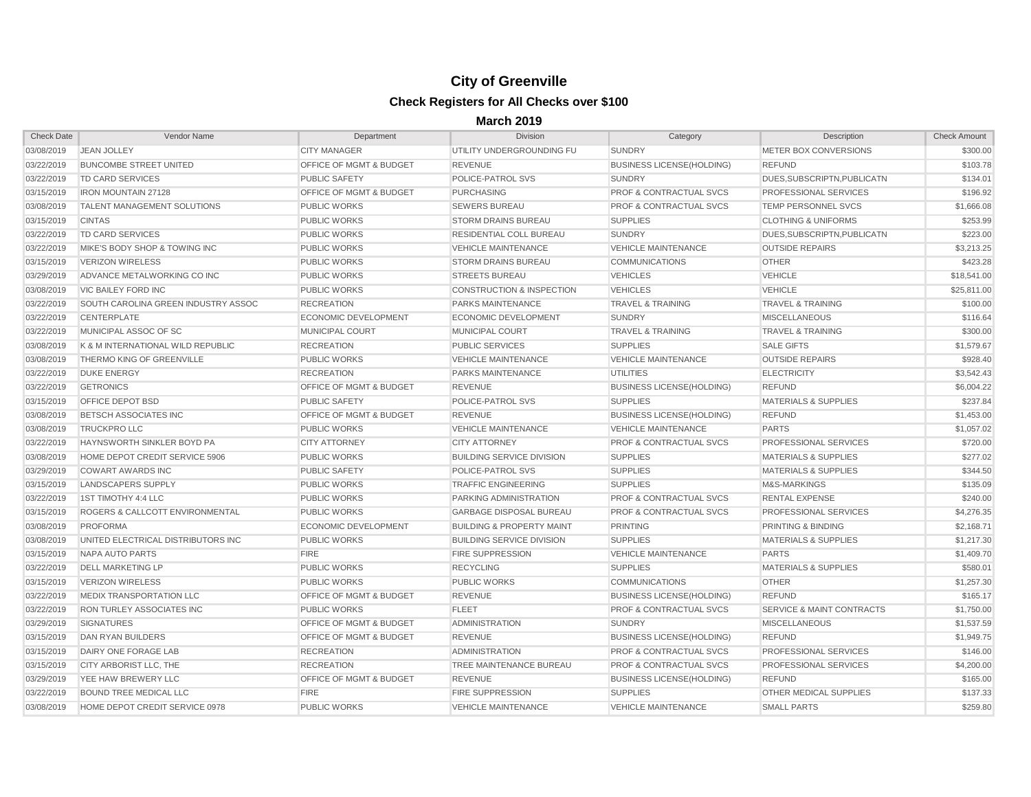| <b>Check Date</b> | Vendor Name                                | Department                         | Division                             | Category                           | Description                          | <b>Check Amount</b> |
|-------------------|--------------------------------------------|------------------------------------|--------------------------------------|------------------------------------|--------------------------------------|---------------------|
| 03/08/2019        | <b>JEAN JOLLEY</b>                         | <b>CITY MANAGER</b>                | UTILITY UNDERGROUNDING FU            | <b>SUNDRY</b>                      | <b>METER BOX CONVERSIONS</b>         | \$300.00            |
| 03/22/2019        | <b>BUNCOMBE STREET UNITED</b>              | <b>OFFICE OF MGMT &amp; BUDGET</b> | <b>REVENUE</b>                       | <b>BUSINESS LICENSE(HOLDING)</b>   | <b>REFUND</b>                        | \$103.78            |
| 03/22/2019        | TD CARD SERVICES                           | <b>PUBLIC SAFETY</b>               | POLICE-PATROL SVS                    | <b>SUNDRY</b>                      | DUES, SUBSCRIPTN, PUBLICATN          | \$134.01            |
| 03/15/2019        | <b>IRON MOUNTAIN 27128</b>                 | <b>OFFICE OF MGMT &amp; BUDGET</b> | <b>PURCHASING</b>                    | <b>PROF &amp; CONTRACTUAL SVCS</b> | <b>PROFESSIONAL SERVICES</b>         | \$196.92            |
| 03/08/2019        | <b>TALENT MANAGEMENT SOLUTIONS</b>         | <b>PUBLIC WORKS</b>                | <b>SEWERS BUREAU</b>                 | <b>PROF &amp; CONTRACTUAL SVCS</b> | <b>TEMP PERSONNEL SVCS</b>           | \$1,666.08          |
| 03/15/2019        | <b>CINTAS</b>                              | <b>PUBLIC WORKS</b>                | <b>STORM DRAINS BUREAU</b>           | <b>SUPPLIES</b>                    | <b>CLOTHING &amp; UNIFORMS</b>       | \$253.99            |
| 03/22/2019        | TD CARD SERVICES                           | <b>PUBLIC WORKS</b>                | <b>RESIDENTIAL COLL BUREAU</b>       | <b>SUNDRY</b>                      | DUES.SUBSCRIPTN.PUBLICATN            | \$223.00            |
| 03/22/2019        | MIKE'S BODY SHOP & TOWING INC              | <b>PUBLIC WORKS</b>                | <b>VEHICLE MAINTENANCE</b>           | <b>VEHICLE MAINTENANCE</b>         | <b>OUTSIDE REPAIRS</b>               | \$3,213.25          |
| 03/15/2019        | <b>VERIZON WIRELESS</b>                    | <b>PUBLIC WORKS</b>                | <b>STORM DRAINS BUREAU</b>           | <b>COMMUNICATIONS</b>              | <b>OTHER</b>                         | \$423.28            |
| 03/29/2019        | ADVANCE METALWORKING CO INC                | <b>PUBLIC WORKS</b>                | <b>STREETS BUREAU</b>                | <b>VEHICLES</b>                    | <b>VEHICLE</b>                       | \$18,541.00         |
| 03/08/2019        | <b>VIC BAILEY FORD INC</b>                 | <b>PUBLIC WORKS</b>                | <b>CONSTRUCTION &amp; INSPECTION</b> | <b>VEHICLES</b>                    | <b>VEHICLE</b>                       | \$25,811.00         |
| 03/22/2019        | SOUTH CAROLINA GREEN INDUSTRY ASSOC        | <b>RECREATION</b>                  | <b>PARKS MAINTENANCE</b>             | <b>TRAVEL &amp; TRAINING</b>       | <b>TRAVEL &amp; TRAINING</b>         | \$100.00            |
| 03/22/2019        | <b>CENTERPLATE</b>                         | <b>ECONOMIC DEVELOPMENT</b>        | ECONOMIC DEVELOPMENT                 | <b>SUNDRY</b>                      | <b>MISCELLANEOUS</b>                 | \$116.64            |
| 03/22/2019        | MUNICIPAL ASSOC OF SC                      | <b>MUNICIPAL COURT</b>             | <b>MUNICIPAL COURT</b>               | <b>TRAVEL &amp; TRAINING</b>       | <b>TRAVEL &amp; TRAINING</b>         | \$300.00            |
| 03/08/2019        | K & M INTERNATIONAL WILD REPUBLIC          | <b>RECREATION</b>                  | <b>PUBLIC SERVICES</b>               | <b>SUPPLIES</b>                    | <b>SALE GIFTS</b>                    | \$1,579.67          |
| 03/08/2019        | <b>THERMO KING OF GREENVILLE</b>           | <b>PUBLIC WORKS</b>                | <b>VEHICLE MAINTENANCE</b>           | <b>VEHICLE MAINTENANCE</b>         | <b>OUTSIDE REPAIRS</b>               | \$928.40            |
| 03/22/2019        | <b>DUKE ENERGY</b>                         | <b>RECREATION</b>                  | <b>PARKS MAINTENANCE</b>             | <b>UTILITIES</b>                   | <b>ELECTRICITY</b>                   | \$3,542.43          |
| 03/22/2019        | <b>GETRONICS</b>                           | <b>OFFICE OF MGMT &amp; BUDGET</b> | <b>REVENUE</b>                       | <b>BUSINESS LICENSE(HOLDING)</b>   | <b>REFUND</b>                        | \$6,004.22          |
| 03/15/2019        | <b>OFFICE DEPOT BSD</b>                    | <b>PUBLIC SAFETY</b>               | POLICE-PATROL SVS                    | <b>SUPPLIES</b>                    | <b>MATERIALS &amp; SUPPLIES</b>      | \$237.84            |
| 03/08/2019        | <b>BETSCH ASSOCIATES INC</b>               | <b>OFFICE OF MGMT &amp; BUDGET</b> | <b>REVENUE</b>                       | <b>BUSINESS LICENSE(HOLDING)</b>   | <b>REFUND</b>                        | \$1,453.00          |
| 03/08/2019        | <b>TRUCKPRO LLC</b>                        | <b>PUBLIC WORKS</b>                | VEHICLE MAINTENANCE                  | <b>VEHICLE MAINTENANCE</b>         | <b>PARTS</b>                         | \$1,057.02          |
| 03/22/2019        | HAYNSWORTH SINKLER BOYD PA                 | <b>CITY ATTORNEY</b>               | <b>CITY ATTORNEY</b>                 | <b>PROF &amp; CONTRACTUAL SVCS</b> | <b>PROFESSIONAL SERVICES</b>         | \$720.00            |
| 03/08/2019        | HOME DEPOT CREDIT SERVICE 5906             | <b>PUBLIC WORKS</b>                | <b>BUILDING SERVICE DIVISION</b>     | <b>SUPPLIES</b>                    | <b>MATERIALS &amp; SUPPLIES</b>      | \$277.02            |
| 03/29/2019        | <b>COWART AWARDS INC</b>                   | <b>PUBLIC SAFETY</b>               | POLICE-PATROL SVS                    | <b>SUPPLIES</b>                    | <b>MATERIALS &amp; SUPPLIES</b>      | \$344.50            |
| 03/15/2019        | LANDSCAPERS SUPPLY                         | <b>PUBLIC WORKS</b>                | <b>TRAFFIC ENGINEERING</b>           | <b>SUPPLIES</b>                    | M&S-MARKINGS                         | \$135.09            |
| 03/22/2019        | 1ST TIMOTHY 4:4 LLC                        | <b>PUBLIC WORKS</b>                | <b>PARKING ADMINISTRATION</b>        | <b>PROF &amp; CONTRACTUAL SVCS</b> | <b>RENTAL EXPENSE</b>                | \$240.00            |
| 03/15/2019        | <b>ROGERS &amp; CALLCOTT ENVIRONMENTAL</b> | <b>PUBLIC WORKS</b>                | <b>GARBAGE DISPOSAL BUREAU</b>       | <b>PROF &amp; CONTRACTUAL SVCS</b> | <b>PROFESSIONAL SERVICES</b>         | \$4,276.35          |
| 03/08/2019        | <b>PROFORMA</b>                            | <b>ECONOMIC DEVELOPMENT</b>        | <b>BUILDING &amp; PROPERTY MAINT</b> | PRINTING                           | PRINTING & BINDING                   | \$2,168.71          |
| 03/08/2019        | UNITED ELECTRICAL DISTRIBUTORS INC         | <b>PUBLIC WORKS</b>                | <b>BUILDING SERVICE DIVISION</b>     | <b>SUPPLIES</b>                    | <b>MATERIALS &amp; SUPPLIES</b>      | \$1,217.30          |
| 03/15/2019        | <b>NAPA AUTO PARTS</b>                     | <b>FIRE</b>                        | <b>FIRE SUPPRESSION</b>              | <b>VEHICLE MAINTENANCE</b>         | <b>PARTS</b>                         | \$1,409.70          |
| 03/22/2019        | <b>DELL MARKETING LP</b>                   | <b>PUBLIC WORKS</b>                | <b>RECYCLING</b>                     | <b>SUPPLIES</b>                    | <b>MATERIALS &amp; SUPPLIES</b>      | \$580.01            |
|                   | 03/15/2019  VERIZON WIRELESS               | <b>PUBLIC WORKS</b>                | <b>PUBLIC WORKS</b>                  | <b>COMMUNICATIONS</b>              | <b>OTHER</b>                         | \$1,257.30          |
| 03/22/2019        | <b>MEDIX TRANSPORTATION LLC</b>            | OFFICE OF MGMT & BUDGET            | <b>REVENUE</b>                       | <b>BUSINESS LICENSE(HOLDING)</b>   | <b>REFUND</b>                        | \$165.17            |
| 03/22/2019        | <b>RON TURLEY ASSOCIATES INC</b>           | <b>PUBLIC WORKS</b>                | <b>FLEET</b>                         | <b>PROF &amp; CONTRACTUAL SVCS</b> | <b>SERVICE &amp; MAINT CONTRACTS</b> | \$1,750.00          |
| 03/29/2019        | SIGNATURES                                 | OFFICE OF MGMT & BUDGET            | <b>ADMINISTRATION</b>                | <b>SUNDRY</b>                      | <b>MISCELLANEOUS</b>                 | \$1,537.59          |
| 03/15/2019        | <b>DAN RYAN BUILDERS</b>                   | <b>OFFICE OF MGMT &amp; BUDGET</b> | <b>REVENUE</b>                       | <b>BUSINESS LICENSE(HOLDING)</b>   | <b>REFUND</b>                        | \$1,949.75          |
| 03/15/2019        | <b>DAIRY ONE FORAGE LAB</b>                | <b>RECREATION</b>                  | ADMINISTRATION                       | <b>PROF &amp; CONTRACTUAL SVCS</b> | <b>PROFESSIONAL SERVICES</b>         | \$146.00            |
| 03/15/2019        | CITY ARBORIST LLC. THE                     | <b>RECREATION</b>                  | <b>TREE MAINTENANCE BUREAU</b>       | <b>PROF &amp; CONTRACTUAL SVCS</b> | <b>PROFESSIONAL SERVICES</b>         | \$4,200.00          |
| 03/29/2019        | YEE HAW BREWERY LLC                        | <b>OFFICE OF MGMT &amp; BUDGET</b> | <b>REVENUE</b>                       | <b>BUSINESS LICENSE(HOLDING)</b>   | <b>REFUND</b>                        | \$165.00            |
| 03/22/2019        | <b>BOUND TREE MEDICAL LLC</b>              | <b>FIRE</b>                        | <b>FIRE SUPPRESSION</b>              | <b>SUPPLIES</b>                    | <b>OTHER MEDICAL SUPPLIES</b>        | \$137.33            |
| 03/08/2019        | HOME DEPOT CREDIT SERVICE 0978             | <b>PUBLIC WORKS</b>                | <b>VEHICLE MAINTENANCE</b>           | <b>VEHICLE MAINTENANCE</b>         | <b>SMALL PARTS</b>                   | \$259.80            |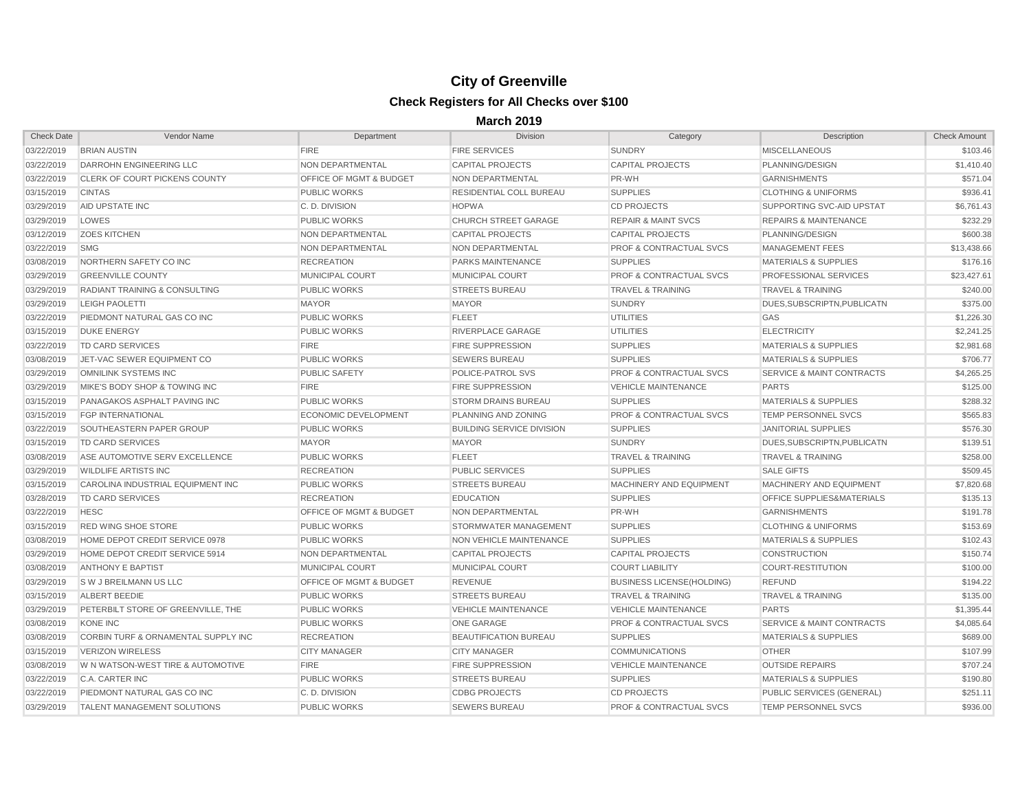| <b>Check Date</b> | Vendor Name                                  | Department                         | <b>Division</b>                  | Category                           | Description                          | <b>Check Amount</b> |
|-------------------|----------------------------------------------|------------------------------------|----------------------------------|------------------------------------|--------------------------------------|---------------------|
| 03/22/2019        | <b>BRIAN AUSTIN</b>                          | <b>FIRE</b>                        | <b>FIRE SERVICES</b>             | <b>SUNDRY</b>                      | <b>MISCELLANEOUS</b>                 | \$103.46            |
| 03/22/2019        | <b>DARROHN ENGINEERING LLC</b>               | NON DEPARTMENTAL                   | <b>CAPITAL PROJECTS</b>          | <b>CAPITAL PROJECTS</b>            | PLANNING/DESIGN                      | \$1,410.40          |
| 03/22/2019        | <b>CLERK OF COURT PICKENS COUNTY</b>         | <b>OFFICE OF MGMT &amp; BUDGET</b> | NON DEPARTMENTAL                 | PR-WH                              | <b>GARNISHMENTS</b>                  | \$571.04            |
| 03/15/2019        | <b>CINTAS</b>                                | <b>PUBLIC WORKS</b>                | <b>RESIDENTIAL COLL BUREAU</b>   | <b>SUPPLIES</b>                    | <b>CLOTHING &amp; UNIFORMS</b>       | \$936.41            |
| 03/29/2019        | AID UPSTATE INC                              | C.D. DIVISION                      | <b>HOPWA</b>                     | <b>CD PROJECTS</b>                 | SUPPORTING SVC-AID UPSTAT            | \$6,761.43          |
| 03/29/2019        | LOWES                                        | <b>PUBLIC WORKS</b>                | <b>CHURCH STREET GARAGE</b>      | <b>REPAIR &amp; MAINT SVCS</b>     | <b>REPAIRS &amp; MAINTENANCE</b>     | \$232.29            |
| 03/12/2019        | <b>ZOES KITCHEN</b>                          | <b>NON DEPARTMENTAL</b>            | <b>CAPITAL PROJECTS</b>          | <b>CAPITAL PROJECTS</b>            | PLANNING/DESIGN                      | \$600.38            |
| 03/22/2019        | <b>SMG</b>                                   | NON DEPARTMENTAL                   | <b>NON DEPARTMENTAL</b>          | <b>PROF &amp; CONTRACTUAL SVCS</b> | <b>MANAGEMENT FEES</b>               | \$13,438.66         |
| 03/08/2019        | NORTHERN SAFETY CO INC                       | <b>RECREATION</b>                  | <b>PARKS MAINTENANCE</b>         | <b>SUPPLIES</b>                    | <b>MATERIALS &amp; SUPPLIES</b>      | \$176.16            |
| 03/29/2019        | <b>GREENVILLE COUNTY</b>                     | <b>MUNICIPAL COURT</b>             | <b>MUNICIPAL COURT</b>           | <b>PROF &amp; CONTRACTUAL SVCS</b> | <b>PROFESSIONAL SERVICES</b>         | \$23,427.61         |
| 03/29/2019        | <b>RADIANT TRAINING &amp; CONSULTING</b>     | <b>PUBLIC WORKS</b>                | <b>STREETS BUREAU</b>            | <b>TRAVEL &amp; TRAINING</b>       | <b>TRAVEL &amp; TRAINING</b>         | \$240.00            |
| 03/29/2019        | <b>LEIGH PAOLETTI</b>                        | <b>MAYOR</b>                       | <b>MAYOR</b>                     | <b>SUNDRY</b>                      | DUES, SUBSCRIPTN, PUBLICATN          | \$375.00            |
| 03/22/2019        | PIEDMONT NATURAL GAS CO INC                  | <b>PUBLIC WORKS</b>                | <b>FLEET</b>                     | <b>UTILITIES</b>                   | GAS                                  | \$1,226.30          |
| 03/15/2019        | <b>DUKE ENERGY</b>                           | <b>PUBLIC WORKS</b>                | RIVERPLACE GARAGE                | <b>UTILITIES</b>                   | <b>ELECTRICITY</b>                   | \$2,241.25          |
| 03/22/2019        | TD CARD SERVICES                             | <b>FIRE</b>                        | <b>FIRE SUPPRESSION</b>          | <b>SUPPLIES</b>                    | <b>MATERIALS &amp; SUPPLIES</b>      | \$2,981.68          |
| 03/08/2019        | JET-VAC SEWER EQUIPMENT CO                   | <b>PUBLIC WORKS</b>                | <b>SEWERS BUREAU</b>             | <b>SUPPLIES</b>                    | <b>MATERIALS &amp; SUPPLIES</b>      | \$706.77            |
| 03/29/2019        | OMNILINK SYSTEMS INC                         | <b>PUBLIC SAFETY</b>               | POLICE-PATROL SVS                | <b>PROF &amp; CONTRACTUAL SVCS</b> | <b>SERVICE &amp; MAINT CONTRACTS</b> | \$4,265.25          |
| 03/29/2019        | MIKE'S BODY SHOP & TOWING INC                | <b>FIRE</b>                        | <b>FIRE SUPPRESSION</b>          | <b>VEHICLE MAINTENANCE</b>         | <b>PARTS</b>                         | \$125.00            |
| 03/15/2019        | PANAGAKOS ASPHALT PAVING INC                 | <b>PUBLIC WORKS</b>                | <b>STORM DRAINS BUREAU</b>       | <b>SUPPLIES</b>                    | <b>MATERIALS &amp; SUPPLIES</b>      | \$288.32            |
| 03/15/2019        | <b>FGP INTERNATIONAL</b>                     | ECONOMIC DEVELOPMENT               | PLANNING AND ZONING              | <b>PROF &amp; CONTRACTUAL SVCS</b> | <b>TEMP PERSONNEL SVCS</b>           | \$565.83            |
| 03/22/2019        | SOUTHEASTERN PAPER GROUP                     | <b>PUBLIC WORKS</b>                | <b>BUILDING SERVICE DIVISION</b> | <b>SUPPLIES</b>                    | <b>JANITORIAL SUPPLIES</b>           | \$576.30            |
| 03/15/2019        | <b>TD CARD SERVICES</b>                      | <b>MAYOR</b>                       | <b>MAYOR</b>                     | <b>SUNDRY</b>                      | DUES.SUBSCRIPTN.PUBLICATN            | \$139.51            |
| 03/08/2019        | ASE AUTOMOTIVE SERV EXCELLENCE               | <b>PUBLIC WORKS</b>                | <b>FLEET</b>                     | <b>TRAVEL &amp; TRAINING</b>       | <b>TRAVEL &amp; TRAINING</b>         | \$258.00            |
| 03/29/2019        | <b>WILDLIFE ARTISTS INC</b>                  | <b>RECREATION</b>                  | <b>PUBLIC SERVICES</b>           | <b>SUPPLIES</b>                    | <b>SALE GIFTS</b>                    | \$509.45            |
| 03/15/2019        | CAROLINA INDUSTRIAL EQUIPMENT INC            | <b>PUBLIC WORKS</b>                | <b>STREETS BUREAU</b>            | <b>MACHINERY AND EQUIPMENT</b>     | MACHINERY AND EQUIPMENT              | \$7,820.68          |
| 03/28/2019        | <b>TD CARD SERVICES</b>                      | <b>RECREATION</b>                  | <b>EDUCATION</b>                 | <b>SUPPLIES</b>                    | <b>OFFICE SUPPLIES&amp;MATERIALS</b> | \$135.13            |
| 03/22/2019        | <b>HESC</b>                                  | <b>OFFICE OF MGMT &amp; BUDGET</b> | NON DEPARTMENTAL                 | PR-WH                              | <b>GARNISHMENTS</b>                  | \$191.78            |
| 03/15/2019        | <b>RED WING SHOE STORE</b>                   | <b>PUBLIC WORKS</b>                | <b>STORMWATER MANAGEMENT</b>     | <b>SUPPLIES</b>                    | <b>CLOTHING &amp; UNIFORMS</b>       | \$153.69            |
| 03/08/2019        | HOME DEPOT CREDIT SERVICE 0978               | <b>PUBLIC WORKS</b>                | NON VEHICLE MAINTENANCE          | <b>SUPPLIES</b>                    | <b>MATERIALS &amp; SUPPLIES</b>      | \$102.43            |
| 03/29/2019        | <b>HOME DEPOT CREDIT SERVICE 5914</b>        | NON DEPARTMENTAL                   | <b>CAPITAL PROJECTS</b>          | <b>CAPITAL PROJECTS</b>            | <b>CONSTRUCTION</b>                  | \$150.74            |
| 03/08/2019        | <b>ANTHONY E BAPTIST</b>                     | <b>MUNICIPAL COURT</b>             | <b>MUNICIPAL COURT</b>           | <b>COURT LIABILITY</b>             | COURT-RESTITUTION                    | \$100.00            |
| 03/29/2019        | S W J BREILMANN US LLC                       | OFFICE OF MGMT & BUDGET            | <b>REVENUE</b>                   | <b>BUSINESS LICENSE(HOLDING)</b>   | <b>REFUND</b>                        | \$194.22            |
| 03/15/2019        | ALBERT BEEDIE                                | <b>PUBLIC WORKS</b>                | <b>STREETS BUREAU</b>            | <b>TRAVEL &amp; TRAINING</b>       | <b>TRAVEL &amp; TRAINING</b>         | \$135.00            |
| 03/29/2019        | PETERBILT STORE OF GREENVILLE, THE           | <b>PUBLIC WORKS</b>                | <b>VEHICLE MAINTENANCE</b>       | <b>VEHICLE MAINTENANCE</b>         | <b>PARTS</b>                         | \$1,395.44          |
| 03/08/2019        | KONE INC                                     | <b>PUBLIC WORKS</b>                | ONE GARAGE                       | <b>PROF &amp; CONTRACTUAL SVCS</b> | <b>SERVICE &amp; MAINT CONTRACTS</b> | \$4,085.64          |
| 03/08/2019        | CORBIN TURF & ORNAMENTAL SUPPLY INC          | <b>RECREATION</b>                  | <b>BEAUTIFICATION BUREAU</b>     | <b>SUPPLIES</b>                    | <b>MATERIALS &amp; SUPPLIES</b>      | \$689.00            |
| 03/15/2019        | VERIZON WIRELESS                             | <b>CITY MANAGER</b>                | <b>CITY MANAGER</b>              | <b>COMMUNICATIONS</b>              | <b>OTHER</b>                         | \$107.99            |
| 03/08/2019        | <b>W N WATSON-WEST TIRE &amp; AUTOMOTIVE</b> | <b>FIRE</b>                        | <b>FIRE SUPPRESSION</b>          | <b>VEHICLE MAINTENANCE</b>         | <b>OUTSIDE REPAIRS</b>               | \$707.24            |
| 03/22/2019        | C.A. CARTER INC                              | <b>PUBLIC WORKS</b>                | <b>STREETS BUREAU</b>            | <b>SUPPLIES</b>                    | <b>MATERIALS &amp; SUPPLIES</b>      | \$190.80            |
| 03/22/2019        | PIEDMONT NATURAL GAS CO INC                  | C.D. DIVISION                      | <b>CDBG PROJECTS</b>             | <b>CD PROJECTS</b>                 | PUBLIC SERVICES (GENERAL)            | \$251.11            |
| 03/29/2019        | <b>TALENT MANAGEMENT SOLUTIONS</b>           | <b>PUBLIC WORKS</b>                | <b>SEWERS BUREAU</b>             | <b>PROF &amp; CONTRACTUAL SVCS</b> | TEMP PERSONNEL SVCS                  | \$936.00            |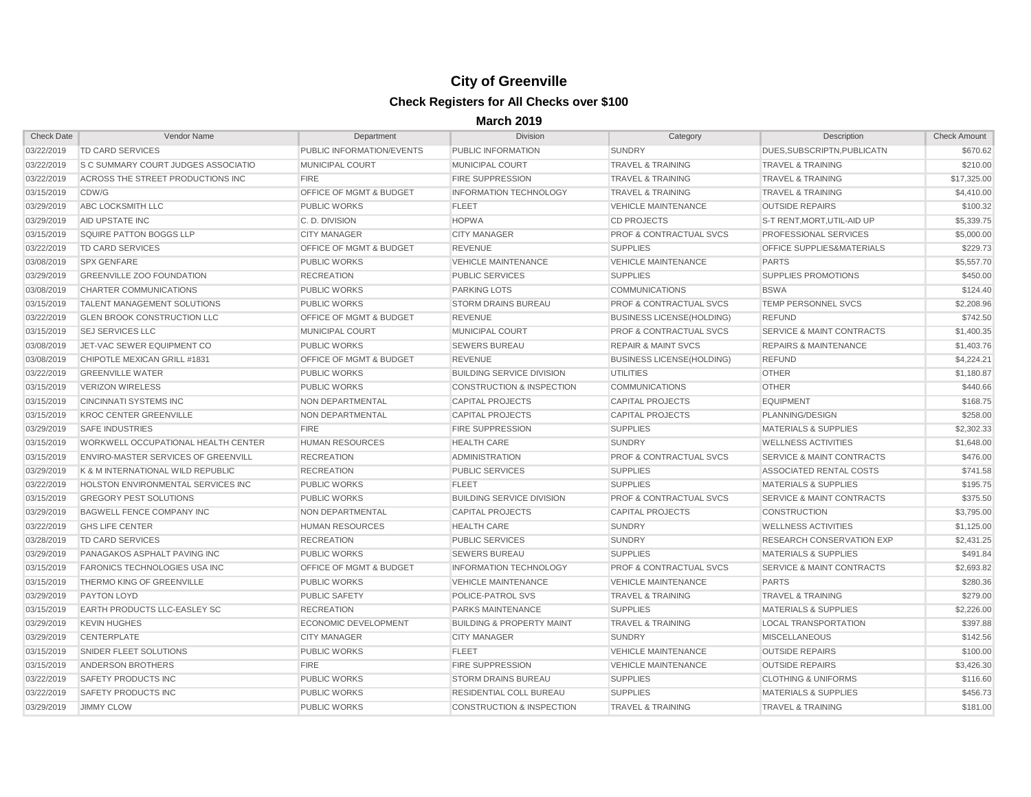| <b>Check Date</b> | Vendor Name                                | Department                         | <b>Division</b>                      | Category                           | Description                          | <b>Check Amount</b> |
|-------------------|--------------------------------------------|------------------------------------|--------------------------------------|------------------------------------|--------------------------------------|---------------------|
| 03/22/2019        | <b>TD CARD SERVICES</b>                    | PUBLIC INFORMATION/EVENTS          | PUBLIC INFORMATION                   | <b>SUNDRY</b>                      | DUES, SUBSCRIPTN, PUBLICATN          | \$670.62            |
| 03/22/2019        | <b>S C SUMMARY COURT JUDGES ASSOCIATIO</b> | <b>MUNICIPAL COURT</b>             | MUNICIPAL COURT                      | <b>TRAVEL &amp; TRAINING</b>       | <b>TRAVEL &amp; TRAINING</b>         | \$210.00            |
| 03/22/2019        | ACROSS THE STREET PRODUCTIONS INC          | <b>FIRE</b>                        | <b>FIRE SUPPRESSION</b>              | <b>TRAVEL &amp; TRAINING</b>       | <b>TRAVEL &amp; TRAINING</b>         | \$17,325.00         |
| 03/15/2019        | CDW/G                                      | <b>OFFICE OF MGMT &amp; BUDGET</b> | <b>INFORMATION TECHNOLOGY</b>        | <b>TRAVEL &amp; TRAINING</b>       | <b>TRAVEL &amp; TRAINING</b>         | \$4,410.00          |
| 03/29/2019        | ABC LOCKSMITH LLC                          | <b>PUBLIC WORKS</b>                | <b>FLEET</b>                         | <b>VEHICLE MAINTENANCE</b>         | <b>OUTSIDE REPAIRS</b>               | \$100.32            |
| 03/29/2019        | <b>AID UPSTATE INC</b>                     | C.D. DIVISION                      | <b>HOPWA</b>                         | <b>CD PROJECTS</b>                 | S-T RENT,MORT,UTIL-AID UP            | \$5,339.75          |
| 03/15/2019        | <b>SQUIRE PATTON BOGGS LLP</b>             | <b>CITY MANAGER</b>                | <b>CITY MANAGER</b>                  | <b>PROF &amp; CONTRACTUAL SVCS</b> | <b>PROFESSIONAL SERVICES</b>         | \$5,000.00          |
| 03/22/2019        | TD CARD SERVICES                           | <b>OFFICE OF MGMT &amp; BUDGET</b> | <b>REVENUE</b>                       | <b>SUPPLIES</b>                    | <b>OFFICE SUPPLIES&amp;MATERIALS</b> | \$229.73            |
| 03/08/2019        | <b>SPX GENFARE</b>                         | <b>PUBLIC WORKS</b>                | <b>VEHICLE MAINTENANCE</b>           | <b>VEHICLE MAINTENANCE</b>         | <b>PARTS</b>                         | \$5,557.70          |
| 03/29/2019        | <b>GREENVILLE ZOO FOUNDATION</b>           | <b>RECREATION</b>                  | <b>PUBLIC SERVICES</b>               | <b>SUPPLIES</b>                    | <b>SUPPLIES PROMOTIONS</b>           | \$450.00            |
| 03/08/2019        | CHARTER COMMUNICATIONS                     | <b>PUBLIC WORKS</b>                | <b>PARKING LOTS</b>                  | <b>COMMUNICATIONS</b>              | <b>BSWA</b>                          | \$124.40            |
| 03/15/2019        | <b>TALENT MANAGEMENT SOLUTIONS</b>         | <b>PUBLIC WORKS</b>                | <b>STORM DRAINS BUREAU</b>           | <b>PROF &amp; CONTRACTUAL SVCS</b> | <b>TEMP PERSONNEL SVCS</b>           | \$2,208.96          |
| 03/22/2019        | <b>GLEN BROOK CONSTRUCTION LLC</b>         | <b>OFFICE OF MGMT &amp; BUDGET</b> | <b>REVENUE</b>                       | <b>BUSINESS LICENSE(HOLDING)</b>   | <b>REFUND</b>                        | \$742.50            |
| 03/15/2019        | <b>SEJ SERVICES LLC</b>                    | <b>MUNICIPAL COURT</b>             | MUNICIPAL COURT                      | <b>PROF &amp; CONTRACTUAL SVCS</b> | <b>SERVICE &amp; MAINT CONTRACTS</b> | \$1,400.35          |
| 03/08/2019        | JET-VAC SEWER EQUIPMENT CO                 | <b>PUBLIC WORKS</b>                | <b>SEWERS BUREAU</b>                 | <b>REPAIR &amp; MAINT SVCS</b>     | <b>REPAIRS &amp; MAINTENANCE</b>     | \$1,403.76          |
| 03/08/2019        | CHIPOTLE MEXICAN GRILL #1831               | <b>OFFICE OF MGMT &amp; BUDGET</b> | <b>REVENUE</b>                       | <b>BUSINESS LICENSE(HOLDING)</b>   | <b>REFUND</b>                        | \$4,224.21          |
| 03/22/2019        | <b>GREENVILLE WATER</b>                    | <b>PUBLIC WORKS</b>                | <b>BUILDING SERVICE DIVISION</b>     | <b>UTILITIES</b>                   | <b>OTHER</b>                         | \$1,180.87          |
| 03/15/2019        | <b>VERIZON WIRELESS</b>                    | <b>PUBLIC WORKS</b>                | <b>CONSTRUCTION &amp; INSPECTION</b> | <b>COMMUNICATIONS</b>              | <b>OTHER</b>                         | \$440.66            |
| 03/15/2019        | CINCINNATI SYSTEMS INC                     | NON DEPARTMENTAL                   | <b>CAPITAL PROJECTS</b>              | <b>CAPITAL PROJECTS</b>            | <b>EQUIPMENT</b>                     | \$168.75            |
| 03/15/2019        | <b>KROC CENTER GREENVILLE</b>              | NON DEPARTMENTAL                   | <b>CAPITAL PROJECTS</b>              | <b>CAPITAL PROJECTS</b>            | PLANNING/DESIGN                      | \$258.00            |
| 03/29/2019        | <b>SAFE INDUSTRIES</b>                     | <b>FIRE</b>                        | <b>FIRE SUPPRESSION</b>              | <b>SUPPLIES</b>                    | <b>MATERIALS &amp; SUPPLIES</b>      | \$2,302.33          |
| 03/15/2019        | WORKWELL OCCUPATIONAL HEALTH CENTER        | <b>HUMAN RESOURCES</b>             | <b>HEALTH CARE</b>                   | <b>SUNDRY</b>                      | <b>WELLNESS ACTIVITIES</b>           | \$1,648.00          |
| 03/15/2019        | <b>ENVIRO-MASTER SERVICES OF GREENVILL</b> | <b>RECREATION</b>                  | ADMINISTRATION                       | <b>PROF &amp; CONTRACTUAL SVCS</b> | <b>SERVICE &amp; MAINT CONTRACTS</b> | \$476.00            |
| 03/29/2019        | K & M INTERNATIONAL WILD REPUBLIC          | <b>RECREATION</b>                  | <b>PUBLIC SERVICES</b>               | <b>SUPPLIES</b>                    | ASSOCIATED RENTAL COSTS              | \$741.58            |
| 03/22/2019        | <b>HOLSTON ENVIRONMENTAL SERVICES INC</b>  | <b>PUBLIC WORKS</b>                | <b>FLEET</b>                         | <b>SUPPLIES</b>                    | <b>MATERIALS &amp; SUPPLIES</b>      | \$195.75            |
| 03/15/2019        | <b>GREGORY PEST SOLUTIONS</b>              | <b>PUBLIC WORKS</b>                | <b>BUILDING SERVICE DIVISION</b>     | <b>PROF &amp; CONTRACTUAL SVCS</b> | <b>SERVICE &amp; MAINT CONTRACTS</b> | \$375.50            |
| 03/29/2019        | <b>BAGWELL FENCE COMPANY INC</b>           | NON DEPARTMENTAL                   | <b>CAPITAL PROJECTS</b>              | <b>CAPITAL PROJECTS</b>            | <b>CONSTRUCTION</b>                  | \$3,795.00          |
| 03/22/2019        | <b>GHS LIFE CENTER</b>                     | <b>HUMAN RESOURCES</b>             | <b>HEALTH CARE</b>                   | <b>SUNDRY</b>                      | <b>WELLNESS ACTIVITIES</b>           | \$1,125.00          |
| 03/28/2019        | TD CARD SERVICES                           | <b>RECREATION</b>                  | <b>PUBLIC SERVICES</b>               | <b>SUNDRY</b>                      | <b>RESEARCH CONSERVATION EXP</b>     | \$2,431.25          |
| 03/29/2019        | <b>PANAGAKOS ASPHALT PAVING INC</b>        | <b>PUBLIC WORKS</b>                | <b>SEWERS BUREAU</b>                 | <b>SUPPLIES</b>                    | <b>MATERIALS &amp; SUPPLIES</b>      | \$491.84            |
| 03/15/2019        | <b>FARONICS TECHNOLOGIES USA INC</b>       | <b>OFFICE OF MGMT &amp; BUDGET</b> | <b>INFORMATION TECHNOLOGY</b>        | <b>PROF &amp; CONTRACTUAL SVCS</b> | <b>SERVICE &amp; MAINT CONTRACTS</b> | \$2,693.82          |
| 03/15/2019        | THERMO KING OF GREENVILLE                  | PUBLIC WORKS                       | VEHICLE MAINTENANCE                  | VEHICLE MAINTENANCE                | <b>PARTS</b>                         | \$280.36            |
| 03/29/2019        | <b>PAYTON LOYD</b>                         | <b>PUBLIC SAFETY</b>               | POLICE-PATROL SVS                    | <b>TRAVEL &amp; TRAINING</b>       | <b>TRAVEL &amp; TRAINING</b>         | \$279.00            |
| 03/15/2019        | <b>EARTH PRODUCTS LLC-EASLEY SC</b>        | <b>RECREATION</b>                  | <b>PARKS MAINTENANCE</b>             | <b>SUPPLIES</b>                    | <b>MATERIALS &amp; SUPPLIES</b>      | \$2,226.00          |
| 03/29/2019        | <b>KEVIN HUGHES</b>                        | ECONOMIC DEVELOPMENT               | <b>BUILDING &amp; PROPERTY MAINT</b> | <b>TRAVEL &amp; TRAINING</b>       | <b>LOCAL TRANSPORTATION</b>          | \$397.88            |
| 03/29/2019        | <b>CENTERPLATE</b>                         | <b>CITY MANAGER</b>                | <b>CITY MANAGER</b>                  | <b>SUNDRY</b>                      | <b>MISCELLANEOUS</b>                 | \$142.56            |
| 03/15/2019        | SNIDER FLEET SOLUTIONS                     | <b>PUBLIC WORKS</b>                | <b>FLEET</b>                         | <b>VEHICLE MAINTENANCE</b>         | <b>OUTSIDE REPAIRS</b>               | \$100.00            |
| 03/15/2019        | ANDERSON BROTHERS                          | <b>FIRE</b>                        | <b>FIRE SUPPRESSION</b>              | <b>VEHICLE MAINTENANCE</b>         | <b>OUTSIDE REPAIRS</b>               | \$3,426.30          |
| 03/22/2019        | SAFETY PRODUCTS INC                        | <b>PUBLIC WORKS</b>                | <b>STORM DRAINS BUREAU</b>           | <b>SUPPLIES</b>                    | <b>CLOTHING &amp; UNIFORMS</b>       | \$116.60            |
| 03/22/2019        | <b>SAFETY PRODUCTS INC</b>                 | <b>PUBLIC WORKS</b>                | RESIDENTIAL COLL BUREAU              | <b>SUPPLIES</b>                    | <b>MATERIALS &amp; SUPPLIES</b>      | \$456.73            |
| 03/29/2019        | <b>JIMMY CLOW</b>                          | <b>PUBLIC WORKS</b>                | CONSTRUCTION & INSPECTION            | <b>TRAVEL &amp; TRAINING</b>       | <b>TRAVEL &amp; TRAINING</b>         | \$181.00            |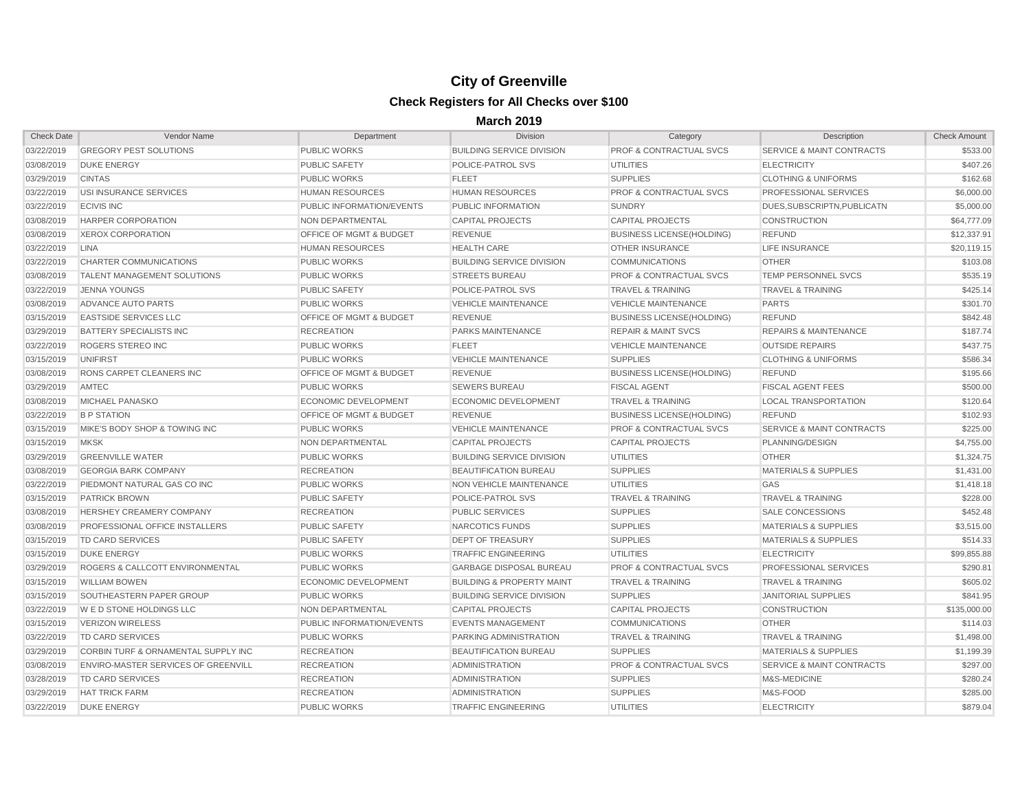| <b>Check Date</b> | Vendor Name                                    | Department                         | <b>Division</b>                      | Category                           | Description                          | <b>Check Amount</b> |
|-------------------|------------------------------------------------|------------------------------------|--------------------------------------|------------------------------------|--------------------------------------|---------------------|
| 03/22/2019        | <b>GREGORY PEST SOLUTIONS</b>                  | <b>PUBLIC WORKS</b>                | <b>BUILDING SERVICE DIVISION</b>     | <b>PROF &amp; CONTRACTUAL SVCS</b> | <b>SERVICE &amp; MAINT CONTRACTS</b> | \$533.00            |
| 03/08/2019        | <b>DUKE ENERGY</b>                             | <b>PUBLIC SAFETY</b>               | POLICE-PATROL SVS                    | <b>UTILITIES</b>                   | <b>ELECTRICITY</b>                   | \$407.26            |
| 03/29/2019        | <b>CINTAS</b>                                  | <b>PUBLIC WORKS</b>                | <b>FLEET</b>                         | <b>SUPPLIES</b>                    | <b>CLOTHING &amp; UNIFORMS</b>       | \$162.68            |
| 03/22/2019        | USI INSURANCE SERVICES                         | <b>HUMAN RESOURCES</b>             | <b>HUMAN RESOURCES</b>               | <b>PROF &amp; CONTRACTUAL SVCS</b> | PROFESSIONAL SERVICES                | \$6,000.00          |
| 03/22/2019        | <b>ECIVIS INC</b>                              | PUBLIC INFORMATION/EVENTS          | PUBLIC INFORMATION                   | <b>SUNDRY</b>                      | DUES, SUBSCRIPTN, PUBLICATN          | \$5,000.00          |
| 03/08/2019        | HARPER CORPORATION                             | NON DEPARTMENTAL                   | <b>CAPITAL PROJECTS</b>              | <b>CAPITAL PROJECTS</b>            | <b>CONSTRUCTION</b>                  | \$64,777.09         |
| 03/08/2019        | <b>XEROX CORPORATION</b>                       | <b>OFFICE OF MGMT &amp; BUDGET</b> | <b>REVENUE</b>                       | <b>BUSINESS LICENSE(HOLDING)</b>   | <b>REFUND</b>                        | \$12,337.91         |
| 03/22/2019        | <b>LINA</b>                                    | <b>HUMAN RESOURCES</b>             | <b>HEALTH CARE</b>                   | <b>OTHER INSURANCE</b>             | <b>LIFE INSURANCE</b>                | \$20,119.15         |
| 03/22/2019        | <b>CHARTER COMMUNICATIONS</b>                  | <b>PUBLIC WORKS</b>                | <b>BUILDING SERVICE DIVISION</b>     | <b>COMMUNICATIONS</b>              | <b>OTHER</b>                         | \$103.08            |
| 03/08/2019        | <b>TALENT MANAGEMENT SOLUTIONS</b>             | <b>PUBLIC WORKS</b>                | <b>STREETS BUREAU</b>                | <b>PROF &amp; CONTRACTUAL SVCS</b> | <b>TEMP PERSONNEL SVCS</b>           | \$535.19            |
| 03/22/2019        | <b>JENNA YOUNGS</b>                            | <b>PUBLIC SAFETY</b>               | <b>POLICE-PATROL SVS</b>             | <b>TRAVEL &amp; TRAINING</b>       | <b>TRAVEL &amp; TRAINING</b>         | \$425.14            |
| 03/08/2019        | ADVANCE AUTO PARTS                             | <b>PUBLIC WORKS</b>                | <b>VEHICLE MAINTENANCE</b>           | <b>VEHICLE MAINTENANCE</b>         | <b>PARTS</b>                         | \$301.70            |
| 03/15/2019        | <b>EASTSIDE SERVICES LLC</b>                   | <b>OFFICE OF MGMT &amp; BUDGET</b> | <b>REVENUE</b>                       | <b>BUSINESS LICENSE(HOLDING)</b>   | <b>REFUND</b>                        | \$842.48            |
| 03/29/2019        | <b>BATTERY SPECIALISTS INC</b>                 | <b>RECREATION</b>                  | <b>PARKS MAINTENANCE</b>             | <b>REPAIR &amp; MAINT SVCS</b>     | <b>REPAIRS &amp; MAINTENANCE</b>     | \$187.74            |
| 03/22/2019        | ROGERS STEREO INC                              | <b>PUBLIC WORKS</b>                | <b>FLEET</b>                         | <b>VEHICLE MAINTENANCE</b>         | <b>OUTSIDE REPAIRS</b>               | \$437.75            |
| 03/15/2019        | <b>UNIFIRST</b>                                | <b>PUBLIC WORKS</b>                | <b>VEHICLE MAINTENANCE</b>           | <b>SUPPLIES</b>                    | <b>CLOTHING &amp; UNIFORMS</b>       | \$586.34            |
| 03/08/2019        | <b>RONS CARPET CLEANERS INC</b>                | <b>OFFICE OF MGMT &amp; BUDGET</b> | <b>REVENUE</b>                       | <b>BUSINESS LICENSE(HOLDING)</b>   | <b>REFUND</b>                        | \$195.66            |
| 03/29/2019        | AMTEC                                          | <b>PUBLIC WORKS</b>                | <b>SEWERS BUREAU</b>                 | <b>FISCAL AGENT</b>                | <b>FISCAL AGENT FEES</b>             | \$500.00            |
| 03/08/2019        | <b>MICHAEL PANASKO</b>                         | <b>ECONOMIC DEVELOPMENT</b>        | ECONOMIC DEVELOPMENT                 | <b>TRAVEL &amp; TRAINING</b>       | <b>LOCAL TRANSPORTATION</b>          | \$120.64            |
| 03/22/2019        | <b>B P STATION</b>                             | <b>OFFICE OF MGMT &amp; BUDGET</b> | <b>REVENUE</b>                       | <b>BUSINESS LICENSE(HOLDING)</b>   | <b>REFUND</b>                        | \$102.93            |
| 03/15/2019        | MIKE'S BODY SHOP & TOWING INC                  | <b>PUBLIC WORKS</b>                | <b>VEHICLE MAINTENANCE</b>           | <b>PROF &amp; CONTRACTUAL SVCS</b> | <b>SERVICE &amp; MAINT CONTRACTS</b> | \$225.00            |
| 03/15/2019        | <b>MKSK</b>                                    | NON DEPARTMENTAL                   | <b>CAPITAL PROJECTS</b>              | <b>CAPITAL PROJECTS</b>            | PLANNING/DESIGN                      | \$4,755.00          |
| 03/29/2019        | <b>GREENVILLE WATER</b>                        | <b>PUBLIC WORKS</b>                | <b>BUILDING SERVICE DIVISION</b>     | <b>UTILITIES</b>                   | <b>OTHER</b>                         | \$1,324.75          |
| 03/08/2019        | <b>GEORGIA BARK COMPANY</b>                    | <b>RECREATION</b>                  | <b>BEAUTIFICATION BUREAU</b>         | <b>SUPPLIES</b>                    | <b>MATERIALS &amp; SUPPLIES</b>      | \$1,431.00          |
| 03/22/2019        | PIEDMONT NATURAL GAS CO INC                    | <b>PUBLIC WORKS</b>                | NON VEHICLE MAINTENANCE              | <b>UTILITIES</b>                   | GAS                                  | \$1,418.18          |
| 03/15/2019        | <b>PATRICK BROWN</b>                           | <b>PUBLIC SAFETY</b>               | POLICE-PATROL SVS                    | <b>TRAVEL &amp; TRAINING</b>       | <b>TRAVEL &amp; TRAINING</b>         | \$228.00            |
| 03/08/2019        | <b>HERSHEY CREAMERY COMPANY</b>                | <b>RECREATION</b>                  | <b>PUBLIC SERVICES</b>               | <b>SUPPLIES</b>                    | SALE CONCESSIONS                     | \$452.48            |
| 03/08/2019        | <b>PROFESSIONAL OFFICE INSTALLERS</b>          | <b>PUBLIC SAFETY</b>               | NARCOTICS FUNDS                      | <b>SUPPLIES</b>                    | <b>MATERIALS &amp; SUPPLIES</b>      | \$3,515.00          |
| 03/15/2019        | <b>TD CARD SERVICES</b>                        | <b>PUBLIC SAFETY</b>               | <b>DEPT OF TREASURY</b>              | <b>SUPPLIES</b>                    | <b>MATERIALS &amp; SUPPLIES</b>      | \$514.33            |
| 03/15/2019        | <b>DUKE ENERGY</b>                             | <b>PUBLIC WORKS</b>                | <b>TRAFFIC ENGINEERING</b>           | <b>UTILITIES</b>                   | <b>ELECTRICITY</b>                   | \$99,855.88         |
| 03/29/2019        | ROGERS & CALLCOTT ENVIRONMENTAL                | <b>PUBLIC WORKS</b>                | <b>GARBAGE DISPOSAL BUREAU</b>       | <b>PROF &amp; CONTRACTUAL SVCS</b> | <b>PROFESSIONAL SERVICES</b>         | \$290.81            |
|                   | 03/15/2019 WILLIAM BOWEN                       | <b>ECONOMIC DEVELOPMENT</b>        | <b>BUILDING &amp; PROPERTY MAINT</b> | <b>TRAVEL &amp; TRAINING</b>       | <b>TRAVEL &amp; TRAINING</b>         | \$605.02            |
| 03/15/2019        | SOUTHEASTERN PAPER GROUP                       | <b>PUBLIC WORKS</b>                | <b>BUILDING SERVICE DIVISION</b>     | <b>SUPPLIES</b>                    | <b>JANITORIAL SUPPLIES</b>           | \$841.95            |
| 03/22/2019        | <b>WE D STONE HOLDINGS LLC</b>                 | NON DEPARTMENTAL                   | <b>CAPITAL PROJECTS</b>              | <b>CAPITAL PROJECTS</b>            | <b>CONSTRUCTION</b>                  | \$135,000.00        |
| 03/15/2019        | <b>VERIZON WIRELESS</b>                        | PUBLIC INFORMATION/EVENTS          | <b>EVENTS MANAGEMENT</b>             | <b>COMMUNICATIONS</b>              | <b>OTHER</b>                         | \$114.03            |
| 03/22/2019        | TD CARD SERVICES                               | <b>PUBLIC WORKS</b>                | <b>PARKING ADMINISTRATION</b>        | <b>TRAVEL &amp; TRAINING</b>       | <b>TRAVEL &amp; TRAINING</b>         | \$1,498.00          |
| 03/29/2019        | <b>CORBIN TURF &amp; ORNAMENTAL SUPPLY INC</b> | <b>RECREATION</b>                  | <b>BEAUTIFICATION BUREAU</b>         | <b>SUPPLIES</b>                    | <b>MATERIALS &amp; SUPPLIES</b>      | \$1,199.39          |
| 03/08/2019        | <b>ENVIRO-MASTER SERVICES OF GREENVILL</b>     | <b>RECREATION</b>                  | ADMINISTRATION                       | <b>PROF &amp; CONTRACTUAL SVCS</b> | SERVICE & MAINT CONTRACTS            | \$297.00            |
| 03/28/2019        | TD CARD SERVICES                               | <b>RECREATION</b>                  | ADMINISTRATION                       | <b>SUPPLIES</b>                    | M&S-MEDICINE                         | \$280.24            |
| 03/29/2019        | <b>HAT TRICK FARM</b>                          | <b>RECREATION</b>                  | <b>ADMINISTRATION</b>                | <b>SUPPLIES</b>                    | M&S-FOOD                             | \$285.00            |
| 03/22/2019        | <b>DUKE ENERGY</b>                             | <b>PUBLIC WORKS</b>                | <b>TRAFFIC ENGINEERING</b>           | <b>UTILITIES</b>                   | <b>ELECTRICITY</b>                   | \$879.04            |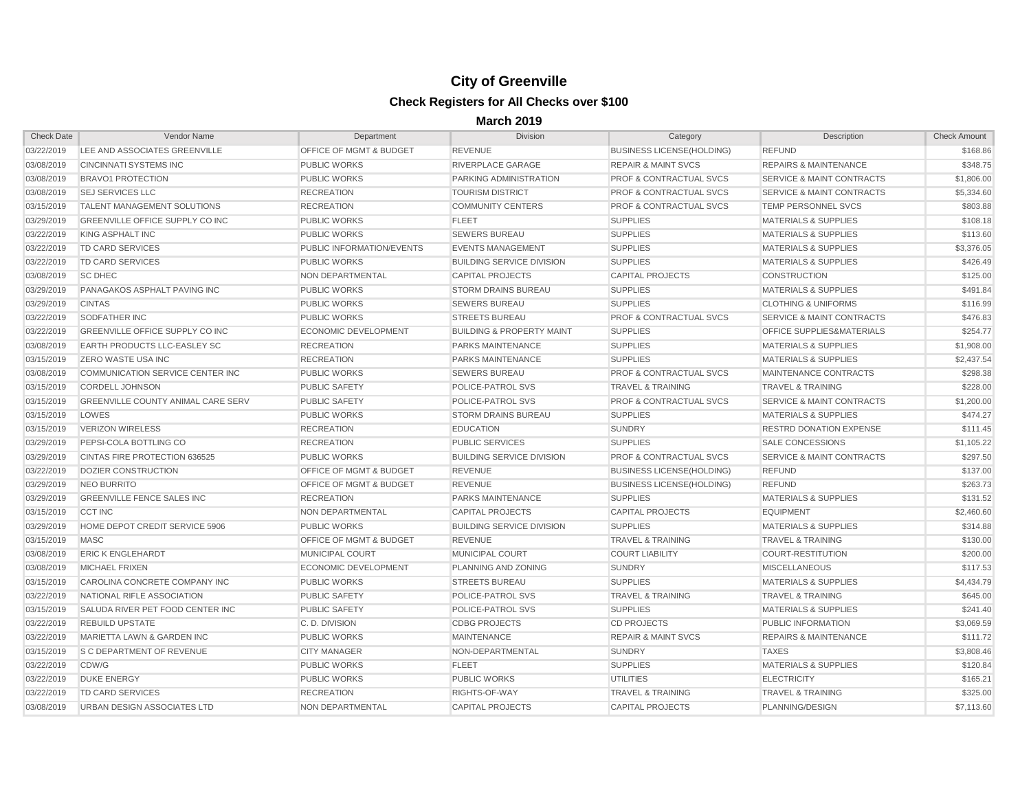| <b>Check Date</b> | Vendor Name                               | Department                         | <b>Division</b>                      | Category                           | Description                          | <b>Check Amount</b> |
|-------------------|-------------------------------------------|------------------------------------|--------------------------------------|------------------------------------|--------------------------------------|---------------------|
| 03/22/2019        | LEE AND ASSOCIATES GREENVILLE             | <b>OFFICE OF MGMT &amp; BUDGET</b> | <b>REVENUE</b>                       | <b>BUSINESS LICENSE(HOLDING)</b>   | <b>REFUND</b>                        | \$168.86            |
| 03/08/2019        | <b>CINCINNATI SYSTEMS INC.</b>            | <b>PUBLIC WORKS</b>                | <b>RIVERPLACE GARAGE</b>             | <b>REPAIR &amp; MAINT SVCS</b>     | <b>REPAIRS &amp; MAINTENANCE</b>     | \$348.75            |
| 03/08/2019        | <b>BRAVO1 PROTECTION</b>                  | <b>PUBLIC WORKS</b>                | PARKING ADMINISTRATION               | <b>PROF &amp; CONTRACTUAL SVCS</b> | <b>SERVICE &amp; MAINT CONTRACTS</b> | \$1,806.00          |
| 03/08/2019        | <b>SEJ SERVICES LLC</b>                   | <b>RECREATION</b>                  | <b>TOURISM DISTRICT</b>              | <b>PROF &amp; CONTRACTUAL SVCS</b> | <b>SERVICE &amp; MAINT CONTRACTS</b> | \$5,334.60          |
| 03/15/2019        | <b>TALENT MANAGEMENT SOLUTIONS</b>        | <b>RECREATION</b>                  | <b>COMMUNITY CENTERS</b>             | <b>PROF &amp; CONTRACTUAL SVCS</b> | <b>TEMP PERSONNEL SVCS</b>           | \$803.88            |
| 03/29/2019        | GREENVILLE OFFICE SUPPLY CO INC           | <b>PUBLIC WORKS</b>                | <b>FLEET</b>                         | <b>SUPPLIES</b>                    | <b>MATERIALS &amp; SUPPLIES</b>      | \$108.18            |
| 03/22/2019        | KING ASPHALT INC                          | <b>PUBLIC WORKS</b>                | <b>SEWERS BUREAU</b>                 | <b>SUPPLIES</b>                    | <b>MATERIALS &amp; SUPPLIES</b>      | \$113.60            |
| 03/22/2019        | <b>TD CARD SERVICES</b>                   | PUBLIC INFORMATION/EVENTS          | <b>EVENTS MANAGEMENT</b>             | <b>SUPPLIES</b>                    | <b>MATERIALS &amp; SUPPLIES</b>      | \$3,376.05          |
| 03/22/2019        | <b>TD CARD SERVICES</b>                   | <b>PUBLIC WORKS</b>                | <b>BUILDING SERVICE DIVISION</b>     | <b>SUPPLIES</b>                    | <b>MATERIALS &amp; SUPPLIES</b>      | \$426.49            |
| 03/08/2019        | <b>SC DHEC</b>                            | NON DEPARTMENTAL                   | <b>CAPITAL PROJECTS</b>              | <b>CAPITAL PROJECTS</b>            | <b>CONSTRUCTION</b>                  | \$125.00            |
| 03/29/2019        | <b>PANAGAKOS ASPHALT PAVING INC</b>       | <b>PUBLIC WORKS</b>                | <b>STORM DRAINS BUREAU</b>           | <b>SUPPLIES</b>                    | <b>MATERIALS &amp; SUPPLIES</b>      | \$491.84            |
| 03/29/2019        | <b>CINTAS</b>                             | <b>PUBLIC WORKS</b>                | <b>SEWERS BUREAU</b>                 | <b>SUPPLIES</b>                    | <b>CLOTHING &amp; UNIFORMS</b>       | \$116.99            |
| 03/22/2019        | SODFATHER INC                             | <b>PUBLIC WORKS</b>                | <b>STREETS BUREAU</b>                | <b>PROF &amp; CONTRACTUAL SVCS</b> | SERVICE & MAINT CONTRACTS            | \$476.83            |
| 03/22/2019        | GREENVILLE OFFICE SUPPLY CO INC           | <b>ECONOMIC DEVELOPMENT</b>        | <b>BUILDING &amp; PROPERTY MAINT</b> | <b>SUPPLIES</b>                    | <b>OFFICE SUPPLIES&amp;MATERIALS</b> | \$254.77            |
| 03/08/2019        | <b>EARTH PRODUCTS LLC-EASLEY SC</b>       | <b>RECREATION</b>                  | <b>PARKS MAINTENANCE</b>             | <b>SUPPLIES</b>                    | <b>MATERIALS &amp; SUPPLIES</b>      | \$1,908.00          |
| 03/15/2019        | <b>ZERO WASTE USA INC</b>                 | <b>RECREATION</b>                  | <b>PARKS MAINTENANCE</b>             | <b>SUPPLIES</b>                    | <b>MATERIALS &amp; SUPPLIES</b>      | \$2,437.54          |
| 03/08/2019        | COMMUNICATION SERVICE CENTER INC          | <b>PUBLIC WORKS</b>                | <b>SEWERS BUREAU</b>                 | <b>PROF &amp; CONTRACTUAL SVCS</b> | <b>MAINTENANCE CONTRACTS</b>         | \$298.38            |
| 03/15/2019        | <b>CORDELL JOHNSON</b>                    | <b>PUBLIC SAFETY</b>               | POLICE-PATROL SVS                    | <b>TRAVEL &amp; TRAINING</b>       | <b>TRAVEL &amp; TRAINING</b>         | \$228.00            |
| 03/15/2019        | <b>GREENVILLE COUNTY ANIMAL CARE SERV</b> | <b>PUBLIC SAFETY</b>               | POLICE-PATROL SVS                    | <b>PROF &amp; CONTRACTUAL SVCS</b> | <b>SERVICE &amp; MAINT CONTRACTS</b> | \$1,200.00          |
| 03/15/2019        | LOWES                                     | <b>PUBLIC WORKS</b>                | <b>STORM DRAINS BUREAU</b>           | <b>SUPPLIES</b>                    | <b>MATERIALS &amp; SUPPLIES</b>      | \$474.27            |
| 03/15/2019        | <b>VERIZON WIRELESS</b>                   | <b>RECREATION</b>                  | <b>EDUCATION</b>                     | <b>SUNDRY</b>                      | <b>RESTRD DONATION EXPENSE</b>       | \$111.45            |
| 03/29/2019        | PEPSI-COLA BOTTLING CO                    | <b>RECREATION</b>                  | <b>PUBLIC SERVICES</b>               | <b>SUPPLIES</b>                    | <b>SALE CONCESSIONS</b>              | \$1,105.22          |
| 03/29/2019        | <b>CINTAS FIRE PROTECTION 636525</b>      | <b>PUBLIC WORKS</b>                | <b>BUILDING SERVICE DIVISION</b>     | <b>PROF &amp; CONTRACTUAL SVCS</b> | <b>SERVICE &amp; MAINT CONTRACTS</b> | \$297.50            |
| 03/22/2019        | <b>DOZIER CONSTRUCTION</b>                | <b>OFFICE OF MGMT &amp; BUDGET</b> | <b>REVENUE</b>                       | <b>BUSINESS LICENSE(HOLDING)</b>   | <b>REFUND</b>                        | \$137.00            |
| 03/29/2019        | NEO BURRITO                               | <b>OFFICE OF MGMT &amp; BUDGET</b> | <b>REVENUE</b>                       | <b>BUSINESS LICENSE(HOLDING)</b>   | <b>REFUND</b>                        | \$263.73            |
| 03/29/2019        | <b>GREENVILLE FENCE SALES INC</b>         | <b>RECREATION</b>                  | <b>PARKS MAINTENANCE</b>             | <b>SUPPLIES</b>                    | <b>MATERIALS &amp; SUPPLIES</b>      | \$131.52            |
| 03/15/2019        | <b>CCT INC</b>                            | NON DEPARTMENTAL                   | <b>CAPITAL PROJECTS</b>              | <b>CAPITAL PROJECTS</b>            | <b>EQUIPMENT</b>                     | \$2,460.60          |
| 03/29/2019        | HOME DEPOT CREDIT SERVICE 5906            | <b>PUBLIC WORKS</b>                | <b>BUILDING SERVICE DIVISION</b>     | <b>SUPPLIES</b>                    | <b>MATERIALS &amp; SUPPLIES</b>      | \$314.88            |
| 03/15/2019        | <b>MASC</b>                               | <b>OFFICE OF MGMT &amp; BUDGET</b> | <b>REVENUE</b>                       | <b>TRAVEL &amp; TRAINING</b>       | <b>TRAVEL &amp; TRAINING</b>         | \$130.00            |
| 03/08/2019        | <b>ERIC K ENGLEHARDT</b>                  | <b>MUNICIPAL COURT</b>             | <b>MUNICIPAL COURT</b>               | <b>COURT LIABILITY</b>             | COURT-RESTITUTION                    | \$200.00            |
| 03/08/2019        | <b>MICHAEL FRIXEN</b>                     | <b>ECONOMIC DEVELOPMENT</b>        | PLANNING AND ZONING                  | <b>SUNDRY</b>                      | <b>MISCELLANEOUS</b>                 | \$117.53            |
| 03/15/2019        | CAROLINA CONCRETE COMPANY INC             | PUBLIC WORKS                       | <b>STREETS BUREAU</b>                | <b>SUPPLIES</b>                    | <b>MATERIALS &amp; SUPPLIES</b>      | \$4,434.79          |
| 03/22/2019        | NATIONAL RIFLE ASSOCIATION                | <b>PUBLIC SAFETY</b>               | POLICE-PATROL SVS                    | <b>TRAVEL &amp; TRAINING</b>       | <b>TRAVEL &amp; TRAINING</b>         | \$645.00            |
| 03/15/2019        | SALUDA RIVER PET FOOD CENTER INC          | <b>PUBLIC SAFETY</b>               | POLICE-PATROL SVS                    | <b>SUPPLIES</b>                    | <b>MATERIALS &amp; SUPPLIES</b>      | \$241.40            |
| 03/22/2019        | <b>REBUILD UPSTATE</b>                    | C.D. DIVISION                      | <b>CDBG PROJECTS</b>                 | <b>CD PROJECTS</b>                 | PUBLIC INFORMATION                   | \$3,069.59          |
| 03/22/2019        | MARIETTA LAWN & GARDEN INC                | <b>PUBLIC WORKS</b>                | <b>MAINTENANCE</b>                   | <b>REPAIR &amp; MAINT SVCS</b>     | <b>REPAIRS &amp; MAINTENANCE</b>     | \$111.72            |
| 03/15/2019        | <b>S C DEPARTMENT OF REVENUE</b>          | <b>CITY MANAGER</b>                | NON-DEPARTMENTAL                     | <b>SUNDRY</b>                      | <b>TAXES</b>                         | \$3,808.46          |
| 03/22/2019        | CDW/G                                     | <b>PUBLIC WORKS</b>                | <b>FLEET</b>                         | <b>SUPPLIES</b>                    | <b>MATERIALS &amp; SUPPLIES</b>      | \$120.84            |
| 03/22/2019        | <b>DUKE ENERGY</b>                        | <b>PUBLIC WORKS</b>                | <b>PUBLIC WORKS</b>                  | <b>UTILITIES</b>                   | <b>ELECTRICITY</b>                   | \$165.21            |
| 03/22/2019        | TD CARD SERVICES                          | <b>RECREATION</b>                  | RIGHTS-OF-WAY                        | <b>TRAVEL &amp; TRAINING</b>       | <b>TRAVEL &amp; TRAINING</b>         | \$325.00            |
| 03/08/2019        | <b>URBAN DESIGN ASSOCIATES LTD</b>        | NON DEPARTMENTAL                   | <b>CAPITAL PROJECTS</b>              | <b>CAPITAL PROJECTS</b>            | PLANNING/DESIGN                      | \$7,113.60          |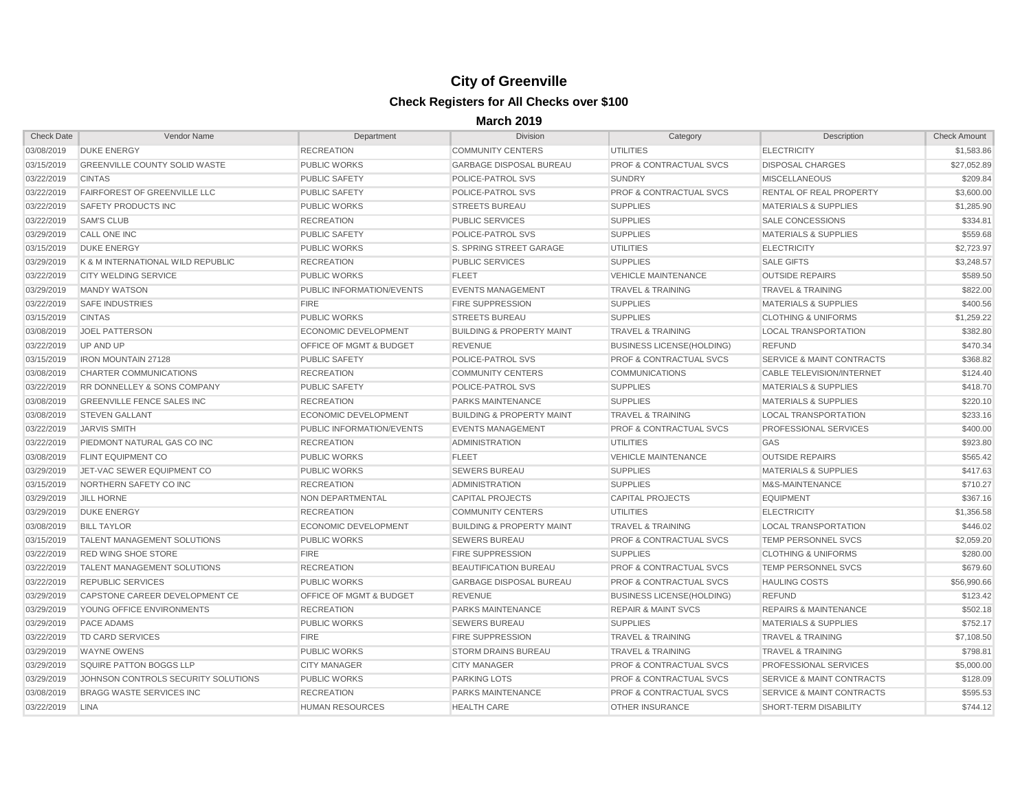| <b>Check Date</b> | Vendor Name                            | Department                         | <b>Division</b>                      | Category                           | Description                          | <b>Check Amount</b> |
|-------------------|----------------------------------------|------------------------------------|--------------------------------------|------------------------------------|--------------------------------------|---------------------|
| 03/08/2019        | <b>DUKE ENERGY</b>                     | <b>RECREATION</b>                  | <b>COMMUNITY CENTERS</b>             | <b>UTILITIES</b>                   | <b>ELECTRICITY</b>                   | \$1,583.86          |
| 03/15/2019        | <b>GREENVILLE COUNTY SOLID WASTE</b>   | <b>PUBLIC WORKS</b>                | <b>GARBAGE DISPOSAL BUREAU</b>       | <b>PROF &amp; CONTRACTUAL SVCS</b> | <b>DISPOSAL CHARGES</b>              | \$27,052.89         |
| 03/22/2019        | <b>CINTAS</b>                          | PUBLIC SAFETY                      | <b>POLICE-PATROL SVS</b>             | <b>SUNDRY</b>                      | <b>MISCELLANEOUS</b>                 | \$209.84            |
| 03/22/2019        | <b>FAIRFOREST OF GREENVILLE LLC</b>    | <b>PUBLIC SAFETY</b>               | <b>POLICE-PATROL SVS</b>             | <b>PROF &amp; CONTRACTUAL SVCS</b> | RENTAL OF REAL PROPERTY              | \$3,600.00          |
| 03/22/2019        | SAFETY PRODUCTS INC                    | <b>PUBLIC WORKS</b>                | <b>STREETS BUREAU</b>                | <b>SUPPLIES</b>                    | <b>MATERIALS &amp; SUPPLIES</b>      | \$1,285.90          |
| 03/22/2019        | <b>SAM'S CLUB</b>                      | <b>RECREATION</b>                  | <b>PUBLIC SERVICES</b>               | <b>SUPPLIES</b>                    | SALE CONCESSIONS                     | \$334.81            |
| 03/29/2019        | <b>CALL ONE INC</b>                    | <b>PUBLIC SAFETY</b>               | POLICE-PATROL SVS                    | <b>SUPPLIES</b>                    | <b>MATERIALS &amp; SUPPLIES</b>      | \$559.68            |
| 03/15/2019        | <b>DUKE ENERGY</b>                     | <b>PUBLIC WORKS</b>                | S. SPRING STREET GARAGE              | <b>UTILITIES</b>                   | <b>ELECTRICITY</b>                   | \$2,723.97          |
| 03/29/2019        | K & M INTERNATIONAL WILD REPUBLIC      | <b>RECREATION</b>                  | <b>PUBLIC SERVICES</b>               | <b>SUPPLIES</b>                    | <b>SALE GIFTS</b>                    | \$3,248.57          |
| 03/22/2019        | <b>CITY WELDING SERVICE</b>            | <b>PUBLIC WORKS</b>                | <b>FLEET</b>                         | <b>VEHICLE MAINTENANCE</b>         | <b>OUTSIDE REPAIRS</b>               | \$589.50            |
| 03/29/2019        | <b>MANDY WATSON</b>                    | <b>PUBLIC INFORMATION/EVENTS</b>   | <b>EVENTS MANAGEMENT</b>             | <b>TRAVEL &amp; TRAINING</b>       | <b>TRAVEL &amp; TRAINING</b>         | \$822.00            |
| 03/22/2019        | <b>SAFE INDUSTRIES</b>                 | <b>FIRE</b>                        | <b>FIRE SUPPRESSION</b>              | <b>SUPPLIES</b>                    | <b>MATERIALS &amp; SUPPLIES</b>      | \$400.56            |
| 03/15/2019        | <b>CINTAS</b>                          | <b>PUBLIC WORKS</b>                | <b>STREETS BUREAU</b>                | <b>SUPPLIES</b>                    | <b>CLOTHING &amp; UNIFORMS</b>       | \$1,259.22          |
| 03/08/2019        | <b>JOEL PATTERSON</b>                  | <b>ECONOMIC DEVELOPMENT</b>        | <b>BUILDING &amp; PROPERTY MAINT</b> | <b>TRAVEL &amp; TRAINING</b>       | <b>LOCAL TRANSPORTATION</b>          | \$382.80            |
| 03/22/2019        | UP AND UP                              | <b>OFFICE OF MGMT &amp; BUDGET</b> | <b>REVENUE</b>                       | <b>BUSINESS LICENSE(HOLDING)</b>   | <b>REFUND</b>                        | \$470.34            |
| 03/15/2019        | <b>IRON MOUNTAIN 27128</b>             | <b>PUBLIC SAFETY</b>               | <b>POLICE-PATROL SVS</b>             | <b>PROF &amp; CONTRACTUAL SVCS</b> | <b>SERVICE &amp; MAINT CONTRACTS</b> | \$368.82            |
| 03/08/2019        | <b>CHARTER COMMUNICATIONS</b>          | <b>RECREATION</b>                  | <b>COMMUNITY CENTERS</b>             | <b>COMMUNICATIONS</b>              | CABLE TELEVISION/INTERNET            | \$124.40            |
| 03/22/2019        | <b>RR DONNELLEY &amp; SONS COMPANY</b> | <b>PUBLIC SAFETY</b>               | <b>POLICE-PATROL SVS</b>             | <b>SUPPLIES</b>                    | <b>MATERIALS &amp; SUPPLIES</b>      | \$418.70            |
| 03/08/2019        | <b>GREENVILLE FENCE SALES INC</b>      | <b>RECREATION</b>                  | <b>PARKS MAINTENANCE</b>             | <b>SUPPLIES</b>                    | <b>MATERIALS &amp; SUPPLIES</b>      | \$220.10            |
| 03/08/2019        | <b>STEVEN GALLANT</b>                  | <b>ECONOMIC DEVELOPMENT</b>        | <b>BUILDING &amp; PROPERTY MAINT</b> | <b>TRAVEL &amp; TRAINING</b>       | LOCAL TRANSPORTATION                 | \$233.16            |
| 03/22/2019        | <b>JARVIS SMITH</b>                    | <b>PUBLIC INFORMATION/EVENTS</b>   | <b>EVENTS MANAGEMENT</b>             | <b>PROF &amp; CONTRACTUAL SVCS</b> | <b>PROFESSIONAL SERVICES</b>         | \$400.00            |
| 03/22/2019        | PIEDMONT NATURAL GAS CO INC            | <b>RECREATION</b>                  | <b>ADMINISTRATION</b>                | <b>UTILITIES</b>                   | GAS                                  | \$923.80            |
| 03/08/2019        | <b>FLINT EQUIPMENT CO</b>              | <b>PUBLIC WORKS</b>                | <b>FLEET</b>                         | <b>VEHICLE MAINTENANCE</b>         | <b>OUTSIDE REPAIRS</b>               | \$565.42            |
| 03/29/2019        | JET-VAC SEWER EQUIPMENT CO             | <b>PUBLIC WORKS</b>                | <b>SEWERS BUREAU</b>                 | <b>SUPPLIES</b>                    | <b>MATERIALS &amp; SUPPLIES</b>      | \$417.63            |
| 03/15/2019        | NORTHERN SAFETY CO INC                 | <b>RECREATION</b>                  | <b>ADMINISTRATION</b>                | <b>SUPPLIES</b>                    | M&S-MAINTENANCE                      | \$710.27            |
| 03/29/2019        | <b>JILL HORNE</b>                      | NON DEPARTMENTAL                   | <b>CAPITAL PROJECTS</b>              | <b>CAPITAL PROJECTS</b>            | <b>EQUIPMENT</b>                     | \$367.16            |
| 03/29/2019        | <b>DUKE ENERGY</b>                     | <b>RECREATION</b>                  | <b>COMMUNITY CENTERS</b>             | UTILITIES                          | <b>ELECTRICITY</b>                   | \$1,356.58          |
| 03/08/2019        | <b>BILL TAYLOR</b>                     | ECONOMIC DEVELOPMENT               | <b>BUILDING &amp; PROPERTY MAINT</b> | <b>TRAVEL &amp; TRAINING</b>       | <b>LOCAL TRANSPORTATION</b>          | \$446.02            |
| 03/15/2019        | <b>TALENT MANAGEMENT SOLUTIONS</b>     | <b>PUBLIC WORKS</b>                | <b>SEWERS BUREAU</b>                 | <b>PROF &amp; CONTRACTUAL SVCS</b> | <b>TEMP PERSONNEL SVCS</b>           | \$2,059.20          |
| 03/22/2019        | <b>RED WING SHOE STORE</b>             | <b>FIRE</b>                        | <b>FIRE SUPPRESSION</b>              | <b>SUPPLIES</b>                    | <b>CLOTHING &amp; UNIFORMS</b>       | \$280.00            |
| 03/22/2019        | <b>TALENT MANAGEMENT SOLUTIONS</b>     | <b>RECREATION</b>                  | <b>BEAUTIFICATION BUREAU</b>         | <b>PROF &amp; CONTRACTUAL SVCS</b> | <b>TEMP PERSONNEL SVCS</b>           | \$679.60            |
| 03/22/2019        | <b>REPUBLIC SERVICES</b>               | <b>PUBLIC WORKS</b>                | <b>GARBAGE DISPOSAL BUREAU</b>       | <b>PROF &amp; CONTRACTUAL SVCS</b> | <b>HAULING COSTS</b>                 | \$56,990.66         |
| 03/29/2019        | CAPSTONE CAREER DEVELOPMENT CE         | OFFICE OF MGMT & BUDGET            | REVENUE                              | <b>BUSINESS LICENSE(HOLDING)</b>   | <b>REFUND</b>                        | \$123.42            |
| 03/29/2019        | YOUNG OFFICE ENVIRONMENTS              | <b>RECREATION</b>                  | <b>PARKS MAINTENANCE</b>             | <b>REPAIR &amp; MAINT SVCS</b>     | <b>REPAIRS &amp; MAINTENANCE</b>     | \$502.18            |
| 03/29/2019        | PACE ADAMS                             | <b>PUBLIC WORKS</b>                | <b>SEWERS BUREAU</b>                 | <b>SUPPLIES</b>                    | <b>MATERIALS &amp; SUPPLIES</b>      | \$752.17            |
| 03/22/2019        | TD CARD SERVICES                       | <b>FIRE</b>                        | <b>FIRE SUPPRESSION</b>              | <b>TRAVEL &amp; TRAINING</b>       | <b>TRAVEL &amp; TRAINING</b>         | \$7,108.50          |
| 03/29/2019        | WAYNE OWENS                            | <b>PUBLIC WORKS</b>                | <b>STORM DRAINS BUREAU</b>           | <b>TRAVEL &amp; TRAINING</b>       | <b>TRAVEL &amp; TRAINING</b>         | \$798.81            |
| 03/29/2019        | <b>SQUIRE PATTON BOGGS LLP</b>         | <b>CITY MANAGER</b>                | <b>CITY MANAGER</b>                  | <b>PROF &amp; CONTRACTUAL SVCS</b> | <b>PROFESSIONAL SERVICES</b>         | \$5,000.00          |
| 03/29/2019        | JOHNSON CONTROLS SECURITY SOLUTIONS    | <b>PUBLIC WORKS</b>                | <b>PARKING LOTS</b>                  | <b>PROF &amp; CONTRACTUAL SVCS</b> | <b>SERVICE &amp; MAINT CONTRACTS</b> | \$128.09            |
| 03/08/2019        | <b>BRAGG WASTE SERVICES INC</b>        | <b>RECREATION</b>                  | <b>PARKS MAINTENANCE</b>             | <b>PROF &amp; CONTRACTUAL SVCS</b> | <b>SERVICE &amp; MAINT CONTRACTS</b> | \$595.53            |
| 03/22/2019        | LINA                                   | <b>HUMAN RESOURCES</b>             | <b>HEALTH CARE</b>                   | OTHER INSURANCE                    | <b>SHORT-TERM DISABILITY</b>         | \$744.12            |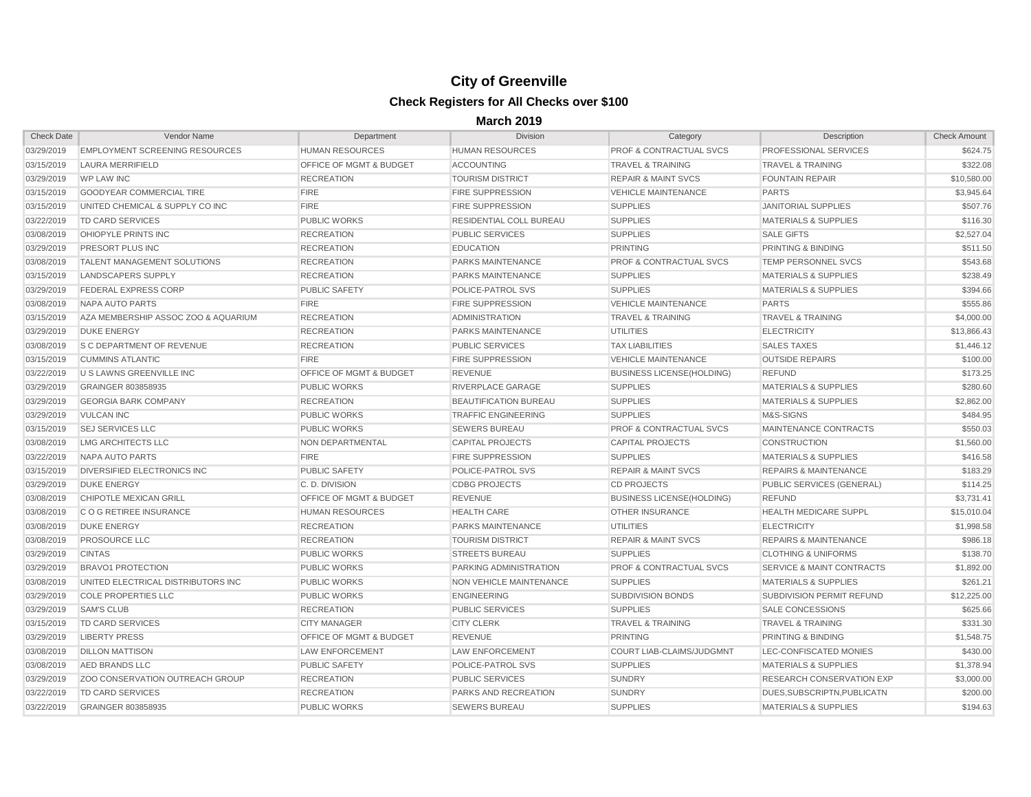| <b>Check Date</b> | <b>Vendor Name</b>                     | Department                         | <b>Division</b>                | Category                           | <b>Description</b>                   | <b>Check Amount</b> |
|-------------------|----------------------------------------|------------------------------------|--------------------------------|------------------------------------|--------------------------------------|---------------------|
| 03/29/2019        | <b>EMPLOYMENT SCREENING RESOURCES</b>  | <b>HUMAN RESOURCES</b>             | <b>HUMAN RESOURCES</b>         | <b>PROF &amp; CONTRACTUAL SVCS</b> | PROFESSIONAL SERVICES                | \$624.75            |
| 03/15/2019        | LAURA MERRIFIELD                       | <b>OFFICE OF MGMT &amp; BUDGET</b> | <b>ACCOUNTING</b>              | <b>TRAVEL &amp; TRAINING</b>       | <b>TRAVEL &amp; TRAINING</b>         | \$322.08            |
| 03/29/2019        | <b>WP LAW INC</b>                      | <b>RECREATION</b>                  | <b>TOURISM DISTRICT</b>        | <b>REPAIR &amp; MAINT SVCS</b>     | <b>FOUNTAIN REPAIR</b>               | \$10,580.00         |
| 03/15/2019        | <b>GOODYEAR COMMERCIAL TIRE</b>        | <b>FIRE</b>                        | <b>FIRE SUPPRESSION</b>        | <b>VEHICLE MAINTENANCE</b>         | <b>PARTS</b>                         | \$3,945.64          |
| 03/15/2019        | UNITED CHEMICAL & SUPPLY CO INC        | <b>FIRE</b>                        | <b>FIRE SUPPRESSION</b>        | <b>SUPPLIES</b>                    | <b>JANITORIAL SUPPLIES</b>           | \$507.76            |
| 03/22/2019        | <b>TD CARD SERVICES</b>                | <b>PUBLIC WORKS</b>                | <b>RESIDENTIAL COLL BUREAU</b> | <b>SUPPLIES</b>                    | <b>MATERIALS &amp; SUPPLIES</b>      | \$116.30            |
| 03/08/2019        | <b>OHIOPYLE PRINTS INC</b>             | <b>RECREATION</b>                  | <b>PUBLIC SERVICES</b>         | <b>SUPPLIES</b>                    | <b>SALE GIFTS</b>                    | \$2,527.04          |
| 03/29/2019        | <b>PRESORT PLUS INC</b>                | <b>RECREATION</b>                  | <b>EDUCATION</b>               | <b>PRINTING</b>                    | PRINTING & BINDING                   | \$511.50            |
| 03/08/2019        | <b>TALENT MANAGEMENT SOLUTIONS</b>     | <b>RECREATION</b>                  | <b>PARKS MAINTENANCE</b>       | <b>PROF &amp; CONTRACTUAL SVCS</b> | <b>TEMP PERSONNEL SVCS</b>           | \$543.68            |
| 03/15/2019        | LANDSCAPERS SUPPLY                     | <b>RECREATION</b>                  | <b>PARKS MAINTENANCE</b>       | <b>SUPPLIES</b>                    | <b>MATERIALS &amp; SUPPLIES</b>      | \$238.49            |
| 03/29/2019        | <b>FEDERAL EXPRESS CORP</b>            | <b>PUBLIC SAFETY</b>               | <b>POLICE-PATROL SVS</b>       | <b>SUPPLIES</b>                    | <b>MATERIALS &amp; SUPPLIES</b>      | \$394.66            |
| 03/08/2019        | <b>NAPA AUTO PARTS</b>                 | <b>FIRE</b>                        | <b>FIRE SUPPRESSION</b>        | <b>VEHICLE MAINTENANCE</b>         | <b>PARTS</b>                         | \$555.86            |
| 03/15/2019        | AZA MEMBERSHIP ASSOC ZOO & AQUARIUM    | <b>RECREATION</b>                  | <b>ADMINISTRATION</b>          | <b>TRAVEL &amp; TRAINING</b>       | <b>TRAVEL &amp; TRAINING</b>         | \$4,000.00          |
| 03/29/2019        | <b>DUKE ENERGY</b>                     | <b>RECREATION</b>                  | <b>PARKS MAINTENANCE</b>       | <b>UTILITIES</b>                   | <b>ELECTRICITY</b>                   | \$13,866.43         |
| 03/08/2019        | <b>S C DEPARTMENT OF REVENUE</b>       | <b>RECREATION</b>                  | <b>PUBLIC SERVICES</b>         | <b>TAX LIABILITIES</b>             | <b>SALES TAXES</b>                   | \$1,446.12          |
| 03/15/2019        | <b>CUMMINS ATLANTIC</b>                | <b>FIRE</b>                        | <b>FIRE SUPPRESSION</b>        | <b>VEHICLE MAINTENANCE</b>         | <b>OUTSIDE REPAIRS</b>               | \$100.00            |
| 03/22/2019        | <b>U S LAWNS GREENVILLE INC</b>        | <b>OFFICE OF MGMT &amp; BUDGET</b> | <b>REVENUE</b>                 | <b>BUSINESS LICENSE(HOLDING)</b>   | <b>REFUND</b>                        | \$173.25            |
| 03/29/2019        | GRAINGER 803858935                     | <b>PUBLIC WORKS</b>                | RIVERPLACE GARAGE              | <b>SUPPLIES</b>                    | <b>MATERIALS &amp; SUPPLIES</b>      | \$280.60            |
| 03/29/2019        | <b>GEORGIA BARK COMPANY</b>            | <b>RECREATION</b>                  | <b>BEAUTIFICATION BUREAU</b>   | <b>SUPPLIES</b>                    | <b>MATERIALS &amp; SUPPLIES</b>      | \$2,862.00          |
| 03/29/2019        | <b>VULCAN INC</b>                      | <b>PUBLIC WORKS</b>                | <b>TRAFFIC ENGINEERING</b>     | <b>SUPPLIES</b>                    | M&S-SIGNS                            | \$484.95            |
| 03/15/2019        | <b>SEJ SERVICES LLC</b>                | <b>PUBLIC WORKS</b>                | <b>SEWERS BUREAU</b>           | <b>PROF &amp; CONTRACTUAL SVCS</b> | MAINTENANCE CONTRACTS                | \$550.03            |
| 03/08/2019        | LMG ARCHITECTS LLC                     | NON DEPARTMENTAL                   | <b>CAPITAL PROJECTS</b>        | <b>CAPITAL PROJECTS</b>            | <b>CONSTRUCTION</b>                  | \$1,560.00          |
| 03/22/2019        | <b>NAPA AUTO PARTS</b>                 | <b>FIRE</b>                        | <b>FIRE SUPPRESSION</b>        | <b>SUPPLIES</b>                    | <b>MATERIALS &amp; SUPPLIES</b>      | \$416.58            |
| 03/15/2019        | <b>DIVERSIFIED ELECTRONICS INC</b>     | <b>PUBLIC SAFETY</b>               | POLICE-PATROL SVS              | <b>REPAIR &amp; MAINT SVCS</b>     | <b>REPAIRS &amp; MAINTENANCE</b>     | \$183.29            |
| 03/29/2019        | <b>DUKE ENERGY</b>                     | C.D. DIVISION                      | <b>CDBG PROJECTS</b>           | <b>CD PROJECTS</b>                 | PUBLIC SERVICES (GENERAL)            | \$114.25            |
| 03/08/2019        | <b>CHIPOTLE MEXICAN GRILL</b>          | <b>OFFICE OF MGMT &amp; BUDGET</b> | <b>REVENUE</b>                 | <b>BUSINESS LICENSE(HOLDING)</b>   | <b>REFUND</b>                        | \$3,731.41          |
| 03/08/2019        | <b>COGRETIREE INSURANCE</b>            | <b>HUMAN RESOURCES</b>             | <b>HEALTH CARE</b>             | <b>OTHER INSURANCE</b>             | <b>HEALTH MEDICARE SUPPL</b>         | \$15,010.04         |
| 03/08/2019        | <b>DUKE ENERGY</b>                     | <b>RECREATION</b>                  | <b>PARKS MAINTENANCE</b>       | <b>UTILITIES</b>                   | <b>ELECTRICITY</b>                   | \$1,998.58          |
| 03/08/2019        | <b>PROSOURCE LLC</b>                   | <b>RECREATION</b>                  | <b>TOURISM DISTRICT</b>        | <b>REPAIR &amp; MAINT SVCS</b>     | <b>REPAIRS &amp; MAINTENANCE</b>     | \$986.18            |
| 03/29/2019        | <b>CINTAS</b>                          | <b>PUBLIC WORKS</b>                | <b>STREETS BUREAU</b>          | <b>SUPPLIES</b>                    | <b>CLOTHING &amp; UNIFORMS</b>       | \$138.70            |
| 03/29/2019        | <b>BRAVO1 PROTECTION</b>               | <b>PUBLIC WORKS</b>                | PARKING ADMINISTRATION         | <b>PROF &amp; CONTRACTUAL SVCS</b> | <b>SERVICE &amp; MAINT CONTRACTS</b> | \$1,892.00          |
| 03/08/2019        | UNITED ELECTRICAL DISTRIBUTORS INC     | PUBLIC WORKS                       | NON VEHICLE MAINTENANCE        | <b>SUPPLIES</b>                    | <b>MATERIALS &amp; SUPPLIES</b>      | \$261.21            |
| 03/29/2019        | <b>COLE PROPERTIES LLC</b>             | <b>PUBLIC WORKS</b>                | <b>ENGINEERING</b>             | <b>SUBDIVISION BONDS</b>           | SUBDIVISION PERMIT REFUND            | \$12,225.00         |
| 03/29/2019        | <b>SAM'S CLUB</b>                      | <b>RECREATION</b>                  | <b>PUBLIC SERVICES</b>         | <b>SUPPLIES</b>                    | SALE CONCESSIONS                     | \$625.66            |
| 03/15/2019        | TD CARD SERVICES                       | <b>CITY MANAGER</b>                | <b>CITY CLERK</b>              | <b>TRAVEL &amp; TRAINING</b>       | <b>TRAVEL &amp; TRAINING</b>         | \$331.30            |
| 03/29/2019        | <b>LIBERTY PRESS</b>                   | <b>OFFICE OF MGMT &amp; BUDGET</b> | <b>REVENUE</b>                 | <b>PRINTING</b>                    | PRINTING & BINDING                   | \$1,548.75          |
| 03/08/2019        | <b>DILLON MATTISON</b>                 | LAW ENFORCEMENT                    | <b>LAW ENFORCEMENT</b>         | COURT LIAB-CLAIMS/JUDGMNT          | LEC-CONFISCATED MONIES               | \$430.00            |
| 03/08/2019        | AED BRANDS LLC                         | <b>PUBLIC SAFETY</b>               | <b>POLICE-PATROL SVS</b>       | <b>SUPPLIES</b>                    | <b>MATERIALS &amp; SUPPLIES</b>      | \$1,378.94          |
| 03/29/2019        | <b>ZOO CONSERVATION OUTREACH GROUP</b> | <b>RECREATION</b>                  | <b>PUBLIC SERVICES</b>         | <b>SUNDRY</b>                      | <b>RESEARCH CONSERVATION EXP</b>     | \$3,000.00          |
| 03/22/2019        | TD CARD SERVICES                       | <b>RECREATION</b>                  | <b>PARKS AND RECREATION</b>    | <b>SUNDRY</b>                      | DUES, SUBSCRIPTN, PUBLICATN          | \$200.00            |
| 03/22/2019        | <b>GRAINGER 803858935</b>              | <b>PUBLIC WORKS</b>                | <b>SEWERS BUREAU</b>           | <b>SUPPLIES</b>                    | <b>MATERIALS &amp; SUPPLIES</b>      | \$194.63            |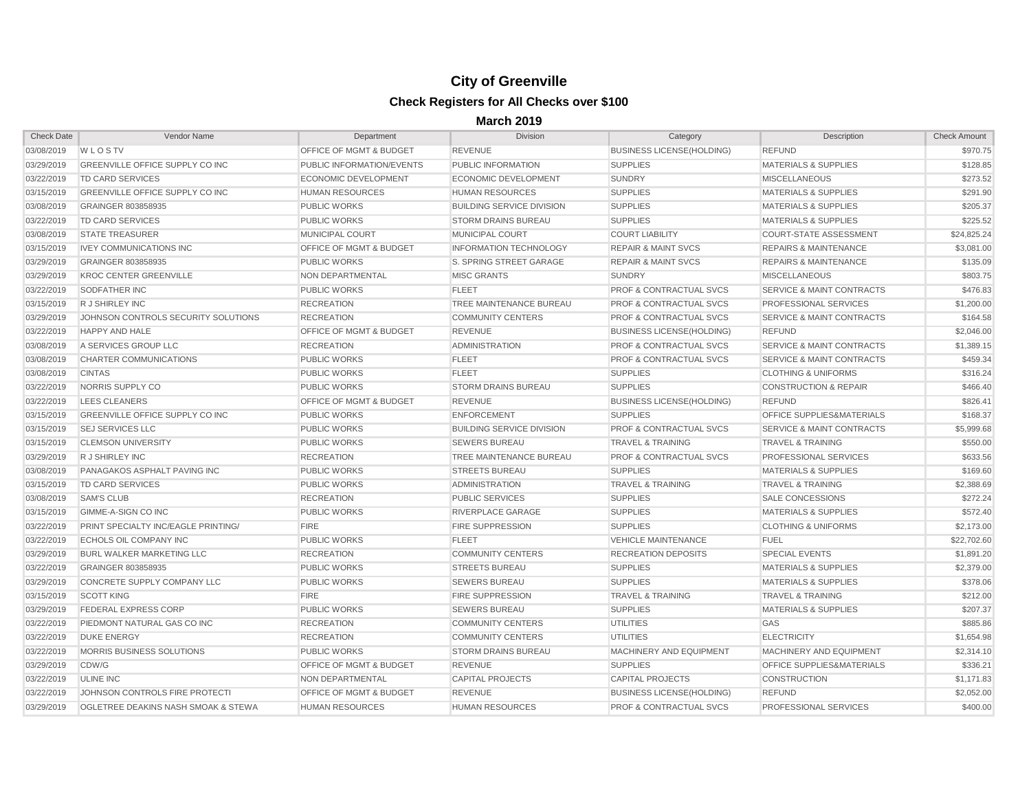| <b>Check Date</b> | Vendor Name                                | Department                         | <b>Division</b>                  | Category                           | Description                          | <b>Check Amount</b> |
|-------------------|--------------------------------------------|------------------------------------|----------------------------------|------------------------------------|--------------------------------------|---------------------|
| 03/08/2019        | WLOSTV                                     | <b>OFFICE OF MGMT &amp; BUDGET</b> | <b>REVENUE</b>                   | <b>BUSINESS LICENSE(HOLDING)</b>   | <b>REFUND</b>                        | \$970.75            |
| 03/29/2019        | <b>GREENVILLE OFFICE SUPPLY CO INC</b>     | PUBLIC INFORMATION/EVENTS          | PUBLIC INFORMATION               | <b>SUPPLIES</b>                    | <b>MATERIALS &amp; SUPPLIES</b>      | \$128.85            |
| 03/22/2019        | TD CARD SERVICES                           | <b>ECONOMIC DEVELOPMENT</b>        | <b>ECONOMIC DEVELOPMENT</b>      | <b>SUNDRY</b>                      | <b>MISCELLANEOUS</b>                 | \$273.52            |
| 03/15/2019        | GREENVILLE OFFICE SUPPLY CO INC            | <b>HUMAN RESOURCES</b>             | <b>HUMAN RESOURCES</b>           | <b>SUPPLIES</b>                    | <b>MATERIALS &amp; SUPPLIES</b>      | \$291.90            |
| 03/08/2019        | GRAINGER 803858935                         | <b>PUBLIC WORKS</b>                | <b>BUILDING SERVICE DIVISION</b> | <b>SUPPLIES</b>                    | <b>MATERIALS &amp; SUPPLIES</b>      | \$205.37            |
| 03/22/2019        | TD CARD SERVICES                           | <b>PUBLIC WORKS</b>                | <b>STORM DRAINS BUREAU</b>       | <b>SUPPLIES</b>                    | <b>MATERIALS &amp; SUPPLIES</b>      | \$225.52            |
| 03/08/2019        | <b>STATE TREASURER</b>                     | MUNICIPAL COURT                    | MUNICIPAL COURT                  | <b>COURT LIABILITY</b>             | <b>COURT-STATE ASSESSMENT</b>        | \$24,825.24         |
| 03/15/2019        | <b>IVEY COMMUNICATIONS INC</b>             | <b>OFFICE OF MGMT &amp; BUDGET</b> | <b>INFORMATION TECHNOLOGY</b>    | <b>REPAIR &amp; MAINT SVCS</b>     | <b>REPAIRS &amp; MAINTENANCE</b>     | \$3,081.00          |
| 03/29/2019        | <b>GRAINGER 803858935</b>                  | <b>PUBLIC WORKS</b>                | S. SPRING STREET GARAGE          | <b>REPAIR &amp; MAINT SVCS</b>     | <b>REPAIRS &amp; MAINTENANCE</b>     | \$135.09            |
| 03/29/2019        | <b>KROC CENTER GREENVILLE</b>              | <b>NON DEPARTMENTAL</b>            | <b>MISC GRANTS</b>               | <b>SUNDRY</b>                      | <b>MISCELLANEOUS</b>                 | \$803.75            |
| 03/22/2019        | SODFATHER INC                              | <b>PUBLIC WORKS</b>                | <b>FLEET</b>                     | <b>PROF &amp; CONTRACTUAL SVCS</b> | <b>SERVICE &amp; MAINT CONTRACTS</b> | \$476.83            |
| 03/15/2019        | R J SHIRLEY INC                            | <b>RECREATION</b>                  | <b>TREE MAINTENANCE BUREAU</b>   | <b>PROF &amp; CONTRACTUAL SVCS</b> | <b>PROFESSIONAL SERVICES</b>         | \$1,200.00          |
| 03/29/2019        | JOHNSON CONTROLS SECURITY SOLUTIONS        | <b>RECREATION</b>                  | <b>COMMUNITY CENTERS</b>         | <b>PROF &amp; CONTRACTUAL SVCS</b> | <b>SERVICE &amp; MAINT CONTRACTS</b> | \$164.58            |
| 03/22/2019        | <b>HAPPY AND HALE</b>                      | <b>OFFICE OF MGMT &amp; BUDGET</b> | <b>REVENUE</b>                   | <b>BUSINESS LICENSE (HOLDING)</b>  | <b>REFUND</b>                        | \$2,046.00          |
| 03/08/2019        | A SERVICES GROUP LLC                       | <b>RECREATION</b>                  | <b>ADMINISTRATION</b>            | <b>PROF &amp; CONTRACTUAL SVCS</b> | <b>SERVICE &amp; MAINT CONTRACTS</b> | \$1,389.15          |
| 03/08/2019        | <b>CHARTER COMMUNICATIONS</b>              | <b>PUBLIC WORKS</b>                | <b>FLEET</b>                     | <b>PROF &amp; CONTRACTUAL SVCS</b> | <b>SERVICE &amp; MAINT CONTRACTS</b> | \$459.34            |
| 03/08/2019        | <b>CINTAS</b>                              | <b>PUBLIC WORKS</b>                | <b>FLEET</b>                     | <b>SUPPLIES</b>                    | <b>CLOTHING &amp; UNIFORMS</b>       | \$316.24            |
| 03/22/2019        | NORRIS SUPPLY CO                           | <b>PUBLIC WORKS</b>                | <b>STORM DRAINS BUREAU</b>       | <b>SUPPLIES</b>                    | <b>CONSTRUCTION &amp; REPAIR</b>     | \$466.40            |
| 03/22/2019        | <b>LEES CLEANERS</b>                       | <b>OFFICE OF MGMT &amp; BUDGET</b> | <b>REVENUE</b>                   | <b>BUSINESS LICENSE(HOLDING)</b>   | <b>REFUND</b>                        | \$826.41            |
| 03/15/2019        | <b>GREENVILLE OFFICE SUPPLY CO INC</b>     | <b>PUBLIC WORKS</b>                | <b>ENFORCEMENT</b>               | <b>SUPPLIES</b>                    | <b>OFFICE SUPPLIES&amp;MATERIALS</b> | \$168.37            |
| 03/15/2019        | <b>SEJ SERVICES LLC</b>                    | <b>PUBLIC WORKS</b>                | <b>BUILDING SERVICE DIVISION</b> | <b>PROF &amp; CONTRACTUAL SVCS</b> | <b>SERVICE &amp; MAINT CONTRACTS</b> | \$5,999.68          |
| 03/15/2019        | <b>CLEMSON UNIVERSITY</b>                  | <b>PUBLIC WORKS</b>                | <b>SEWERS BUREAU</b>             | <b>TRAVEL &amp; TRAINING</b>       | <b>TRAVEL &amp; TRAINING</b>         | \$550.00            |
| 03/29/2019        | R J SHIRLEY INC                            | <b>RECREATION</b>                  | <b>TREE MAINTENANCE BUREAU</b>   | <b>PROF &amp; CONTRACTUAL SVCS</b> | <b>PROFESSIONAL SERVICES</b>         | \$633.56            |
| 03/08/2019        | <b>PANAGAKOS ASPHALT PAVING INC</b>        | <b>PUBLIC WORKS</b>                | <b>STREETS BUREAU</b>            | <b>SUPPLIES</b>                    | <b>MATERIALS &amp; SUPPLIES</b>      | \$169.60            |
| 03/15/2019        | TD CARD SERVICES                           | <b>PUBLIC WORKS</b>                | <b>ADMINISTRATION</b>            | <b>TRAVEL &amp; TRAINING</b>       | <b>TRAVEL &amp; TRAINING</b>         | \$2,388.69          |
| 03/08/2019        | <b>SAM'S CLUB</b>                          | <b>RECREATION</b>                  | <b>PUBLIC SERVICES</b>           | <b>SUPPLIES</b>                    | SALE CONCESSIONS                     | \$272.24            |
| 03/15/2019        | <b>GIMME-A-SIGN CO INC</b>                 | <b>PUBLIC WORKS</b>                | RIVERPLACE GARAGE                | <b>SUPPLIES</b>                    | <b>MATERIALS &amp; SUPPLIES</b>      | \$572.40            |
| 03/22/2019        | <b>PRINT SPECIALTY INC/EAGLE PRINTING/</b> | <b>FIRE</b>                        | <b>FIRE SUPPRESSION</b>          | <b>SUPPLIES</b>                    | <b>CLOTHING &amp; UNIFORMS</b>       | \$2,173.00          |
| 03/22/2019        | ECHOLS OIL COMPANY INC                     | <b>PUBLIC WORKS</b>                | <b>FLEET</b>                     | <b>VEHICLE MAINTENANCE</b>         | <b>FUEL</b>                          | \$22,702.60         |
| 03/29/2019        | <b>BURL WALKER MARKETING LLC</b>           | <b>RECREATION</b>                  | <b>COMMUNITY CENTERS</b>         | <b>RECREATION DEPOSITS</b>         | <b>SPECIAL EVENTS</b>                | \$1,891.20          |
| 03/22/2019        | <b>GRAINGER 803858935</b>                  | <b>PUBLIC WORKS</b>                | <b>STREETS BUREAU</b>            | <b>SUPPLIES</b>                    | <b>MATERIALS &amp; SUPPLIES</b>      | \$2,379.00          |
| 03/29/2019        | CONCRETE SUPPLY COMPANY LLC                | PUBLIC WORKS                       | <b>SEWERS BUREAU</b>             | <b>SUPPLIES</b>                    | <b>MATERIALS &amp; SUPPLIES</b>      | \$378.06            |
| 03/15/2019        | <b>SCOTT KING</b>                          | <b>FIRE</b>                        | <b>FIRE SUPPRESSION</b>          | <b>TRAVEL &amp; TRAINING</b>       | <b>TRAVEL &amp; TRAINING</b>         | \$212.00            |
| 03/29/2019        | <b>FEDERAL EXPRESS CORP</b>                | <b>PUBLIC WORKS</b>                | <b>SEWERS BUREAU</b>             | <b>SUPPLIES</b>                    | <b>MATERIALS &amp; SUPPLIES</b>      | \$207.37            |
| 03/22/2019        | PIEDMONT NATURAL GAS CO INC                | <b>RECREATION</b>                  | <b>COMMUNITY CENTERS</b>         | <b>UTILITIES</b>                   | <b>GAS</b>                           | \$885.86            |
| 03/22/2019        | <b>DUKE ENERGY</b>                         | <b>RECREATION</b>                  | <b>COMMUNITY CENTERS</b>         | <b>UTILITIES</b>                   | <b>ELECTRICITY</b>                   | \$1,654.98          |
| 03/22/2019        | <b>MORRIS BUSINESS SOLUTIONS</b>           | <b>PUBLIC WORKS</b>                | <b>STORM DRAINS BUREAU</b>       | MACHINERY AND EQUIPMENT            | MACHINERY AND EQUIPMENT              | \$2,314.10          |
| 03/29/2019        | CDW/G                                      | <b>OFFICE OF MGMT &amp; BUDGET</b> | <b>REVENUE</b>                   | <b>SUPPLIES</b>                    | <b>OFFICE SUPPLIES&amp;MATERIALS</b> | \$336.21            |
| 03/22/2019        | <b>ULINE INC</b>                           | NON DEPARTMENTAL                   | <b>CAPITAL PROJECTS</b>          | <b>CAPITAL PROJECTS</b>            | <b>CONSTRUCTION</b>                  | \$1,171.83          |
| 03/22/2019        | JOHNSON CONTROLS FIRE PROTECTI             | <b>OFFICE OF MGMT &amp; BUDGET</b> | <b>REVENUE</b>                   | <b>BUSINESS LICENSE(HOLDING)</b>   | <b>REFUND</b>                        | \$2,052.00          |
| 03/29/2019        | OGLETREE DEAKINS NASH SMOAK & STEWA        | <b>HUMAN RESOURCES</b>             | <b>HUMAN RESOURCES</b>           | <b>PROF &amp; CONTRACTUAL SVCS</b> | PROFESSIONAL SERVICES                | \$400.00            |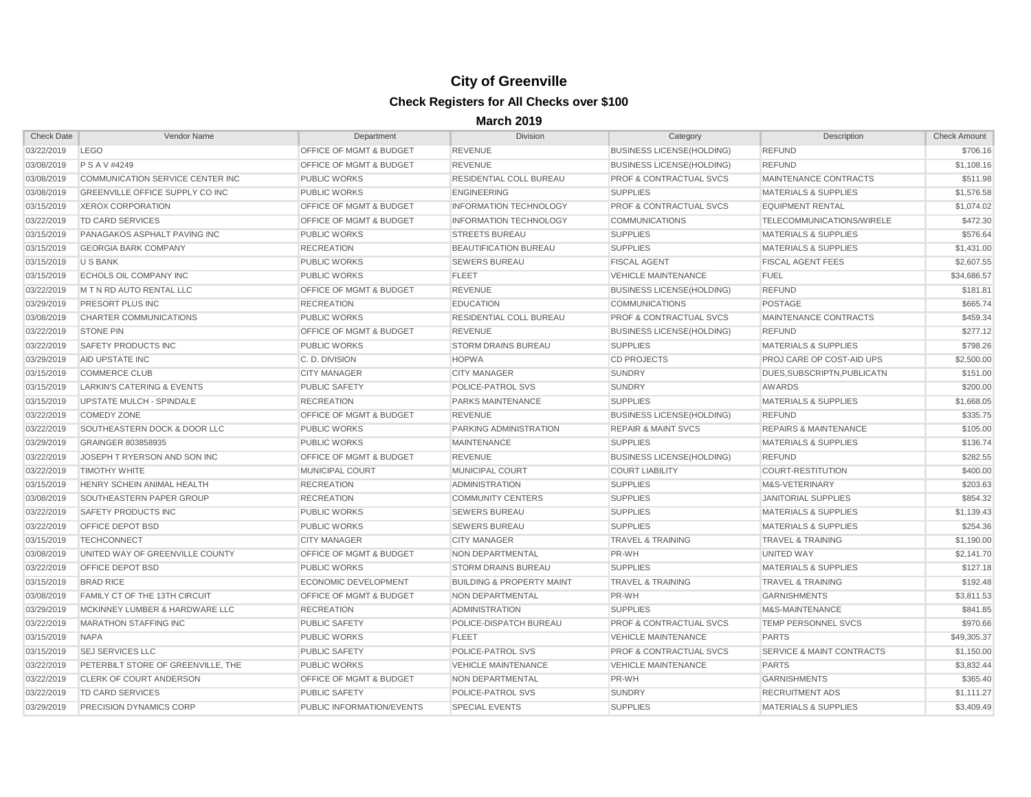| <b>Check Date</b>    | Vendor Name                             | Department                         | Division                             | Category                           | Description                          | <b>Check Amount</b> |
|----------------------|-----------------------------------------|------------------------------------|--------------------------------------|------------------------------------|--------------------------------------|---------------------|
| 03/22/2019           | LEGO                                    | <b>OFFICE OF MGMT &amp; BUDGET</b> | REVENUE                              | <b>BUSINESS LICENSE(HOLDING)</b>   | <b>REFUND</b>                        | \$706.16            |
| 03/08/2019           | P S A V #4249                           | <b>OFFICE OF MGMT &amp; BUDGET</b> | <b>REVENUE</b>                       | <b>BUSINESS LICENSE(HOLDING)</b>   | <b>REFUND</b>                        | \$1,108.16          |
| 03/08/2019           | COMMUNICATION SERVICE CENTER INC        | <b>PUBLIC WORKS</b>                | RESIDENTIAL COLL BUREAU              | <b>PROF &amp; CONTRACTUAL SVCS</b> | MAINTENANCE CONTRACTS                | \$511.98            |
| 03/08/2019           | <b>GREENVILLE OFFICE SUPPLY CO INC</b>  | <b>PUBLIC WORKS</b>                | <b>ENGINEERING</b>                   | <b>SUPPLIES</b>                    | <b>MATERIALS &amp; SUPPLIES</b>      | \$1,576.58          |
| 03/15/2019           | XEROX CORPORATION                       | <b>OFFICE OF MGMT &amp; BUDGET</b> | <b>INFORMATION TECHNOLOGY</b>        | <b>PROF &amp; CONTRACTUAL SVCS</b> | <b>EQUIPMENT RENTAL</b>              | \$1,074.02          |
| 03/22/2019           | TD CARD SERVICES                        | <b>OFFICE OF MGMT &amp; BUDGET</b> | <b>INFORMATION TECHNOLOGY</b>        | <b>COMMUNICATIONS</b>              | TELECOMMUNICATIONS/WIRELE            | \$472.30            |
| 03/15/2019           | PANAGAKOS ASPHALT PAVING INC            | <b>PUBLIC WORKS</b>                | <b>STREETS BUREAU</b>                | <b>SUPPLIES</b>                    | <b>MATERIALS &amp; SUPPLIES</b>      | \$576.64            |
| 03/15/2019           | <b>GEORGIA BARK COMPANY</b>             | <b>RECREATION</b>                  | <b>BEAUTIFICATION BUREAU</b>         | <b>SUPPLIES</b>                    | <b>MATERIALS &amp; SUPPLIES</b>      | \$1,431.00          |
| 03/15/2019           | U S BANK                                | <b>PUBLIC WORKS</b>                | <b>SEWERS BUREAU</b>                 | <b>FISCAL AGENT</b>                | <b>FISCAL AGENT FEES</b>             | \$2,607.55          |
| 03/15/2019           | <b>ECHOLS OIL COMPANY INC</b>           | <b>PUBLIC WORKS</b>                | <b>FLEET</b>                         | <b>VEHICLE MAINTENANCE</b>         | <b>FUEL</b>                          | \$34,686.57         |
| 03/22/2019           | M T N RD AUTO RENTAL LLC                | <b>OFFICE OF MGMT &amp; BUDGET</b> | <b>REVENUE</b>                       | <b>BUSINESS LICENSE(HOLDING)</b>   | <b>REFUND</b>                        | \$181.81            |
| 03/29/2019           | <b>PRESORT PLUS INC</b>                 | <b>RECREATION</b>                  | <b>EDUCATION</b>                     | <b>COMMUNICATIONS</b>              | <b>POSTAGE</b>                       | \$665.74            |
| 03/08/2019           | <b>CHARTER COMMUNICATIONS</b>           | <b>PUBLIC WORKS</b>                | RESIDENTIAL COLL BUREAU              | <b>PROF &amp; CONTRACTUAL SVCS</b> | <b>MAINTENANCE CONTRACTS</b>         | \$459.34            |
| 03/22/2019           | <b>STONE PIN</b>                        | <b>OFFICE OF MGMT &amp; BUDGET</b> | <b>REVENUE</b>                       | <b>BUSINESS LICENSE(HOLDING)</b>   | <b>REFUND</b>                        | \$277.12            |
| 03/22/2019           | <b>SAFETY PRODUCTS INC</b>              | <b>PUBLIC WORKS</b>                | <b>STORM DRAINS BUREAU</b>           | <b>SUPPLIES</b>                    | <b>MATERIALS &amp; SUPPLIES</b>      | \$798.26            |
| 03/29/2019           | AID UPSTATE INC                         | C.D. DIVISION                      | <b>HOPWA</b>                         | <b>CD PROJECTS</b>                 | <b>PROJ CARE OP COST-AID UPS</b>     | \$2,500.00          |
| 03/15/2019           | <b>COMMERCE CLUB</b>                    | <b>CITY MANAGER</b>                | <b>CITY MANAGER</b>                  | <b>SUNDRY</b>                      | DUES.SUBSCRIPTN.PUBLICATN            | \$151.00            |
| 03/15/2019           | LARKIN'S CATERING & EVENTS              | <b>PUBLIC SAFETY</b>               | <b>POLICE-PATROL SVS</b>             | <b>SUNDRY</b>                      | <b>AWARDS</b>                        | \$200.00            |
| 03/15/2019           | <b>UPSTATE MULCH - SPINDALE</b>         | <b>RECREATION</b>                  | <b>PARKS MAINTENANCE</b>             | <b>SUPPLIES</b>                    | <b>MATERIALS &amp; SUPPLIES</b>      | \$1,668.05          |
| 03/22/2019           | <b>COMEDY ZONE</b>                      | <b>OFFICE OF MGMT &amp; BUDGET</b> | <b>REVENUE</b>                       | <b>BUSINESS LICENSE(HOLDING)</b>   | <b>REFUND</b>                        | \$335.75            |
| 03/22/2019           | <b>SOUTHEASTERN DOCK &amp; DOOR LLC</b> | <b>PUBLIC WORKS</b>                | <b>PARKING ADMINISTRATION</b>        | <b>REPAIR &amp; MAINT SVCS</b>     | <b>REPAIRS &amp; MAINTENANCE</b>     | \$105.00            |
| 03/29/2019           | <b>GRAINGER 803858935</b>               | <b>PUBLIC WORKS</b>                | <b>MAINTENANCE</b>                   | <b>SUPPLIES</b>                    | <b>MATERIALS &amp; SUPPLIES</b>      | \$136.74            |
| 03/22/2019           | JOSEPH T RYERSON AND SON INC            | <b>OFFICE OF MGMT &amp; BUDGET</b> | <b>REVENUE</b>                       | <b>BUSINESS LICENSE(HOLDING)</b>   | <b>REFUND</b>                        | \$282.55            |
| 03/22/2019           | <b>TIMOTHY WHITE</b>                    | <b>MUNICIPAL COURT</b>             | MUNICIPAL COURT                      | <b>COURT LIABILITY</b>             | COURT-RESTITUTION                    | \$400.00            |
| 03/15/2019           | HENRY SCHEIN ANIMAL HEALTH              | <b>RECREATION</b>                  | ADMINISTRATION                       | <b>SUPPLIES</b>                    | M&S-VETERINARY                       | \$203.63            |
| 03/08/2019           | SOUTHEASTERN PAPER GROUP                | <b>RECREATION</b>                  | <b>COMMUNITY CENTERS</b>             | <b>SUPPLIES</b>                    | <b>JANITORIAL SUPPLIES</b>           | \$854.32            |
| 03/22/2019           | <b>SAFETY PRODUCTS INC</b>              | <b>PUBLIC WORKS</b>                | <b>SEWERS BUREAU</b>                 | <b>SUPPLIES</b>                    | <b>MATERIALS &amp; SUPPLIES</b>      | \$1,139.43          |
| 03/22/2019           | <b>OFFICE DEPOT BSD</b>                 | <b>PUBLIC WORKS</b>                | <b>SEWERS BUREAU</b>                 | <b>SUPPLIES</b>                    | <b>MATERIALS &amp; SUPPLIES</b>      | \$254.36            |
| 03/15/2019           | <b>TECHCONNECT</b>                      | <b>CITY MANAGER</b>                | <b>CITY MANAGER</b>                  | <b>TRAVEL &amp; TRAINING</b>       | <b>TRAVEL &amp; TRAINING</b>         | \$1,190.00          |
| 03/08/2019           | UNITED WAY OF GREENVILLE COUNTY         | <b>OFFICE OF MGMT &amp; BUDGET</b> | NON DEPARTMENTAL                     | PR-WH                              | UNITED WAY                           | \$2,141.70          |
| 03/22/2019           | <b>OFFICE DEPOT BSD</b>                 | <b>PUBLIC WORKS</b>                | <b>STORM DRAINS BUREAU</b>           | <b>SUPPLIES</b>                    | <b>MATERIALS &amp; SUPPLIES</b>      | \$127.18            |
| 03/15/2019 BRAD RICE |                                         | ECONOMIC DEVELOPMENT               | <b>BUILDING &amp; PROPERTY MAINT</b> | <b>TRAVEL &amp; TRAINING</b>       | <b>TRAVEL &amp; TRAINING</b>         | \$192.48            |
|                      |                                         | OFFICE OF MGMT & BUDGET            | NON DEPARTMENTAL                     | PR-WH                              | <b>GARNISHMENTS</b>                  | \$3,811.53          |
| 03/29/2019           | MCKINNEY LUMBER & HARDWARE LLC          | <b>RECREATION</b>                  | ADMINISTRATION                       | <b>SUPPLIES</b>                    | M&S-MAINTENANCE                      | \$841.85            |
| 03/22/2019           | MARATHON STAFFING INC                   | <b>PUBLIC SAFETY</b>               | POLICE-DISPATCH BUREAU               | <b>PROF &amp; CONTRACTUAL SVCS</b> | TEMP PERSONNEL SVCS                  | \$970.66            |
| 03/15/2019           | <b>NAPA</b>                             | <b>PUBLIC WORKS</b>                | <b>FLEET</b>                         | <b>VEHICLE MAINTENANCE</b>         | <b>PARTS</b>                         | \$49,305.37         |
| 03/15/2019           | <b>SEJ SERVICES LLC</b>                 | <b>PUBLIC SAFETY</b>               | POLICE-PATROL SVS                    | <b>PROF &amp; CONTRACTUAL SVCS</b> | <b>SERVICE &amp; MAINT CONTRACTS</b> | \$1,150.00          |
| 03/22/2019           | PETERBILT STORE OF GREENVILLE, THE      | <b>PUBLIC WORKS</b>                | <b>VEHICLE MAINTENANCE</b>           | <b>VEHICLE MAINTENANCE</b>         | <b>PARTS</b>                         | \$3,832.44          |
| 03/22/2019           | <b>CLERK OF COURT ANDERSON</b>          | OFFICE OF MGMT & BUDGET            | NON DEPARTMENTAL                     | PR-WH                              | <b>GARNISHMENTS</b>                  | \$365.40            |
| 03/22/2019           | TD CARD SERVICES                        | PUBLIC SAFETY                      | POLICE-PATROL SVS                    | <b>SUNDRY</b>                      | <b>RECRUITMENT ADS</b>               | \$1,111.27          |
| 03/29/2019           | <b>PRECISION DYNAMICS CORP</b>          | PUBLIC INFORMATION/EVENTS          | <b>SPECIAL EVENTS</b>                | <b>SUPPLIES</b>                    | <b>MATERIALS &amp; SUPPLIES</b>      | \$3,409.49          |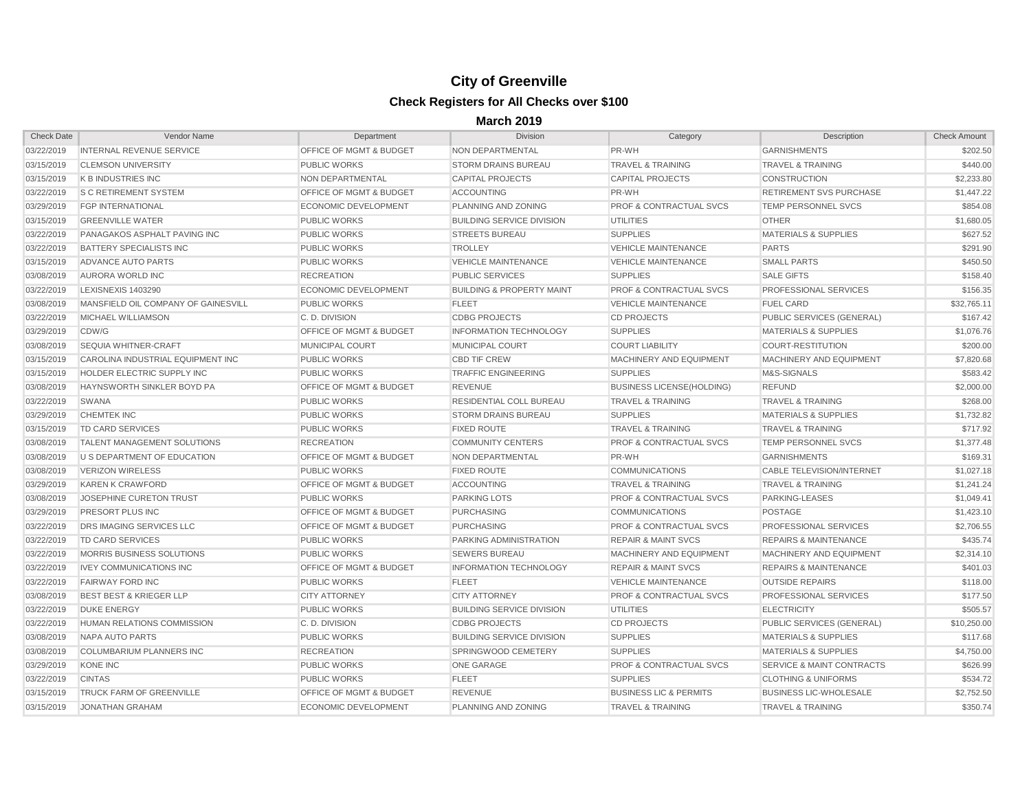| <b>Check Date</b> | Vendor Name                         | Department                         | <b>Division</b>                      | Category                           | Description                          | <b>Check Amount</b> |
|-------------------|-------------------------------------|------------------------------------|--------------------------------------|------------------------------------|--------------------------------------|---------------------|
| 03/22/2019        | <b>INTERNAL REVENUE SERVICE</b>     | <b>OFFICE OF MGMT &amp; BUDGET</b> | <b>NON DEPARTMENTAL</b>              | PR-WH                              | <b>GARNISHMENTS</b>                  | \$202.50            |
| 03/15/2019        | <b>CLEMSON UNIVERSITY</b>           | <b>PUBLIC WORKS</b>                | <b>STORM DRAINS BUREAU</b>           | <b>TRAVEL &amp; TRAINING</b>       | <b>TRAVEL &amp; TRAINING</b>         | \$440.00            |
| 03/15/2019        | K B INDUSTRIES INC                  | NON DEPARTMENTAL                   | <b>CAPITAL PROJECTS</b>              | <b>CAPITAL PROJECTS</b>            | <b>CONSTRUCTION</b>                  | \$2,233.80          |
| 03/22/2019        | <b>S C RETIREMENT SYSTEM</b>        | <b>OFFICE OF MGMT &amp; BUDGET</b> | <b>ACCOUNTING</b>                    | PR-WH                              | RETIREMENT SVS PURCHASE              | \$1,447.22          |
| 03/29/2019        | <b>FGP INTERNATIONAL</b>            | ECONOMIC DEVELOPMENT               | PLANNING AND ZONING                  | <b>PROF &amp; CONTRACTUAL SVCS</b> | <b>TEMP PERSONNEL SVCS</b>           | \$854.08            |
| 03/15/2019        | <b>GREENVILLE WATER</b>             | <b>PUBLIC WORKS</b>                | <b>BUILDING SERVICE DIVISION</b>     | UTILITIES                          | <b>OTHER</b>                         | \$1,680.05          |
| 03/22/2019        | PANAGAKOS ASPHALT PAVING INC        | <b>PUBLIC WORKS</b>                | <b>STREETS BUREAU</b>                | <b>SUPPLIES</b>                    | <b>MATERIALS &amp; SUPPLIES</b>      | \$627.52            |
| 03/22/2019        | <b>BATTERY SPECIALISTS INC</b>      | <b>PUBLIC WORKS</b>                | <b>TROLLEY</b>                       | <b>VEHICLE MAINTENANCE</b>         | <b>PARTS</b>                         | \$291.90            |
| 03/15/2019        | ADVANCE AUTO PARTS                  | <b>PUBLIC WORKS</b>                | <b>VEHICLE MAINTENANCE</b>           | <b>VEHICLE MAINTENANCE</b>         | <b>SMALL PARTS</b>                   | \$450.50            |
| 03/08/2019        | AURORA WORLD INC                    | <b>RECREATION</b>                  | <b>PUBLIC SERVICES</b>               | <b>SUPPLIES</b>                    | <b>SALE GIFTS</b>                    | \$158.40            |
| 03/22/2019        | <b>LEXISNEXIS 1403290</b>           | ECONOMIC DEVELOPMENT               | <b>BUILDING &amp; PROPERTY MAINT</b> | <b>PROF &amp; CONTRACTUAL SVCS</b> | <b>PROFESSIONAL SERVICES</b>         | \$156.35            |
| 03/08/2019        | MANSFIELD OIL COMPANY OF GAINESVILL | <b>PUBLIC WORKS</b>                | <b>FLEET</b>                         | <b>VEHICLE MAINTENANCE</b>         | <b>FUEL CARD</b>                     | \$32,765.11         |
| 03/22/2019        | <b>MICHAEL WILLIAMSON</b>           | C.D. DIVISION                      | <b>CDBG PROJECTS</b>                 | <b>CD PROJECTS</b>                 | PUBLIC SERVICES (GENERAL)            | \$167.42            |
| 03/29/2019        | CDW/G                               | <b>OFFICE OF MGMT &amp; BUDGET</b> | <b>INFORMATION TECHNOLOGY</b>        | <b>SUPPLIES</b>                    | <b>MATERIALS &amp; SUPPLIES</b>      | \$1,076.76          |
| 03/08/2019        | <b>SEQUIA WHITNER-CRAFT</b>         | <b>MUNICIPAL COURT</b>             | <b>MUNICIPAL COURT</b>               | <b>COURT LIABILITY</b>             | COURT-RESTITUTION                    | \$200.00            |
| 03/15/2019        | CAROLINA INDUSTRIAL EQUIPMENT INC   | <b>PUBLIC WORKS</b>                | <b>CBD TIF CREW</b>                  | MACHINERY AND EQUIPMENT            | MACHINERY AND EQUIPMENT              | \$7,820.68          |
| 03/15/2019        | HOLDER ELECTRIC SUPPLY INC          | <b>PUBLIC WORKS</b>                | <b>TRAFFIC ENGINEERING</b>           | <b>SUPPLIES</b>                    | M&S-SIGNALS                          | \$583.42            |
| 03/08/2019        | <b>HAYNSWORTH SINKLER BOYD PA</b>   | <b>OFFICE OF MGMT &amp; BUDGET</b> | <b>REVENUE</b>                       | <b>BUSINESS LICENSE(HOLDING)</b>   | <b>REFUND</b>                        | \$2,000.00          |
| 03/22/2019        | SWANA                               | <b>PUBLIC WORKS</b>                | <b>RESIDENTIAL COLL BUREAU</b>       | <b>TRAVEL &amp; TRAINING</b>       | <b>TRAVEL &amp; TRAINING</b>         | \$268.00            |
| 03/29/2019        | <b>CHEMTEK INC</b>                  | <b>PUBLIC WORKS</b>                | <b>STORM DRAINS BUREAU</b>           | <b>SUPPLIES</b>                    | <b>MATERIALS &amp; SUPPLIES</b>      | \$1,732.82          |
| 03/15/2019        | TD CARD SERVICES                    | <b>PUBLIC WORKS</b>                | <b>FIXED ROUTE</b>                   | <b>TRAVEL &amp; TRAINING</b>       | <b>TRAVEL &amp; TRAINING</b>         | \$717.92            |
| 03/08/2019        | <b>TALENT MANAGEMENT SOLUTIONS</b>  | <b>RECREATION</b>                  | <b>COMMUNITY CENTERS</b>             | <b>PROF &amp; CONTRACTUAL SVCS</b> | <b>TEMP PERSONNEL SVCS</b>           | \$1,377.48          |
| 03/08/2019        | <b>U S DEPARTMENT OF EDUCATION</b>  | <b>OFFICE OF MGMT &amp; BUDGET</b> | NON DEPARTMENTAL                     | PR-WH                              | <b>GARNISHMENTS</b>                  | \$169.31            |
| 03/08/2019        | <b>VERIZON WIRELESS</b>             | <b>PUBLIC WORKS</b>                | <b>FIXED ROUTE</b>                   | <b>COMMUNICATIONS</b>              | <b>CABLE TELEVISION/INTERNET</b>     | \$1,027.18          |
| 03/29/2019        | <b>KAREN K CRAWFORD</b>             | <b>OFFICE OF MGMT &amp; BUDGET</b> | <b>ACCOUNTING</b>                    | <b>TRAVEL &amp; TRAINING</b>       | <b>TRAVEL &amp; TRAINING</b>         | \$1,241.24          |
| 03/08/2019        | JOSEPHINE CURETON TRUST             | <b>PUBLIC WORKS</b>                | <b>PARKING LOTS</b>                  | <b>PROF &amp; CONTRACTUAL SVCS</b> | PARKING-LEASES                       | \$1,049.41          |
| 03/29/2019        | <b>PRESORT PLUS INC</b>             | <b>OFFICE OF MGMT &amp; BUDGET</b> | <b>PURCHASING</b>                    | <b>COMMUNICATIONS</b>              | <b>POSTAGE</b>                       | \$1,423.10          |
| 03/22/2019        | DRS IMAGING SERVICES LLC            | <b>OFFICE OF MGMT &amp; BUDGET</b> | <b>PURCHASING</b>                    | <b>PROF &amp; CONTRACTUAL SVCS</b> | PROFESSIONAL SERVICES                | \$2,706.55          |
| 03/22/2019        | TD CARD SERVICES                    | <b>PUBLIC WORKS</b>                | <b>PARKING ADMINISTRATION</b>        | <b>REPAIR &amp; MAINT SVCS</b>     | <b>REPAIRS &amp; MAINTENANCE</b>     | \$435.74            |
| 03/22/2019        | <b>MORRIS BUSINESS SOLUTIONS</b>    | <b>PUBLIC WORKS</b>                | <b>SEWERS BUREAU</b>                 | MACHINERY AND EQUIPMENT            | MACHINERY AND EQUIPMENT              | \$2,314.10          |
| 03/22/2019        | <b>IVEY COMMUNICATIONS INC</b>      | <b>OFFICE OF MGMT &amp; BUDGET</b> | <b>INFORMATION TECHNOLOGY</b>        | <b>REPAIR &amp; MAINT SVCS</b>     | <b>REPAIRS &amp; MAINTENANCE</b>     | \$401.03            |
| 03/22/2019        | <b>FAIRWAY FORD INC</b>             | <b>PUBLIC WORKS</b>                | <b>FLEET</b>                         | <b>VEHICLE MAINTENANCE</b>         | <b>OUTSIDE REPAIRS</b>               | \$118.00            |
| 03/08/2019        | <b>BEST BEST &amp; KRIEGER LLP</b>  | <b>CITY ATTORNEY</b>               | <b>CITY ATTORNEY</b>                 | <b>PROF &amp; CONTRACTUAL SVCS</b> | <b>PROFESSIONAL SERVICES</b>         | \$177.50            |
| 03/22/2019        | DUKE ENERGY                         | <b>PUBLIC WORKS</b>                | <b>BUILDING SERVICE DIVISION</b>     | UTILITIES                          | <b>ELECTRICITY</b>                   | \$505.57            |
| 03/22/2019        | <b>HUMAN RELATIONS COMMISSION</b>   | C.D. DIVISION                      | <b>CDBG PROJECTS</b>                 | <b>CD PROJECTS</b>                 | PUBLIC SERVICES (GENERAL)            | \$10,250.00         |
| 03/08/2019        | NAPA AUTO PARTS                     | <b>PUBLIC WORKS</b>                | <b>BUILDING SERVICE DIVISION</b>     | <b>SUPPLIES</b>                    | <b>MATERIALS &amp; SUPPLIES</b>      | \$117.68            |
| 03/08/2019        | COLUMBARIUM PLANNERS INC            | <b>RECREATION</b>                  | SPRINGWOOD CEMETERY                  | <b>SUPPLIES</b>                    | <b>MATERIALS &amp; SUPPLIES</b>      | \$4,750.00          |
| 03/29/2019        | KONE INC                            | <b>PUBLIC WORKS</b>                | ONE GARAGE                           | <b>PROF &amp; CONTRACTUAL SVCS</b> | <b>SERVICE &amp; MAINT CONTRACTS</b> | \$626.99            |
| 03/22/2019        | <b>CINTAS</b>                       | <b>PUBLIC WORKS</b>                | <b>FLEET</b>                         | <b>SUPPLIES</b>                    | <b>CLOTHING &amp; UNIFORMS</b>       | \$534.72            |
| 03/15/2019        | <b>TRUCK FARM OF GREENVILLE</b>     | <b>OFFICE OF MGMT &amp; BUDGET</b> | <b>REVENUE</b>                       | <b>BUSINESS LIC &amp; PERMITS</b>  | <b>BUSINESS LIC-WHOLESALE</b>        | \$2,752.50          |
| 03/15/2019        | <b>JONATHAN GRAHAM</b>              | ECONOMIC DEVELOPMENT               | <b>PLANNING AND ZONING</b>           | <b>TRAVEL &amp; TRAINING</b>       | <b>TRAVEL &amp; TRAINING</b>         | \$350.74            |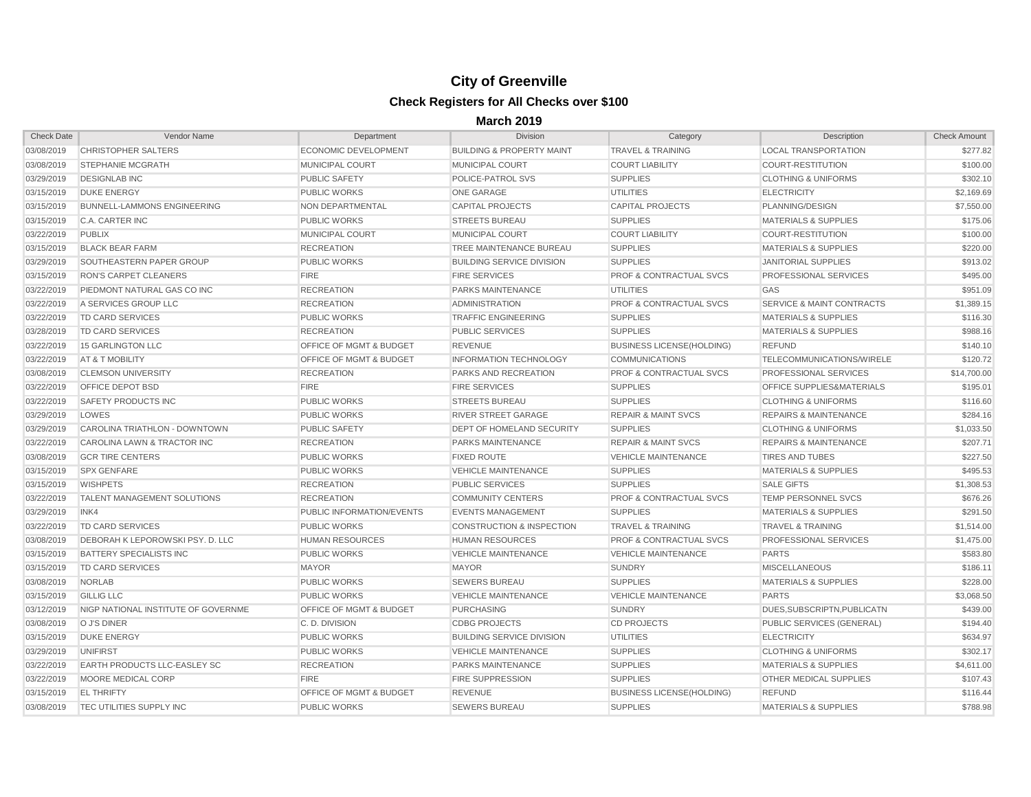| <b>Check Date</b>     | Vendor Name                         | Department                         | Division                             | Category                           | Description                          | <b>Check Amount</b> |
|-----------------------|-------------------------------------|------------------------------------|--------------------------------------|------------------------------------|--------------------------------------|---------------------|
| 03/08/2019            | <b>CHRISTOPHER SALTERS</b>          | <b>ECONOMIC DEVELOPMENT</b>        | <b>BUILDING &amp; PROPERTY MAINT</b> | <b>TRAVEL &amp; TRAINING</b>       | <b>LOCAL TRANSPORTATION</b>          | \$277.82            |
| 03/08/2019            | <b>STEPHANIE MCGRATH</b>            | <b>MUNICIPAL COURT</b>             | <b>MUNICIPAL COURT</b>               | <b>COURT LIABILITY</b>             | COURT-RESTITUTION                    | \$100.00            |
| 03/29/2019            | <b>DESIGNLAB INC</b>                | <b>PUBLIC SAFETY</b>               | POLICE-PATROL SVS                    | <b>SUPPLIES</b>                    | <b>CLOTHING &amp; UNIFORMS</b>       | \$302.10            |
| 03/15/2019            | <b>DUKE ENERGY</b>                  | <b>PUBLIC WORKS</b>                | <b>ONE GARAGE</b>                    | <b>UTILITIES</b>                   | <b>ELECTRICITY</b>                   | \$2,169.69          |
| 03/15/2019            | <b>BUNNELL-LAMMONS ENGINEERING</b>  | <b>NON DEPARTMENTAL</b>            | <b>CAPITAL PROJECTS</b>              | <b>CAPITAL PROJECTS</b>            | PLANNING/DESIGN                      | \$7,550.00          |
| 03/15/2019            | C.A. CARTER INC                     | <b>PUBLIC WORKS</b>                | <b>STREETS BUREAU</b>                | <b>SUPPLIES</b>                    | <b>MATERIALS &amp; SUPPLIES</b>      | \$175.06            |
| 03/22/2019            | <b>PUBLIX</b>                       | <b>MUNICIPAL COURT</b>             | MUNICIPAL COURT                      | <b>COURT LIABILITY</b>             | COURT-RESTITUTION                    | \$100.00            |
| 03/15/2019            | <b>BLACK BEAR FARM</b>              | <b>RECREATION</b>                  | <b>TREE MAINTENANCE BUREAU</b>       | <b>SUPPLIES</b>                    | <b>MATERIALS &amp; SUPPLIES</b>      | \$220.00            |
| 03/29/2019            | <b>SOUTHEASTERN PAPER GROUP</b>     | <b>PUBLIC WORKS</b>                | <b>BUILDING SERVICE DIVISION</b>     | <b>SUPPLIES</b>                    | <b>JANITORIAL SUPPLIES</b>           | \$913.02            |
| 03/15/2019            | <b>RON'S CARPET CLEANERS</b>        | <b>FIRE</b>                        | <b>FIRE SERVICES</b>                 | <b>PROF &amp; CONTRACTUAL SVCS</b> | <b>PROFESSIONAL SERVICES</b>         | \$495.00            |
| 03/22/2019            | PIEDMONT NATURAL GAS CO INC         | <b>RECREATION</b>                  | <b>PARKS MAINTENANCE</b>             | <b>UTILITIES</b>                   | GAS                                  | \$951.09            |
| 03/22/2019            | A SERVICES GROUP LLC                | <b>RECREATION</b>                  | <b>ADMINISTRATION</b>                | <b>PROF &amp; CONTRACTUAL SVCS</b> | <b>SERVICE &amp; MAINT CONTRACTS</b> | \$1,389.15          |
| 03/22/2019            | <b>TD CARD SERVICES</b>             | <b>PUBLIC WORKS</b>                | <b>TRAFFIC ENGINEERING</b>           | <b>SUPPLIES</b>                    | <b>MATERIALS &amp; SUPPLIES</b>      | \$116.30            |
| 03/28/2019            | TD CARD SERVICES                    | <b>RECREATION</b>                  | <b>PUBLIC SERVICES</b>               | <b>SUPPLIES</b>                    | <b>MATERIALS &amp; SUPPLIES</b>      | \$988.16            |
| 03/22/2019            | 15 GARLINGTON LLC                   | <b>OFFICE OF MGMT &amp; BUDGET</b> | <b>REVENUE</b>                       | <b>BUSINESS LICENSE(HOLDING)</b>   | <b>REFUND</b>                        | \$140.10            |
| 03/22/2019            | AT & T MOBILITY                     | <b>OFFICE OF MGMT &amp; BUDGET</b> | <b>INFORMATION TECHNOLOGY</b>        | <b>COMMUNICATIONS</b>              | <b>TELECOMMUNICATIONS/WIRELE</b>     | \$120.72            |
| 03/08/2019            | <b>CLEMSON UNIVERSITY</b>           | <b>RECREATION</b>                  | <b>PARKS AND RECREATION</b>          | <b>PROF &amp; CONTRACTUAL SVCS</b> | <b>PROFESSIONAL SERVICES</b>         | \$14,700.00         |
| 03/22/2019            | <b>OFFICE DEPOT BSD</b>             | <b>FIRE</b>                        | <b>FIRE SERVICES</b>                 | <b>SUPPLIES</b>                    | <b>OFFICE SUPPLIES&amp;MATERIALS</b> | \$195.01            |
| 03/22/2019            | <b>SAFETY PRODUCTS INC</b>          | <b>PUBLIC WORKS</b>                | <b>STREETS BUREAU</b>                | <b>SUPPLIES</b>                    | <b>CLOTHING &amp; UNIFORMS</b>       | \$116.60            |
| 03/29/2019            | LOWES                               | <b>PUBLIC WORKS</b>                | <b>RIVER STREET GARAGE</b>           | <b>REPAIR &amp; MAINT SVCS</b>     | <b>REPAIRS &amp; MAINTENANCE</b>     | \$284.16            |
| 03/29/2019            | CAROLINA TRIATHLON - DOWNTOWN       | <b>PUBLIC SAFETY</b>               | <b>DEPT OF HOMELAND SECURITY</b>     | <b>SUPPLIES</b>                    | <b>CLOTHING &amp; UNIFORMS</b>       | \$1,033.50          |
| 03/22/2019            | CAROLINA LAWN & TRACTOR INC         | <b>RECREATION</b>                  | <b>PARKS MAINTENANCE</b>             | <b>REPAIR &amp; MAINT SVCS</b>     | <b>REPAIRS &amp; MAINTENANCE</b>     | \$207.71            |
| 03/08/2019            | <b>GCR TIRE CENTERS</b>             | <b>PUBLIC WORKS</b>                | <b>FIXED ROUTE</b>                   | <b>VEHICLE MAINTENANCE</b>         | <b>TIRES AND TUBES</b>               | \$227.50            |
| 03/15/2019            | <b>SPX GENFARE</b>                  | <b>PUBLIC WORKS</b>                | <b>VEHICLE MAINTENANCE</b>           | <b>SUPPLIES</b>                    | <b>MATERIALS &amp; SUPPLIES</b>      | \$495.53            |
| 03/15/2019            | <b>WISHPETS</b>                     | <b>RECREATION</b>                  | <b>PUBLIC SERVICES</b>               | <b>SUPPLIES</b>                    | <b>SALE GIFTS</b>                    | \$1,308.53          |
| 03/22/2019            | <b>TALENT MANAGEMENT SOLUTIONS</b>  | <b>RECREATION</b>                  | <b>COMMUNITY CENTERS</b>             | <b>PROF &amp; CONTRACTUAL SVCS</b> | TEMP PERSONNEL SVCS                  | \$676.26            |
| 03/29/2019            | INK4                                | PUBLIC INFORMATION/EVENTS          | <b>EVENTS MANAGEMENT</b>             | <b>SUPPLIES</b>                    | <b>MATERIALS &amp; SUPPLIES</b>      | \$291.50            |
| 03/22/2019            | TD CARD SERVICES                    | <b>PUBLIC WORKS</b>                | <b>CONSTRUCTION &amp; INSPECTION</b> | <b>TRAVEL &amp; TRAINING</b>       | <b>TRAVEL &amp; TRAINING</b>         | \$1,514.00          |
| 03/08/2019            | DEBORAH K LEPOROWSKI PSY. D. LLC    | <b>HUMAN RESOURCES</b>             | <b>HUMAN RESOURCES</b>               | <b>PROF &amp; CONTRACTUAL SVCS</b> | <b>PROFESSIONAL SERVICES</b>         | \$1,475.00          |
| 03/15/2019            | <b>BATTERY SPECIALISTS INC</b>      | <b>PUBLIC WORKS</b>                | <b>VEHICLE MAINTENANCE</b>           | <b>VEHICLE MAINTENANCE</b>         | <b>PARTS</b>                         | \$583.80            |
| 03/15/2019            | <b>TD CARD SERVICES</b>             | <b>MAYOR</b>                       | <b>MAYOR</b>                         | <b>SUNDRY</b>                      | <b>MISCELLANEOUS</b>                 | \$186.11            |
| 03/08/2019 NORLAB     |                                     | PUBLIC WORKS                       | SEWERS BUREAU                        | <b>SUPPLIES</b>                    | <b>MATERIALS &amp; SUPPLIES</b>      | \$228.00            |
| 03/15/2019 GILLIG LLC |                                     | <b>PUBLIC WORKS</b>                | <b>VEHICLE MAINTENANCE</b>           | <b>VEHICLE MAINTENANCE</b>         | <b>PARTS</b>                         | \$3,068.50          |
| 03/12/2019            | NIGP NATIONAL INSTITUTE OF GOVERNME | <b>OFFICE OF MGMT &amp; BUDGET</b> | <b>PURCHASING</b>                    | <b>SUNDRY</b>                      | DUES, SUBSCRIPTN, PUBLICATN          | \$439.00            |
| 03/08/2019            | O J'S DINER                         | C.D. DIVISION                      | <b>CDBG PROJECTS</b>                 | <b>CD PROJECTS</b>                 | PUBLIC SERVICES (GENERAL)            | \$194.40            |
| 03/15/2019            | <b>DUKE ENERGY</b>                  | <b>PUBLIC WORKS</b>                | <b>BUILDING SERVICE DIVISION</b>     | <b>UTILITIES</b>                   | <b>ELECTRICITY</b>                   | \$634.97            |
| 03/29/2019            | <b>UNIFIRST</b>                     | <b>PUBLIC WORKS</b>                | <b>VEHICLE MAINTENANCE</b>           | <b>SUPPLIES</b>                    | <b>CLOTHING &amp; UNIFORMS</b>       | \$302.17            |
| 03/22/2019            | <b>EARTH PRODUCTS LLC-EASLEY SC</b> | <b>RECREATION</b>                  | <b>PARKS MAINTENANCE</b>             | <b>SUPPLIES</b>                    | <b>MATERIALS &amp; SUPPLIES</b>      | \$4,611.00          |
| 03/22/2019            | MOORE MEDICAL CORP                  | <b>FIRE</b>                        | <b>FIRE SUPPRESSION</b>              | <b>SUPPLIES</b>                    | <b>OTHER MEDICAL SUPPLIES</b>        | \$107.43            |
| 03/15/2019            | <b>EL THRIFTY</b>                   | <b>OFFICE OF MGMT &amp; BUDGET</b> | REVENUE                              | <b>BUSINESS LICENSE(HOLDING)</b>   | <b>REFUND</b>                        | \$116.44            |
| 03/08/2019            | <b>TEC UTILITIES SUPPLY INC</b>     | <b>PUBLIC WORKS</b>                | <b>SEWERS BUREAU</b>                 | <b>SUPPLIES</b>                    | <b>MATERIALS &amp; SUPPLIES</b>      | \$788.98            |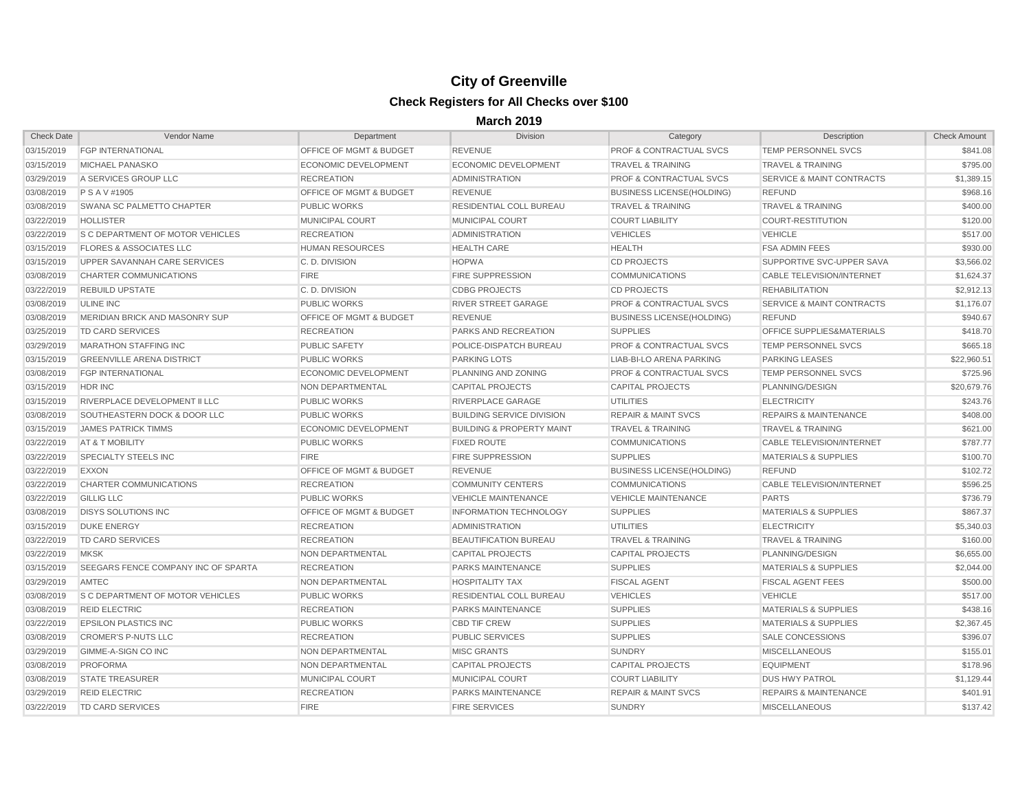| <b>Check Date</b> | Vendor Name                                 | Department                         | Division                             | Category                           | Description                          | <b>Check Amount</b> |
|-------------------|---------------------------------------------|------------------------------------|--------------------------------------|------------------------------------|--------------------------------------|---------------------|
| 03/15/2019        | <b>FGP INTERNATIONAL</b>                    | <b>OFFICE OF MGMT &amp; BUDGET</b> | REVENUE                              | <b>PROF &amp; CONTRACTUAL SVCS</b> | <b>TEMP PERSONNEL SVCS</b>           | \$841.08            |
| 03/15/2019        | MICHAEL PANASKO                             | <b>ECONOMIC DEVELOPMENT</b>        | <b>ECONOMIC DEVELOPMENT</b>          | <b>TRAVEL &amp; TRAINING</b>       | <b>TRAVEL &amp; TRAINING</b>         | \$795.00            |
| 03/29/2019        | A SERVICES GROUP LLC                        | <b>RECREATION</b>                  | <b>ADMINISTRATION</b>                | <b>PROF &amp; CONTRACTUAL SVCS</b> | <b>SERVICE &amp; MAINT CONTRACTS</b> | \$1,389.15          |
| 03/08/2019        | <b>PSAV#1905</b>                            | <b>OFFICE OF MGMT &amp; BUDGET</b> | <b>REVENUE</b>                       | <b>BUSINESS LICENSE(HOLDING)</b>   | <b>REFUND</b>                        | \$968.16            |
| 03/08/2019        | <b>SWANA SC PALMETTO CHAPTER</b>            | <b>PUBLIC WORKS</b>                | <b>RESIDENTIAL COLL BUREAU</b>       | <b>TRAVEL &amp; TRAINING</b>       | <b>TRAVEL &amp; TRAINING</b>         | \$400.00            |
| 03/22/2019        | <b>HOLLISTER</b>                            | <b>MUNICIPAL COURT</b>             | <b>MUNICIPAL COURT</b>               | <b>COURT LIABILITY</b>             | COURT-RESTITUTION                    | \$120.00            |
| 03/22/2019        | <b>S C DEPARTMENT OF MOTOR VEHICLES</b>     | <b>RECREATION</b>                  | <b>ADMINISTRATION</b>                | <b>VEHICLES</b>                    | <b>VEHICLE</b>                       | \$517.00            |
| 03/15/2019        | <b>FLORES &amp; ASSOCIATES LLC</b>          | <b>HUMAN RESOURCES</b>             | <b>HEALTH CARE</b>                   | <b>HEALTH</b>                      | <b>FSA ADMIN FEES</b>                | \$930.00            |
| 03/15/2019        | UPPER SAVANNAH CARE SERVICES                | C.D. DIVISION                      | <b>HOPWA</b>                         | <b>CD PROJECTS</b>                 | SUPPORTIVE SVC-UPPER SAVA            | \$3,566.02          |
| 03/08/2019        | <b>CHARTER COMMUNICATIONS</b>               | <b>FIRE</b>                        | <b>FIRE SUPPRESSION</b>              | <b>COMMUNICATIONS</b>              | <b>CABLE TELEVISION/INTERNET</b>     | \$1,624.37          |
| 03/22/2019        | <b>REBUILD UPSTATE</b>                      | C.D. DIVISION                      | <b>CDBG PROJECTS</b>                 | <b>CD PROJECTS</b>                 | <b>REHABILITATION</b>                | \$2,912.13          |
| 03/08/2019        | <b>ULINE INC</b>                            | <b>PUBLIC WORKS</b>                | <b>RIVER STREET GARAGE</b>           | <b>PROF &amp; CONTRACTUAL SVCS</b> | <b>SERVICE &amp; MAINT CONTRACTS</b> | \$1,176.07          |
| 03/08/2019        | MERIDIAN BRICK AND MASONRY SUP              | <b>OFFICE OF MGMT &amp; BUDGET</b> | <b>REVENUE</b>                       | <b>BUSINESS LICENSE(HOLDING)</b>   | <b>REFUND</b>                        | \$940.67            |
| 03/25/2019        | TD CARD SERVICES                            | <b>RECREATION</b>                  | <b>PARKS AND RECREATION</b>          | <b>SUPPLIES</b>                    | <b>OFFICE SUPPLIES&amp;MATERIALS</b> | \$418.70            |
| 03/29/2019        | <b>MARATHON STAFFING INC</b>                | <b>PUBLIC SAFETY</b>               | POLICE-DISPATCH BUREAU               | <b>PROF &amp; CONTRACTUAL SVCS</b> | <b>TEMP PERSONNEL SVCS</b>           | \$665.18            |
| 03/15/2019        | <b>GREENVILLE ARENA DISTRICT</b>            | <b>PUBLIC WORKS</b>                | <b>PARKING LOTS</b>                  | LIAB-BI-LO ARENA PARKING           | <b>PARKING LEASES</b>                | \$22,960.51         |
| 03/08/2019        | <b>FGP INTERNATIONAL</b>                    | <b>ECONOMIC DEVELOPMENT</b>        | PLANNING AND ZONING                  | <b>PROF &amp; CONTRACTUAL SVCS</b> | <b>TEMP PERSONNEL SVCS</b>           | \$725.96            |
| 03/15/2019        | <b>HDR INC</b>                              | NON DEPARTMENTAL                   | <b>CAPITAL PROJECTS</b>              | <b>CAPITAL PROJECTS</b>            | PLANNING/DESIGN                      | \$20,679.76         |
| 03/15/2019        | RIVERPLACE DEVELOPMENT II LLC               | <b>PUBLIC WORKS</b>                | RIVERPLACE GARAGE                    | <b>UTILITIES</b>                   | <b>ELECTRICITY</b>                   | \$243.76            |
| 03/08/2019        | <b>SOUTHEASTERN DOCK &amp; DOOR LLC</b>     | <b>PUBLIC WORKS</b>                | <b>BUILDING SERVICE DIVISION</b>     | <b>REPAIR &amp; MAINT SVCS</b>     | <b>REPAIRS &amp; MAINTENANCE</b>     | \$408.00            |
| 03/15/2019        | <b>JAMES PATRICK TIMMS</b>                  | <b>ECONOMIC DEVELOPMENT</b>        | <b>BUILDING &amp; PROPERTY MAINT</b> | <b>TRAVEL &amp; TRAINING</b>       | <b>TRAVEL &amp; TRAINING</b>         | \$621.00            |
| 03/22/2019        | <b>AT &amp; T MOBILITY</b>                  | <b>PUBLIC WORKS</b>                | <b>FIXED ROUTE</b>                   | <b>COMMUNICATIONS</b>              | <b>CABLE TELEVISION/INTERNET</b>     | \$787.77            |
| 03/22/2019        | <b>SPECIALTY STEELS INC</b>                 | <b>FIRE</b>                        | <b>FIRE SUPPRESSION</b>              | <b>SUPPLIES</b>                    | <b>MATERIALS &amp; SUPPLIES</b>      | \$100.70            |
| 03/22/2019        | EXXON                                       | <b>OFFICE OF MGMT &amp; BUDGET</b> | <b>REVENUE</b>                       | <b>BUSINESS LICENSE (HOLDING)</b>  | <b>REFUND</b>                        | \$102.72            |
| 03/22/2019        | CHARTER COMMUNICATIONS                      | <b>RECREATION</b>                  | <b>COMMUNITY CENTERS</b>             | <b>COMMUNICATIONS</b>              | <b>CABLE TELEVISION/INTERNET</b>     | \$596.25            |
| 03/22/2019        | <b>GILLIG LLC</b>                           | <b>PUBLIC WORKS</b>                | <b>VEHICLE MAINTENANCE</b>           | <b>VEHICLE MAINTENANCE</b>         | <b>PARTS</b>                         | \$736.79            |
| 03/08/2019        | <b>DISYS SOLUTIONS INC</b>                  | <b>OFFICE OF MGMT &amp; BUDGET</b> | <b>INFORMATION TECHNOLOGY</b>        | <b>SUPPLIES</b>                    | <b>MATERIALS &amp; SUPPLIES</b>      | \$867.37            |
| 03/15/2019        | <b>DUKE ENERGY</b>                          | <b>RECREATION</b>                  | <b>ADMINISTRATION</b>                | <b>UTILITIES</b>                   | <b>ELECTRICITY</b>                   | \$5,340.03          |
| 03/22/2019        | <b>TD CARD SERVICES</b>                     | <b>RECREATION</b>                  | <b>BEAUTIFICATION BUREAU</b>         | <b>TRAVEL &amp; TRAINING</b>       | <b>TRAVEL &amp; TRAINING</b>         | \$160.00            |
| 03/22/2019        | <b>MKSK</b>                                 | NON DEPARTMENTAL                   | <b>CAPITAL PROJECTS</b>              | <b>CAPITAL PROJECTS</b>            | PLANNING/DESIGN                      | \$6,655.00          |
| 03/15/2019        | SEEGARS FENCE COMPANY INC OF SPARTA         | <b>RECREATION</b>                  | PARKS MAINTENANCE                    | <b>SUPPLIES</b>                    | <b>MATERIALS &amp; SUPPLIES</b>      | \$2,044.00          |
| 03/29/2019 AMTEC  |                                             | NON DEPARTMENTAL                   | <b>HOSPITALITY TAX</b>               | FISCAL AGENT                       | FISCAL AGENT FEES                    | \$500.00            |
|                   | 03/08/2019 S C DEPARTMENT OF MOTOR VEHICLES | <b>PUBLIC WORKS</b>                | <b>RESIDENTIAL COLL BUREAU</b>       | <b>VEHICLES</b>                    | <b>VEHICLE</b>                       | \$517.00            |
| 03/08/2019        | <b>REID ELECTRIC</b>                        | <b>RECREATION</b>                  | <b>PARKS MAINTENANCE</b>             | <b>SUPPLIES</b>                    | <b>MATERIALS &amp; SUPPLIES</b>      | \$438.16            |
| 03/22/2019        | <b>EPSILON PLASTICS INC</b>                 | <b>PUBLIC WORKS</b>                | <b>CBD TIF CREW</b>                  | <b>SUPPLIES</b>                    | <b>MATERIALS &amp; SUPPLIES</b>      | \$2,367.45          |
| 03/08/2019        | CROMER'S P-NUTS LLC                         | <b>RECREATION</b>                  | <b>PUBLIC SERVICES</b>               | <b>SUPPLIES</b>                    | SALE CONCESSIONS                     | \$396.07            |
| 03/29/2019        | <b>GIMME-A-SIGN CO INC</b>                  | NON DEPARTMENTAL                   | <b>MISC GRANTS</b>                   | <b>SUNDRY</b>                      | <b>MISCELLANEOUS</b>                 | \$155.01            |
| 03/08/2019        | <b>PROFORMA</b>                             | NON DEPARTMENTAL                   | CAPITAL PROJECTS                     | <b>CAPITAL PROJECTS</b>            | <b>EQUIPMENT</b>                     | \$178.96            |
| 03/08/2019        | <b>STATE TREASURER</b>                      | MUNICIPAL COURT                    | MUNICIPAL COURT                      | <b>COURT LIABILITY</b>             | <b>DUS HWY PATROL</b>                | \$1,129.44          |
| 03/29/2019        | <b>REID ELECTRIC</b>                        | <b>RECREATION</b>                  | <b>PARKS MAINTENANCE</b>             | <b>REPAIR &amp; MAINT SVCS</b>     | <b>REPAIRS &amp; MAINTENANCE</b>     | \$401.91            |
| 03/22/2019        | TD CARD SERVICES                            | <b>FIRE</b>                        | <b>FIRE SERVICES</b>                 | <b>SUNDRY</b>                      | <b>MISCELLANEOUS</b>                 | \$137.42            |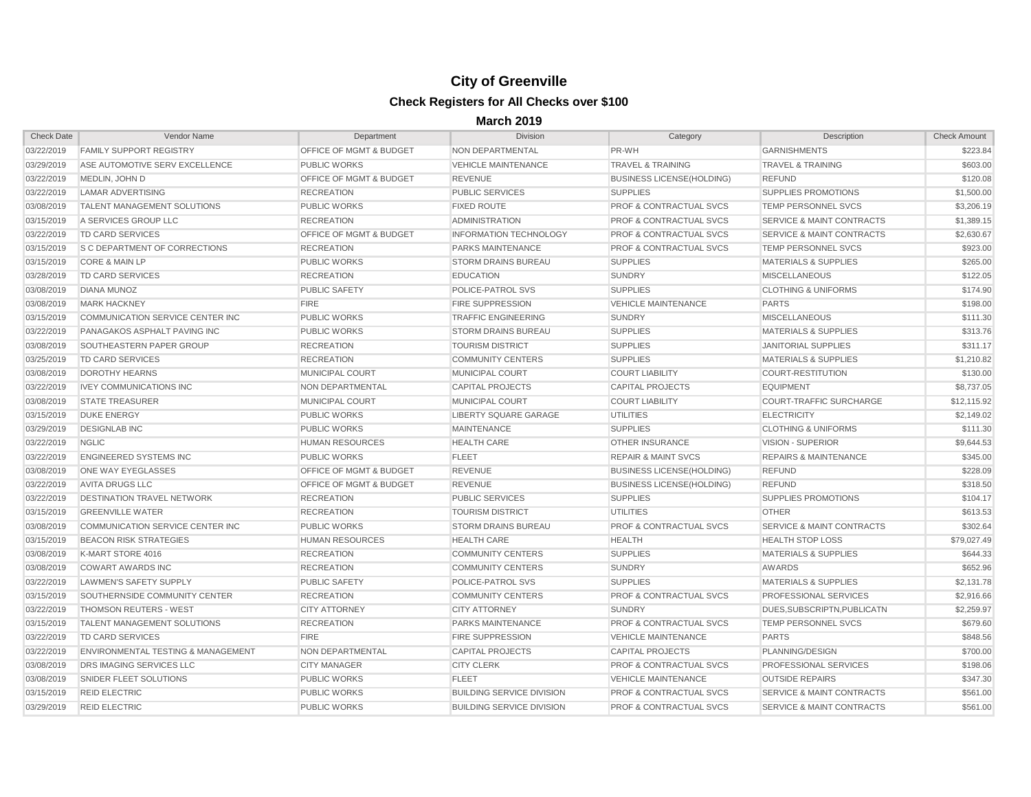| <b>Check Date</b> | Vendor Name                          | Department                         | <b>Division</b>                  | Category                           | Description                          | <b>Check Amount</b> |
|-------------------|--------------------------------------|------------------------------------|----------------------------------|------------------------------------|--------------------------------------|---------------------|
| 03/22/2019        | <b>FAMILY SUPPORT REGISTRY</b>       | <b>OFFICE OF MGMT &amp; BUDGET</b> | <b>NON DEPARTMENTAL</b>          | PR-WH                              | <b>GARNISHMENTS</b>                  | \$223.84            |
| 03/29/2019        | ASE AUTOMOTIVE SERV EXCELLENCE       | <b>PUBLIC WORKS</b>                | <b>VEHICLE MAINTENANCE</b>       | <b>TRAVEL &amp; TRAINING</b>       | <b>TRAVEL &amp; TRAINING</b>         | \$603.00            |
| 03/22/2019        | MEDLIN, JOHN D                       | <b>OFFICE OF MGMT &amp; BUDGET</b> | <b>REVENUE</b>                   | <b>BUSINESS LICENSE(HOLDING)</b>   | <b>REFUND</b>                        | \$120.08            |
| 03/22/2019        | <b>LAMAR ADVERTISING</b>             | <b>RECREATION</b>                  | <b>PUBLIC SERVICES</b>           | <b>SUPPLIES</b>                    | <b>SUPPLIES PROMOTIONS</b>           | \$1,500.00          |
| 03/08/2019        | <b>TALENT MANAGEMENT SOLUTIONS</b>   | <b>PUBLIC WORKS</b>                | <b>FIXED ROUTE</b>               | <b>PROF &amp; CONTRACTUAL SVCS</b> | <b>TEMP PERSONNEL SVCS</b>           | \$3,206.19          |
| 03/15/2019        | A SERVICES GROUP LLC                 | <b>RECREATION</b>                  | <b>ADMINISTRATION</b>            | <b>PROF &amp; CONTRACTUAL SVCS</b> | <b>SERVICE &amp; MAINT CONTRACTS</b> | \$1,389.15          |
| 03/22/2019        | <b>TD CARD SERVICES</b>              | <b>OFFICE OF MGMT &amp; BUDGET</b> | <b>INFORMATION TECHNOLOGY</b>    | <b>PROF &amp; CONTRACTUAL SVCS</b> | <b>SERVICE &amp; MAINT CONTRACTS</b> | \$2,630.67          |
| 03/15/2019        | <b>S C DEPARTMENT OF CORRECTIONS</b> | <b>RECREATION</b>                  | <b>PARKS MAINTENANCE</b>         | <b>PROF &amp; CONTRACTUAL SVCS</b> | <b>TEMP PERSONNEL SVCS</b>           | \$923.00            |
| 03/15/2019        | <b>CORE &amp; MAIN LP</b>            | <b>PUBLIC WORKS</b>                | <b>STORM DRAINS BUREAU</b>       | <b>SUPPLIES</b>                    | <b>MATERIALS &amp; SUPPLIES</b>      | \$265.00            |
| 03/28/2019        | TD CARD SERVICES                     | <b>RECREATION</b>                  | <b>EDUCATION</b>                 | <b>SUNDRY</b>                      | <b>MISCELLANEOUS</b>                 | \$122.05            |
| 03/08/2019        | <b>DIANA MUNOZ</b>                   | <b>PUBLIC SAFETY</b>               | <b>POLICE-PATROL SVS</b>         | <b>SUPPLIES</b>                    | <b>CLOTHING &amp; UNIFORMS</b>       | \$174.90            |
| 03/08/2019        | <b>MARK HACKNEY</b>                  | <b>FIRE</b>                        | <b>FIRE SUPPRESSION</b>          | <b>VEHICLE MAINTENANCE</b>         | <b>PARTS</b>                         | \$198.00            |
| 03/15/2019        | COMMUNICATION SERVICE CENTER INC     | <b>PUBLIC WORKS</b>                | <b>TRAFFIC ENGINEERING</b>       | <b>SUNDRY</b>                      | <b>MISCELLANEOUS</b>                 | \$111.30            |
| 03/22/2019        | PANAGAKOS ASPHALT PAVING INC         | <b>PUBLIC WORKS</b>                | <b>STORM DRAINS BUREAU</b>       | <b>SUPPLIES</b>                    | <b>MATERIALS &amp; SUPPLIES</b>      | \$313.76            |
| 03/08/2019        | SOUTHEASTERN PAPER GROUP             | <b>RECREATION</b>                  | <b>TOURISM DISTRICT</b>          | <b>SUPPLIES</b>                    | <b>JANITORIAL SUPPLIES</b>           | \$311.17            |
| 03/25/2019        | TD CARD SERVICES                     | <b>RECREATION</b>                  | <b>COMMUNITY CENTERS</b>         | <b>SUPPLIES</b>                    | <b>MATERIALS &amp; SUPPLIES</b>      | \$1,210.82          |
| 03/08/2019        | <b>DOROTHY HEARNS</b>                | <b>MUNICIPAL COURT</b>             | <b>MUNICIPAL COURT</b>           | <b>COURT LIABILITY</b>             | <b>COURT-RESTITUTION</b>             | \$130.00            |
| 03/22/2019        | <b>IVEY COMMUNICATIONS INC</b>       | <b>NON DEPARTMENTAL</b>            | <b>CAPITAL PROJECTS</b>          | <b>CAPITAL PROJECTS</b>            | <b>EQUIPMENT</b>                     | \$8,737.05          |
| 03/08/2019        | <b>STATE TREASURER</b>               | <b>MUNICIPAL COURT</b>             | MUNICIPAL COURT                  | <b>COURT LIABILITY</b>             | <b>COURT-TRAFFIC SURCHARGE</b>       | \$12,115.92         |
| 03/15/2019        | <b>DUKE ENERGY</b>                   | <b>PUBLIC WORKS</b>                | LIBERTY SQUARE GARAGE            | <b>UTILITIES</b>                   | <b>ELECTRICITY</b>                   | \$2,149.02          |
| 03/29/2019        | <b>DESIGNLAB INC</b>                 | <b>PUBLIC WORKS</b>                | <b>MAINTENANCE</b>               | <b>SUPPLIES</b>                    | <b>CLOTHING &amp; UNIFORMS</b>       | \$111.30            |
| 03/22/2019        | <b>NGLIC</b>                         | <b>HUMAN RESOURCES</b>             | <b>HEALTH CARE</b>               | <b>OTHER INSURANCE</b>             | <b>VISION - SUPERIOR</b>             | \$9,644.53          |
| 03/22/2019        | <b>ENGINEERED SYSTEMS INC</b>        | <b>PUBLIC WORKS</b>                | <b>FLEET</b>                     | <b>REPAIR &amp; MAINT SVCS</b>     | <b>REPAIRS &amp; MAINTENANCE</b>     | \$345.00            |
| 03/08/2019        | <b>ONE WAY EYEGLASSES</b>            | <b>OFFICE OF MGMT &amp; BUDGET</b> | <b>REVENUE</b>                   | <b>BUSINESS LICENSE(HOLDING)</b>   | <b>REFUND</b>                        | \$228.09            |
| 03/22/2019        | <b>AVITA DRUGS LLC</b>               | <b>OFFICE OF MGMT &amp; BUDGET</b> | <b>REVENUE</b>                   | <b>BUSINESS LICENSE(HOLDING)</b>   | <b>REFUND</b>                        | \$318.50            |
| 03/22/2019        | <b>DESTINATION TRAVEL NETWORK</b>    | <b>RECREATION</b>                  | <b>PUBLIC SERVICES</b>           | <b>SUPPLIES</b>                    | <b>SUPPLIES PROMOTIONS</b>           | \$104.17            |
| 03/15/2019        | <b>GREENVILLE WATER</b>              | <b>RECREATION</b>                  | <b>TOURISM DISTRICT</b>          | <b>UTILITIES</b>                   | <b>OTHER</b>                         | \$613.53            |
| 03/08/2019        | COMMUNICATION SERVICE CENTER INC     | <b>PUBLIC WORKS</b>                | <b>STORM DRAINS BUREAU</b>       | <b>PROF &amp; CONTRACTUAL SVCS</b> | <b>SERVICE &amp; MAINT CONTRACTS</b> | \$302.64            |
| 03/15/2019        | <b>BEACON RISK STRATEGIES</b>        | <b>HUMAN RESOURCES</b>             | <b>HEALTH CARE</b>               | <b>HEALTH</b>                      | <b>HEALTH STOP LOSS</b>              | \$79,027.49         |
| 03/08/2019        | K-MART STORE 4016                    | <b>RECREATION</b>                  | <b>COMMUNITY CENTERS</b>         | <b>SUPPLIES</b>                    | <b>MATERIALS &amp; SUPPLIES</b>      | \$644.33            |
| 03/08/2019        | <b>COWART AWARDS INC</b>             | <b>RECREATION</b>                  | <b>COMMUNITY CENTERS</b>         | <b>SUNDRY</b>                      | AWARDS                               | \$652.96            |
| 03/22/2019        | LAWMEN'S SAFETY SUPPLY               | PUBLIC SAFETY                      | POLICE-PATROL SVS                | <b>SUPPLIES</b>                    | MATERIALS & SUPPLIES                 | \$2,131.78          |
| 03/15/2019        | SOUTHERNSIDE COMMUNITY CENTER        | <b>RECREATION</b>                  | <b>COMMUNITY CENTERS</b>         | <b>PROF &amp; CONTRACTUAL SVCS</b> | <b>PROFESSIONAL SERVICES</b>         | \$2,916.66          |
| 03/22/2019        | <b>THOMSON REUTERS - WEST</b>        | <b>CITY ATTORNEY</b>               | <b>CITY ATTORNEY</b>             | <b>SUNDRY</b>                      | DUES, SUBSCRIPTN, PUBLICATN          | \$2,259.97          |
| 03/15/2019        | TALENT MANAGEMENT SOLUTIONS          | <b>RECREATION</b>                  | <b>PARKS MAINTENANCE</b>         | <b>PROF &amp; CONTRACTUAL SVCS</b> | <b>TEMP PERSONNEL SVCS</b>           | \$679.60            |
| 03/22/2019        | TD CARD SERVICES                     | <b>FIRE</b>                        | <b>FIRE SUPPRESSION</b>          | <b>VEHICLE MAINTENANCE</b>         | <b>PARTS</b>                         | \$848.56            |
| 03/22/2019        | ENVIRONMENTAL TESTING & MANAGEMENT   | <b>NON DEPARTMENTAL</b>            | <b>CAPITAL PROJECTS</b>          | CAPITAL PROJECTS                   | PLANNING/DESIGN                      | \$700.00            |
| 03/08/2019        | <b>IDRS IMAGING SERVICES LLC</b>     | <b>CITY MANAGER</b>                | <b>CITY CLERK</b>                | <b>PROF &amp; CONTRACTUAL SVCS</b> | <b>PROFESSIONAL SERVICES</b>         | \$198.06            |
| 03/08/2019        | SNIDER FLEET SOLUTIONS               | PUBLIC WORKS                       | <b>FLEET</b>                     | <b>VEHICLE MAINTENANCE</b>         | <b>OUTSIDE REPAIRS</b>               | \$347.30            |
| 03/15/2019        | <b>REID ELECTRIC</b>                 | <b>PUBLIC WORKS</b>                | <b>BUILDING SERVICE DIVISION</b> | <b>PROF &amp; CONTRACTUAL SVCS</b> | <b>SERVICE &amp; MAINT CONTRACTS</b> | \$561.00            |
| 03/29/2019        | <b>REID ELECTRIC</b>                 | <b>PUBLIC WORKS</b>                | <b>BUILDING SERVICE DIVISION</b> | <b>PROF &amp; CONTRACTUAL SVCS</b> | <b>SERVICE &amp; MAINT CONTRACTS</b> | \$561.00            |